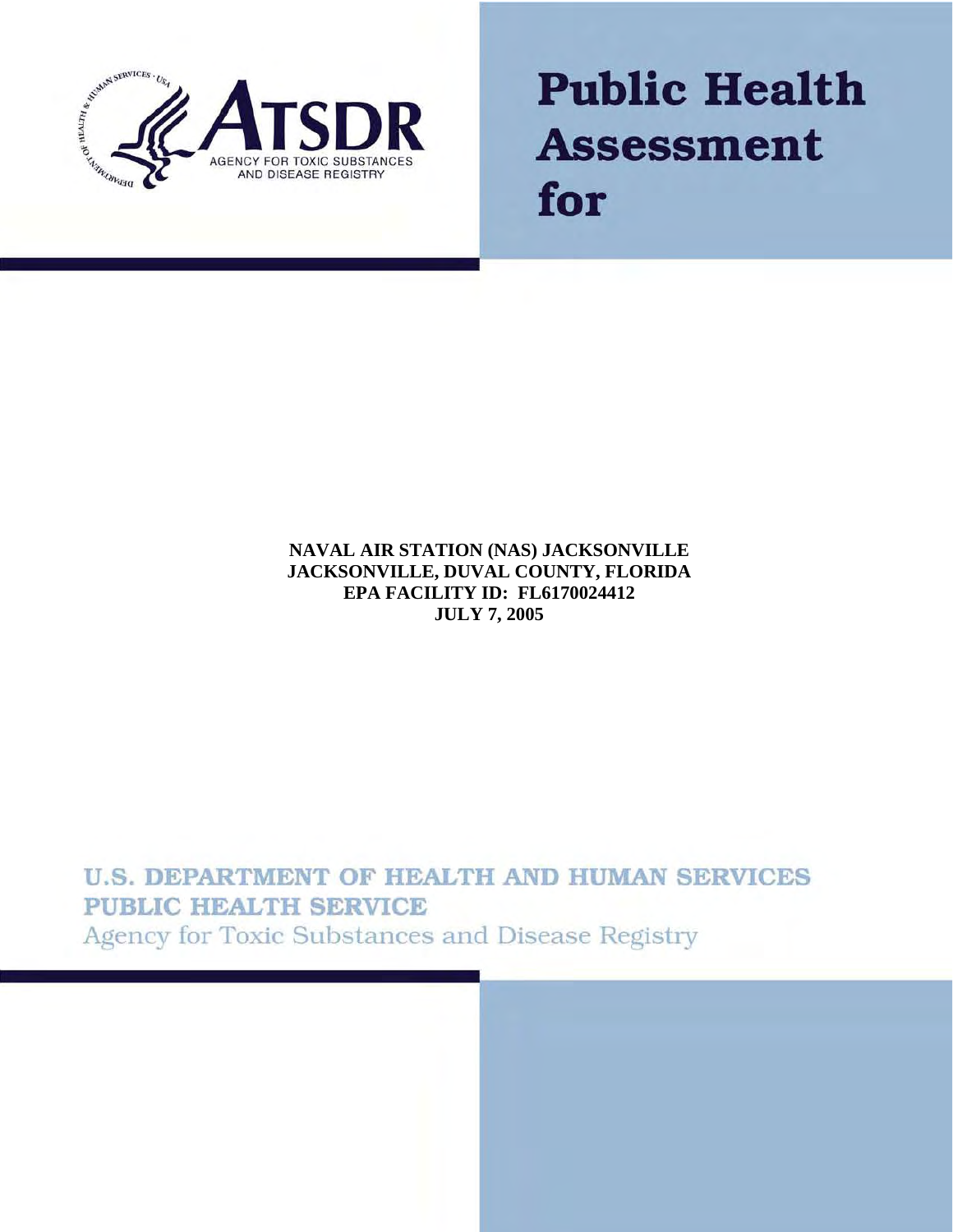

# **Public Health Assessment** for

#### **NAVAL AIR STATION (NAS) JACKSONVILLE JACKSONVILLE, DUVAL COUNTY, FLORIDA EPA FACILITY ID: FL6170024412 JULY 7, 2005**

# **U.S. DEPARTMENT OF HEALTH AND HUMAN SERVICES PUBLIC HEALTH SERVICE** Agency for Toxic Substances and Disease Registry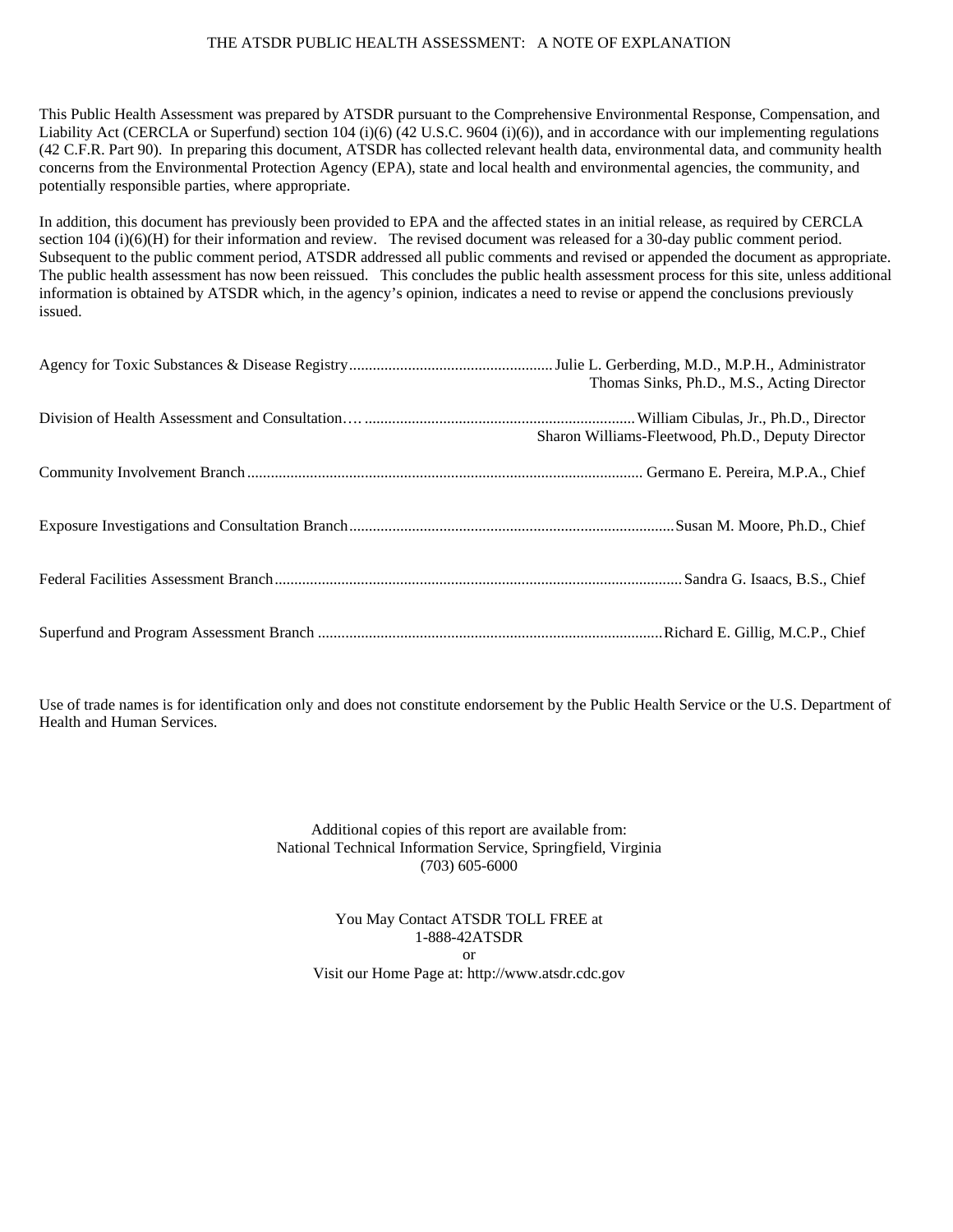#### THE ATSDR PUBLIC HEALTH ASSESSMENT: A NOTE OF EXPLANATION

This Public Health Assessment was prepared by ATSDR pursuant to the Comprehensive Environmental Response, Compensation, and Liability Act (CERCLA or Superfund) section 104 (i)(6) (42 U.S.C. 9604 (i)(6)), and in accordance with our implementing regulations (42 C.F.R. Part 90). In preparing this document, ATSDR has collected relevant health data, environmental data, and community health concerns from the Environmental Protection Agency (EPA), state and local health and environmental agencies, the community, and potentially responsible parties, where appropriate.

In addition, this document has previously been provided to EPA and the affected states in an initial release, as required by CERCLA section 104 (i)(6)(H) for their information and review. The revised document was released for a 30-day public comment period. Subsequent to the public comment period, ATSDR addressed all public comments and revised or appended the document as appropriate. The public health assessment has now been reissued. This concludes the public health assessment process for this site, unless additional information is obtained by ATSDR which, in the agency's opinion, indicates a need to revise or append the conclusions previously issued.

| Thomas Sinks, Ph.D., M.S., Acting Director        |
|---------------------------------------------------|
| Sharon Williams-Fleetwood, Ph.D., Deputy Director |
|                                                   |
|                                                   |
|                                                   |
|                                                   |

Use of trade names is for identification only and does not constitute endorsement by the Public Health Service or the U.S. Department of Health and Human Services.

> Additional copies of this report are available from: National Technical Information Service, Springfield, Virginia (703) 605-6000

You May Contact ATSDR TOLL FREE at 1-888-42ATSDR or Visit our Home Page at: http://www.atsdr.cdc.gov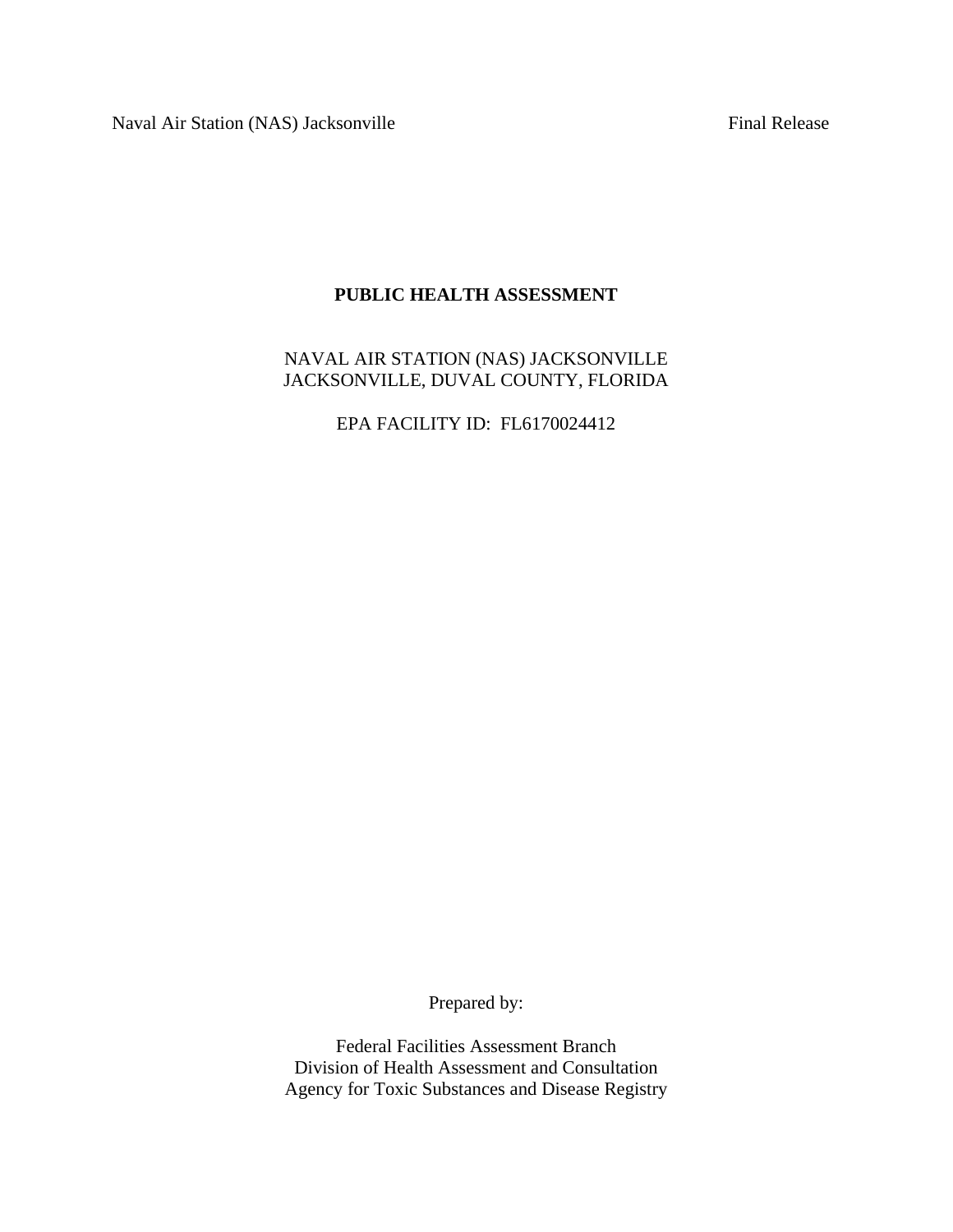Naval Air Station (NAS) Jacksonville Final Release

# **PUBLIC HEALTH ASSESSMENT**

NAVAL AIR STATION (NAS) JACKSONVILLE JACKSONVILLE, DUVAL COUNTY, FLORIDA

EPA FACILITY ID: FL6170024412

Prepared by:

Federal Facilities Assessment Branch Division of Health Assessment and Consultation Agency for Toxic Substances and Disease Registry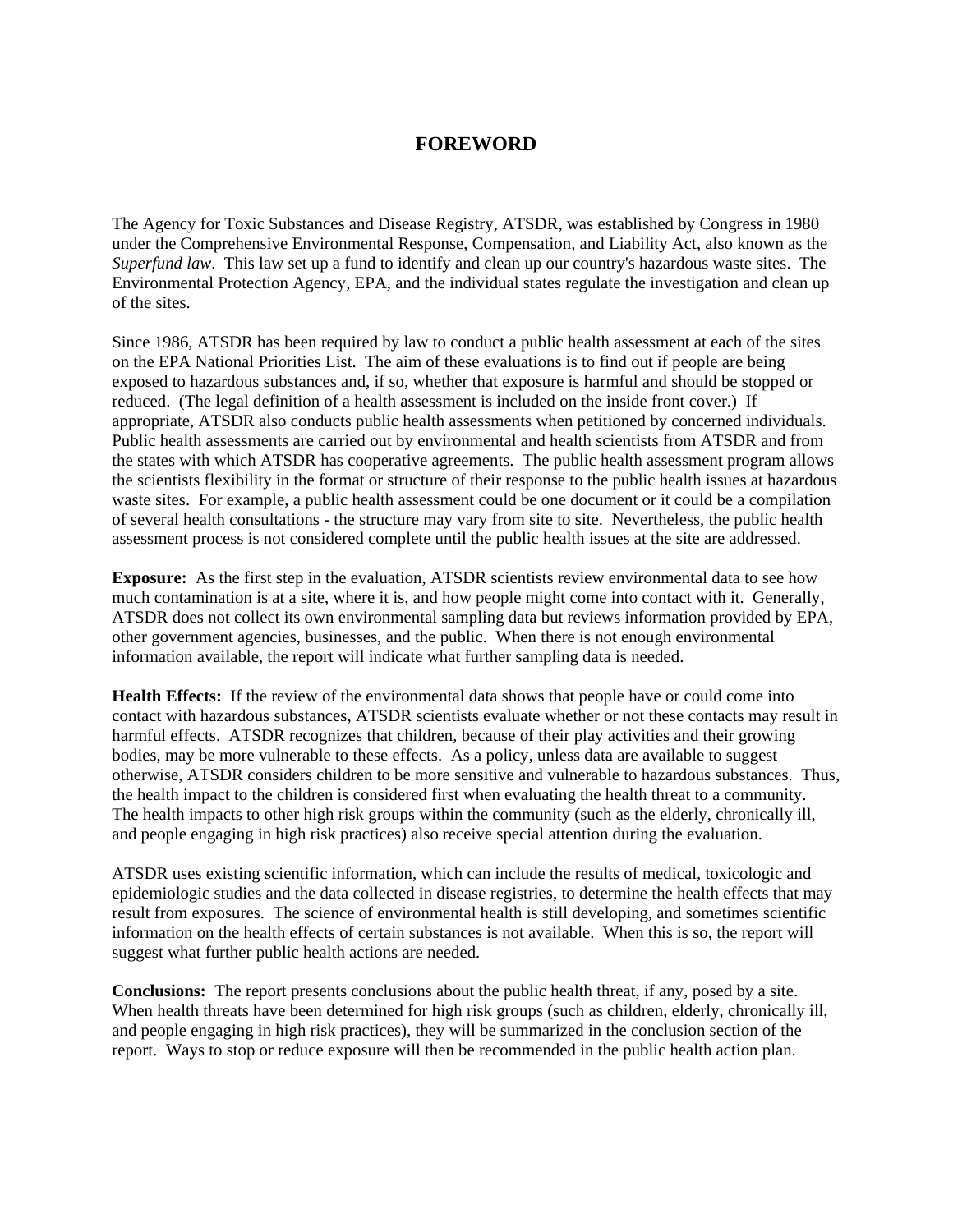## **FOREWORD**

The Agency for Toxic Substances and Disease Registry, ATSDR, was established by Congress in 1980 under the Comprehensive Environmental Response, Compensation, and Liability Act, also known as the *Superfund law*. This law set up a fund to identify and clean up our country's hazardous waste sites. The Environmental Protection Agency, EPA, and the individual states regulate the investigation and clean up of the sites.

Since 1986, ATSDR has been required by law to conduct a public health assessment at each of the sites on the EPA National Priorities List. The aim of these evaluations is to find out if people are being exposed to hazardous substances and, if so, whether that exposure is harmful and should be stopped or reduced. (The legal definition of a health assessment is included on the inside front cover.) If appropriate, ATSDR also conducts public health assessments when petitioned by concerned individuals. Public health assessments are carried out by environmental and health scientists from ATSDR and from the states with which ATSDR has cooperative agreements. The public health assessment program allows the scientists flexibility in the format or structure of their response to the public health issues at hazardous waste sites. For example, a public health assessment could be one document or it could be a compilation of several health consultations - the structure may vary from site to site. Nevertheless, the public health assessment process is not considered complete until the public health issues at the site are addressed.

**Exposure:** As the first step in the evaluation, ATSDR scientists review environmental data to see how much contamination is at a site, where it is, and how people might come into contact with it. Generally, ATSDR does not collect its own environmental sampling data but reviews information provided by EPA, other government agencies, businesses, and the public. When there is not enough environmental information available, the report will indicate what further sampling data is needed.

**Health Effects:** If the review of the environmental data shows that people have or could come into contact with hazardous substances, ATSDR scientists evaluate whether or not these contacts may result in harmful effects. ATSDR recognizes that children, because of their play activities and their growing bodies, may be more vulnerable to these effects. As a policy, unless data are available to suggest otherwise, ATSDR considers children to be more sensitive and vulnerable to hazardous substances. Thus, the health impact to the children is considered first when evaluating the health threat to a community. The health impacts to other high risk groups within the community (such as the elderly, chronically ill, and people engaging in high risk practices) also receive special attention during the evaluation.

ATSDR uses existing scientific information, which can include the results of medical, toxicologic and epidemiologic studies and the data collected in disease registries, to determine the health effects that may result from exposures. The science of environmental health is still developing, and sometimes scientific information on the health effects of certain substances is not available. When this is so, the report will suggest what further public health actions are needed.

**Conclusions:** The report presents conclusions about the public health threat, if any, posed by a site. When health threats have been determined for high risk groups (such as children, elderly, chronically ill, and people engaging in high risk practices), they will be summarized in the conclusion section of the report. Ways to stop or reduce exposure will then be recommended in the public health action plan.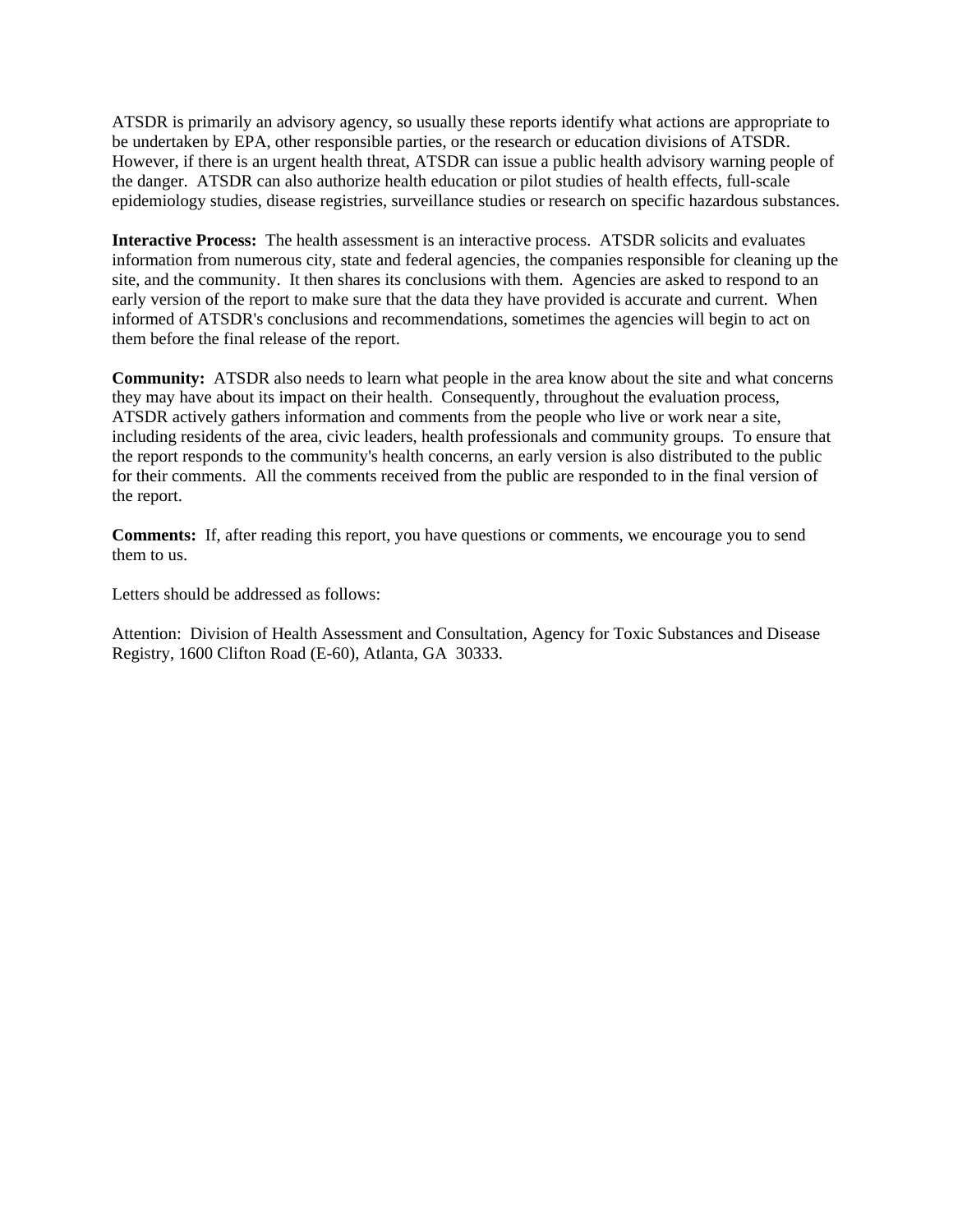ATSDR is primarily an advisory agency, so usually these reports identify what actions are appropriate to be undertaken by EPA, other responsible parties, or the research or education divisions of ATSDR. However, if there is an urgent health threat, ATSDR can issue a public health advisory warning people of the danger. ATSDR can also authorize health education or pilot studies of health effects, full-scale epidemiology studies, disease registries, surveillance studies or research on specific hazardous substances.

**Interactive Process:** The health assessment is an interactive process. ATSDR solicits and evaluates information from numerous city, state and federal agencies, the companies responsible for cleaning up the site, and the community. It then shares its conclusions with them. Agencies are asked to respond to an early version of the report to make sure that the data they have provided is accurate and current. When informed of ATSDR's conclusions and recommendations, sometimes the agencies will begin to act on them before the final release of the report.

**Community:** ATSDR also needs to learn what people in the area know about the site and what concerns they may have about its impact on their health. Consequently, throughout the evaluation process, ATSDR actively gathers information and comments from the people who live or work near a site, including residents of the area, civic leaders, health professionals and community groups. To ensure that the report responds to the community's health concerns, an early version is also distributed to the public for their comments. All the comments received from the public are responded to in the final version of the report.

**Comments:** If, after reading this report, you have questions or comments, we encourage you to send them to us.

Letters should be addressed as follows:

Attention: Division of Health Assessment and Consultation, Agency for Toxic Substances and Disease Registry, 1600 Clifton Road (E-60), Atlanta, GA 30333.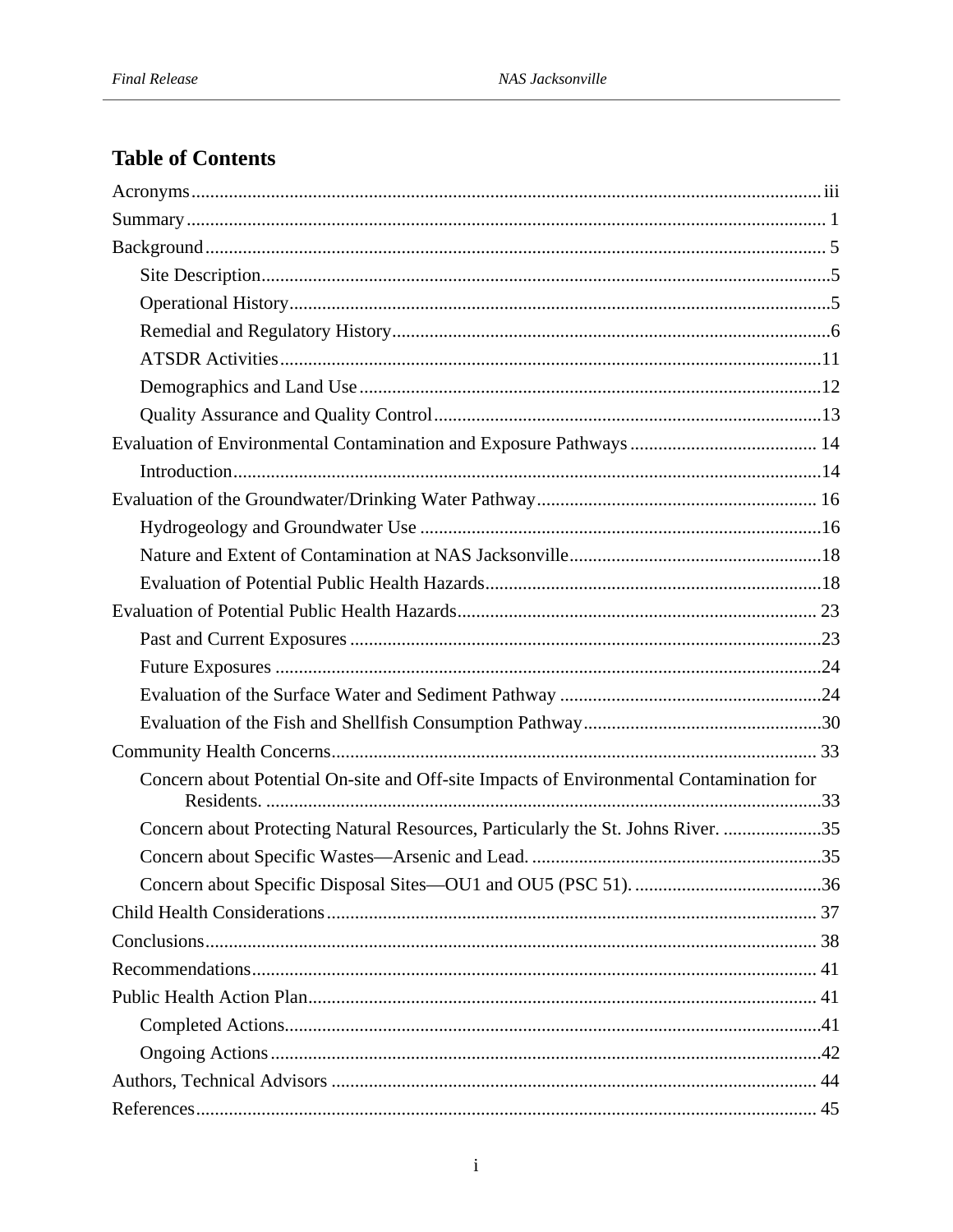# **Table of Contents**

| Concern about Potential On-site and Off-site Impacts of Environmental Contamination for |
|-----------------------------------------------------------------------------------------|
|                                                                                         |
| Concern about Protecting Natural Resources, Particularly the St. Johns River. 35        |
|                                                                                         |
|                                                                                         |
|                                                                                         |
|                                                                                         |
|                                                                                         |
|                                                                                         |
|                                                                                         |
|                                                                                         |
|                                                                                         |
|                                                                                         |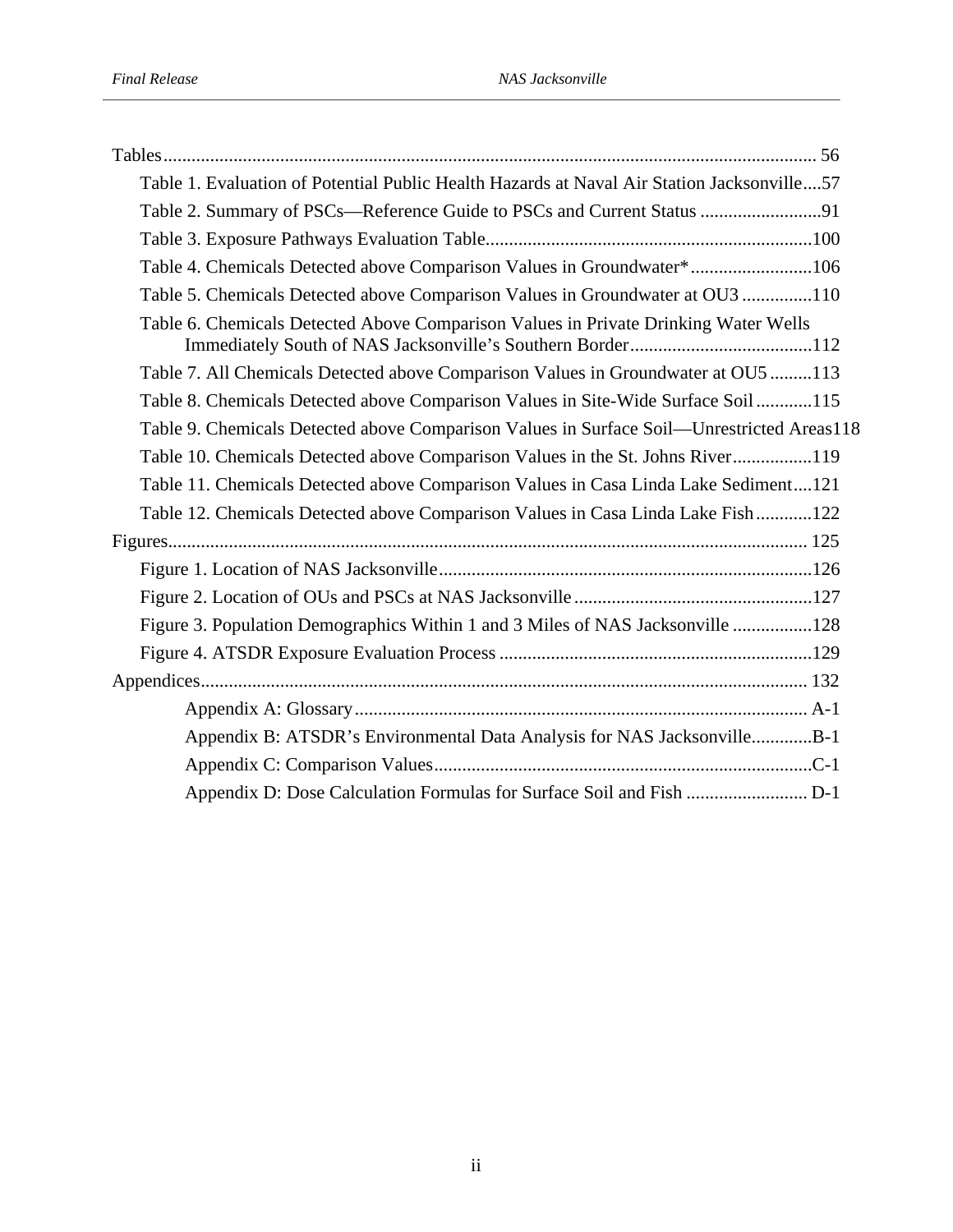| Table 1. Evaluation of Potential Public Health Hazards at Naval Air Station Jacksonville57 |
|--------------------------------------------------------------------------------------------|
| Table 2. Summary of PSCs—Reference Guide to PSCs and Current Status 91                     |
|                                                                                            |
| Table 4. Chemicals Detected above Comparison Values in Groundwater*106                     |
| Table 5. Chemicals Detected above Comparison Values in Groundwater at OU3 110              |
| Table 6. Chemicals Detected Above Comparison Values in Private Drinking Water Wells        |
| Table 7. All Chemicals Detected above Comparison Values in Groundwater at OU5 113          |
| Table 8. Chemicals Detected above Comparison Values in Site-Wide Surface Soil115           |
| Table 9. Chemicals Detected above Comparison Values in Surface Soil—Unrestricted Areas118  |
| Table 10. Chemicals Detected above Comparison Values in the St. Johns River119             |
| Table 11. Chemicals Detected above Comparison Values in Casa Linda Lake Sediment121        |
| Table 12. Chemicals Detected above Comparison Values in Casa Linda Lake Fish122            |
|                                                                                            |
|                                                                                            |
|                                                                                            |
| Figure 3. Population Demographics Within 1 and 3 Miles of NAS Jacksonville 128             |
|                                                                                            |
|                                                                                            |
|                                                                                            |
| Appendix B: ATSDR's Environmental Data Analysis for NAS JacksonvilleB-1                    |
|                                                                                            |
|                                                                                            |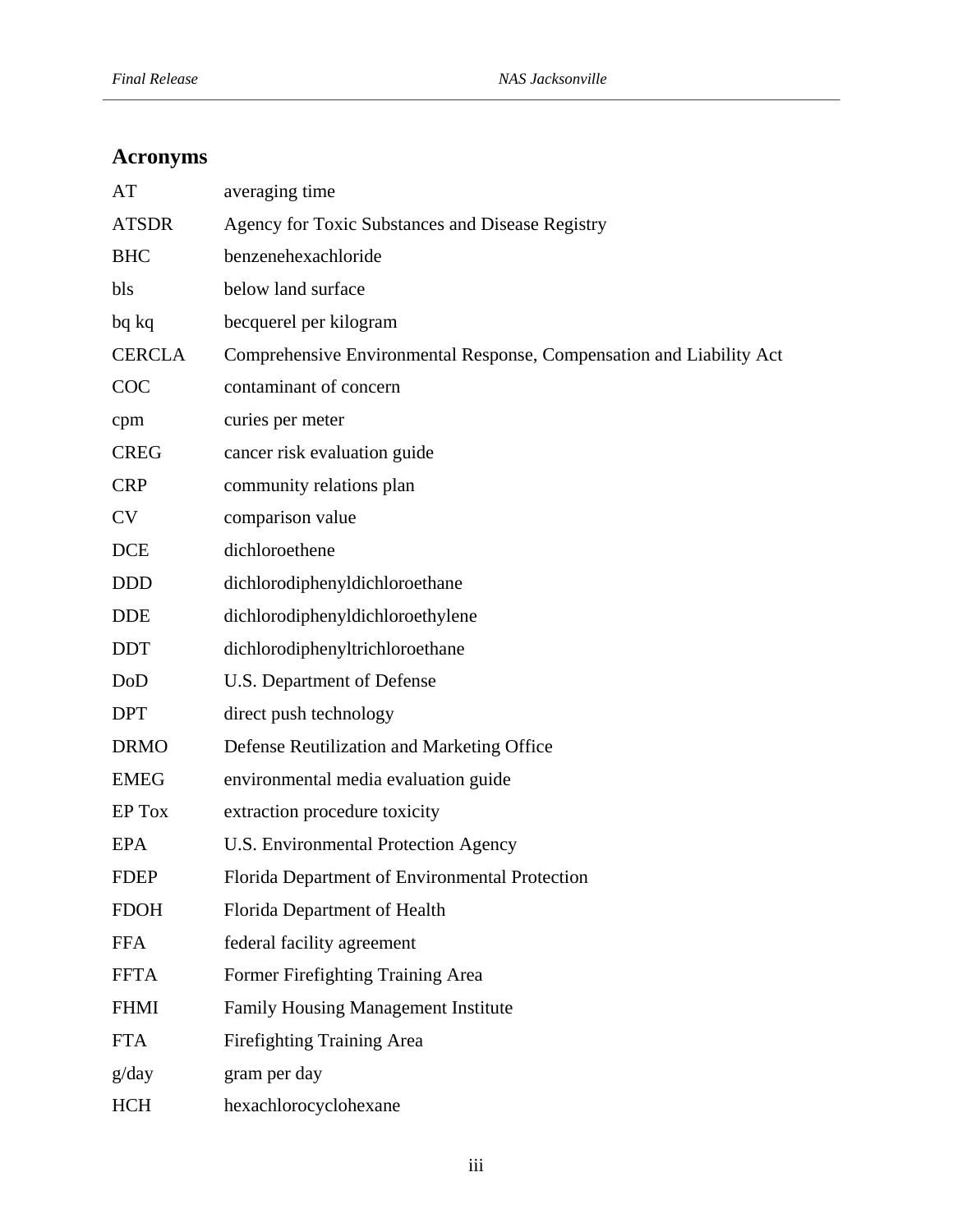# **Acronyms**

| AT            | averaging time                                                       |
|---------------|----------------------------------------------------------------------|
| <b>ATSDR</b>  | Agency for Toxic Substances and Disease Registry                     |
| <b>BHC</b>    | benzenehexachloride                                                  |
| bls           | below land surface                                                   |
| bq kq         | becquerel per kilogram                                               |
| <b>CERCLA</b> | Comprehensive Environmental Response, Compensation and Liability Act |
| COC           | contaminant of concern                                               |
| cpm           | curies per meter                                                     |
| <b>CREG</b>   | cancer risk evaluation guide                                         |
| <b>CRP</b>    | community relations plan                                             |
| <b>CV</b>     | comparison value                                                     |
| <b>DCE</b>    | dichloroethene                                                       |
| <b>DDD</b>    | dichlorodiphenyldichloroethane                                       |
| <b>DDE</b>    | dichlorodiphenyldichloroethylene                                     |
| <b>DDT</b>    | dichlorodiphenyltrichloroethane                                      |
| DoD           | U.S. Department of Defense                                           |
| <b>DPT</b>    | direct push technology                                               |
| <b>DRMO</b>   | Defense Reutilization and Marketing Office                           |
| <b>EMEG</b>   | environmental media evaluation guide                                 |
| EP Tox        | extraction procedure toxicity                                        |
| <b>EPA</b>    | U.S. Environmental Protection Agency                                 |
| FDEP          | Florida Department of Environmental Protection                       |
| <b>FDOH</b>   | Florida Department of Health                                         |
| <b>FFA</b>    | federal facility agreement                                           |
| <b>FFTA</b>   | Former Firefighting Training Area                                    |
| <b>FHMI</b>   | <b>Family Housing Management Institute</b>                           |
| <b>FTA</b>    | Firefighting Training Area                                           |
| g/day         | gram per day                                                         |
| <b>HCH</b>    | hexachlorocyclohexane                                                |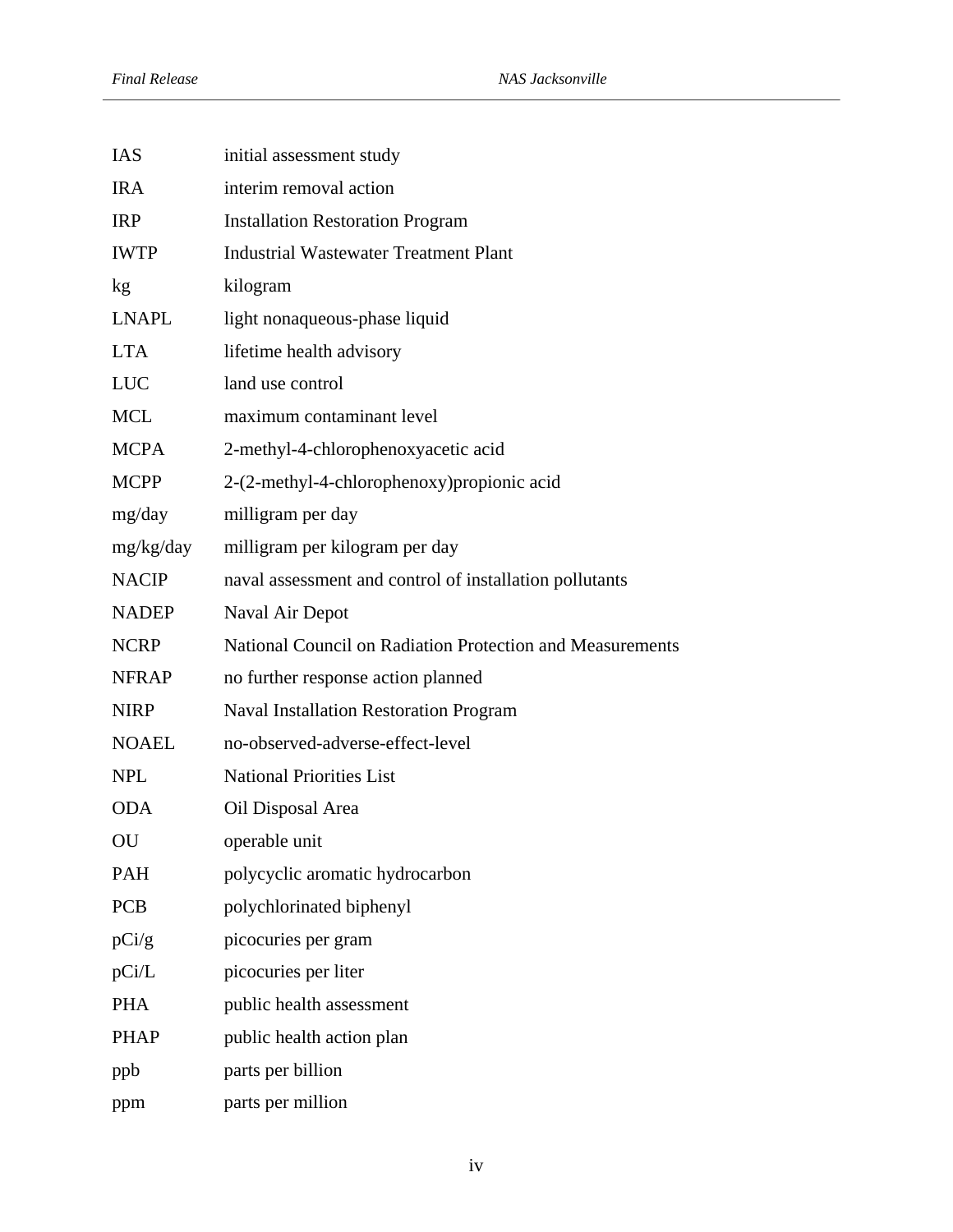| IAS          | initial assessment study                                  |
|--------------|-----------------------------------------------------------|
| <b>IRA</b>   | interim removal action                                    |
| <b>IRP</b>   | <b>Installation Restoration Program</b>                   |
| <b>IWTP</b>  | <b>Industrial Wastewater Treatment Plant</b>              |
| kg           | kilogram                                                  |
| <b>LNAPL</b> | light nonaqueous-phase liquid                             |
| <b>LTA</b>   | lifetime health advisory                                  |
| <b>LUC</b>   | land use control                                          |
| <b>MCL</b>   | maximum contaminant level                                 |
| <b>MCPA</b>  | 2-methyl-4-chlorophenoxyacetic acid                       |
| <b>MCPP</b>  | 2-(2-methyl-4-chlorophenoxy) propionic acid               |
| mg/day       | milligram per day                                         |
| mg/kg/day    | milligram per kilogram per day                            |
| <b>NACIP</b> | naval assessment and control of installation pollutants   |
| <b>NADEP</b> | Naval Air Depot                                           |
| <b>NCRP</b>  | National Council on Radiation Protection and Measurements |
| <b>NFRAP</b> | no further response action planned                        |
| <b>NIRP</b>  | <b>Naval Installation Restoration Program</b>             |
| <b>NOAEL</b> | no-observed-adverse-effect-level                          |
| <b>NPL</b>   | <b>National Priorities List</b>                           |
| <b>ODA</b>   | Oil Disposal Area                                         |
| OU           | operable unit                                             |
| <b>PAH</b>   | polycyclic aromatic hydrocarbon                           |
| <b>PCB</b>   | polychlorinated biphenyl                                  |
| pCi/g        | picocuries per gram                                       |
| pCi/L        | picocuries per liter                                      |
| <b>PHA</b>   | public health assessment                                  |
| <b>PHAP</b>  | public health action plan                                 |
| ppb          | parts per billion                                         |
| ppm          | parts per million                                         |
|              |                                                           |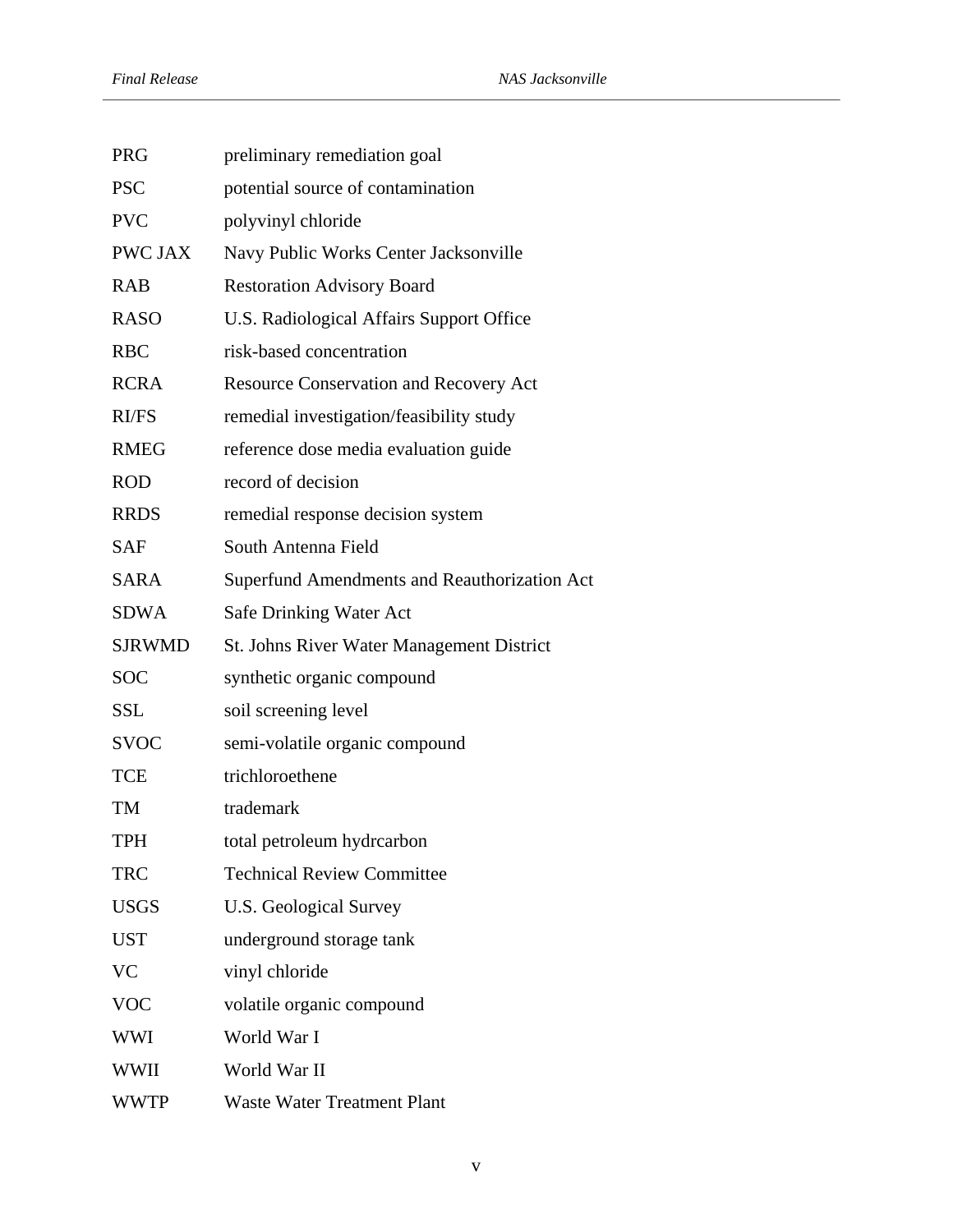| <b>PRG</b>    | preliminary remediation goal                 |
|---------------|----------------------------------------------|
| <b>PSC</b>    | potential source of contamination            |
| <b>PVC</b>    | polyvinyl chloride                           |
| PWC JAX       | Navy Public Works Center Jacksonville        |
| <b>RAB</b>    | <b>Restoration Advisory Board</b>            |
| <b>RASO</b>   | U.S. Radiological Affairs Support Office     |
| <b>RBC</b>    | risk-based concentration                     |
| <b>RCRA</b>   | Resource Conservation and Recovery Act       |
| RI/FS         | remedial investigation/feasibility study     |
| <b>RMEG</b>   | reference dose media evaluation guide        |
| <b>ROD</b>    | record of decision                           |
| <b>RRDS</b>   | remedial response decision system            |
| <b>SAF</b>    | South Antenna Field                          |
| <b>SARA</b>   | Superfund Amendments and Reauthorization Act |
| <b>SDWA</b>   | <b>Safe Drinking Water Act</b>               |
| <b>SJRWMD</b> | St. Johns River Water Management District    |
| <b>SOC</b>    | synthetic organic compound                   |
| <b>SSL</b>    | soil screening level                         |
| <b>SVOC</b>   | semi-volatile organic compound               |
| <b>TCE</b>    | trichloroethene                              |
| TM            | trademark                                    |
| <b>TPH</b>    | total petroleum hydrcarbon                   |
| <b>TRC</b>    | <b>Technical Review Committee</b>            |
| <b>USGS</b>   | <b>U.S. Geological Survey</b>                |
| <b>UST</b>    | underground storage tank                     |
| <b>VC</b>     | vinyl chloride                               |
| <b>VOC</b>    | volatile organic compound                    |
| <b>WWI</b>    | World War I                                  |
| WWII          | World War II                                 |
| <b>WWTP</b>   | Waste Water Treatment Plant                  |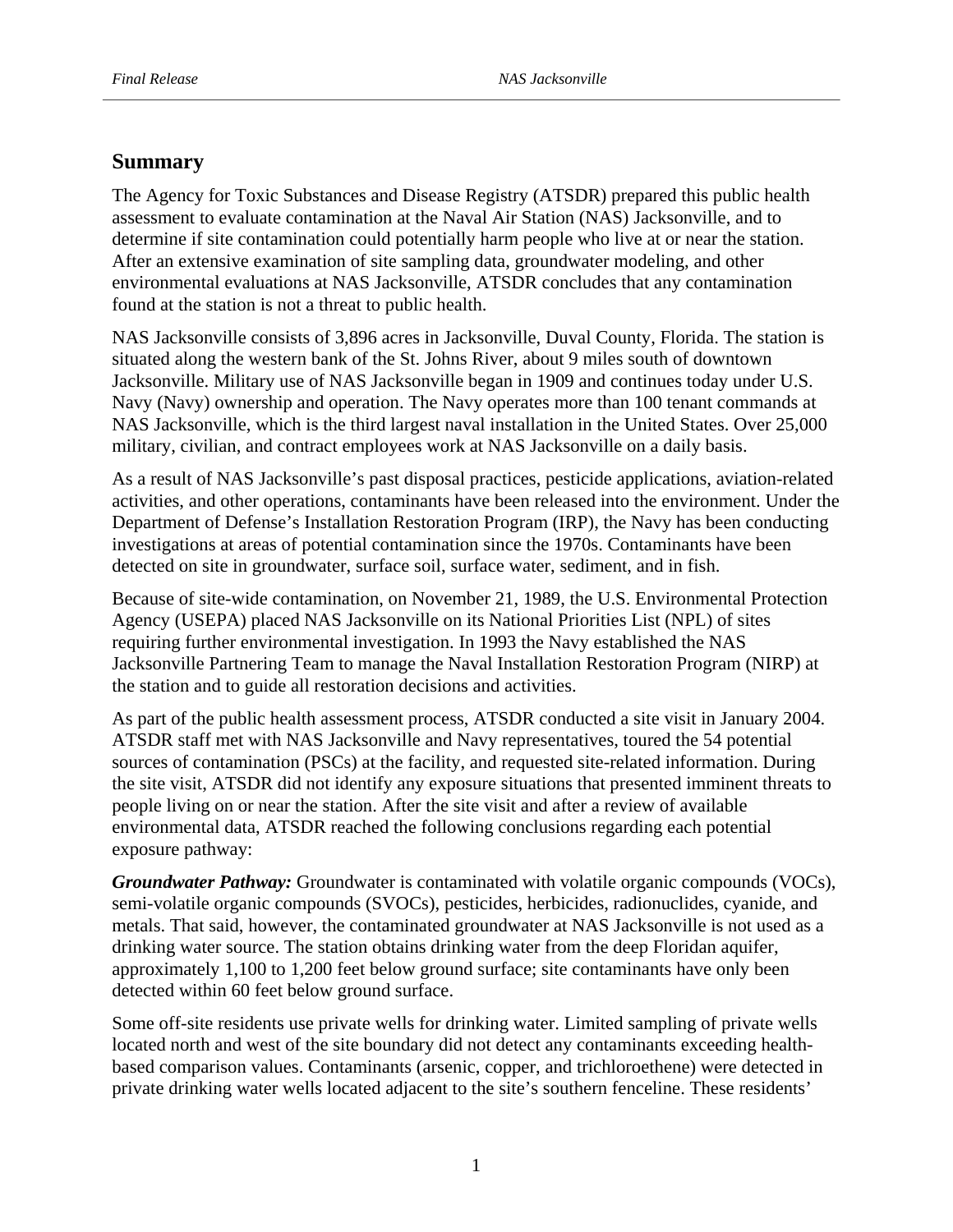# **Summary**

The Agency for Toxic Substances and Disease Registry (ATSDR) prepared this public health assessment to evaluate contamination at the Naval Air Station (NAS) Jacksonville, and to determine if site contamination could potentially harm people who live at or near the station. After an extensive examination of site sampling data, groundwater modeling, and other environmental evaluations at NAS Jacksonville, ATSDR concludes that any contamination found at the station is not a threat to public health.

NAS Jacksonville consists of 3,896 acres in Jacksonville, Duval County, Florida. The station is situated along the western bank of the St. Johns River, about 9 miles south of downtown Jacksonville. Military use of NAS Jacksonville began in 1909 and continues today under U.S. Navy (Navy) ownership and operation. The Navy operates more than 100 tenant commands at NAS Jacksonville, which is the third largest naval installation in the United States. Over 25,000 military, civilian, and contract employees work at NAS Jacksonville on a daily basis.

As a result of NAS Jacksonville's past disposal practices, pesticide applications, aviation-related activities, and other operations, contaminants have been released into the environment. Under the Department of Defense's Installation Restoration Program (IRP), the Navy has been conducting investigations at areas of potential contamination since the 1970s. Contaminants have been detected on site in groundwater, surface soil, surface water, sediment, and in fish.

Because of site-wide contamination, on November 21, 1989, the U.S. Environmental Protection Agency (USEPA) placed NAS Jacksonville on its National Priorities List (NPL) of sites requiring further environmental investigation. In 1993 the Navy established the NAS Jacksonville Partnering Team to manage the Naval Installation Restoration Program (NIRP) at the station and to guide all restoration decisions and activities.

As part of the public health assessment process, ATSDR conducted a site visit in January 2004. ATSDR staff met with NAS Jacksonville and Navy representatives, toured the 54 potential sources of contamination (PSCs) at the facility, and requested site-related information. During the site visit, ATSDR did not identify any exposure situations that presented imminent threats to people living on or near the station. After the site visit and after a review of available environmental data, ATSDR reached the following conclusions regarding each potential exposure pathway:

*Groundwater Pathway:* Groundwater is contaminated with volatile organic compounds (VOCs), semi-volatile organic compounds (SVOCs), pesticides, herbicides, radionuclides, cyanide, and metals. That said, however, the contaminated groundwater at NAS Jacksonville is not used as a drinking water source. The station obtains drinking water from the deep Floridan aquifer, approximately 1,100 to 1,200 feet below ground surface; site contaminants have only been detected within 60 feet below ground surface.

Some off-site residents use private wells for drinking water. Limited sampling of private wells located north and west of the site boundary did not detect any contaminants exceeding healthbased comparison values. Contaminants (arsenic, copper, and trichloroethene) were detected in private drinking water wells located adjacent to the site's southern fenceline. These residents'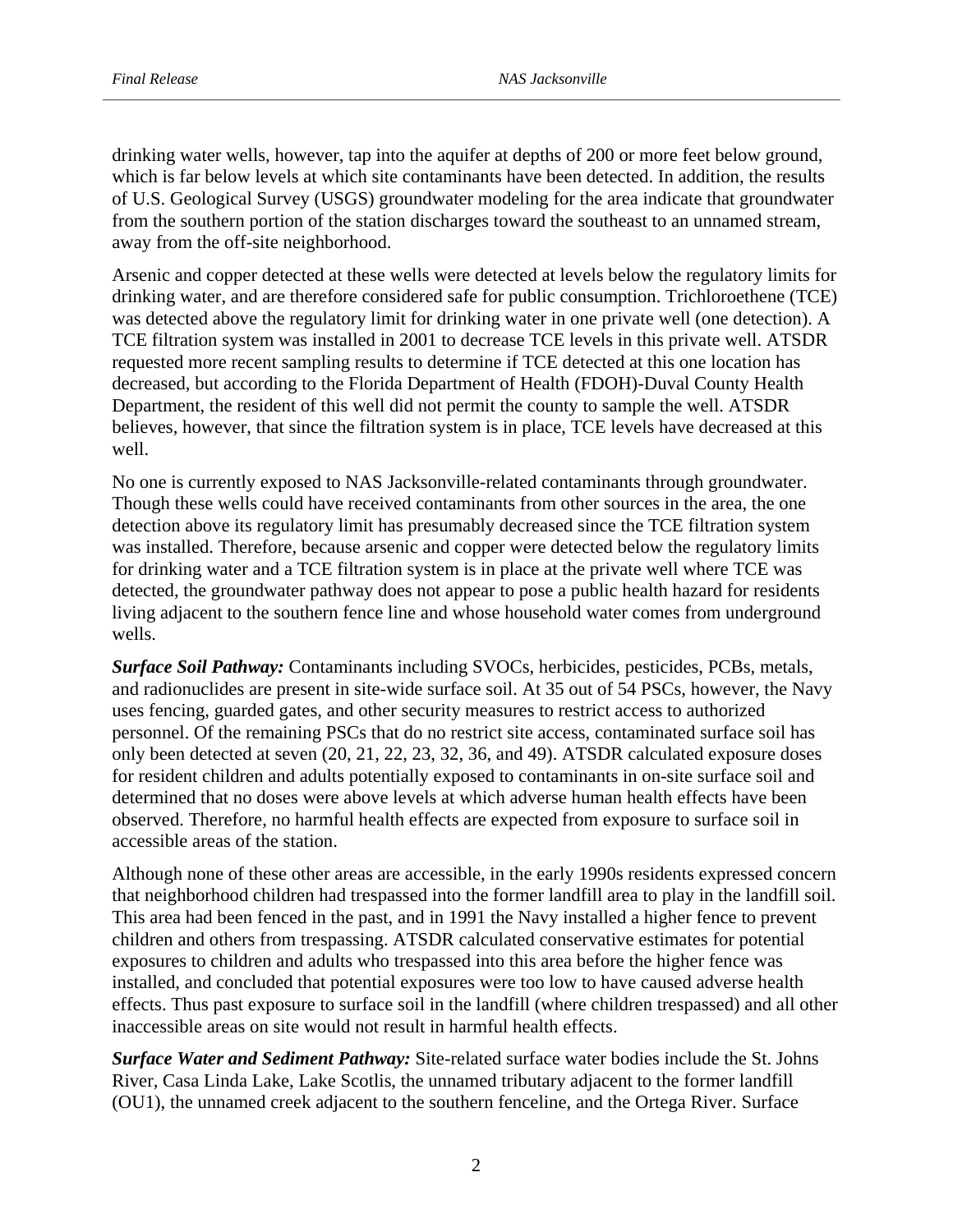drinking water wells, however, tap into the aquifer at depths of 200 or more feet below ground, which is far below levels at which site contaminants have been detected. In addition, the results of U.S. Geological Survey (USGS) groundwater modeling for the area indicate that groundwater from the southern portion of the station discharges toward the southeast to an unnamed stream, away from the off-site neighborhood.

Arsenic and copper detected at these wells were detected at levels below the regulatory limits for drinking water, and are therefore considered safe for public consumption. Trichloroethene (TCE) was detected above the regulatory limit for drinking water in one private well (one detection). A TCE filtration system was installed in 2001 to decrease TCE levels in this private well. ATSDR requested more recent sampling results to determine if TCE detected at this one location has decreased, but according to the Florida Department of Health (FDOH)-Duval County Health Department, the resident of this well did not permit the county to sample the well. ATSDR believes, however, that since the filtration system is in place, TCE levels have decreased at this well.

No one is currently exposed to NAS Jacksonville-related contaminants through groundwater. Though these wells could have received contaminants from other sources in the area, the one detection above its regulatory limit has presumably decreased since the TCE filtration system was installed. Therefore, because arsenic and copper were detected below the regulatory limits for drinking water and a TCE filtration system is in place at the private well where TCE was detected, the groundwater pathway does not appear to pose a public health hazard for residents living adjacent to the southern fence line and whose household water comes from underground wells.

*Surface Soil Pathway:* Contaminants including SVOCs, herbicides, pesticides, PCBs, metals, and radionuclides are present in site-wide surface soil. At 35 out of 54 PSCs, however, the Navy uses fencing, guarded gates, and other security measures to restrict access to authorized personnel. Of the remaining PSCs that do no restrict site access, contaminated surface soil has only been detected at seven (20, 21, 22, 23, 32, 36, and 49). ATSDR calculated exposure doses for resident children and adults potentially exposed to contaminants in on-site surface soil and determined that no doses were above levels at which adverse human health effects have been observed. Therefore, no harmful health effects are expected from exposure to surface soil in accessible areas of the station.

Although none of these other areas are accessible, in the early 1990s residents expressed concern that neighborhood children had trespassed into the former landfill area to play in the landfill soil. This area had been fenced in the past, and in 1991 the Navy installed a higher fence to prevent children and others from trespassing. ATSDR calculated conservative estimates for potential exposures to children and adults who trespassed into this area before the higher fence was installed, and concluded that potential exposures were too low to have caused adverse health effects. Thus past exposure to surface soil in the landfill (where children trespassed) and all other inaccessible areas on site would not result in harmful health effects.

*Surface Water and Sediment Pathway:* Site-related surface water bodies include the St. Johns River, Casa Linda Lake, Lake Scotlis, the unnamed tributary adjacent to the former landfill (OU1), the unnamed creek adjacent to the southern fenceline, and the Ortega River. Surface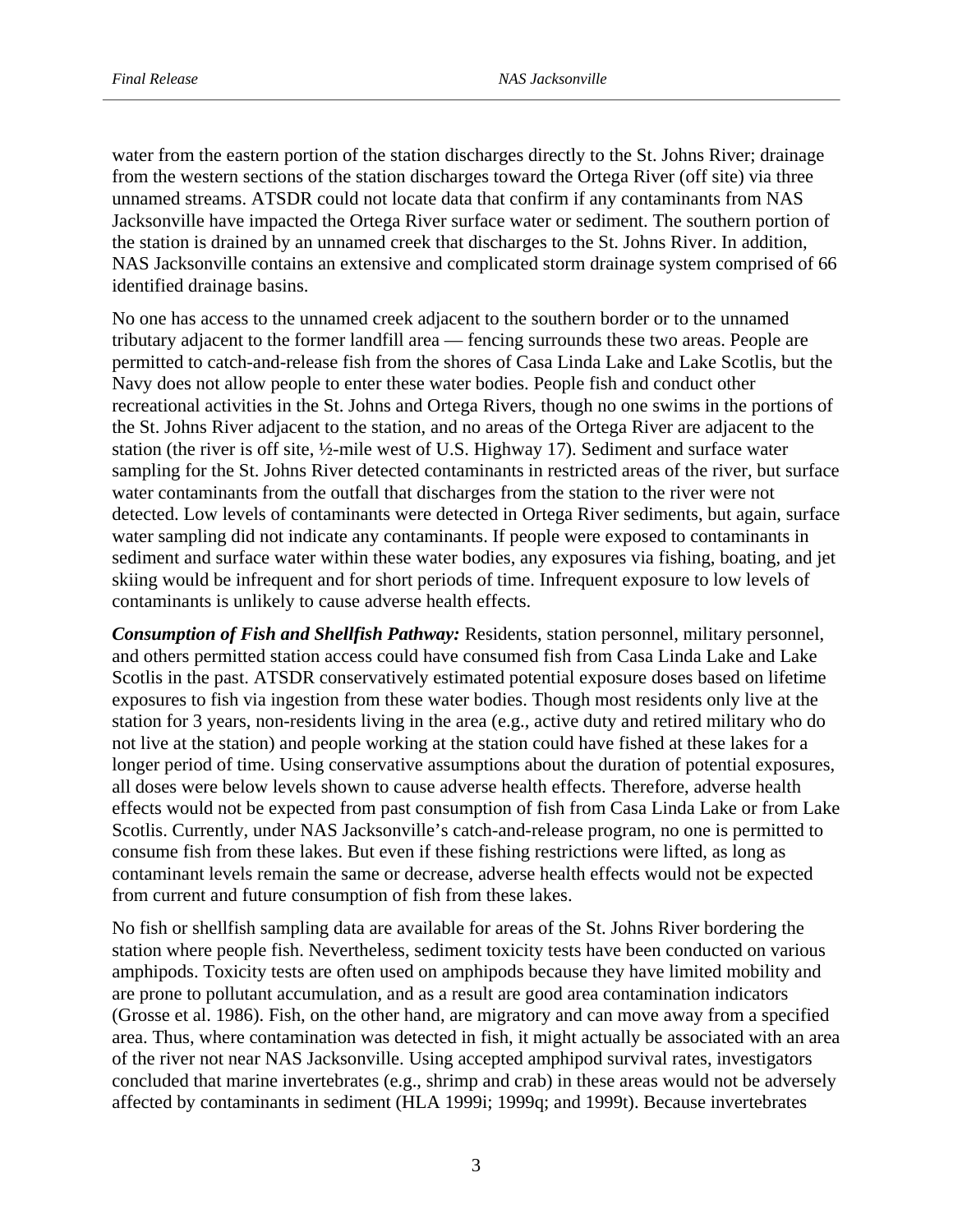water from the eastern portion of the station discharges directly to the St. Johns River; drainage from the western sections of the station discharges toward the Ortega River (off site) via three unnamed streams. ATSDR could not locate data that confirm if any contaminants from NAS Jacksonville have impacted the Ortega River surface water or sediment. The southern portion of the station is drained by an unnamed creek that discharges to the St. Johns River. In addition, NAS Jacksonville contains an extensive and complicated storm drainage system comprised of 66 identified drainage basins.

No one has access to the unnamed creek adjacent to the southern border or to the unnamed tributary adjacent to the former landfill area — fencing surrounds these two areas. People are permitted to catch-and-release fish from the shores of Casa Linda Lake and Lake Scotlis, but the Navy does not allow people to enter these water bodies. People fish and conduct other recreational activities in the St. Johns and Ortega Rivers, though no one swims in the portions of the St. Johns River adjacent to the station, and no areas of the Ortega River are adjacent to the station (the river is off site, ½-mile west of U.S. Highway 17). Sediment and surface water sampling for the St. Johns River detected contaminants in restricted areas of the river, but surface water contaminants from the outfall that discharges from the station to the river were not detected. Low levels of contaminants were detected in Ortega River sediments, but again, surface water sampling did not indicate any contaminants. If people were exposed to contaminants in sediment and surface water within these water bodies, any exposures via fishing, boating, and jet skiing would be infrequent and for short periods of time. Infrequent exposure to low levels of contaminants is unlikely to cause adverse health effects.

*Consumption of Fish and Shellfish Pathway:* Residents, station personnel, military personnel, and others permitted station access could have consumed fish from Casa Linda Lake and Lake Scotlis in the past. ATSDR conservatively estimated potential exposure doses based on lifetime exposures to fish via ingestion from these water bodies. Though most residents only live at the station for 3 years, non-residents living in the area (e.g., active duty and retired military who do not live at the station) and people working at the station could have fished at these lakes for a longer period of time. Using conservative assumptions about the duration of potential exposures, all doses were below levels shown to cause adverse health effects. Therefore, adverse health effects would not be expected from past consumption of fish from Casa Linda Lake or from Lake Scotlis. Currently, under NAS Jacksonville's catch-and-release program, no one is permitted to consume fish from these lakes. But even if these fishing restrictions were lifted, as long as contaminant levels remain the same or decrease, adverse health effects would not be expected from current and future consumption of fish from these lakes.

No fish or shellfish sampling data are available for areas of the St. Johns River bordering the station where people fish. Nevertheless, sediment toxicity tests have been conducted on various amphipods. Toxicity tests are often used on amphipods because they have limited mobility and are prone to pollutant accumulation, and as a result are good area contamination indicators (Grosse et al. 1986). Fish, on the other hand, are migratory and can move away from a specified area. Thus, where contamination was detected in fish, it might actually be associated with an area of the river not near NAS Jacksonville. Using accepted amphipod survival rates, investigators concluded that marine invertebrates (e.g., shrimp and crab) in these areas would not be adversely affected by contaminants in sediment (HLA 1999i; 1999q; and 1999t). Because invertebrates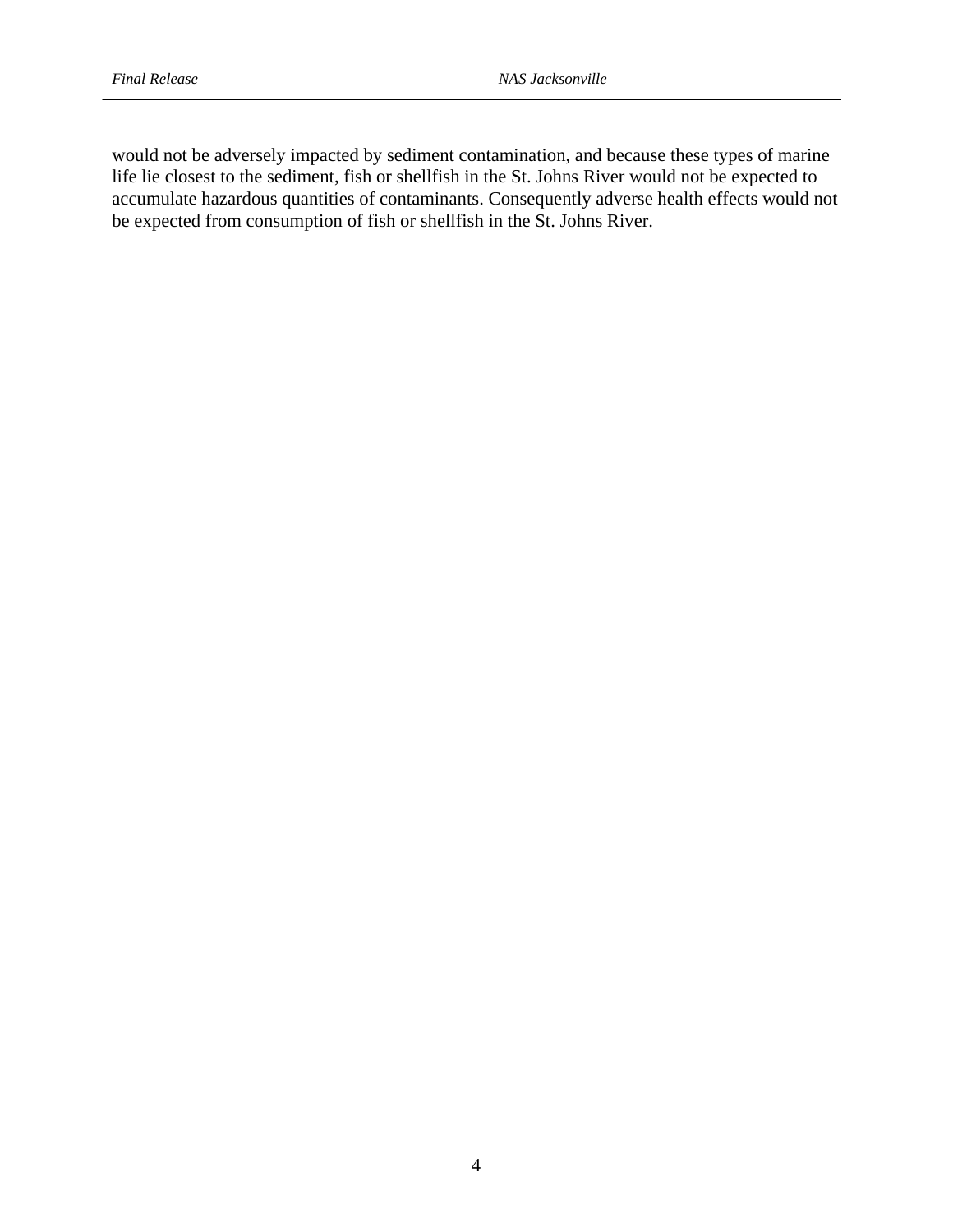would not be adversely impacted by sediment contamination, and because these types of marine life lie closest to the sediment, fish or shellfish in the St. Johns River would not be expected to accumulate hazardous quantities of contaminants. Consequently adverse health effects would not be expected from consumption of fish or shellfish in the St. Johns River.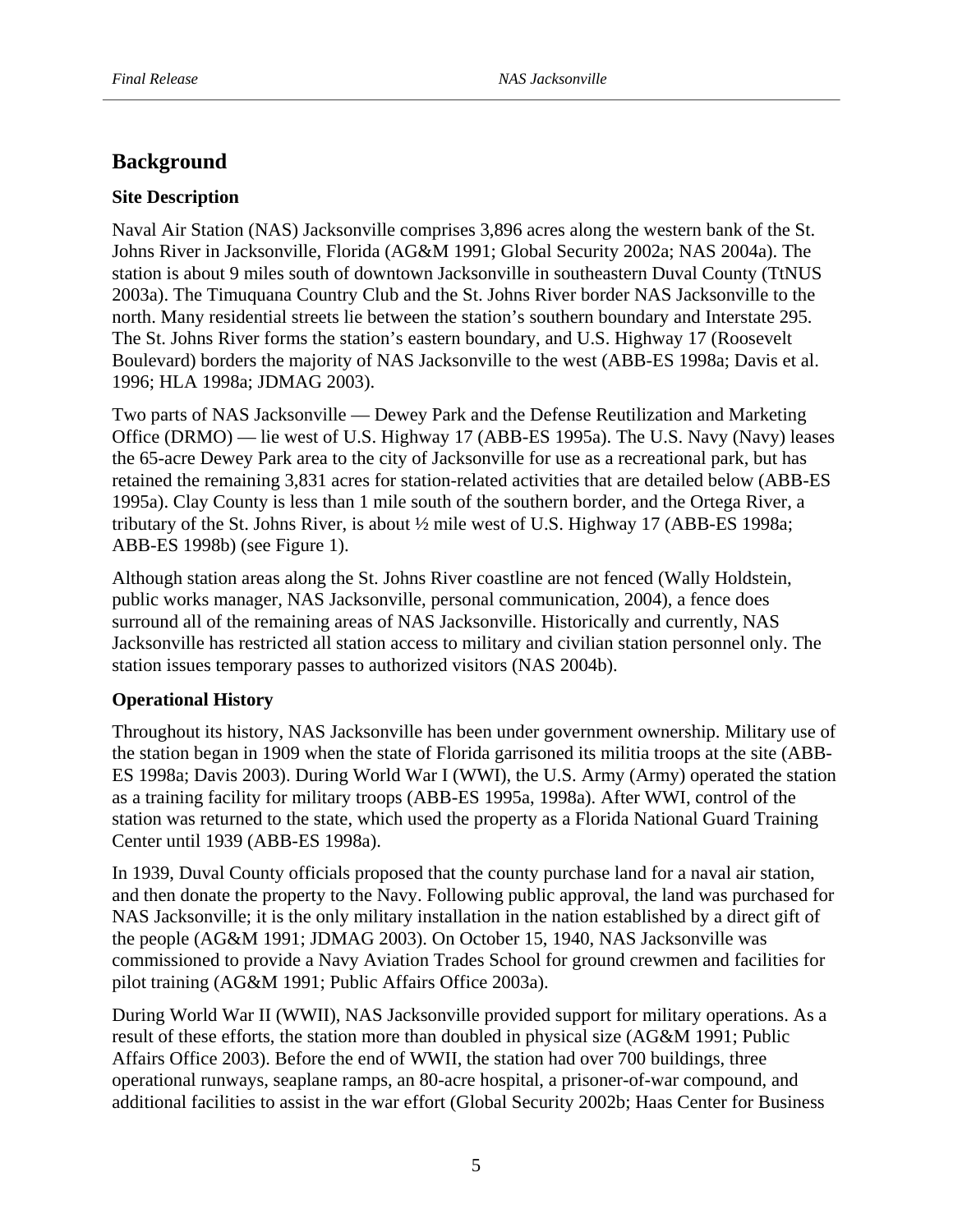# **Background**

#### **Site Description**

Naval Air Station (NAS) Jacksonville comprises 3,896 acres along the western bank of the St. Johns River in Jacksonville, Florida (AG&M 1991; Global Security 2002a; NAS 2004a). The station is about 9 miles south of downtown Jacksonville in southeastern Duval County (TtNUS 2003a). The Timuquana Country Club and the St. Johns River border NAS Jacksonville to the north. Many residential streets lie between the station's southern boundary and Interstate 295. The St. Johns River forms the station's eastern boundary, and U.S. Highway 17 (Roosevelt Boulevard) borders the majority of NAS Jacksonville to the west (ABB-ES 1998a; Davis et al. 1996; HLA 1998a; JDMAG 2003).

Two parts of NAS Jacksonville — Dewey Park and the Defense Reutilization and Marketing Office (DRMO) — lie west of U.S. Highway 17 (ABB-ES 1995a). The U.S. Navy (Navy) leases the 65-acre Dewey Park area to the city of Jacksonville for use as a recreational park, but has retained the remaining 3,831 acres for station-related activities that are detailed below (ABB-ES 1995a). Clay County is less than 1 mile south of the southern border, and the Ortega River, a tributary of the St. Johns River, is about ½ mile west of U.S. Highway 17 (ABB-ES 1998a; ABB-ES 1998b) (see Figure 1).

Although station areas along the St. Johns River coastline are not fenced (Wally Holdstein, public works manager, NAS Jacksonville, personal communication, 2004), a fence does surround all of the remaining areas of NAS Jacksonville. Historically and currently, NAS Jacksonville has restricted all station access to military and civilian station personnel only. The station issues temporary passes to authorized visitors (NAS 2004b).

#### **Operational History**

Throughout its history, NAS Jacksonville has been under government ownership. Military use of the station began in 1909 when the state of Florida garrisoned its militia troops at the site (ABB-ES 1998a; Davis 2003). During World War I (WWI), the U.S. Army (Army) operated the station as a training facility for military troops (ABB-ES 1995a, 1998a). After WWI, control of the station was returned to the state, which used the property as a Florida National Guard Training Center until 1939 (ABB-ES 1998a).

In 1939, Duval County officials proposed that the county purchase land for a naval air station, and then donate the property to the Navy. Following public approval, the land was purchased for NAS Jacksonville; it is the only military installation in the nation established by a direct gift of the people (AG&M 1991; JDMAG 2003). On October 15, 1940, NAS Jacksonville was commissioned to provide a Navy Aviation Trades School for ground crewmen and facilities for pilot training (AG&M 1991; Public Affairs Office 2003a).

During World War II (WWII), NAS Jacksonville provided support for military operations. As a result of these efforts, the station more than doubled in physical size (AG&M 1991; Public Affairs Office 2003). Before the end of WWII, the station had over 700 buildings, three operational runways, seaplane ramps, an 80-acre hospital, a prisoner-of-war compound, and additional facilities to assist in the war effort (Global Security 2002b; Haas Center for Business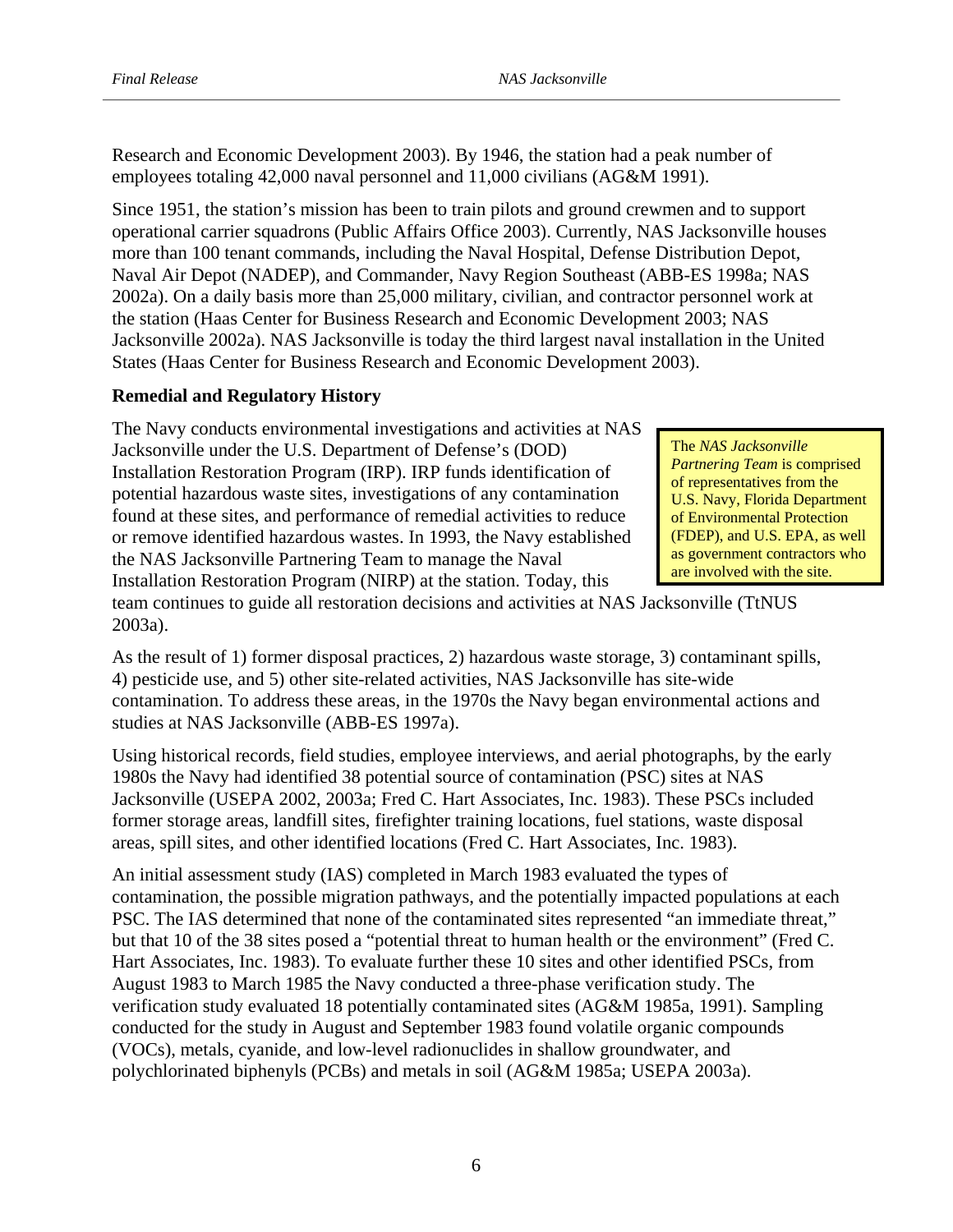Research and Economic Development 2003). By 1946, the station had a peak number of employees totaling 42,000 naval personnel and 11,000 civilians (AG&M 1991).

Since 1951, the station's mission has been to train pilots and ground crewmen and to support operational carrier squadrons (Public Affairs Office 2003). Currently, NAS Jacksonville houses more than 100 tenant commands, including the Naval Hospital, Defense Distribution Depot, Naval Air Depot (NADEP), and Commander, Navy Region Southeast (ABB-ES 1998a; NAS 2002a). On a daily basis more than 25,000 military, civilian, and contractor personnel work at the station (Haas Center for Business Research and Economic Development 2003; NAS Jacksonville 2002a). NAS Jacksonville is today the third largest naval installation in the United States (Haas Center for Business Research and Economic Development 2003).

# **Remedial and Regulatory History**

The Navy conducts environmental investigations and activities at NAS Jacksonville under the U.S. Department of Defense's (DOD) Installation Restoration Program (IRP). IRP funds identification of potential hazardous waste sites, investigations of any contamination found at these sites, and performance of remedial activities to reduce or remove identified hazardous wastes. In 1993, the Navy established the NAS Jacksonville Partnering Team to manage the Naval Installation Restoration Program (NIRP) at the station. Today, this

The *NAS Jacksonville*  (FDEP), and U.S. EPA, as well *Partnering Team* is comprised of representatives from the U.S. Navy, Florida Department of Environmental Protection as government contractors who are involved with the site.

team continues to guide all restoration decisions and activities at NAS Jacksonville (TtNUS 2003a).

As the result of 1) former disposal practices, 2) hazardous waste storage, 3) contaminant spills, 4) pesticide use, and 5) other site-related activities, NAS Jacksonville has site-wide contamination. To address these areas, in the 1970s the Navy began environmental actions and studies at NAS Jacksonville (ABB-ES 1997a).

Using historical records, field studies, employee interviews, and aerial photographs, by the early 1980s the Navy had identified 38 potential source of contamination (PSC) sites at NAS Jacksonville (USEPA 2002, 2003a; Fred C. Hart Associates, Inc. 1983). These PSCs included former storage areas, landfill sites, firefighter training locations, fuel stations, waste disposal areas, spill sites, and other identified locations (Fred C. Hart Associates, Inc. 1983).

An initial assessment study (IAS) completed in March 1983 evaluated the types of contamination, the possible migration pathways, and the potentially impacted populations at each PSC. The IAS determined that none of the contaminated sites represented "an immediate threat," but that 10 of the 38 sites posed a "potential threat to human health or the environment" (Fred C. Hart Associates, Inc. 1983). To evaluate further these 10 sites and other identified PSCs, from August 1983 to March 1985 the Navy conducted a three-phase verification study. The verification study evaluated 18 potentially contaminated sites (AG&M 1985a, 1991). Sampling conducted for the study in August and September 1983 found volatile organic compounds (VOCs), metals, cyanide, and low-level radionuclides in shallow groundwater, and polychlorinated biphenyls (PCBs) and metals in soil (AG&M 1985a; USEPA 2003a).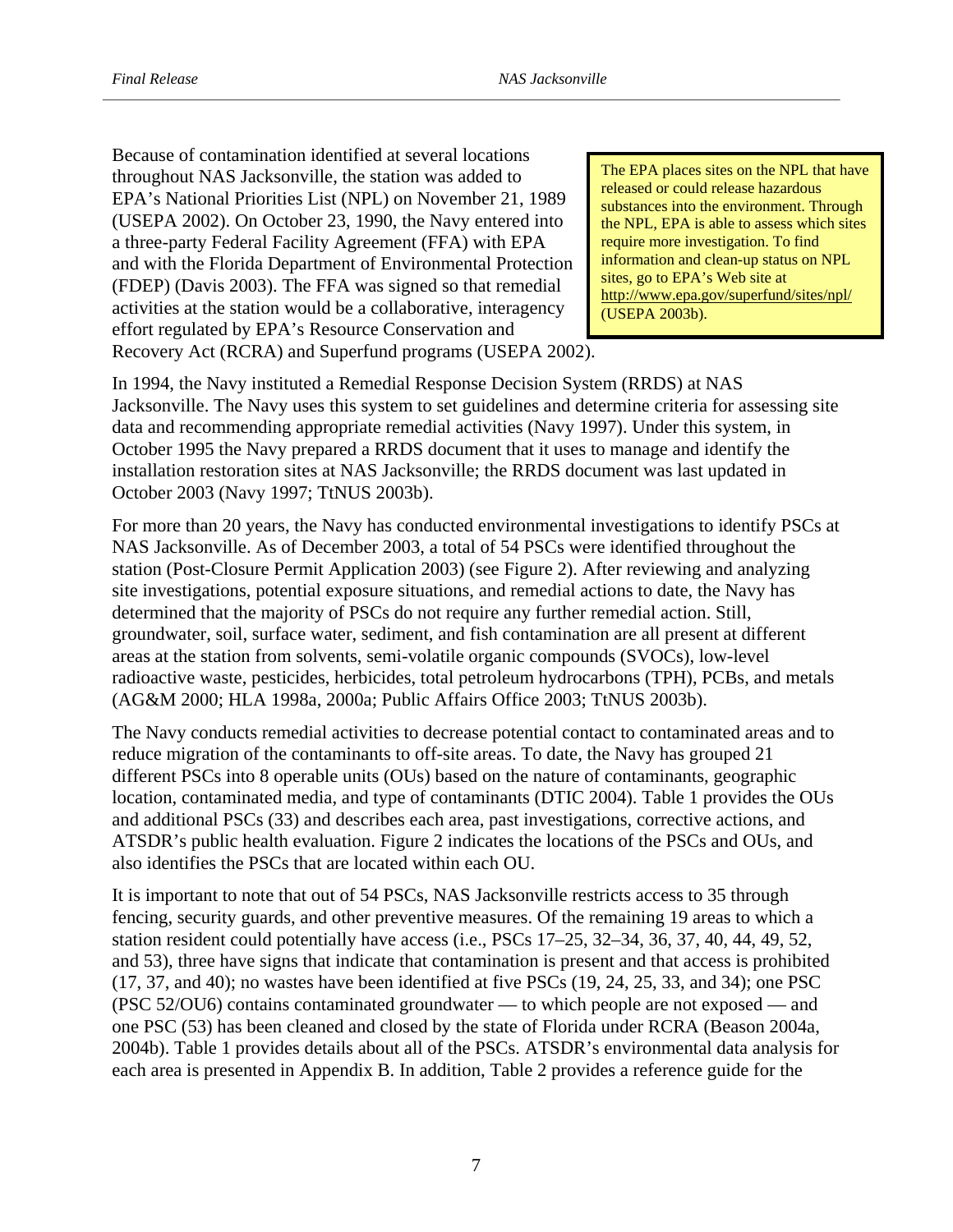Because of contamination identified at several locations throughout NAS Jacksonville, the station was added to EPA's National Priorities List (NPL) on November 21, 1989 (USEPA 2002). On October 23, 1990, the Navy entered into a three-party Federal Facility Agreement (FFA) with EPA and with the Florida Department of Environmental Protection (FDEP) (Davis 2003). The FFA was signed so that remedial activities at the station would be a collaborative, interagency effort regulated by EPA's Resource Conservation and Recovery Act (RCRA) and Superfund programs (USEPA 2002).

http://www.epa.gov/superfund/sites/npl/ ( USEPA 2003b). The EPA places sites on the NPL that have released or could release hazardous substances into the environment. Through the NPL, EPA is able to assess which sites require more investigation. To find information and clean-up status on NPL sites, go to EPA's Web site at

In 1994, the Navy instituted a Remedial Response Decision System (RRDS) at NAS Jacksonville. The Navy uses this system to set guidelines and determine criteria for assessing site data and recommending appropriate remedial activities (Navy 1997). Under this system, in October 1995 the Navy prepared a RRDS document that it uses to manage and identify the installation restoration sites at NAS Jacksonville; the RRDS document was last updated in October 2003 (Navy 1997; TtNUS 2003b).

For more than 20 years, the Navy has conducted environmental investigations to identify PSCs at NAS Jacksonville. As of December 2003, a total of 54 PSCs were identified throughout the station (Post-Closure Permit Application 2003) (see Figure 2). After reviewing and analyzing site investigations, potential exposure situations, and remedial actions to date, the Navy has determined that the majority of PSCs do not require any further remedial action. Still, groundwater, soil, surface water, sediment, and fish contamination are all present at different areas at the station from solvents, semi-volatile organic compounds (SVOCs), low-level radioactive waste, pesticides, herbicides, total petroleum hydrocarbons (TPH), PCBs, and metals (AG&M 2000; HLA 1998a, 2000a; Public Affairs Office 2003; TtNUS 2003b).

The Navy conducts remedial activities to decrease potential contact to contaminated areas and to reduce migration of the contaminants to off-site areas. To date, the Navy has grouped 21 different PSCs into 8 operable units (OUs) based on the nature of contaminants, geographic location, contaminated media, and type of contaminants (DTIC 2004). Table 1 provides the OUs and additional PSCs (33) and describes each area, past investigations, corrective actions, and ATSDR's public health evaluation. Figure 2 indicates the locations of the PSCs and OUs, and also identifies the PSCs that are located within each OU.

It is important to note that out of 54 PSCs, NAS Jacksonville restricts access to 35 through fencing, security guards, and other preventive measures. Of the remaining 19 areas to which a station resident could potentially have access (i.e., PSCs 17–25, 32–34, 36, 37, 40, 44, 49, 52, and 53), three have signs that indicate that contamination is present and that access is prohibited (17, 37, and 40); no wastes have been identified at five PSCs (19, 24, 25, 33, and 34); one PSC (PSC 52/OU6) contains contaminated groundwater — to which people are not exposed — and one PSC (53) has been cleaned and closed by the state of Florida under RCRA (Beason 2004a, 2004b). Table 1 provides details about all of the PSCs. ATSDR's environmental data analysis for each area is presented in Appendix B. In addition, Table 2 provides a reference guide for the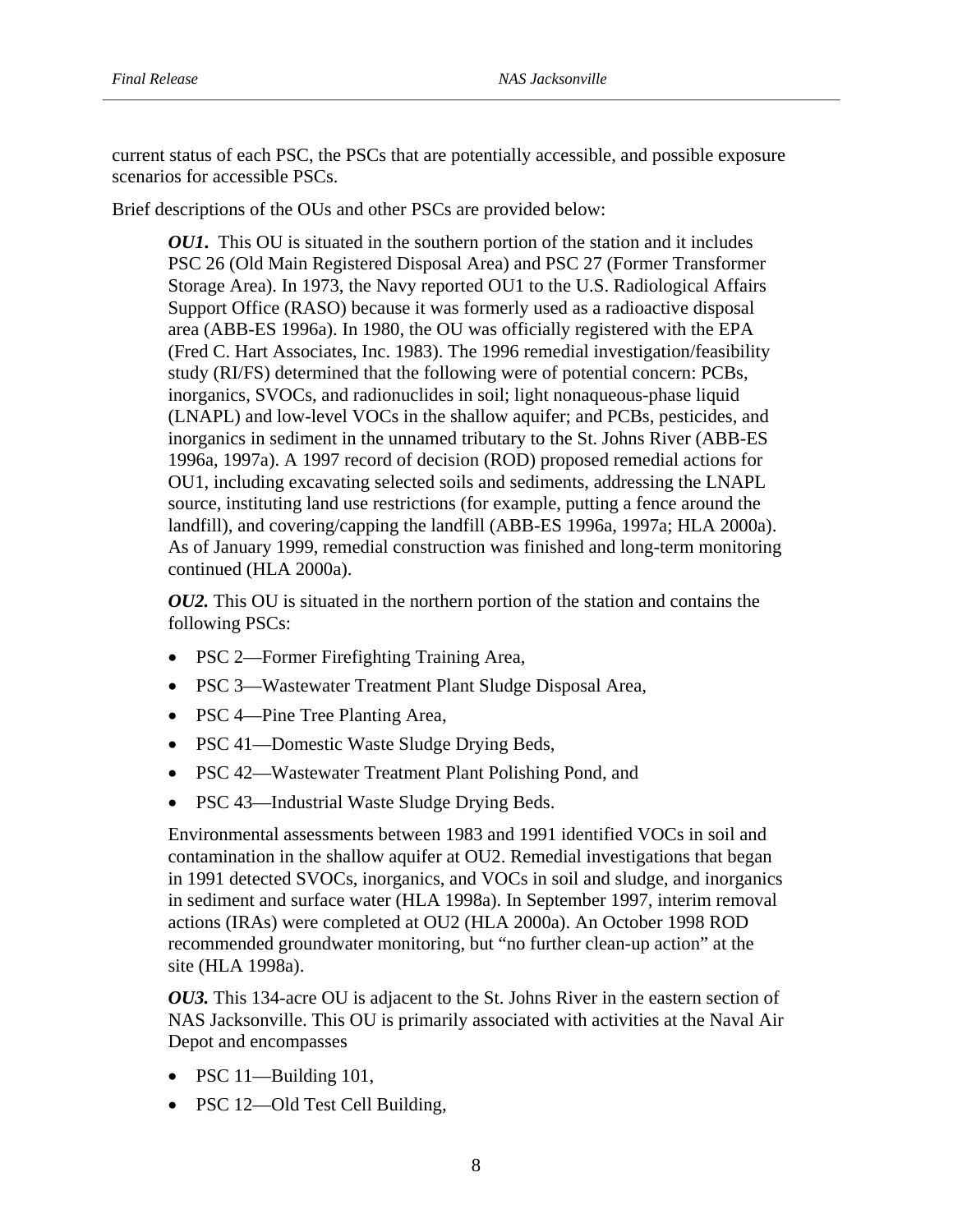current status of each PSC, the PSCs that are potentially accessible, and possible exposure scenarios for accessible PSCs.

Brief descriptions of the OUs and other PSCs are provided below:

*OU1*. This OU is situated in the southern portion of the station and it includes PSC 26 (Old Main Registered Disposal Area) and PSC 27 (Former Transformer Storage Area). In 1973, the Navy reported OU1 to the U.S. Radiological Affairs Support Office (RASO) because it was formerly used as a radioactive disposal area (ABB-ES 1996a). In 1980, the OU was officially registered with the EPA (Fred C. Hart Associates, Inc. 1983). The 1996 remedial investigation/feasibility study (RI/FS) determined that the following were of potential concern: PCBs, inorganics, SVOCs, and radionuclides in soil; light nonaqueous-phase liquid (LNAPL) and low-level VOCs in the shallow aquifer; and PCBs, pesticides, and inorganics in sediment in the unnamed tributary to the St. Johns River (ABB-ES 1996a, 1997a). A 1997 record of decision (ROD) proposed remedial actions for OU1, including excavating selected soils and sediments, addressing the LNAPL source, instituting land use restrictions (for example, putting a fence around the landfill), and covering/capping the landfill (ABB-ES 1996a, 1997a; HLA 2000a). As of January 1999, remedial construction was finished and long-term monitoring continued (HLA 2000a).

*OU2.* This OU is situated in the northern portion of the station and contains the following PSCs:

- PSC 2—Former Firefighting Training Area,
- PSC 3—Wastewater Treatment Plant Sludge Disposal Area,
- PSC 4—Pine Tree Planting Area,
- PSC 41—Domestic Waste Sludge Drying Beds,
- PSC 42—Wastewater Treatment Plant Polishing Pond, and
- PSC 43—Industrial Waste Sludge Drying Beds.

Environmental assessments between 1983 and 1991 identified VOCs in soil and contamination in the shallow aquifer at OU2. Remedial investigations that began in 1991 detected SVOCs, inorganics, and VOCs in soil and sludge, and inorganics in sediment and surface water (HLA 1998a). In September 1997, interim removal actions (IRAs) were completed at OU2 (HLA 2000a). An October 1998 ROD recommended groundwater monitoring, but "no further clean-up action" at the site (HLA 1998a).

*OU3.* This 134-acre OU is adjacent to the St. Johns River in the eastern section of NAS Jacksonville. This OU is primarily associated with activities at the Naval Air Depot and encompasses

- PSC 11—Building 101,
- PSC 12—Old Test Cell Building,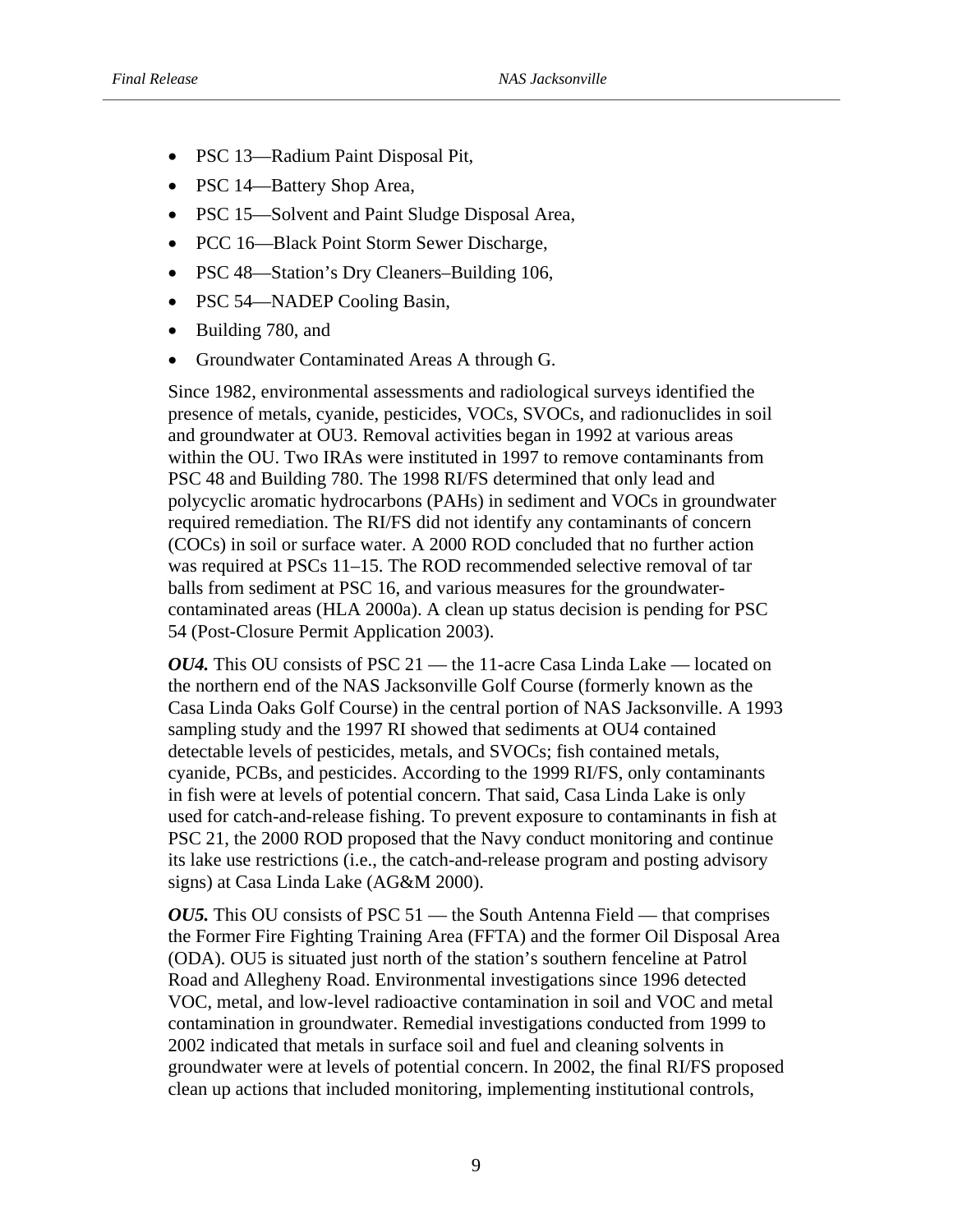- PSC 13—Radium Paint Disposal Pit,
- PSC 14—Battery Shop Area,
- PSC 15—Solvent and Paint Sludge Disposal Area,
- PCC 16—Black Point Storm Sewer Discharge,
- PSC 48—Station's Dry Cleaners–Building 106,
- PSC 54—NADEP Cooling Basin,
- Building 780, and
- Groundwater Contaminated Areas A through G.

Since 1982, environmental assessments and radiological surveys identified the presence of metals, cyanide, pesticides, VOCs, SVOCs, and radionuclides in soil and groundwater at OU3. Removal activities began in 1992 at various areas within the OU. Two IRAs were instituted in 1997 to remove contaminants from PSC 48 and Building 780. The 1998 RI/FS determined that only lead and polycyclic aromatic hydrocarbons (PAHs) in sediment and VOCs in groundwater required remediation. The RI/FS did not identify any contaminants of concern (COCs) in soil or surface water. A 2000 ROD concluded that no further action was required at PSCs 11–15. The ROD recommended selective removal of tar balls from sediment at PSC 16, and various measures for the groundwatercontaminated areas (HLA 2000a). A clean up status decision is pending for PSC 54 (Post-Closure Permit Application 2003).

*OU4.* This OU consists of PSC 21 — the 11-acre Casa Linda Lake — located on the northern end of the NAS Jacksonville Golf Course (formerly known as the Casa Linda Oaks Golf Course) in the central portion of NAS Jacksonville. A 1993 sampling study and the 1997 RI showed that sediments at OU4 contained detectable levels of pesticides, metals, and SVOCs; fish contained metals, cyanide, PCBs, and pesticides. According to the 1999 RI/FS, only contaminants in fish were at levels of potential concern. That said, Casa Linda Lake is only used for catch-and-release fishing. To prevent exposure to contaminants in fish at PSC 21, the 2000 ROD proposed that the Navy conduct monitoring and continue its lake use restrictions (i.e., the catch-and-release program and posting advisory signs) at Casa Linda Lake (AG&M 2000).

*OU5.* This OU consists of PSC 51 — the South Antenna Field — that comprises the Former Fire Fighting Training Area (FFTA) and the former Oil Disposal Area (ODA). OU5 is situated just north of the station's southern fenceline at Patrol Road and Allegheny Road. Environmental investigations since 1996 detected VOC, metal, and low-level radioactive contamination in soil and VOC and metal contamination in groundwater. Remedial investigations conducted from 1999 to 2002 indicated that metals in surface soil and fuel and cleaning solvents in groundwater were at levels of potential concern. In 2002, the final RI/FS proposed clean up actions that included monitoring, implementing institutional controls,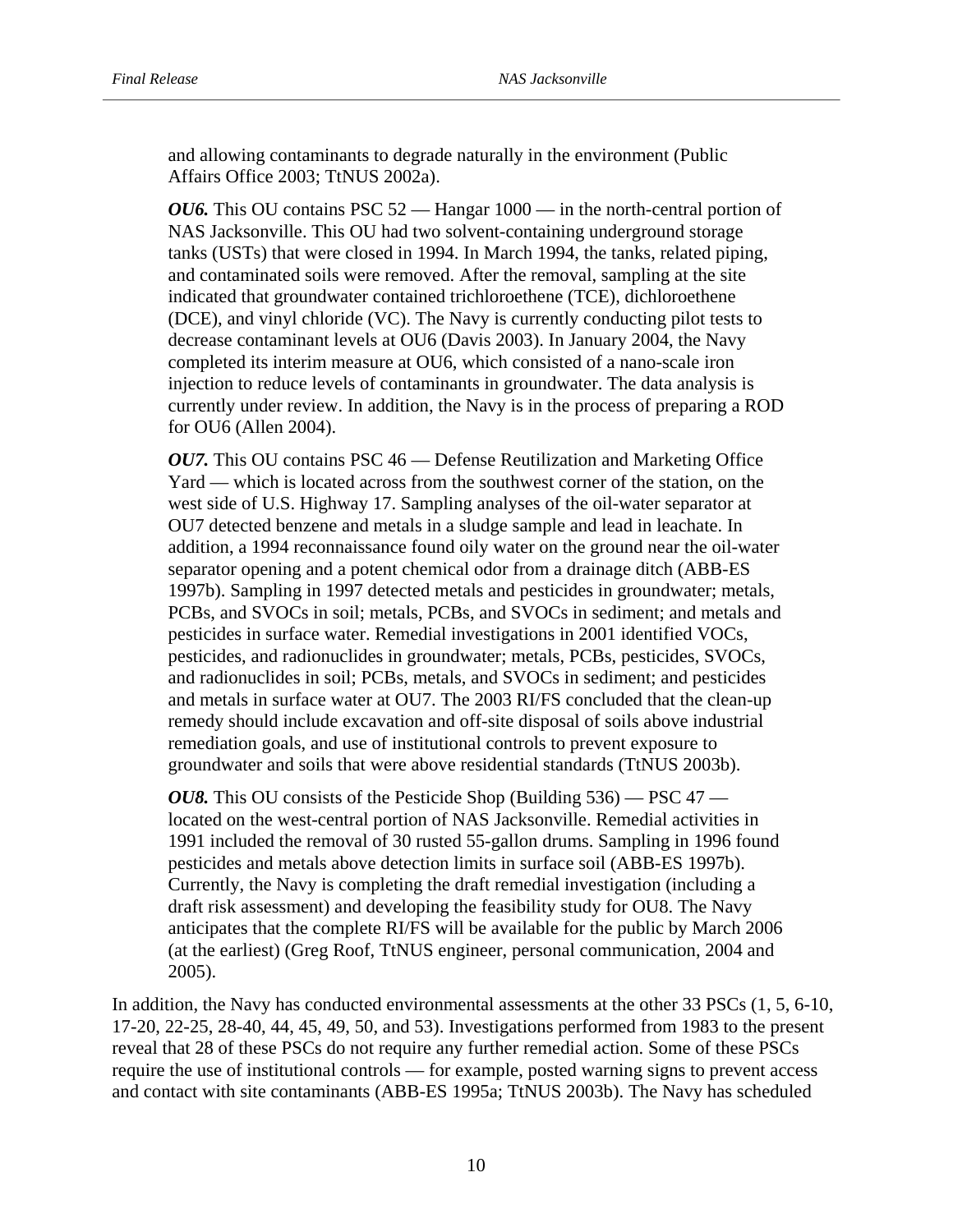and allowing contaminants to degrade naturally in the environment (Public Affairs Office 2003; TtNUS 2002a).

*OU6*. This OU contains PSC 52 — Hangar 1000 — in the north-central portion of NAS Jacksonville. This OU had two solvent-containing underground storage tanks (USTs) that were closed in 1994. In March 1994, the tanks, related piping, and contaminated soils were removed. After the removal, sampling at the site indicated that groundwater contained trichloroethene (TCE), dichloroethene (DCE), and vinyl chloride (VC). The Navy is currently conducting pilot tests to decrease contaminant levels at OU6 (Davis 2003). In January 2004, the Navy completed its interim measure at OU6, which consisted of a nano-scale iron injection to reduce levels of contaminants in groundwater. The data analysis is currently under review. In addition, the Navy is in the process of preparing a ROD for OU6 (Allen 2004).

*OU7.* This OU contains PSC 46 — Defense Reutilization and Marketing Office Yard — which is located across from the southwest corner of the station, on the west side of U.S. Highway 17. Sampling analyses of the oil-water separator at OU7 detected benzene and metals in a sludge sample and lead in leachate. In addition, a 1994 reconnaissance found oily water on the ground near the oil-water separator opening and a potent chemical odor from a drainage ditch (ABB-ES 1997b). Sampling in 1997 detected metals and pesticides in groundwater; metals, PCBs, and SVOCs in soil; metals, PCBs, and SVOCs in sediment; and metals and pesticides in surface water. Remedial investigations in 2001 identified VOCs, pesticides, and radionuclides in groundwater; metals, PCBs, pesticides, SVOCs, and radionuclides in soil; PCBs, metals, and SVOCs in sediment; and pesticides and metals in surface water at OU7. The 2003 RI/FS concluded that the clean-up remedy should include excavation and off-site disposal of soils above industrial remediation goals, and use of institutional controls to prevent exposure to groundwater and soils that were above residential standards (TtNUS 2003b).

*OU8.* This OU consists of the Pesticide Shop (Building 536) — PSC 47 located on the west-central portion of NAS Jacksonville. Remedial activities in 1991 included the removal of 30 rusted 55-gallon drums. Sampling in 1996 found pesticides and metals above detection limits in surface soil (ABB-ES 1997b). Currently, the Navy is completing the draft remedial investigation (including a draft risk assessment) and developing the feasibility study for OU8. The Navy anticipates that the complete RI/FS will be available for the public by March 2006 (at the earliest) (Greg Roof, TtNUS engineer, personal communication, 2004 and 2005).

In addition, the Navy has conducted environmental assessments at the other 33 PSCs (1, 5, 6-10, 17-20, 22-25, 28-40, 44, 45, 49, 50, and 53). Investigations performed from 1983 to the present reveal that 28 of these PSCs do not require any further remedial action. Some of these PSCs require the use of institutional controls — for example, posted warning signs to prevent access and contact with site contaminants (ABB-ES 1995a; TtNUS 2003b). The Navy has scheduled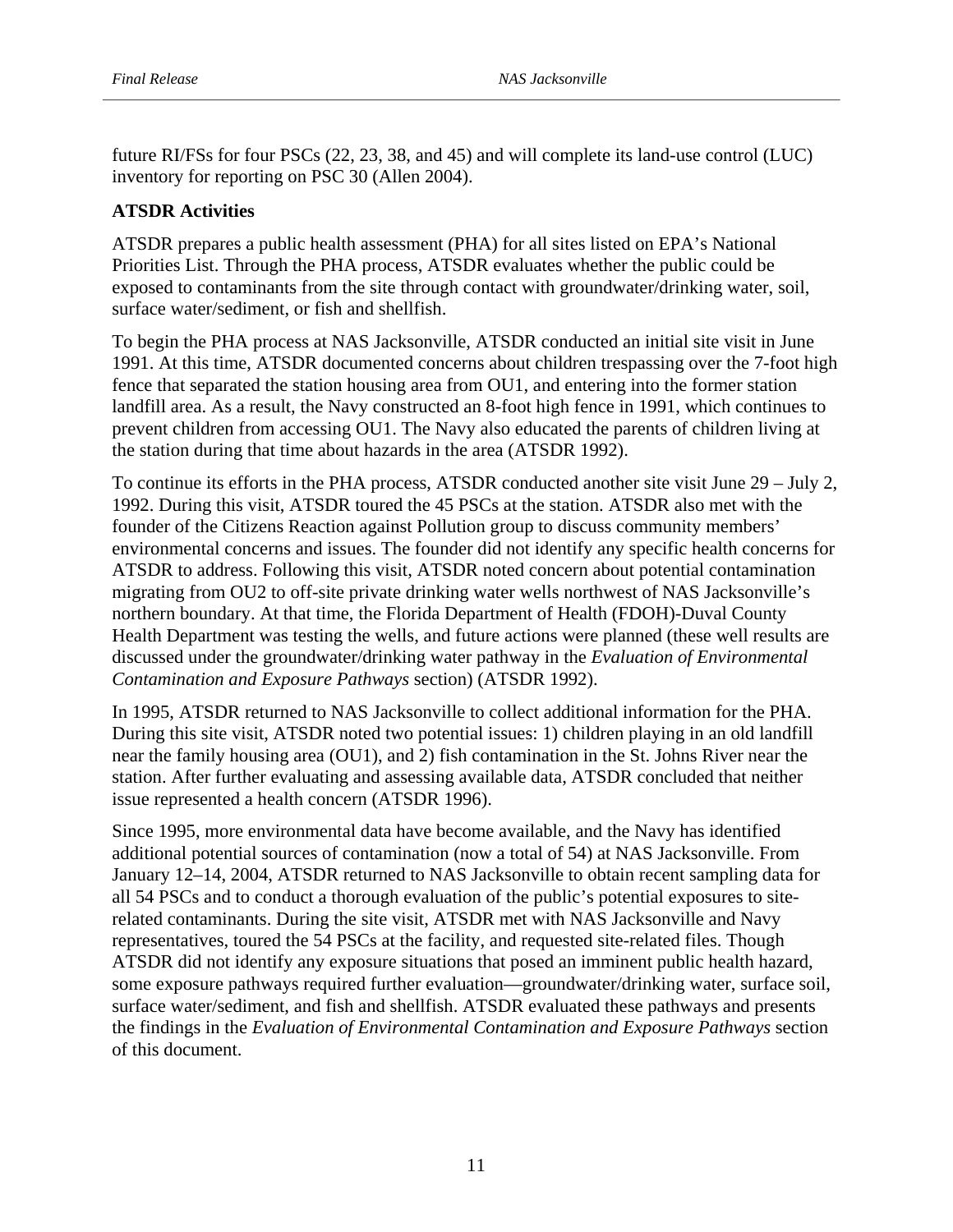future RI/FSs for four PSCs (22, 23, 38, and 45) and will complete its land-use control (LUC) inventory for reporting on PSC 30 (Allen 2004).

# **ATSDR Activities**

ATSDR prepares a public health assessment (PHA) for all sites listed on EPA's National Priorities List. Through the PHA process, ATSDR evaluates whether the public could be exposed to contaminants from the site through contact with groundwater/drinking water, soil, surface water/sediment, or fish and shellfish.

To begin the PHA process at NAS Jacksonville, ATSDR conducted an initial site visit in June 1991. At this time, ATSDR documented concerns about children trespassing over the 7-foot high fence that separated the station housing area from OU1, and entering into the former station landfill area. As a result, the Navy constructed an 8-foot high fence in 1991, which continues to prevent children from accessing OU1. The Navy also educated the parents of children living at the station during that time about hazards in the area (ATSDR 1992).

To continue its efforts in the PHA process, ATSDR conducted another site visit June 29 – July 2, 1992. During this visit, ATSDR toured the 45 PSCs at the station. ATSDR also met with the founder of the Citizens Reaction against Pollution group to discuss community members' environmental concerns and issues. The founder did not identify any specific health concerns for ATSDR to address. Following this visit, ATSDR noted concern about potential contamination migrating from OU2 to off-site private drinking water wells northwest of NAS Jacksonville's northern boundary. At that time, the Florida Department of Health (FDOH)-Duval County Health Department was testing the wells, and future actions were planned (these well results are discussed under the groundwater/drinking water pathway in the *Evaluation of Environmental Contamination and Exposure Pathways* section) (ATSDR 1992).

In 1995, ATSDR returned to NAS Jacksonville to collect additional information for the PHA. During this site visit, ATSDR noted two potential issues: 1) children playing in an old landfill near the family housing area (OU1), and 2) fish contamination in the St. Johns River near the station. After further evaluating and assessing available data, ATSDR concluded that neither issue represented a health concern (ATSDR 1996).

Since 1995, more environmental data have become available, and the Navy has identified additional potential sources of contamination (now a total of 54) at NAS Jacksonville. From January 12–14, 2004, ATSDR returned to NAS Jacksonville to obtain recent sampling data for all 54 PSCs and to conduct a thorough evaluation of the public's potential exposures to siterelated contaminants. During the site visit, ATSDR met with NAS Jacksonville and Navy representatives, toured the 54 PSCs at the facility, and requested site-related files. Though ATSDR did not identify any exposure situations that posed an imminent public health hazard, some exposure pathways required further evaluation—groundwater/drinking water, surface soil, surface water/sediment, and fish and shellfish. ATSDR evaluated these pathways and presents the findings in the *Evaluation of Environmental Contamination and Exposure Pathways* section of this document.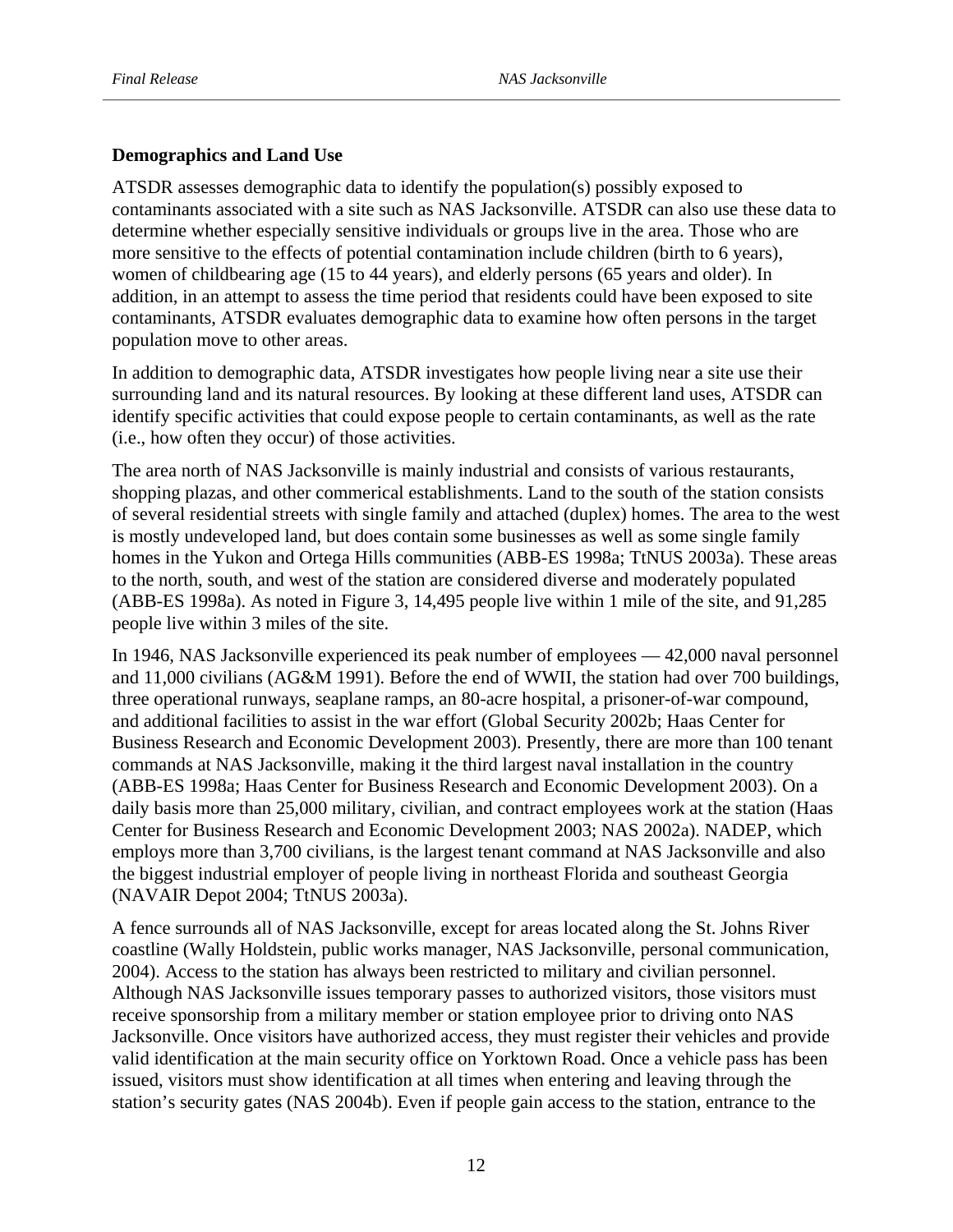#### **Demographics and Land Use**

ATSDR assesses demographic data to identify the population(s) possibly exposed to contaminants associated with a site such as NAS Jacksonville. ATSDR can also use these data to determine whether especially sensitive individuals or groups live in the area. Those who are more sensitive to the effects of potential contamination include children (birth to 6 years), women of childbearing age (15 to 44 years), and elderly persons (65 years and older). In addition, in an attempt to assess the time period that residents could have been exposed to site contaminants, ATSDR evaluates demographic data to examine how often persons in the target population move to other areas.

In addition to demographic data, ATSDR investigates how people living near a site use their surrounding land and its natural resources. By looking at these different land uses, ATSDR can identify specific activities that could expose people to certain contaminants, as well as the rate (i.e., how often they occur) of those activities.

The area north of NAS Jacksonville is mainly industrial and consists of various restaurants, shopping plazas, and other commerical establishments. Land to the south of the station consists of several residential streets with single family and attached (duplex) homes. The area to the west is mostly undeveloped land, but does contain some businesses as well as some single family homes in the Yukon and Ortega Hills communities (ABB-ES 1998a; TtNUS 2003a). These areas to the north, south, and west of the station are considered diverse and moderately populated (ABB-ES 1998a). As noted in Figure 3, 14,495 people live within 1 mile of the site, and 91,285 people live within 3 miles of the site.

In 1946, NAS Jacksonville experienced its peak number of employees — 42,000 naval personnel and 11,000 civilians (AG&M 1991). Before the end of WWII, the station had over 700 buildings, three operational runways, seaplane ramps, an 80-acre hospital, a prisoner-of-war compound, and additional facilities to assist in the war effort (Global Security 2002b; Haas Center for Business Research and Economic Development 2003). Presently, there are more than 100 tenant commands at NAS Jacksonville, making it the third largest naval installation in the country (ABB-ES 1998a; Haas Center for Business Research and Economic Development 2003). On a daily basis more than 25,000 military, civilian, and contract employees work at the station (Haas Center for Business Research and Economic Development 2003; NAS 2002a). NADEP, which employs more than 3,700 civilians, is the largest tenant command at NAS Jacksonville and also the biggest industrial employer of people living in northeast Florida and southeast Georgia (NAVAIR Depot 2004; TtNUS 2003a).

A fence surrounds all of NAS Jacksonville, except for areas located along the St. Johns River coastline (Wally Holdstein, public works manager, NAS Jacksonville, personal communication, 2004). Access to the station has always been restricted to military and civilian personnel. Although NAS Jacksonville issues temporary passes to authorized visitors, those visitors must receive sponsorship from a military member or station employee prior to driving onto NAS Jacksonville. Once visitors have authorized access, they must register their vehicles and provide valid identification at the main security office on Yorktown Road. Once a vehicle pass has been issued, visitors must show identification at all times when entering and leaving through the station's security gates (NAS 2004b). Even if people gain access to the station, entrance to the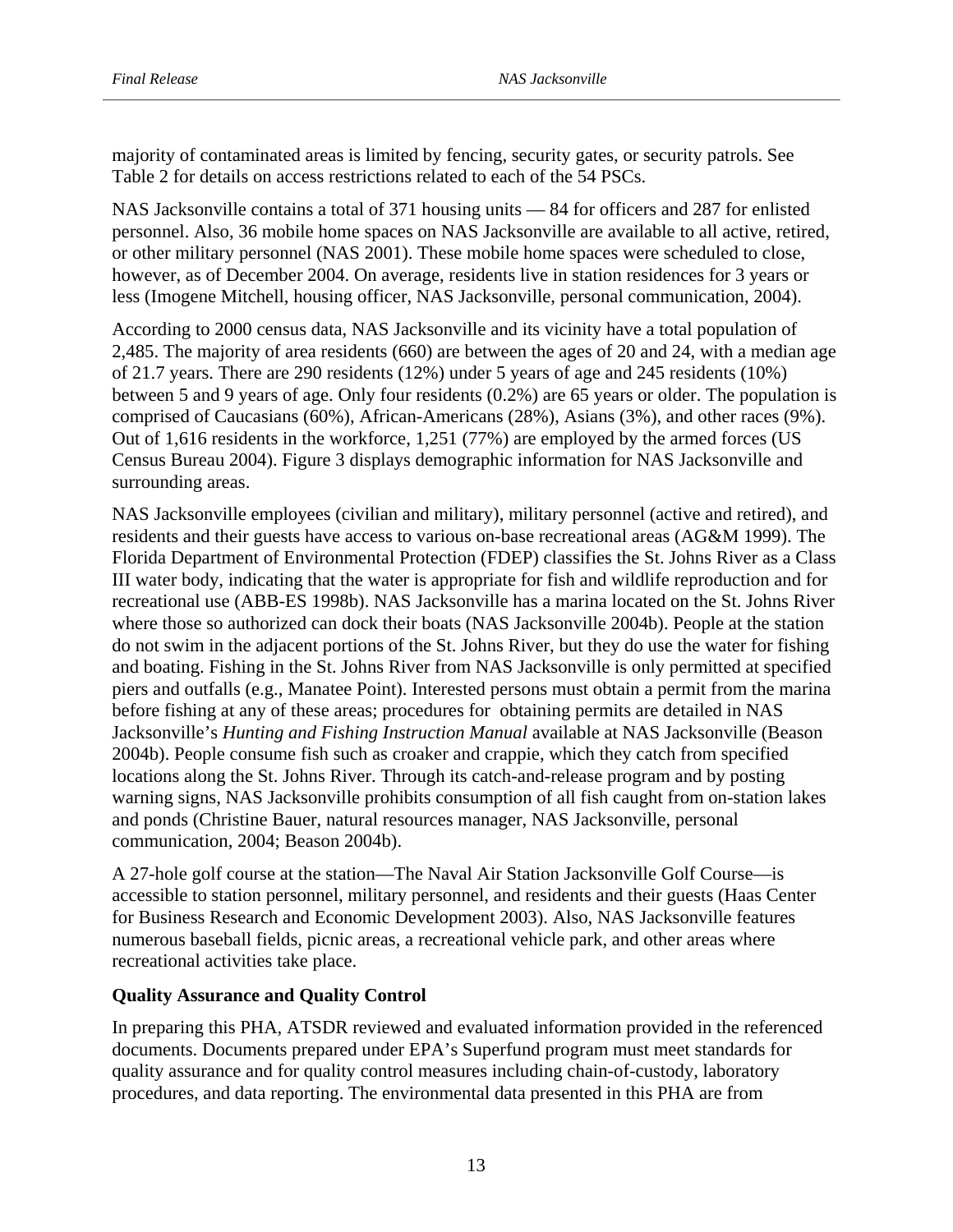majority of contaminated areas is limited by fencing, security gates, or security patrols. See Table 2 for details on access restrictions related to each of the 54 PSCs.

NAS Jacksonville contains a total of 371 housing units — 84 for officers and 287 for enlisted personnel. Also, 36 mobile home spaces on NAS Jacksonville are available to all active, retired, or other military personnel (NAS 2001). These mobile home spaces were scheduled to close, however, as of December 2004. On average, residents live in station residences for 3 years or less (Imogene Mitchell, housing officer, NAS Jacksonville, personal communication, 2004).

According to 2000 census data, NAS Jacksonville and its vicinity have a total population of 2,485. The majority of area residents (660) are between the ages of 20 and 24, with a median age of 21.7 years. There are 290 residents (12%) under 5 years of age and 245 residents (10%) between 5 and 9 years of age. Only four residents (0.2%) are 65 years or older. The population is comprised of Caucasians (60%), African-Americans (28%), Asians (3%), and other races (9%). Out of 1,616 residents in the workforce, 1,251 (77%) are employed by the armed forces (US Census Bureau 2004). Figure 3 displays demographic information for NAS Jacksonville and surrounding areas.

NAS Jacksonville employees (civilian and military), military personnel (active and retired), and residents and their guests have access to various on-base recreational areas (AG&M 1999). The Florida Department of Environmental Protection (FDEP) classifies the St. Johns River as a Class III water body, indicating that the water is appropriate for fish and wildlife reproduction and for recreational use (ABB-ES 1998b). NAS Jacksonville has a marina located on the St. Johns River where those so authorized can dock their boats (NAS Jacksonville 2004b). People at the station do not swim in the adjacent portions of the St. Johns River, but they do use the water for fishing and boating. Fishing in the St. Johns River from NAS Jacksonville is only permitted at specified piers and outfalls (e.g., Manatee Point). Interested persons must obtain a permit from the marina before fishing at any of these areas; procedures for obtaining permits are detailed in NAS Jacksonville's *Hunting and Fishing Instruction Manual* available at NAS Jacksonville (Beason 2004b). People consume fish such as croaker and crappie, which they catch from specified locations along the St. Johns River. Through its catch-and-release program and by posting warning signs, NAS Jacksonville prohibits consumption of all fish caught from on-station lakes and ponds (Christine Bauer, natural resources manager, NAS Jacksonville, personal communication, 2004; Beason 2004b).

A 27-hole golf course at the station—The Naval Air Station Jacksonville Golf Course—is accessible to station personnel, military personnel, and residents and their guests (Haas Center for Business Research and Economic Development 2003). Also, NAS Jacksonville features numerous baseball fields, picnic areas, a recreational vehicle park, and other areas where recreational activities take place.

#### **Quality Assurance and Quality Control**

In preparing this PHA, ATSDR reviewed and evaluated information provided in the referenced documents. Documents prepared under EPA's Superfund program must meet standards for quality assurance and for quality control measures including chain-of-custody, laboratory procedures, and data reporting. The environmental data presented in this PHA are from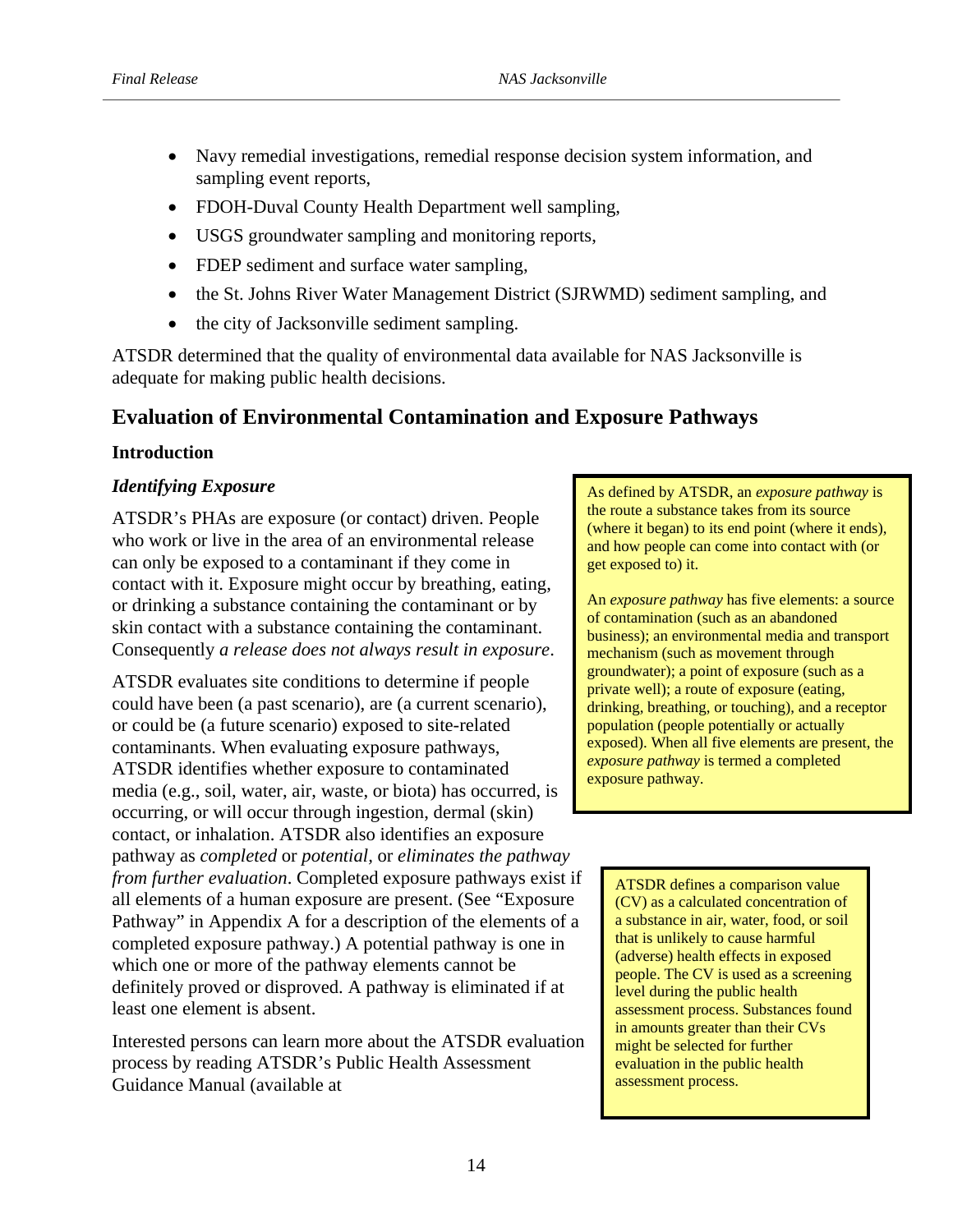- Navy remedial investigations, remedial response decision system information, and sampling event reports,
- FDOH-Duval County Health Department well sampling,
- USGS groundwater sampling and monitoring reports,
- FDEP sediment and surface water sampling,
- the St. Johns River Water Management District (SJRWMD) sediment sampling, and
- the city of Jacksonville sediment sampling.

ATSDR determined that the quality of environmental data available for NAS Jacksonville is adequate for making public health decisions.

# **Evaluation of Environmental Contamination and Exposure Pathways**

#### **Introduction**

#### *Identifying Exposure*

ATSDR's PHAs are exposure (or contact) driven. People who work or live in the area of an environmental release can only be exposed to a contaminant if they come in contact with it. Exposure might occur by breathing, eating, or drinking a substance containing the contaminant or by skin contact with a substance containing the contaminant. Consequently *a release does not always result in exposure*.

ATSDR evaluates site conditions to determine if people could have been (a past scenario), are (a current scenario), or could be (a future scenario) exposed to site-related contaminants. When evaluating exposure pathways, ATSDR identifies whether exposure to contaminated media (e.g., soil, water, air, waste, or biota) has occurred, is occurring, or will occur through ingestion, dermal (skin) contact, or inhalation. ATSDR also identifies an exposure pathway as *completed* or *potential,* or *eliminates the pathway from further evaluation*. Completed exposure pathways exist if all elements of a human exposure are present. (See "Exposure Pathway" in Appendix A for a description of the elements of a completed exposure pathway.) A potential pathway is one in which one or more of the pathway elements cannot be definitely proved or disproved. A pathway is eliminated if at least one element is absent.

Interested persons can learn more about the ATSDR evaluation process by reading ATSDR's Public Health Assessment Guidance Manual (available at

 $\alpha$  chemical or radiological or radiological or  $\alpha$ As defined by ATSDR, an *exposure pathway* is (where it began) to its end point (where it ends), the route a substance takes from its source and how people can come into contact with (or get exposed to) it.

release does not necessarily An *exposure pathway* has five elements: a source or contammation (such as an abandoned<br>business); an environmental media and transport business), an environmental media and u<br>mechanism (such as movement through meenalism (such as movement unough<br>groundwater); a point of exposure (such as a of contamination (such as an abandoned private well); a route of exposure (eating, drinking, breathing, or touching), and a receptor population (people potentially or actually exposed). When all five elements are present, the *exposure pathway* is termed a completed exposure pathway.

ATSDR defines a comparison value (CV) as a calculated concentration of a substance in air, water, food, or soil that is unlikely to cause harmful (adverse) health effects in exposed people. The CV is used as a screening level during the public health assessment process. Substances found in amounts greater than their CVs might be selected for further evaluation in the public health assessment process.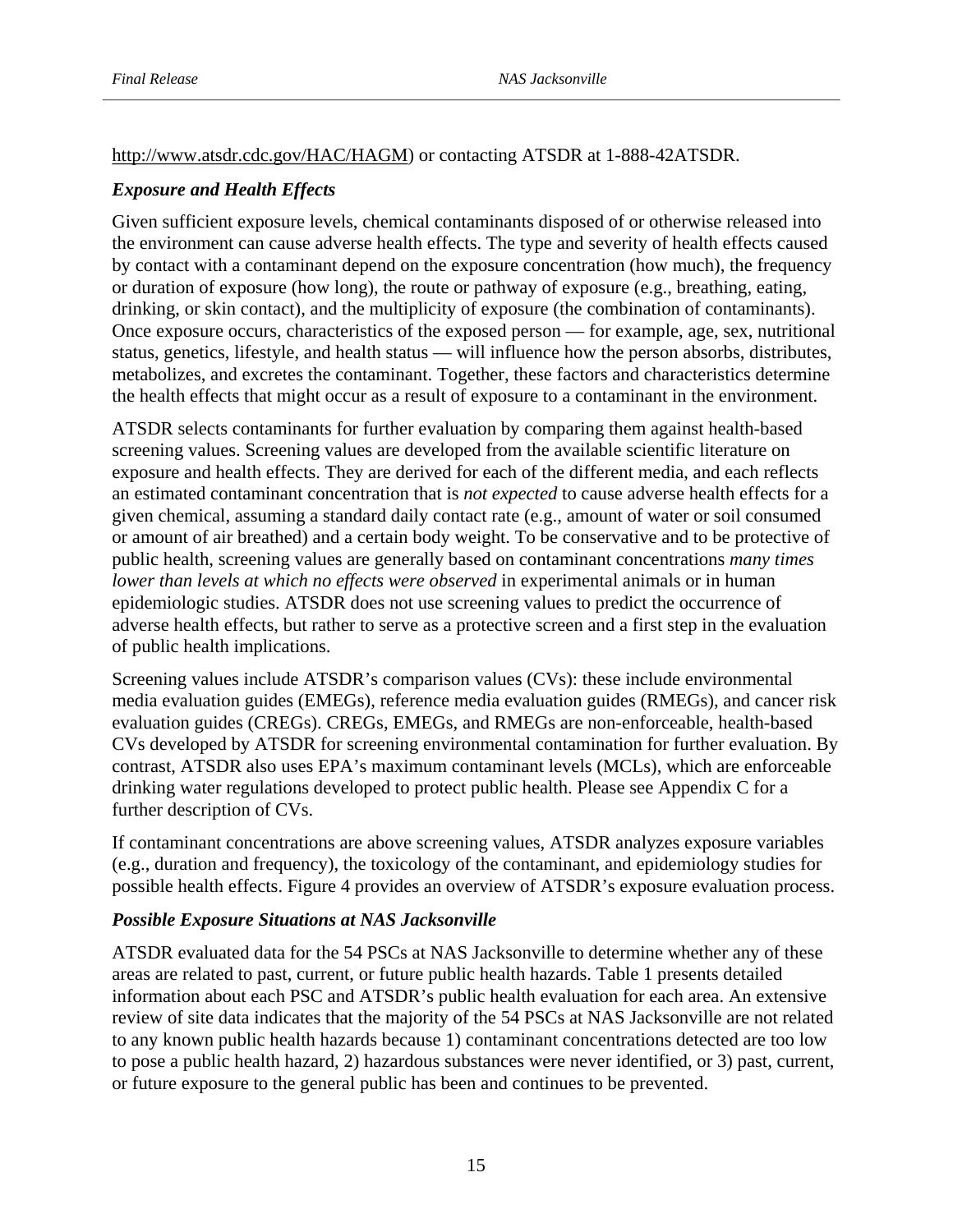## http://www.atsdr.cdc.gov/HAC/HAGM) or contacting ATSDR at 1-888-42ATSDR.

## *Exposure and Health Effects*

Given sufficient exposure levels, chemical contaminants disposed of or otherwise released into the environment can cause adverse health effects. The type and severity of health effects caused by contact with a contaminant depend on the exposure concentration (how much), the frequency or duration of exposure (how long), the route or pathway of exposure (e.g., breathing, eating, drinking, or skin contact), and the multiplicity of exposure (the combination of contaminants). Once exposure occurs, characteristics of the exposed person — for example, age, sex, nutritional status, genetics, lifestyle, and health status — will influence how the person absorbs, distributes, metabolizes, and excretes the contaminant. Together, these factors and characteristics determine the health effects that might occur as a result of exposure to a contaminant in the environment.

ATSDR selects contaminants for further evaluation by comparing them against health-based screening values. Screening values are developed from the available scientific literature on exposure and health effects. They are derived for each of the different media, and each reflects an estimated contaminant concentration that is *not expected* to cause adverse health effects for a given chemical, assuming a standard daily contact rate (e.g., amount of water or soil consumed or amount of air breathed) and a certain body weight. To be conservative and to be protective of public health, screening values are generally based on contaminant concentrations *many times lower than levels at which no effects were observed* in experimental animals or in human epidemiologic studies. ATSDR does not use screening values to predict the occurrence of adverse health effects, but rather to serve as a protective screen and a first step in the evaluation of public health implications.

Screening values include ATSDR's comparison values (CVs): these include environmental media evaluation guides (EMEGs), reference media evaluation guides (RMEGs), and cancer risk evaluation guides (CREGs). CREGs, EMEGs, and RMEGs are non-enforceable, health-based CVs developed by ATSDR for screening environmental contamination for further evaluation. By contrast, ATSDR also uses EPA's maximum contaminant levels (MCLs), which are enforceable drinking water regulations developed to protect public health. Please see Appendix C for a further description of CVs.

If contaminant concentrations are above screening values, ATSDR analyzes exposure variables (e.g., duration and frequency), the toxicology of the contaminant, and epidemiology studies for possible health effects. Figure 4 provides an overview of ATSDR's exposure evaluation process.

#### *Possible Exposure Situations at NAS Jacksonville*

ATSDR evaluated data for the 54 PSCs at NAS Jacksonville to determine whether any of these areas are related to past, current, or future public health hazards. Table 1 presents detailed information about each PSC and ATSDR's public health evaluation for each area. An extensive review of site data indicates that the majority of the 54 PSCs at NAS Jacksonville are not related to any known public health hazards because 1) contaminant concentrations detected are too low to pose a public health hazard, 2) hazardous substances were never identified, or 3) past, current, or future exposure to the general public has been and continues to be prevented.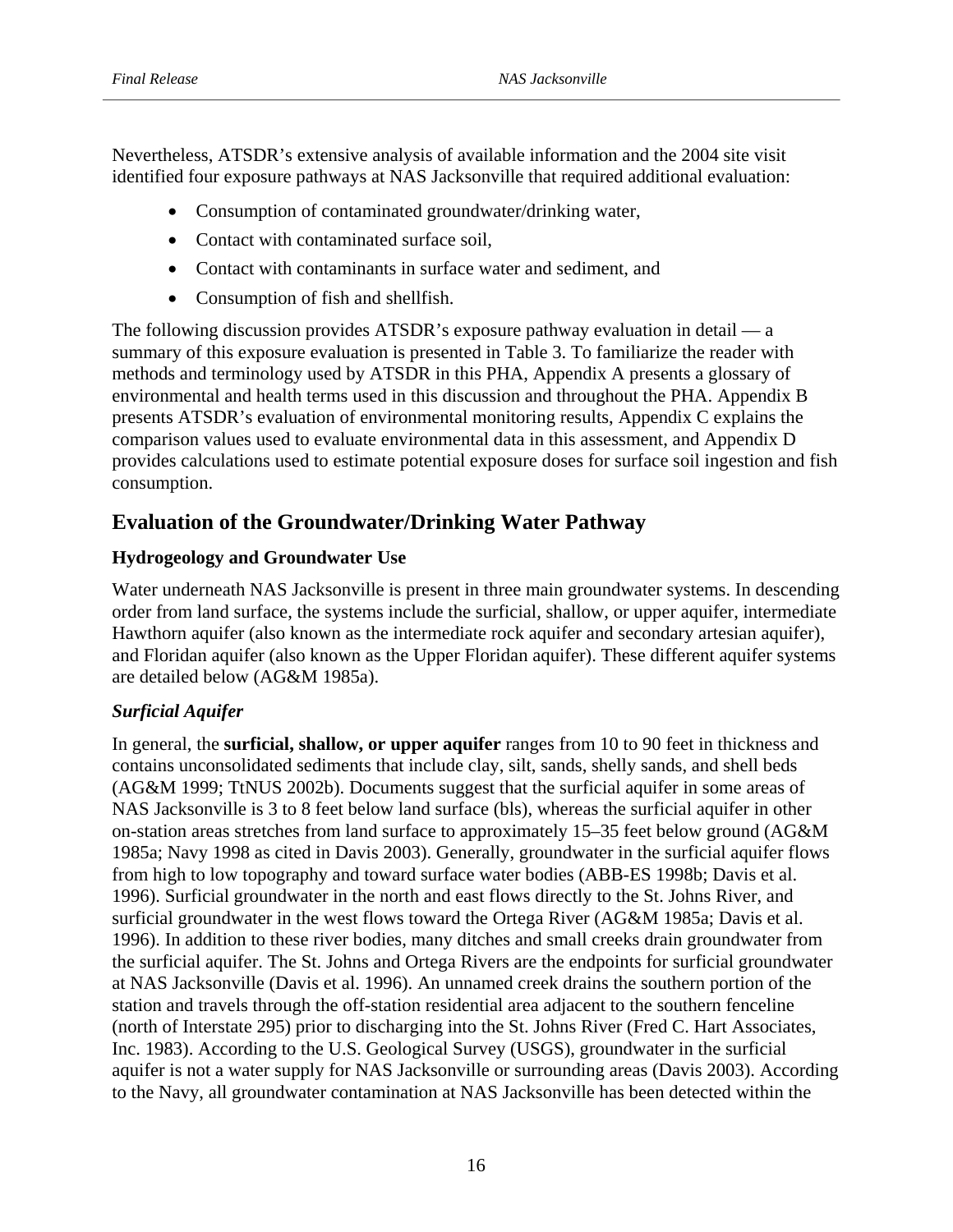Nevertheless, ATSDR's extensive analysis of available information and the 2004 site visit identified four exposure pathways at NAS Jacksonville that required additional evaluation:

- Consumption of contaminated groundwater/drinking water,
- Contact with contaminated surface soil,
- Contact with contaminants in surface water and sediment, and
- Consumption of fish and shellfish.

The following discussion provides ATSDR's exposure pathway evaluation in detail — a summary of this exposure evaluation is presented in Table 3. To familiarize the reader with methods and terminology used by ATSDR in this PHA, Appendix A presents a glossary of environmental and health terms used in this discussion and throughout the PHA. Appendix B presents ATSDR's evaluation of environmental monitoring results, Appendix C explains the comparison values used to evaluate environmental data in this assessment, and Appendix D provides calculations used to estimate potential exposure doses for surface soil ingestion and fish consumption.

# **Evaluation of the Groundwater/Drinking Water Pathway**

# **Hydrogeology and Groundwater Use**

Water underneath NAS Jacksonville is present in three main groundwater systems. In descending order from land surface, the systems include the surficial, shallow, or upper aquifer, intermediate Hawthorn aquifer (also known as the intermediate rock aquifer and secondary artesian aquifer), and Floridan aquifer (also known as the Upper Floridan aquifer). These different aquifer systems are detailed below (AG&M 1985a).

#### *Surficial Aquifer*

In general, the **surficial, shallow, or upper aquifer** ranges from 10 to 90 feet in thickness and contains unconsolidated sediments that include clay, silt, sands, shelly sands, and shell beds (AG&M 1999; TtNUS 2002b). Documents suggest that the surficial aquifer in some areas of NAS Jacksonville is 3 to 8 feet below land surface (bls), whereas the surficial aquifer in other on-station areas stretches from land surface to approximately 15–35 feet below ground (AG&M 1985a; Navy 1998 as cited in Davis 2003). Generally, groundwater in the surficial aquifer flows from high to low topography and toward surface water bodies (ABB-ES 1998b; Davis et al. 1996). Surficial groundwater in the north and east flows directly to the St. Johns River, and surficial groundwater in the west flows toward the Ortega River (AG&M 1985a; Davis et al. 1996). In addition to these river bodies, many ditches and small creeks drain groundwater from the surficial aquifer. The St. Johns and Ortega Rivers are the endpoints for surficial groundwater at NAS Jacksonville (Davis et al. 1996). An unnamed creek drains the southern portion of the station and travels through the off-station residential area adjacent to the southern fenceline (north of Interstate 295) prior to discharging into the St. Johns River (Fred C. Hart Associates, Inc. 1983). According to the U.S. Geological Survey (USGS), groundwater in the surficial aquifer is not a water supply for NAS Jacksonville or surrounding areas (Davis 2003). According to the Navy, all groundwater contamination at NAS Jacksonville has been detected within the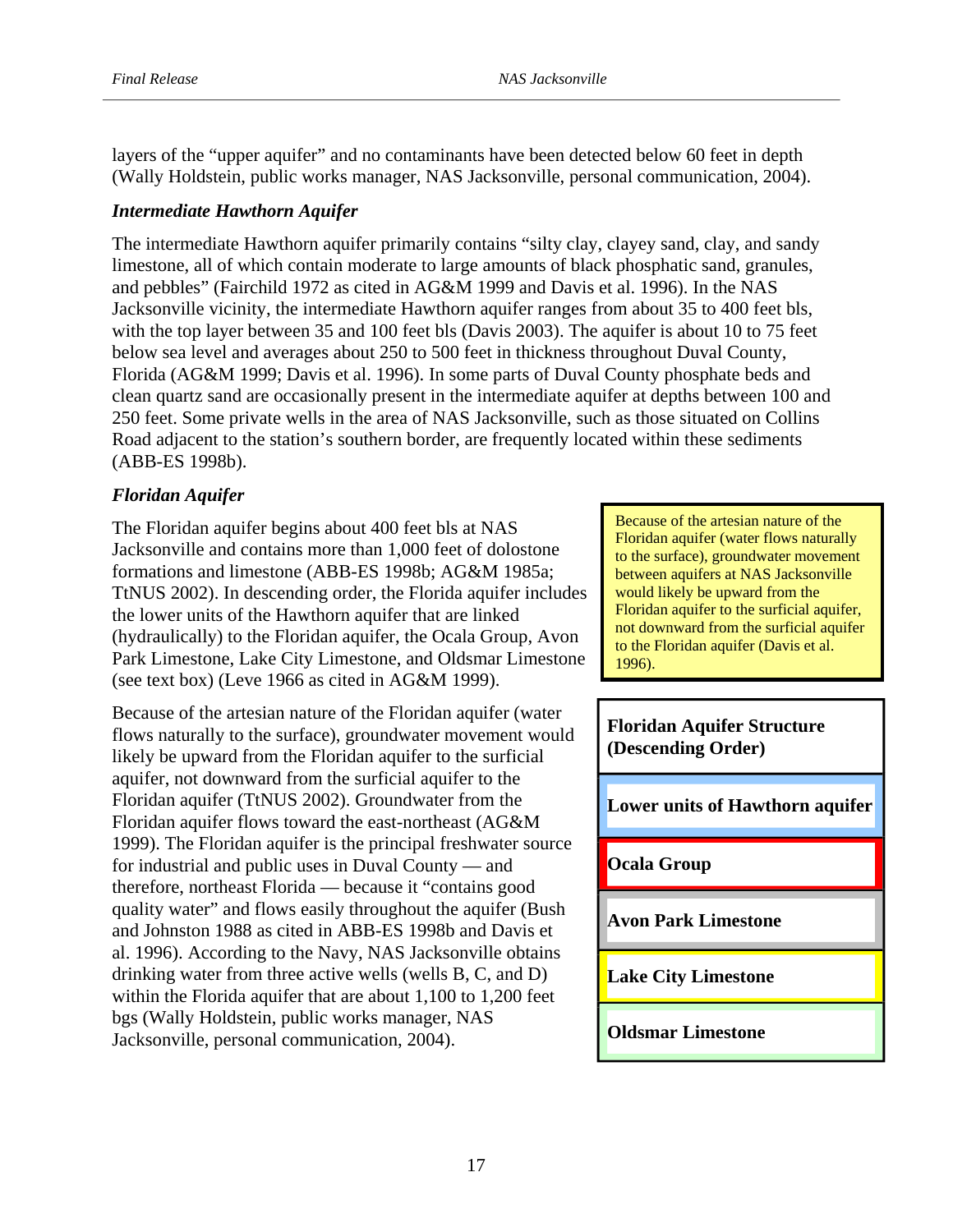layers of the "upper aquifer" and no contaminants have been detected below 60 feet in depth (Wally Holdstein, public works manager, NAS Jacksonville, personal communication, 2004).

## *Intermediate Hawthorn Aquifer*

The intermediate Hawthorn aquifer primarily contains "silty clay, clayey sand, clay, and sandy limestone, all of which contain moderate to large amounts of black phosphatic sand, granules, and pebbles" (Fairchild 1972 as cited in AG&M 1999 and Davis et al. 1996). In the NAS Jacksonville vicinity, the intermediate Hawthorn aquifer ranges from about 35 to 400 feet bls, with the top layer between 35 and 100 feet bls (Davis 2003). The aquifer is about 10 to 75 feet below sea level and averages about 250 to 500 feet in thickness throughout Duval County, Florida (AG&M 1999; Davis et al. 1996). In some parts of Duval County phosphate beds and clean quartz sand are occasionally present in the intermediate aquifer at depths between 100 and 250 feet. Some private wells in the area of NAS Jacksonville, such as those situated on Collins Road adjacent to the station's southern border, are frequently located within these sediments (ABB-ES 1998b).

# *Floridan Aquifer*

The Floridan aquifer begins about 400 feet bls at NAS Jacksonville and contains more than 1,000 feet of dolostone formations and limestone (ABB-ES 1998b; AG&M 1985a; TtNUS 2002). In descending order, the Florida aquifer includes the lower units of the Hawthorn aquifer that are linked (hydraulically) to the Floridan aquifer, the Ocala Group, Avon Park Limestone, Lake City Limestone, and Oldsmar Limestone (see text box) (Leve 1966 as cited in AG&M 1999).

Because of the artesian nature of the Floridan aquifer (water flows naturally to the surface), groundwater movement would likely be upward from the Floridan aquifer to the surficial aquifer, not downward from the surficial aquifer to the Floridan aquifer (TtNUS 2002). Groundwater from the Floridan aquifer flows toward the east-northeast (AG&M 1999). The Floridan aquifer is the principal freshwater source for industrial and public uses in Duval County — and therefore, northeast Florida — because it "contains good quality water" and flows easily throughout the aquifer (Bush and Johnston 1988 as cited in ABB-ES 1998b and Davis et al. 1996). According to the Navy, NAS Jacksonville obtains drinking water from three active wells (wells B, C, and D) within the Florida aquifer that are about 1,100 to 1,200 feet bgs (Wally Holdstein, public works manager, NAS Jacksonville, personal communication, 2004).

Because of the artesian nature of the Floridan aquifer (water flows naturally to the surface), groundwater movement between aquifers at NAS Jacksonville would likely be upward from the Floridan aquifer to the surficial aquifer, not downward from the surficial aquifer to the Floridan aquifer (Davis et al. 1996).

**Floridan Aquifer Structure (Descending Order)** 

**Lower units of Hawthorn aquifer** 

**Ocala Group** 

**Avon Park Limestone** 

**Lake City Limestone** 

#### **Oldsmar Limestone**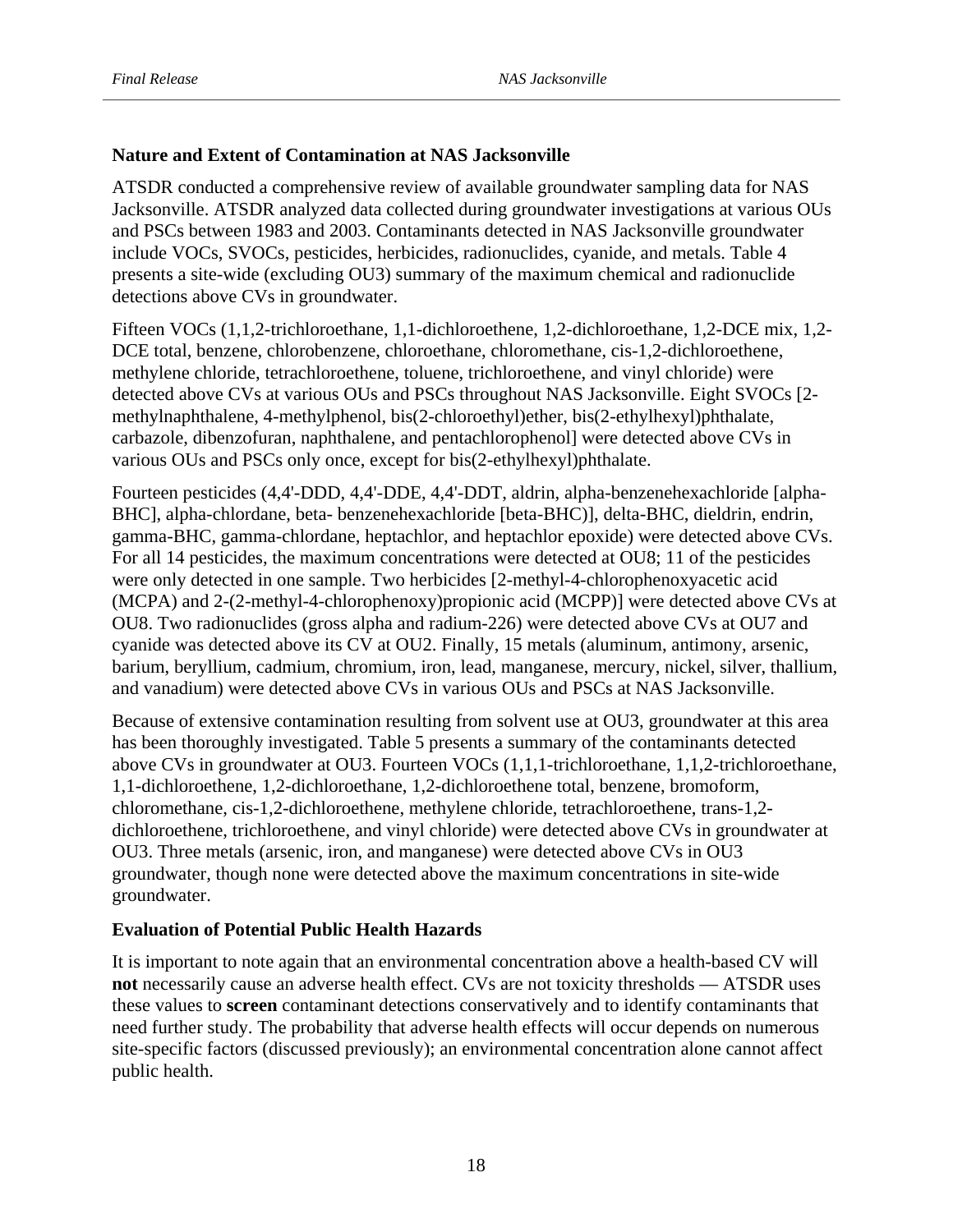## **Nature and Extent of Contamination at NAS Jacksonville**

ATSDR conducted a comprehensive review of available groundwater sampling data for NAS Jacksonville. ATSDR analyzed data collected during groundwater investigations at various OUs and PSCs between 1983 and 2003. Contaminants detected in NAS Jacksonville groundwater include VOCs, SVOCs, pesticides, herbicides, radionuclides, cyanide, and metals. Table 4 presents a site-wide (excluding OU3) summary of the maximum chemical and radionuclide detections above CVs in groundwater.

Fifteen VOCs (1,1,2-trichloroethane, 1,1-dichloroethene, 1,2-dichloroethane, 1,2-DCE mix, 1,2- DCE total, benzene, chlorobenzene, chloroethane, chloromethane, cis-1,2-dichloroethene, methylene chloride, tetrachloroethene, toluene, trichloroethene, and vinyl chloride) were detected above CVs at various OUs and PSCs throughout NAS Jacksonville. Eight SVOCs [2 methylnaphthalene, 4-methylphenol, bis(2-chloroethyl)ether, bis(2-ethylhexyl)phthalate, carbazole, dibenzofuran, naphthalene, and pentachlorophenol] were detected above CVs in various OUs and PSCs only once, except for bis(2-ethylhexyl)phthalate.

Fourteen pesticides (4,4'-DDD, 4,4'-DDE, 4,4'-DDT, aldrin, alpha-benzenehexachloride [alpha-BHC], alpha-chlordane, beta- benzenehexachloride [beta-BHC)], delta-BHC, dieldrin, endrin, gamma-BHC, gamma-chlordane, heptachlor, and heptachlor epoxide) were detected above CVs. For all 14 pesticides, the maximum concentrations were detected at OU8; 11 of the pesticides were only detected in one sample. Two herbicides [2-methyl-4-chlorophenoxyacetic acid (MCPA) and 2-(2-methyl-4-chlorophenoxy)propionic acid (MCPP)] were detected above CVs at OU8. Two radionuclides (gross alpha and radium-226) were detected above CVs at OU7 and cyanide was detected above its CV at OU2. Finally, 15 metals (aluminum, antimony, arsenic, barium, beryllium, cadmium, chromium, iron, lead, manganese, mercury, nickel, silver, thallium, and vanadium) were detected above CVs in various OUs and PSCs at NAS Jacksonville.

Because of extensive contamination resulting from solvent use at OU3, groundwater at this area has been thoroughly investigated. Table 5 presents a summary of the contaminants detected above CVs in groundwater at OU3. Fourteen VOCs (1,1,1-trichloroethane, 1,1,2-trichloroethane, 1,1-dichloroethene, 1,2-dichloroethane, 1,2-dichloroethene total, benzene, bromoform, chloromethane, cis-1,2-dichloroethene, methylene chloride, tetrachloroethene, trans-1,2 dichloroethene, trichloroethene, and vinyl chloride) were detected above CVs in groundwater at OU3. Three metals (arsenic, iron, and manganese) were detected above CVs in OU3 groundwater, though none were detected above the maximum concentrations in site-wide groundwater.

#### **Evaluation of Potential Public Health Hazards**

It is important to note again that an environmental concentration above a health-based CV will **not** necessarily cause an adverse health effect. CVs are not toxicity thresholds — ATSDR uses these values to **screen** contaminant detections conservatively and to identify contaminants that need further study. The probability that adverse health effects will occur depends on numerous site-specific factors (discussed previously); an environmental concentration alone cannot affect public health.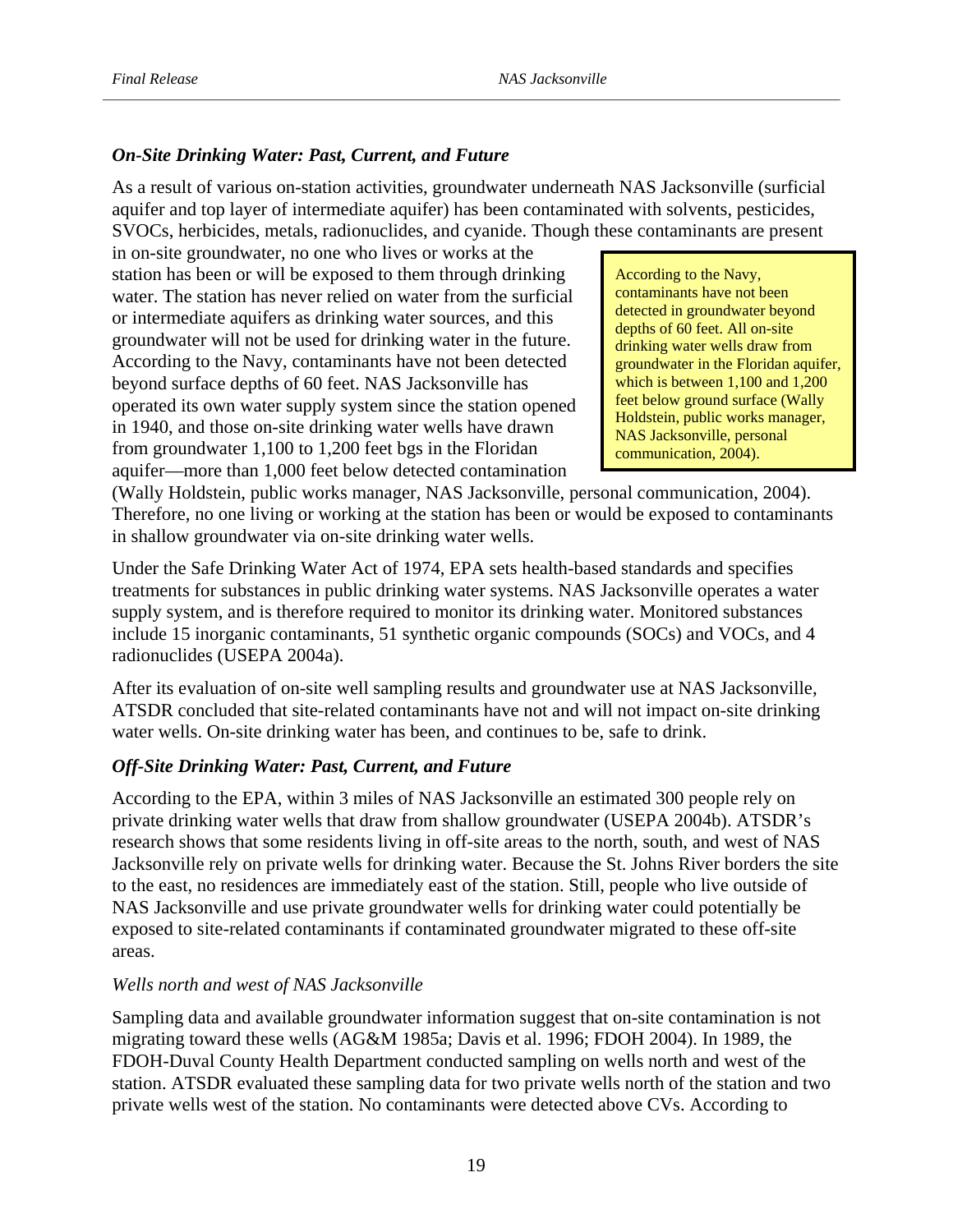## *On-Site Drinking Water: Past, Current, and Future*

As a result of various on-station activities, groundwater underneath NAS Jacksonville (surficial aquifer and top layer of intermediate aquifer) has been contaminated with solvents, pesticides, SVOCs, herbicides, metals, radionuclides, and cyanide. Though these contaminants are present

in on-site groundwater, no one who lives or works at the station has been or will be exposed to them through drinking water. The station has never relied on water from the surficial or intermediate aquifers as drinking water sources, and this groundwater will not be used for drinking water in the future. According to the Navy, contaminants have not been detected beyond surface depths of 60 feet. NAS Jacksonville has operated its own water supply system since the station opened in 1940, and those on-site drinking water wells have drawn from groundwater 1,100 to 1,200 feet bgs in the Floridan aquifer—more than 1,000 feet below detected contamination

communication, 2004). According to the Navy, contaminants have not been detected in groundwater beyond depths of 60 feet. All on-site drinking water wells draw from groundwater in the Floridan aquifer, which is between 1,100 and 1,200 feet below ground surface (Wally Holdstein, public works manager, NAS Jacksonville, personal

(Wally Holdstein, public works manager, NAS Jacksonville, personal communication, 2004). Therefore, no one living or working at the station has been or would be exposed to contaminants in shallow groundwater via on-site drinking water wells.

Under the Safe Drinking Water Act of 1974, EPA sets health-based standards and specifies treatments for substances in public drinking water systems. NAS Jacksonville operates a water supply system, and is therefore required to monitor its drinking water. Monitored substances include 15 inorganic contaminants, 51 synthetic organic compounds (SOCs) and VOCs, and 4 radionuclides (USEPA 2004a).

After its evaluation of on-site well sampling results and groundwater use at NAS Jacksonville, ATSDR concluded that site-related contaminants have not and will not impact on-site drinking water wells. On-site drinking water has been, and continues to be, safe to drink.

#### *Off-Site Drinking Water: Past, Current, and Future*

According to the EPA, within 3 miles of NAS Jacksonville an estimated 300 people rely on private drinking water wells that draw from shallow groundwater (USEPA 2004b). ATSDR's research shows that some residents living in off-site areas to the north, south, and west of NAS Jacksonville rely on private wells for drinking water. Because the St. Johns River borders the site to the east, no residences are immediately east of the station. Still, people who live outside of NAS Jacksonville and use private groundwater wells for drinking water could potentially be exposed to site-related contaminants if contaminated groundwater migrated to these off-site areas.

#### *Wells north and west of NAS Jacksonville*

Sampling data and available groundwater information suggest that on-site contamination is not migrating toward these wells (AG&M 1985a; Davis et al. 1996; FDOH 2004). In 1989, the FDOH-Duval County Health Department conducted sampling on wells north and west of the station. ATSDR evaluated these sampling data for two private wells north of the station and two private wells west of the station. No contaminants were detected above CVs. According to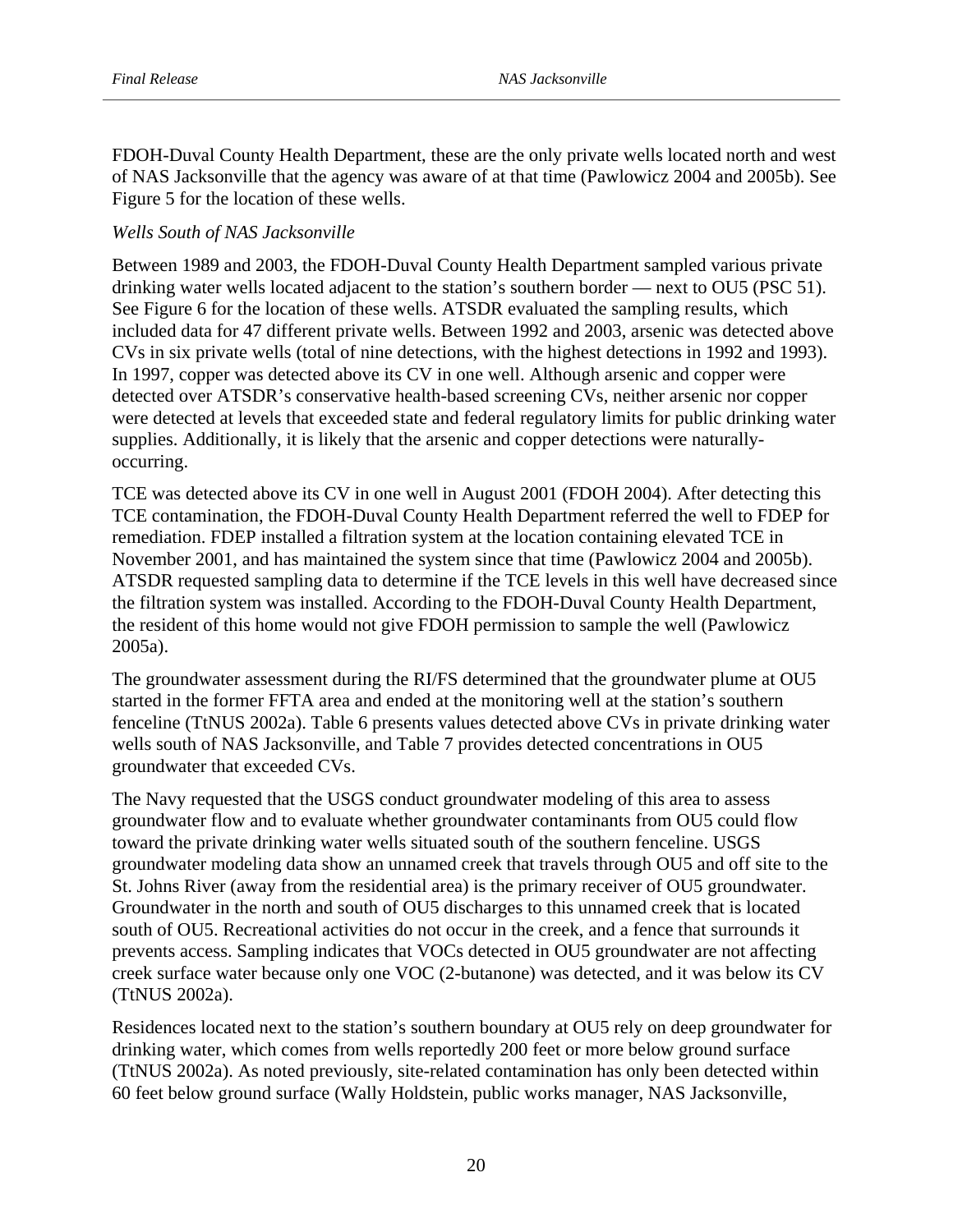FDOH-Duval County Health Department, these are the only private wells located north and west of NAS Jacksonville that the agency was aware of at that time (Pawlowicz 2004 and 2005b). See Figure 5 for the location of these wells.

#### *Wells South of NAS Jacksonville*

Between 1989 and 2003, the FDOH-Duval County Health Department sampled various private drinking water wells located adjacent to the station's southern border — next to OU5 (PSC 51). See Figure 6 for the location of these wells. ATSDR evaluated the sampling results, which included data for 47 different private wells. Between 1992 and 2003, arsenic was detected above CVs in six private wells (total of nine detections, with the highest detections in 1992 and 1993). In 1997, copper was detected above its CV in one well. Although arsenic and copper were detected over ATSDR's conservative health-based screening CVs, neither arsenic nor copper were detected at levels that exceeded state and federal regulatory limits for public drinking water supplies. Additionally, it is likely that the arsenic and copper detections were naturallyoccurring.

TCE was detected above its CV in one well in August 2001 (FDOH 2004). After detecting this TCE contamination, the FDOH-Duval County Health Department referred the well to FDEP for remediation. FDEP installed a filtration system at the location containing elevated TCE in November 2001, and has maintained the system since that time (Pawlowicz 2004 and 2005b). ATSDR requested sampling data to determine if the TCE levels in this well have decreased since the filtration system was installed. According to the FDOH-Duval County Health Department, the resident of this home would not give FDOH permission to sample the well (Pawlowicz 2005a).

The groundwater assessment during the RI/FS determined that the groundwater plume at OU5 started in the former FFTA area and ended at the monitoring well at the station's southern fenceline (TtNUS 2002a). Table 6 presents values detected above CVs in private drinking water wells south of NAS Jacksonville, and Table 7 provides detected concentrations in OU5 groundwater that exceeded CVs.

The Navy requested that the USGS conduct groundwater modeling of this area to assess groundwater flow and to evaluate whether groundwater contaminants from OU5 could flow toward the private drinking water wells situated south of the southern fenceline. USGS groundwater modeling data show an unnamed creek that travels through OU5 and off site to the St. Johns River (away from the residential area) is the primary receiver of OU5 groundwater. Groundwater in the north and south of OU5 discharges to this unnamed creek that is located south of OU5. Recreational activities do not occur in the creek, and a fence that surrounds it prevents access. Sampling indicates that VOCs detected in OU5 groundwater are not affecting creek surface water because only one VOC (2-butanone) was detected, and it was below its CV (TtNUS 2002a).

Residences located next to the station's southern boundary at OU5 rely on deep groundwater for drinking water, which comes from wells reportedly 200 feet or more below ground surface (TtNUS 2002a). As noted previously, site-related contamination has only been detected within 60 feet below ground surface (Wally Holdstein, public works manager, NAS Jacksonville,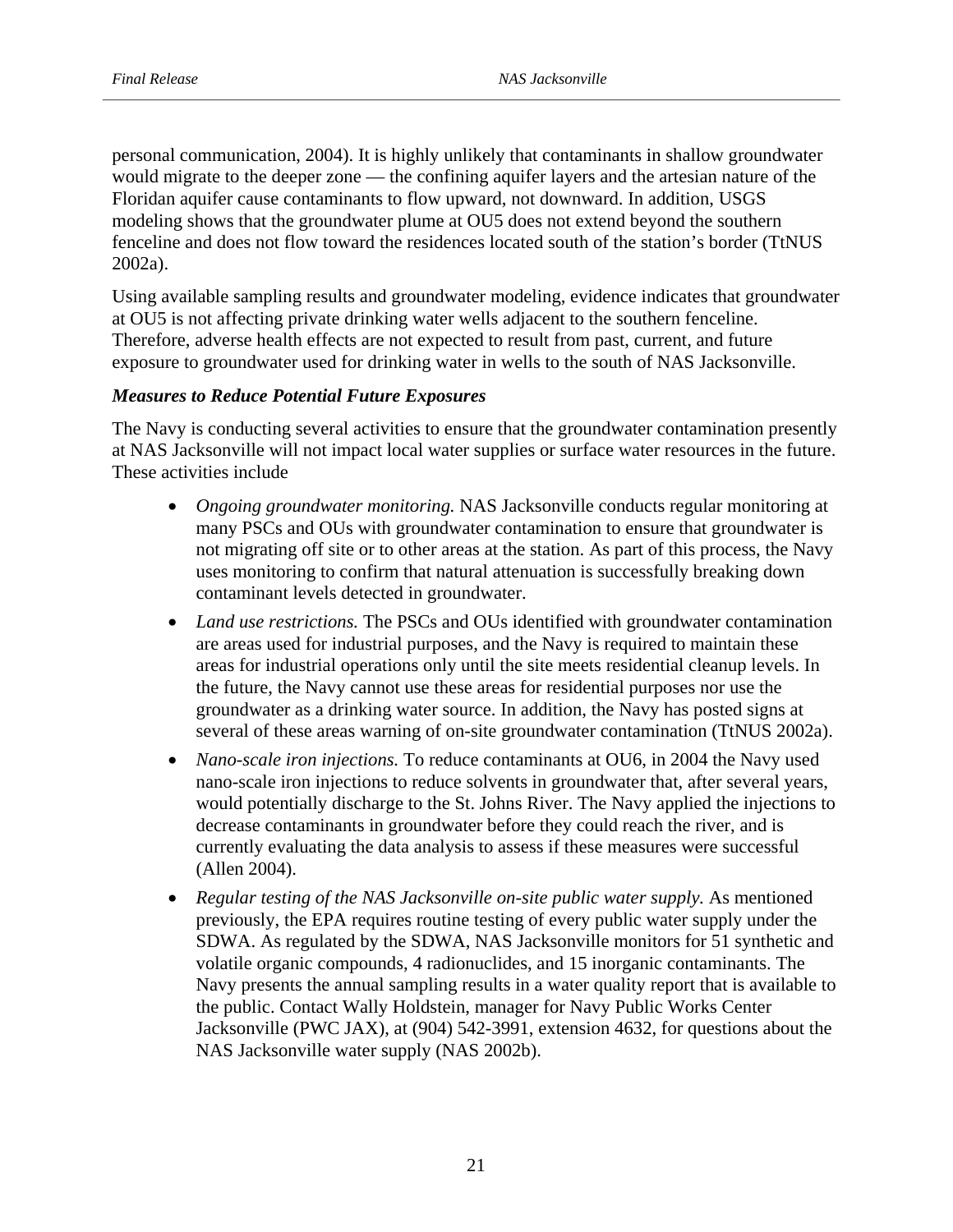personal communication, 2004). It is highly unlikely that contaminants in shallow groundwater would migrate to the deeper zone — the confining aquifer layers and the artesian nature of the Floridan aquifer cause contaminants to flow upward, not downward. In addition, USGS modeling shows that the groundwater plume at OU5 does not extend beyond the southern fenceline and does not flow toward the residences located south of the station's border (TtNUS 2002a).

Using available sampling results and groundwater modeling, evidence indicates that groundwater at OU5 is not affecting private drinking water wells adjacent to the southern fenceline. Therefore, adverse health effects are not expected to result from past, current, and future exposure to groundwater used for drinking water in wells to the south of NAS Jacksonville.

#### *Measures to Reduce Potential Future Exposures*

The Navy is conducting several activities to ensure that the groundwater contamination presently at NAS Jacksonville will not impact local water supplies or surface water resources in the future. These activities include

- • *Ongoing groundwater monitoring.* NAS Jacksonville conducts regular monitoring at many PSCs and OUs with groundwater contamination to ensure that groundwater is not migrating off site or to other areas at the station. As part of this process, the Navy uses monitoring to confirm that natural attenuation is successfully breaking down contaminant levels detected in groundwater.
- *Land use restrictions*. The PSCs and OUs identified with groundwater contamination are areas used for industrial purposes, and the Navy is required to maintain these areas for industrial operations only until the site meets residential cleanup levels. In the future, the Navy cannot use these areas for residential purposes nor use the groundwater as a drinking water source. In addition, the Navy has posted signs at several of these areas warning of on-site groundwater contamination (TtNUS 2002a).
- *Nano-scale iron injections*. To reduce contaminants at OU6, in 2004 the Navy used nano-scale iron injections to reduce solvents in groundwater that, after several years, would potentially discharge to the St. Johns River. The Navy applied the injections to decrease contaminants in groundwater before they could reach the river, and is currently evaluating the data analysis to assess if these measures were successful (Allen 2004).
- *Regular testing of the NAS Jacksonville on-site public water supply.* As mentioned previously, the EPA requires routine testing of every public water supply under the SDWA. As regulated by the SDWA, NAS Jacksonville monitors for 51 synthetic and volatile organic compounds, 4 radionuclides, and 15 inorganic contaminants. The Navy presents the annual sampling results in a water quality report that is available to the public. Contact Wally Holdstein, manager for Navy Public Works Center Jacksonville (PWC JAX), at (904) 542-3991, extension 4632, for questions about the NAS Jacksonville water supply (NAS 2002b).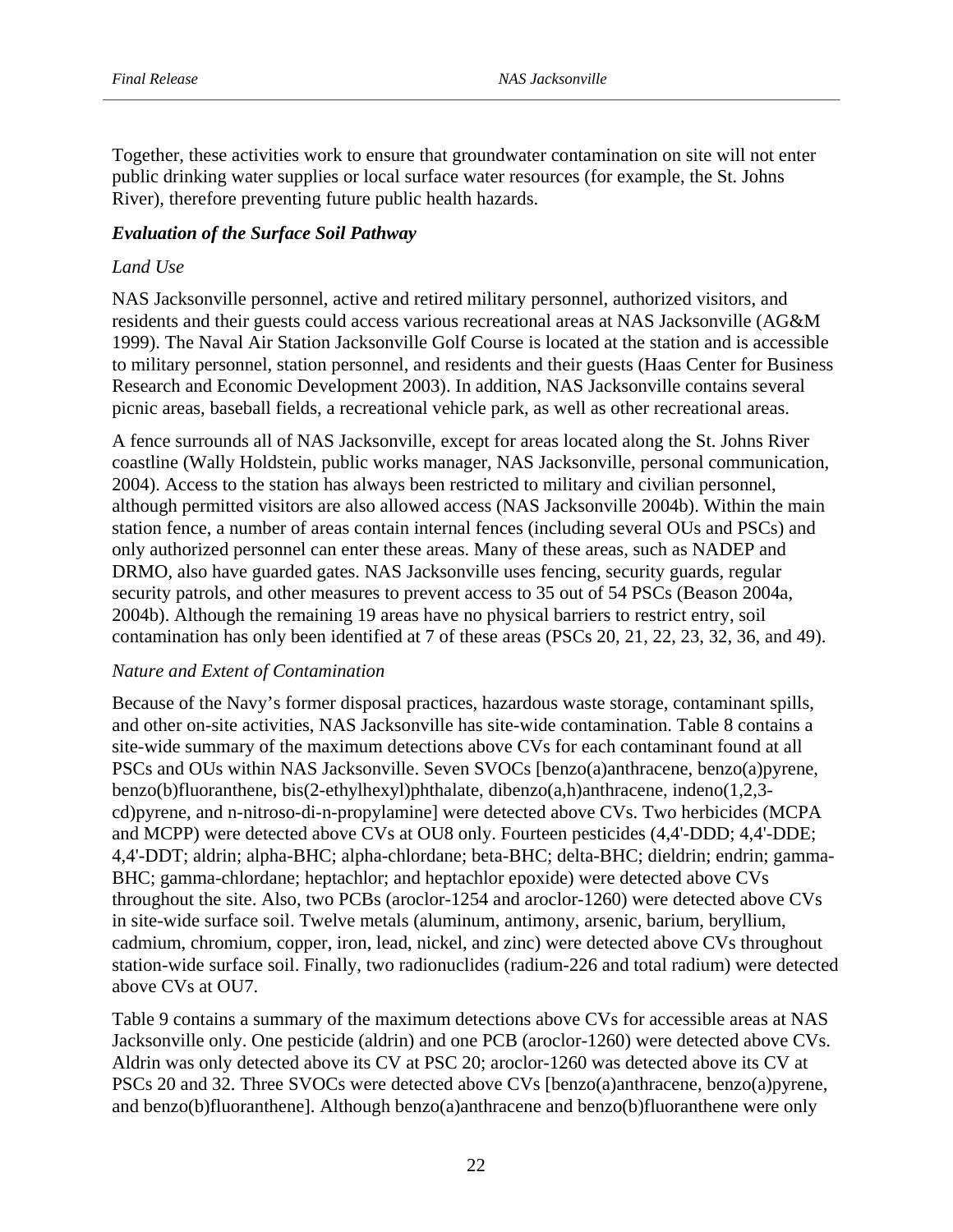Together, these activities work to ensure that groundwater contamination on site will not enter public drinking water supplies or local surface water resources (for example, the St. Johns River), therefore preventing future public health hazards.

#### *Evaluation of the Surface Soil Pathway*

#### *Land Use*

NAS Jacksonville personnel, active and retired military personnel, authorized visitors, and residents and their guests could access various recreational areas at NAS Jacksonville (AG&M 1999). The Naval Air Station Jacksonville Golf Course is located at the station and is accessible to military personnel, station personnel, and residents and their guests (Haas Center for Business Research and Economic Development 2003). In addition, NAS Jacksonville contains several picnic areas, baseball fields, a recreational vehicle park, as well as other recreational areas.

A fence surrounds all of NAS Jacksonville, except for areas located along the St. Johns River coastline (Wally Holdstein, public works manager, NAS Jacksonville, personal communication, 2004). Access to the station has always been restricted to military and civilian personnel, although permitted visitors are also allowed access (NAS Jacksonville 2004b). Within the main station fence, a number of areas contain internal fences (including several OUs and PSCs) and only authorized personnel can enter these areas. Many of these areas, such as NADEP and DRMO, also have guarded gates. NAS Jacksonville uses fencing, security guards, regular security patrols, and other measures to prevent access to 35 out of 54 PSCs (Beason 2004a, 2004b). Although the remaining 19 areas have no physical barriers to restrict entry, soil contamination has only been identified at 7 of these areas (PSCs 20, 21, 22, 23, 32, 36, and 49).

#### *Nature and Extent of Contamination*

Because of the Navy's former disposal practices, hazardous waste storage, contaminant spills, and other on-site activities, NAS Jacksonville has site-wide contamination. Table 8 contains a site-wide summary of the maximum detections above CVs for each contaminant found at all PSCs and OUs within NAS Jacksonville. Seven SVOCs [benzo(a)anthracene, benzo(a)pyrene, benzo(b)fluoranthene, bis(2-ethylhexyl)phthalate, dibenzo(a,h)anthracene, indeno(1,2,3 cd)pyrene, and n-nitroso-di-n-propylamine] were detected above CVs. Two herbicides (MCPA and MCPP) were detected above CVs at OU8 only. Fourteen pesticides (4,4'-DDD; 4,4'-DDE; 4,4'-DDT; aldrin; alpha-BHC; alpha-chlordane; beta-BHC; delta-BHC; dieldrin; endrin; gamma-BHC; gamma-chlordane; heptachlor; and heptachlor epoxide) were detected above CVs throughout the site. Also, two PCBs (aroclor-1254 and aroclor-1260) were detected above CVs in site-wide surface soil. Twelve metals (aluminum, antimony, arsenic, barium, beryllium, cadmium, chromium, copper, iron, lead, nickel, and zinc) were detected above CVs throughout station-wide surface soil. Finally, two radionuclides (radium-226 and total radium) were detected above CVs at OU7.

Table 9 contains a summary of the maximum detections above CVs for accessible areas at NAS Jacksonville only. One pesticide (aldrin) and one PCB (aroclor-1260) were detected above CVs. Aldrin was only detected above its CV at PSC 20; aroclor-1260 was detected above its CV at PSCs 20 and 32. Three SVOCs were detected above CVs [benzo(a)anthracene, benzo(a)pyrene, and benzo(b)fluoranthene]. Although benzo(a)anthracene and benzo(b)fluoranthene were only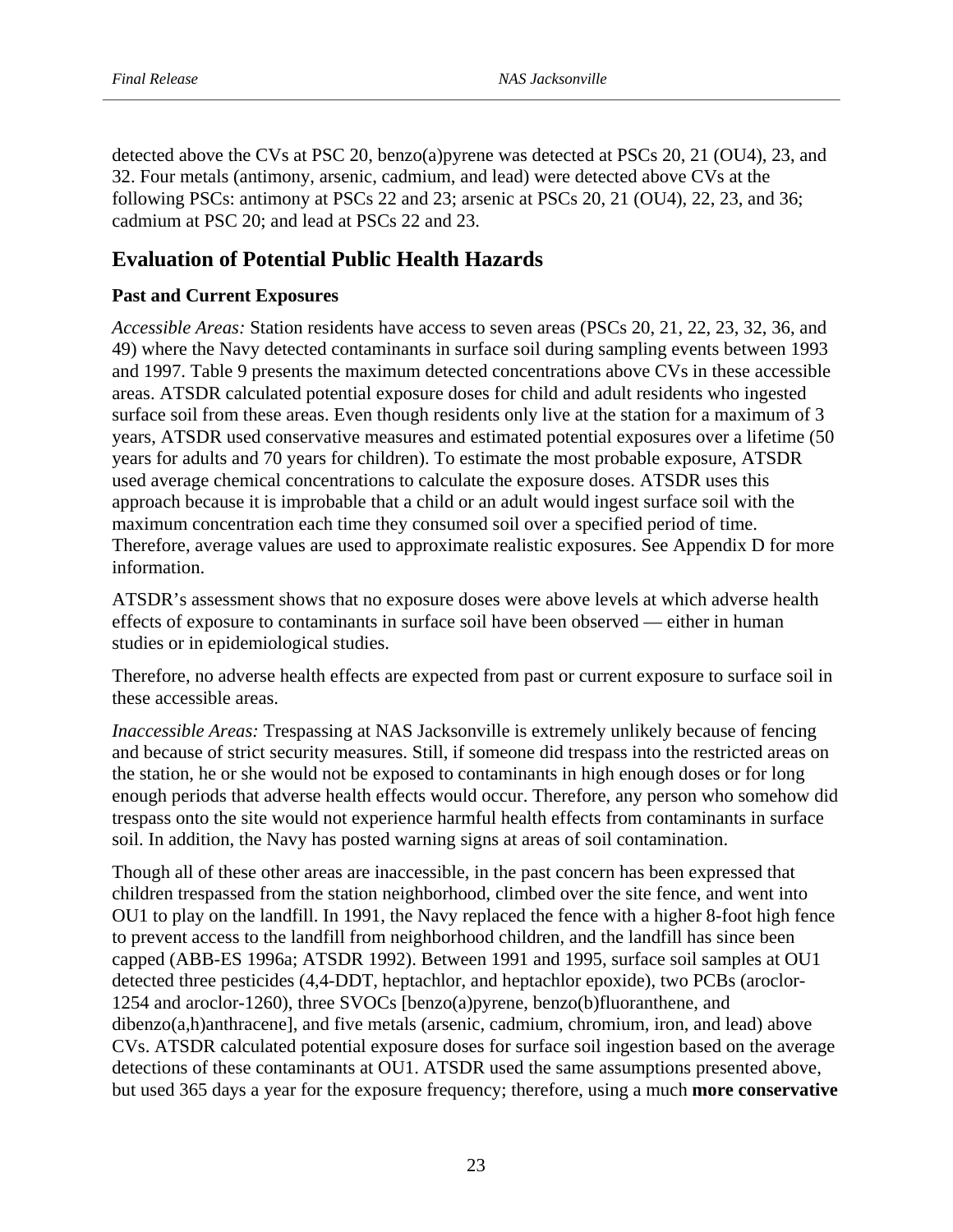detected above the CVs at PSC 20, benzo(a)pyrene was detected at PSCs 20, 21 (OU4), 23, and 32. Four metals (antimony, arsenic, cadmium, and lead) were detected above CVs at the following PSCs: antimony at PSCs 22 and 23; arsenic at PSCs 20, 21 (OU4), 22, 23, and 36; cadmium at PSC 20; and lead at PSCs 22 and 23.

# **Evaluation of Potential Public Health Hazards**

# **Past and Current Exposures**

*Accessible Areas:* Station residents have access to seven areas (PSCs 20, 21, 22, 23, 32, 36, and 49) where the Navy detected contaminants in surface soil during sampling events between 1993 and 1997. Table 9 presents the maximum detected concentrations above CVs in these accessible areas. ATSDR calculated potential exposure doses for child and adult residents who ingested surface soil from these areas. Even though residents only live at the station for a maximum of 3 years, ATSDR used conservative measures and estimated potential exposures over a lifetime (50 years for adults and 70 years for children). To estimate the most probable exposure, ATSDR used average chemical concentrations to calculate the exposure doses. ATSDR uses this approach because it is improbable that a child or an adult would ingest surface soil with the maximum concentration each time they consumed soil over a specified period of time. Therefore, average values are used to approximate realistic exposures. See Appendix D for more information.

ATSDR's assessment shows that no exposure doses were above levels at which adverse health effects of exposure to contaminants in surface soil have been observed — either in human studies or in epidemiological studies.

Therefore, no adverse health effects are expected from past or current exposure to surface soil in these accessible areas.

*Inaccessible Areas:* Trespassing at NAS Jacksonville is extremely unlikely because of fencing and because of strict security measures. Still, if someone did trespass into the restricted areas on the station, he or she would not be exposed to contaminants in high enough doses or for long enough periods that adverse health effects would occur. Therefore, any person who somehow did trespass onto the site would not experience harmful health effects from contaminants in surface soil. In addition, the Navy has posted warning signs at areas of soil contamination.

Though all of these other areas are inaccessible, in the past concern has been expressed that children trespassed from the station neighborhood, climbed over the site fence, and went into OU1 to play on the landfill. In 1991, the Navy replaced the fence with a higher 8-foot high fence to prevent access to the landfill from neighborhood children, and the landfill has since been capped (ABB-ES 1996a; ATSDR 1992). Between 1991 and 1995, surface soil samples at OU1 detected three pesticides (4,4-DDT, heptachlor, and heptachlor epoxide), two PCBs (aroclor-1254 and aroclor-1260), three SVOCs [benzo(a)pyrene, benzo(b)fluoranthene, and dibenzo(a,h)anthracene], and five metals (arsenic, cadmium, chromium, iron, and lead) above CVs. ATSDR calculated potential exposure doses for surface soil ingestion based on the average detections of these contaminants at OU1. ATSDR used the same assumptions presented above, but used 365 days a year for the exposure frequency; therefore, using a much **more conservative**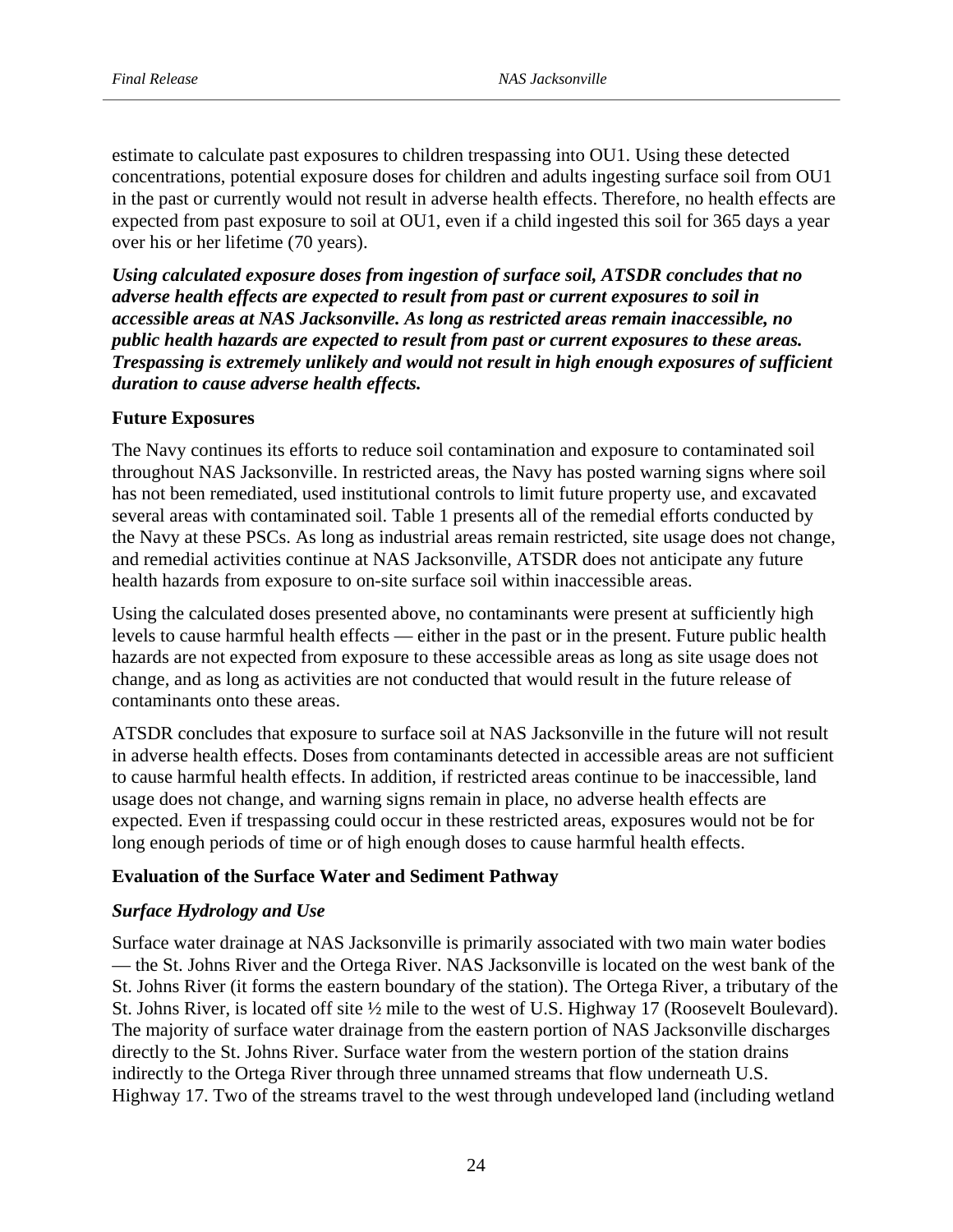estimate to calculate past exposures to children trespassing into OU1. Using these detected concentrations, potential exposure doses for children and adults ingesting surface soil from OU1 in the past or currently would not result in adverse health effects. Therefore, no health effects are expected from past exposure to soil at OU1, even if a child ingested this soil for 365 days a year over his or her lifetime (70 years).

*Using calculated exposure doses from ingestion of surface soil, ATSDR concludes that no adverse health effects are expected to result from past or current exposures to soil in accessible areas at NAS Jacksonville. As long as restricted areas remain inaccessible, no public health hazards are expected to result from past or current exposures to these areas. Trespassing is extremely unlikely and would not result in high enough exposures of sufficient duration to cause adverse health effects.* 

#### **Future Exposures**

The Navy continues its efforts to reduce soil contamination and exposure to contaminated soil throughout NAS Jacksonville. In restricted areas, the Navy has posted warning signs where soil has not been remediated, used institutional controls to limit future property use, and excavated several areas with contaminated soil. Table 1 presents all of the remedial efforts conducted by the Navy at these PSCs. As long as industrial areas remain restricted, site usage does not change, and remedial activities continue at NAS Jacksonville, ATSDR does not anticipate any future health hazards from exposure to on-site surface soil within inaccessible areas.

Using the calculated doses presented above, no contaminants were present at sufficiently high levels to cause harmful health effects — either in the past or in the present. Future public health hazards are not expected from exposure to these accessible areas as long as site usage does not change, and as long as activities are not conducted that would result in the future release of contaminants onto these areas.

ATSDR concludes that exposure to surface soil at NAS Jacksonville in the future will not result in adverse health effects. Doses from contaminants detected in accessible areas are not sufficient to cause harmful health effects. In addition, if restricted areas continue to be inaccessible, land usage does not change, and warning signs remain in place, no adverse health effects are expected. Even if trespassing could occur in these restricted areas, exposures would not be for long enough periods of time or of high enough doses to cause harmful health effects.

#### **Evaluation of the Surface Water and Sediment Pathway**

#### *Surface Hydrology and Use*

Surface water drainage at NAS Jacksonville is primarily associated with two main water bodies — the St. Johns River and the Ortega River. NAS Jacksonville is located on the west bank of the St. Johns River (it forms the eastern boundary of the station). The Ortega River, a tributary of the St. Johns River, is located off site ½ mile to the west of U.S. Highway 17 (Roosevelt Boulevard). The majority of surface water drainage from the eastern portion of NAS Jacksonville discharges directly to the St. Johns River. Surface water from the western portion of the station drains indirectly to the Ortega River through three unnamed streams that flow underneath U.S. Highway 17. Two of the streams travel to the west through undeveloped land (including wetland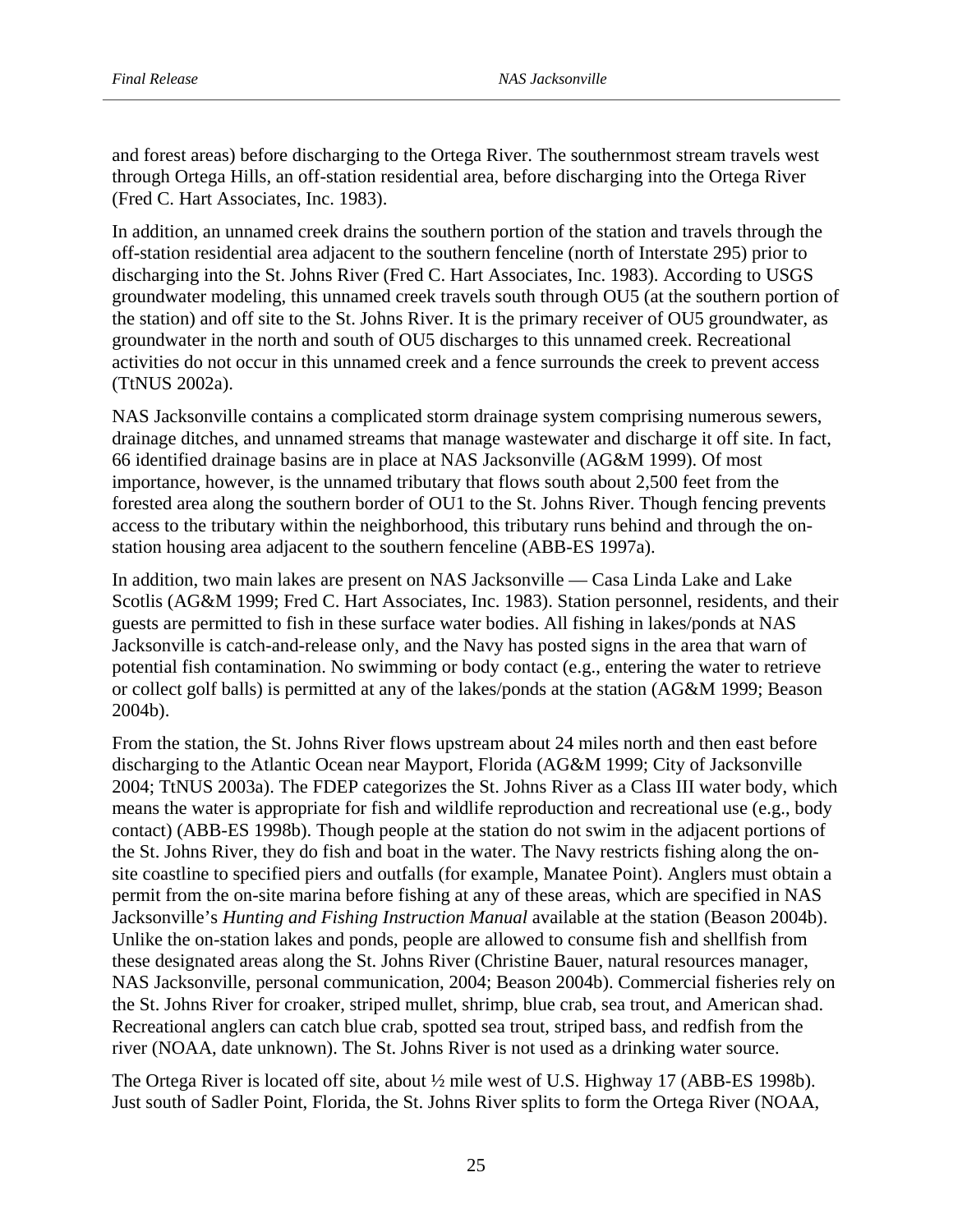and forest areas) before discharging to the Ortega River. The southernmost stream travels west through Ortega Hills, an off-station residential area, before discharging into the Ortega River (Fred C. Hart Associates, Inc. 1983).

In addition, an unnamed creek drains the southern portion of the station and travels through the off-station residential area adjacent to the southern fenceline (north of Interstate 295) prior to discharging into the St. Johns River (Fred C. Hart Associates, Inc. 1983). According to USGS groundwater modeling, this unnamed creek travels south through OU5 (at the southern portion of the station) and off site to the St. Johns River. It is the primary receiver of OU5 groundwater, as groundwater in the north and south of OU5 discharges to this unnamed creek. Recreational activities do not occur in this unnamed creek and a fence surrounds the creek to prevent access (TtNUS 2002a).

NAS Jacksonville contains a complicated storm drainage system comprising numerous sewers, drainage ditches, and unnamed streams that manage wastewater and discharge it off site. In fact, 66 identified drainage basins are in place at NAS Jacksonville (AG&M 1999). Of most importance, however, is the unnamed tributary that flows south about 2,500 feet from the forested area along the southern border of OU1 to the St. Johns River. Though fencing prevents access to the tributary within the neighborhood, this tributary runs behind and through the onstation housing area adjacent to the southern fenceline (ABB-ES 1997a).

In addition, two main lakes are present on NAS Jacksonville — Casa Linda Lake and Lake Scotlis (AG&M 1999; Fred C. Hart Associates, Inc. 1983). Station personnel, residents, and their guests are permitted to fish in these surface water bodies. All fishing in lakes/ponds at NAS Jacksonville is catch-and-release only, and the Navy has posted signs in the area that warn of potential fish contamination. No swimming or body contact (e.g., entering the water to retrieve or collect golf balls) is permitted at any of the lakes/ponds at the station (AG&M 1999; Beason 2004b).

From the station, the St. Johns River flows upstream about 24 miles north and then east before discharging to the Atlantic Ocean near Mayport, Florida (AG&M 1999; City of Jacksonville 2004; TtNUS 2003a). The FDEP categorizes the St. Johns River as a Class III water body, which means the water is appropriate for fish and wildlife reproduction and recreational use (e.g., body contact) (ABB-ES 1998b). Though people at the station do not swim in the adjacent portions of the St. Johns River, they do fish and boat in the water. The Navy restricts fishing along the onsite coastline to specified piers and outfalls (for example, Manatee Point). Anglers must obtain a permit from the on-site marina before fishing at any of these areas, which are specified in NAS Jacksonville's *Hunting and Fishing Instruction Manual* available at the station (Beason 2004b). Unlike the on-station lakes and ponds, people are allowed to consume fish and shellfish from these designated areas along the St. Johns River (Christine Bauer, natural resources manager, NAS Jacksonville, personal communication, 2004; Beason 2004b). Commercial fisheries rely on the St. Johns River for croaker, striped mullet, shrimp, blue crab, sea trout, and American shad. Recreational anglers can catch blue crab, spotted sea trout, striped bass, and redfish from the river (NOAA, date unknown). The St. Johns River is not used as a drinking water source.

The Ortega River is located off site, about ½ mile west of U.S. Highway 17 (ABB-ES 1998b). Just south of Sadler Point, Florida, the St. Johns River splits to form the Ortega River (NOAA,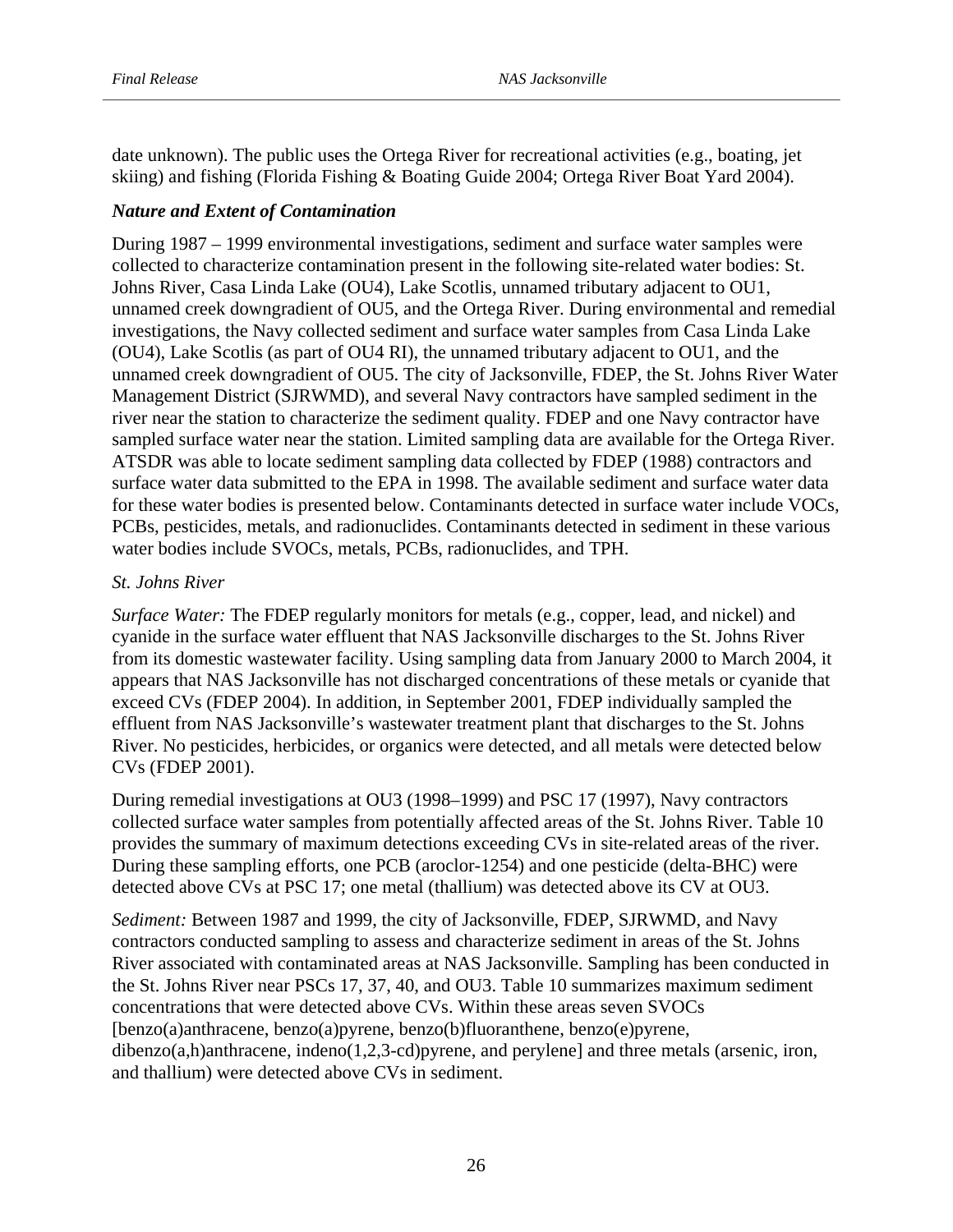date unknown). The public uses the Ortega River for recreational activities (e.g., boating, jet skiing) and fishing (Florida Fishing & Boating Guide 2004; Ortega River Boat Yard 2004).

#### *Nature and Extent of Contamination*

During 1987 – 1999 environmental investigations, sediment and surface water samples were collected to characterize contamination present in the following site-related water bodies: St. Johns River, Casa Linda Lake (OU4), Lake Scotlis, unnamed tributary adjacent to OU1, unnamed creek downgradient of OU5, and the Ortega River. During environmental and remedial investigations, the Navy collected sediment and surface water samples from Casa Linda Lake (OU4), Lake Scotlis (as part of OU4 RI), the unnamed tributary adjacent to OU1, and the unnamed creek downgradient of OU5. The city of Jacksonville, FDEP, the St. Johns River Water Management District (SJRWMD), and several Navy contractors have sampled sediment in the river near the station to characterize the sediment quality. FDEP and one Navy contractor have sampled surface water near the station. Limited sampling data are available for the Ortega River. ATSDR was able to locate sediment sampling data collected by FDEP (1988) contractors and surface water data submitted to the EPA in 1998. The available sediment and surface water data for these water bodies is presented below. Contaminants detected in surface water include VOCs, PCBs, pesticides, metals, and radionuclides. Contaminants detected in sediment in these various water bodies include SVOCs, metals, PCBs, radionuclides, and TPH.

#### *St. Johns River*

*Surface Water:* The FDEP regularly monitors for metals (e.g., copper, lead, and nickel) and cyanide in the surface water effluent that NAS Jacksonville discharges to the St. Johns River from its domestic wastewater facility. Using sampling data from January 2000 to March 2004, it appears that NAS Jacksonville has not discharged concentrations of these metals or cyanide that exceed CVs (FDEP 2004). In addition, in September 2001, FDEP individually sampled the effluent from NAS Jacksonville's wastewater treatment plant that discharges to the St. Johns River. No pesticides, herbicides, or organics were detected, and all metals were detected below CVs (FDEP 2001).

During remedial investigations at OU3 (1998–1999) and PSC 17 (1997), Navy contractors collected surface water samples from potentially affected areas of the St. Johns River. Table 10 provides the summary of maximum detections exceeding CVs in site-related areas of the river. During these sampling efforts, one PCB (aroclor-1254) and one pesticide (delta-BHC) were detected above CVs at PSC 17; one metal (thallium) was detected above its CV at OU3.

*Sediment:* Between 1987 and 1999, the city of Jacksonville, FDEP, SJRWMD, and Navy contractors conducted sampling to assess and characterize sediment in areas of the St. Johns River associated with contaminated areas at NAS Jacksonville. Sampling has been conducted in the St. Johns River near PSCs 17, 37, 40, and OU3. Table 10 summarizes maximum sediment concentrations that were detected above CVs. Within these areas seven SVOCs [benzo(a)anthracene, benzo(a)pyrene, benzo(b)fluoranthene, benzo(e)pyrene, dibenzo(a,h)anthracene, indeno(1,2,3-cd)pyrene, and perylene] and three metals (arsenic, iron, and thallium) were detected above CVs in sediment.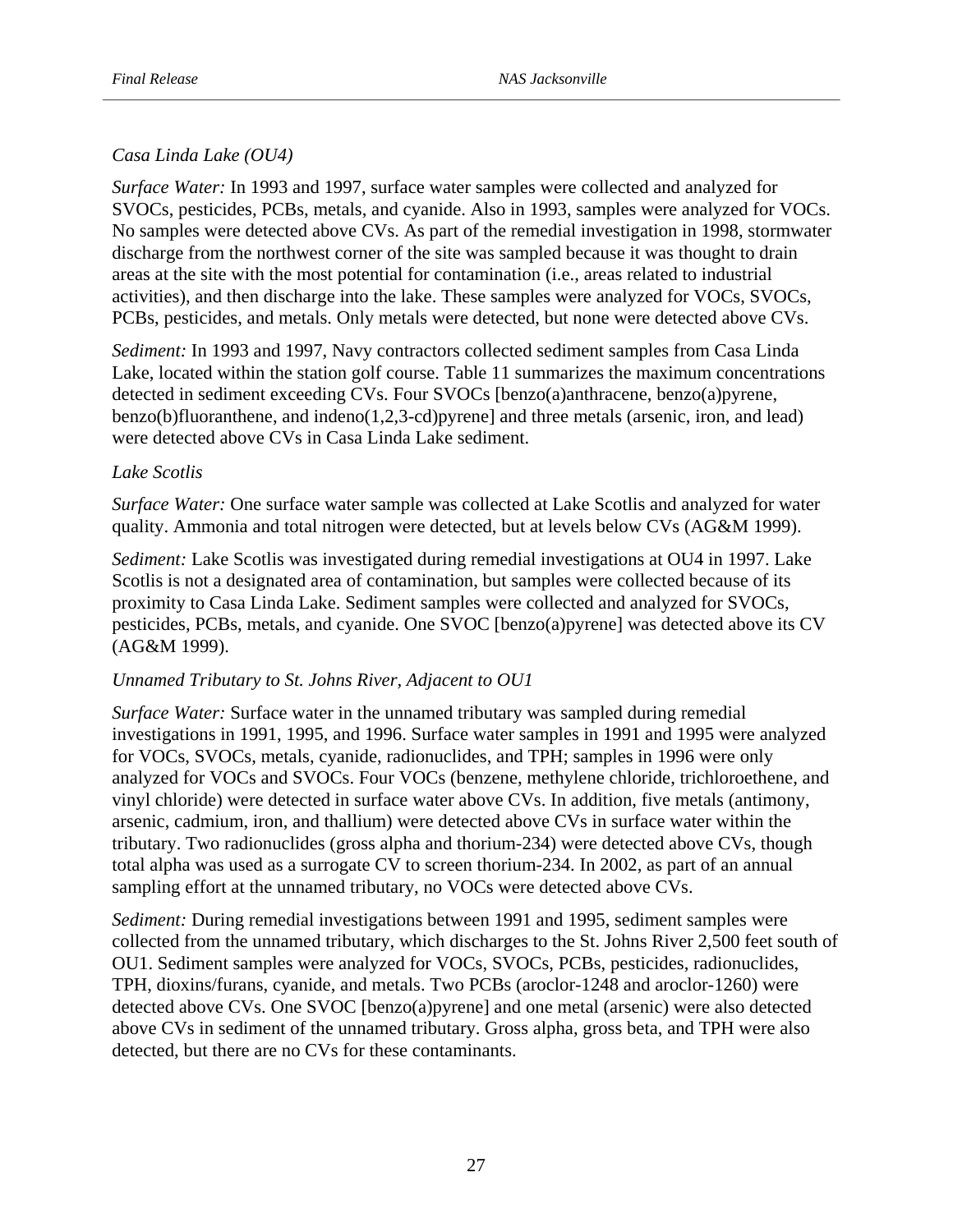# *Casa Linda Lake (OU4)*

*Surface Water:* In 1993 and 1997, surface water samples were collected and analyzed for SVOCs, pesticides, PCBs, metals, and cyanide. Also in 1993, samples were analyzed for VOCs. No samples were detected above CVs. As part of the remedial investigation in 1998, stormwater discharge from the northwest corner of the site was sampled because it was thought to drain areas at the site with the most potential for contamination (i.e., areas related to industrial activities), and then discharge into the lake. These samples were analyzed for VOCs, SVOCs, PCBs, pesticides, and metals. Only metals were detected, but none were detected above CVs.

*Sediment:* In 1993 and 1997, Navy contractors collected sediment samples from Casa Linda Lake, located within the station golf course. Table 11 summarizes the maximum concentrations detected in sediment exceeding CVs. Four SVOCs [benzo(a)anthracene, benzo(a)pyrene, benzo(b)fluoranthene, and indeno(1,2,3-cd)pyrene] and three metals (arsenic, iron, and lead) were detected above CVs in Casa Linda Lake sediment.

## *Lake Scotlis*

*Surface Water:* One surface water sample was collected at Lake Scotlis and analyzed for water quality. Ammonia and total nitrogen were detected, but at levels below CVs (AG&M 1999).

*Sediment:* Lake Scotlis was investigated during remedial investigations at OU4 in 1997. Lake Scotlis is not a designated area of contamination, but samples were collected because of its proximity to Casa Linda Lake. Sediment samples were collected and analyzed for SVOCs, pesticides, PCBs, metals, and cyanide. One SVOC [benzo(a)pyrene] was detected above its CV (AG&M 1999).

## *Unnamed Tributary to St. Johns River, Adjacent to OU1*

*Surface Water:* Surface water in the unnamed tributary was sampled during remedial investigations in 1991, 1995, and 1996. Surface water samples in 1991 and 1995 were analyzed for VOCs, SVOCs, metals, cyanide, radionuclides, and TPH; samples in 1996 were only analyzed for VOCs and SVOCs. Four VOCs (benzene, methylene chloride, trichloroethene, and vinyl chloride) were detected in surface water above CVs. In addition, five metals (antimony, arsenic, cadmium, iron, and thallium) were detected above CVs in surface water within the tributary. Two radionuclides (gross alpha and thorium-234) were detected above CVs, though total alpha was used as a surrogate CV to screen thorium-234. In 2002, as part of an annual sampling effort at the unnamed tributary, no VOCs were detected above CVs.

*Sediment:* During remedial investigations between 1991 and 1995, sediment samples were collected from the unnamed tributary, which discharges to the St. Johns River 2,500 feet south of OU1. Sediment samples were analyzed for VOCs, SVOCs, PCBs, pesticides, radionuclides, TPH, dioxins/furans, cyanide, and metals. Two PCBs (aroclor-1248 and aroclor-1260) were detected above CVs. One SVOC [benzo(a)pyrene] and one metal (arsenic) were also detected above CVs in sediment of the unnamed tributary. Gross alpha, gross beta, and TPH were also detected, but there are no CVs for these contaminants.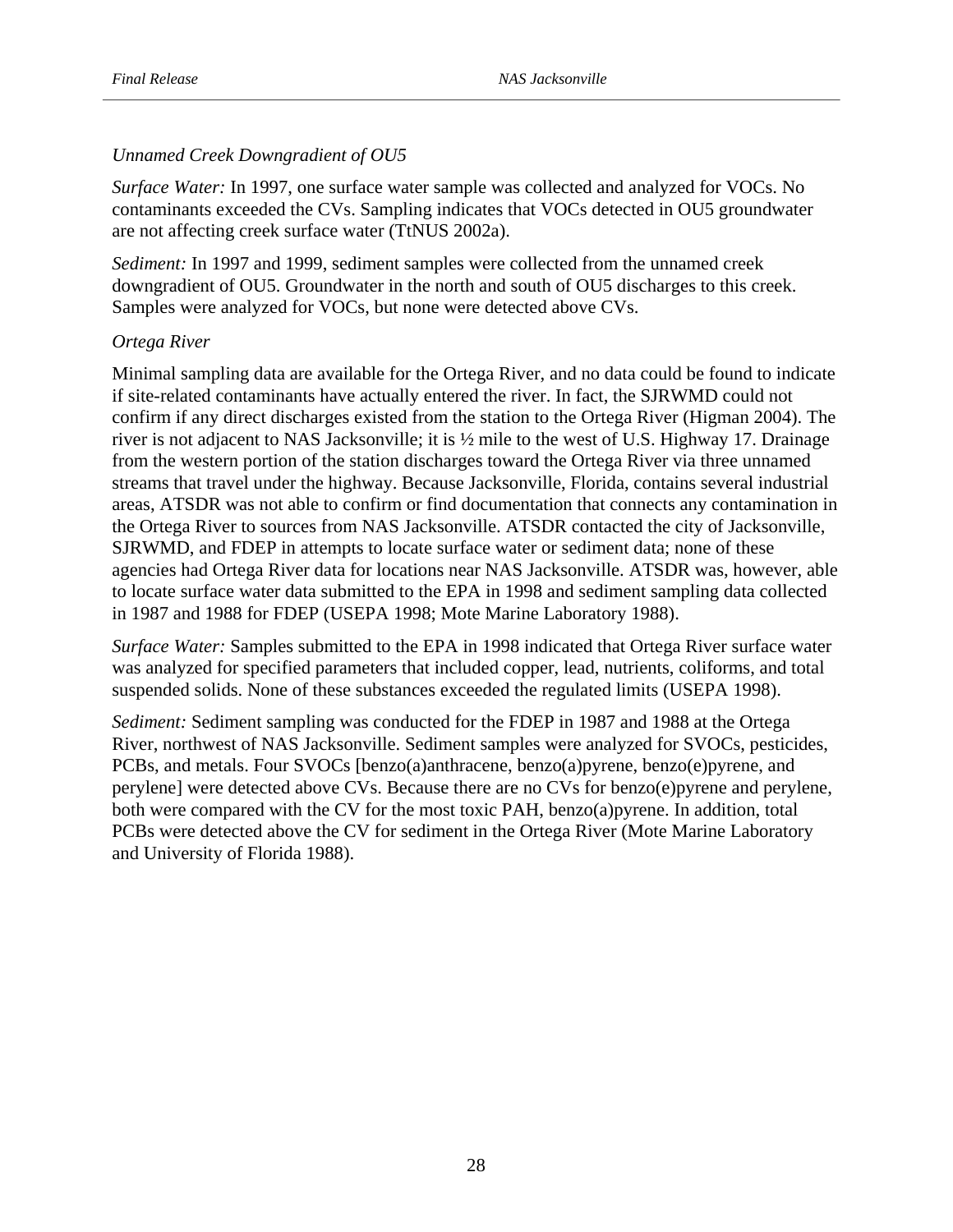# *Unnamed Creek Downgradient of OU5*

*Surface Water:* In 1997, one surface water sample was collected and analyzed for VOCs. No contaminants exceeded the CVs. Sampling indicates that VOCs detected in OU5 groundwater are not affecting creek surface water (TtNUS 2002a).

*Sediment:* In 1997 and 1999, sediment samples were collected from the unnamed creek downgradient of OU5. Groundwater in the north and south of OU5 discharges to this creek. Samples were analyzed for VOCs, but none were detected above CVs.

## *Ortega River*

Minimal sampling data are available for the Ortega River, and no data could be found to indicate if site-related contaminants have actually entered the river. In fact, the SJRWMD could not confirm if any direct discharges existed from the station to the Ortega River (Higman 2004). The river is not adjacent to NAS Jacksonville; it is ½ mile to the west of U.S. Highway 17. Drainage from the western portion of the station discharges toward the Ortega River via three unnamed streams that travel under the highway. Because Jacksonville, Florida, contains several industrial areas, ATSDR was not able to confirm or find documentation that connects any contamination in the Ortega River to sources from NAS Jacksonville. ATSDR contacted the city of Jacksonville, SJRWMD, and FDEP in attempts to locate surface water or sediment data; none of these agencies had Ortega River data for locations near NAS Jacksonville. ATSDR was, however, able to locate surface water data submitted to the EPA in 1998 and sediment sampling data collected in 1987 and 1988 for FDEP (USEPA 1998; Mote Marine Laboratory 1988).

*Surface Water:* Samples submitted to the EPA in 1998 indicated that Ortega River surface water was analyzed for specified parameters that included copper, lead, nutrients, coliforms, and total suspended solids. None of these substances exceeded the regulated limits (USEPA 1998).

*Sediment:* Sediment sampling was conducted for the FDEP in 1987 and 1988 at the Ortega River, northwest of NAS Jacksonville. Sediment samples were analyzed for SVOCs, pesticides, PCBs, and metals. Four SVOCs [benzo(a)anthracene, benzo(a)pyrene, benzo(e)pyrene, and perylene] were detected above CVs. Because there are no CVs for benzo(e)pyrene and perylene, both were compared with the CV for the most toxic PAH, benzo(a)pyrene. In addition, total PCBs were detected above the CV for sediment in the Ortega River (Mote Marine Laboratory and University of Florida 1988).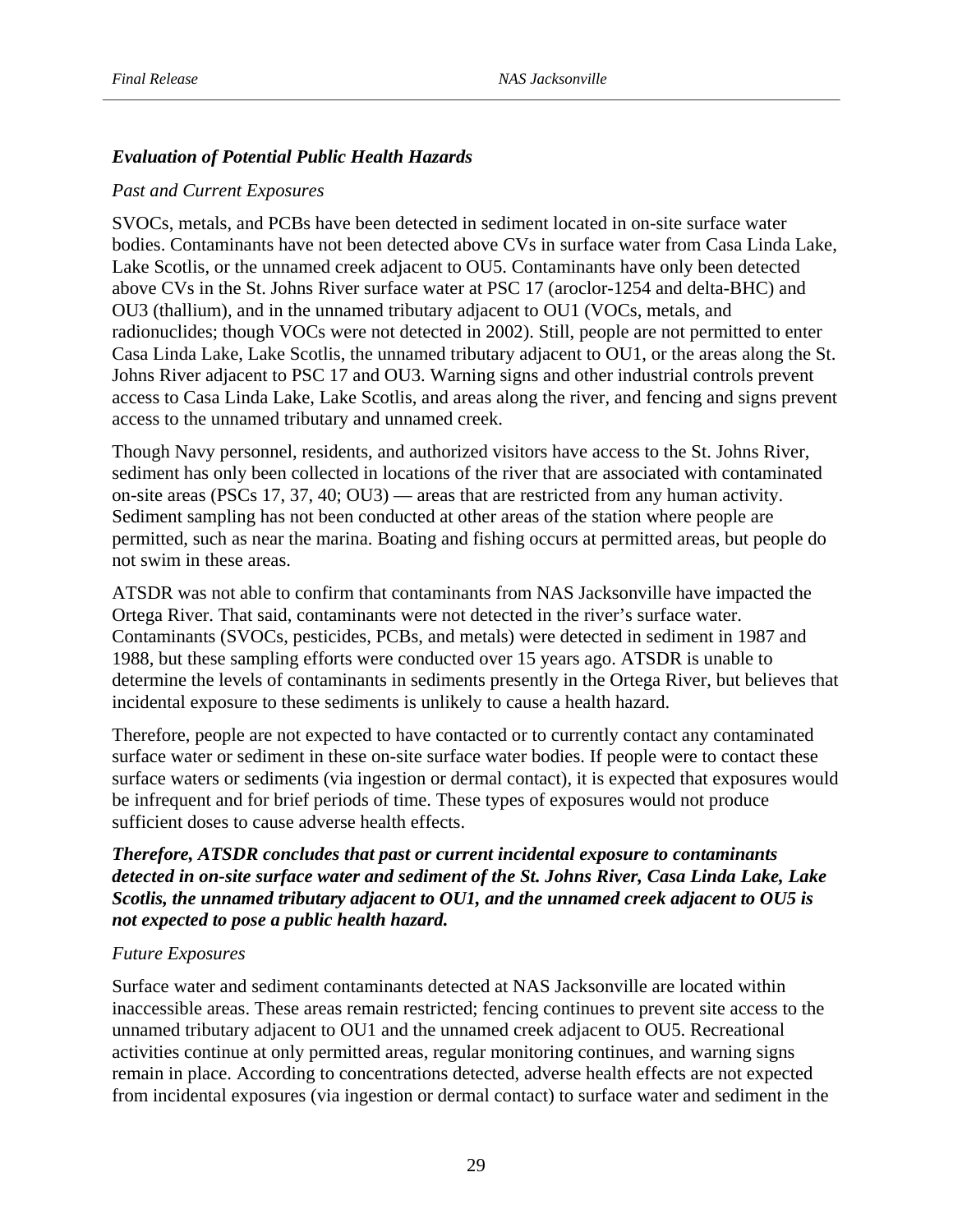# *Evaluation of Potential Public Health Hazards*

## *Past and Current Exposures*

SVOCs, metals, and PCBs have been detected in sediment located in on-site surface water bodies. Contaminants have not been detected above CVs in surface water from Casa Linda Lake, Lake Scotlis, or the unnamed creek adjacent to OU5. Contaminants have only been detected above CVs in the St. Johns River surface water at PSC 17 (aroclor-1254 and delta-BHC) and OU3 (thallium), and in the unnamed tributary adjacent to OU1 (VOCs, metals, and radionuclides; though VOCs were not detected in 2002). Still, people are not permitted to enter Casa Linda Lake, Lake Scotlis, the unnamed tributary adjacent to OU1, or the areas along the St. Johns River adjacent to PSC 17 and OU3. Warning signs and other industrial controls prevent access to Casa Linda Lake, Lake Scotlis, and areas along the river, and fencing and signs prevent access to the unnamed tributary and unnamed creek.

Though Navy personnel, residents, and authorized visitors have access to the St. Johns River, sediment has only been collected in locations of the river that are associated with contaminated on-site areas (PSCs 17, 37, 40; OU3) — areas that are restricted from any human activity. Sediment sampling has not been conducted at other areas of the station where people are permitted, such as near the marina. Boating and fishing occurs at permitted areas, but people do not swim in these areas.

ATSDR was not able to confirm that contaminants from NAS Jacksonville have impacted the Ortega River. That said, contaminants were not detected in the river's surface water. Contaminants (SVOCs, pesticides, PCBs, and metals) were detected in sediment in 1987 and 1988, but these sampling efforts were conducted over 15 years ago. ATSDR is unable to determine the levels of contaminants in sediments presently in the Ortega River, but believes that incidental exposure to these sediments is unlikely to cause a health hazard.

Therefore, people are not expected to have contacted or to currently contact any contaminated surface water or sediment in these on-site surface water bodies. If people were to contact these surface waters or sediments (via ingestion or dermal contact), it is expected that exposures would be infrequent and for brief periods of time. These types of exposures would not produce sufficient doses to cause adverse health effects.

# *Therefore, ATSDR concludes that past or current incidental exposure to contaminants detected in on-site surface water and sediment of the St. Johns River, Casa Linda Lake, Lake Scotlis, the unnamed tributary adjacent to OU1, and the unnamed creek adjacent to OU5 is not expected to pose a public health hazard.*

## *Future Exposures*

Surface water and sediment contaminants detected at NAS Jacksonville are located within inaccessible areas. These areas remain restricted; fencing continues to prevent site access to the unnamed tributary adjacent to OU1 and the unnamed creek adjacent to OU5. Recreational activities continue at only permitted areas, regular monitoring continues, and warning signs remain in place. According to concentrations detected, adverse health effects are not expected from incidental exposures (via ingestion or dermal contact) to surface water and sediment in the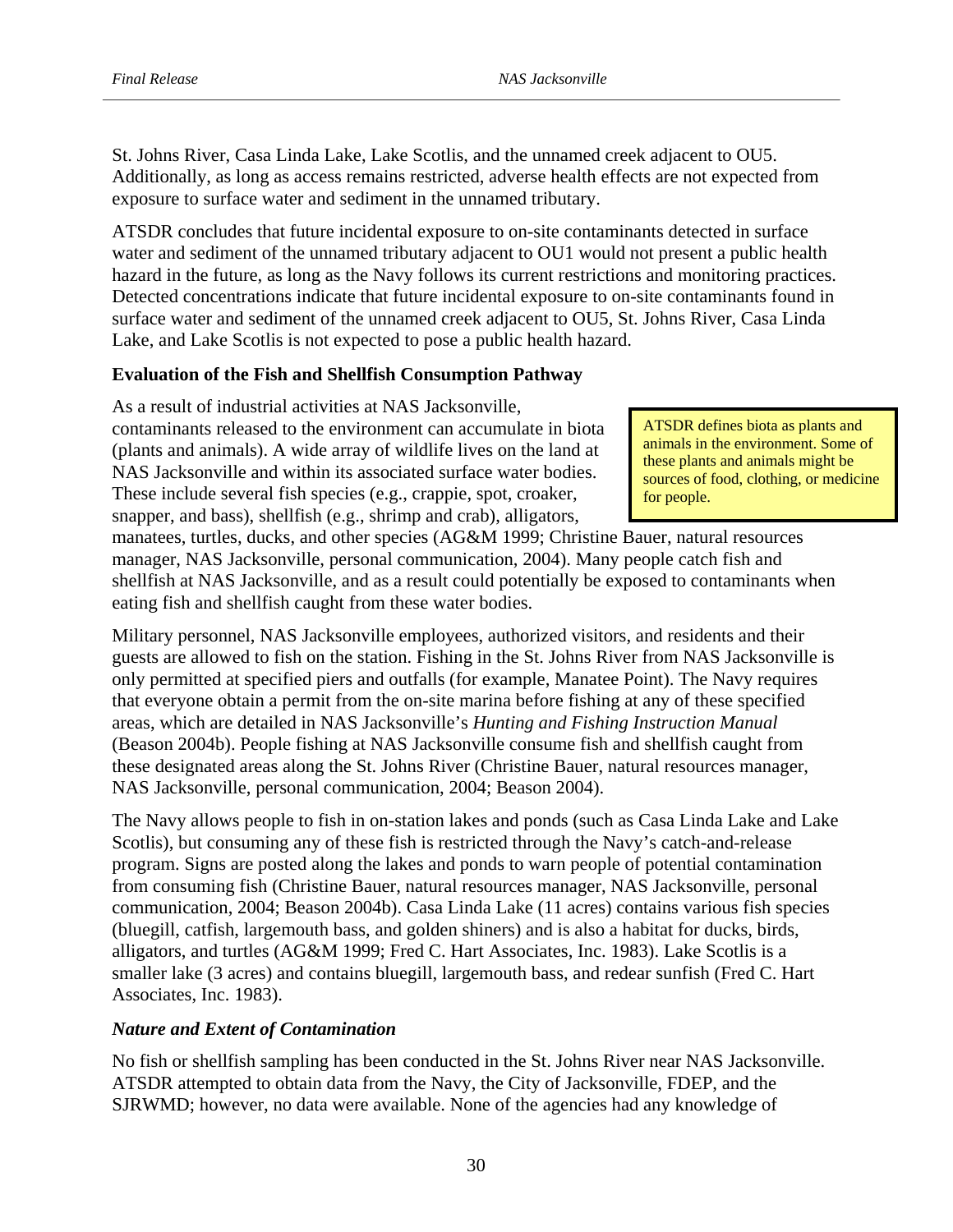St. Johns River, Casa Linda Lake, Lake Scotlis, and the unnamed creek adjacent to OU5. Additionally, as long as access remains restricted, adverse health effects are not expected from exposure to surface water and sediment in the unnamed tributary.

ATSDR concludes that future incidental exposure to on-site contaminants detected in surface water and sediment of the unnamed tributary adjacent to OU1 would not present a public health hazard in the future, as long as the Navy follows its current restrictions and monitoring practices. Detected concentrations indicate that future incidental exposure to on-site contaminants found in surface water and sediment of the unnamed creek adjacent to OU5, St. Johns River, Casa Linda Lake, and Lake Scotlis is not expected to pose a public health hazard.

# **Evaluation of the Fish and Shellfish Consumption Pathway**

As a result of industrial activities at NAS Jacksonville, contaminants released to the environment can accumulate in biota (plants and animals). A wide array of wildlife lives on the land at NAS Jacksonville and within its associated surface water bodies. These include several fish species (e.g., crappie, spot, croaker, snapper, and bass), shellfish (e.g., shrimp and crab), alligators,

ATSDR defines biota as plants and animals in the environment. Some of these plants and animals might be sources of food, clothing, or medicine for people.

manatees, turtles, ducks, and other species (AG&M 1999; Christine Bauer, natural resources manager, NAS Jacksonville, personal communication, 2004). Many people catch fish and shellfish at NAS Jacksonville, and as a result could potentially be exposed to contaminants when eating fish and shellfish caught from these water bodies.

Military personnel, NAS Jacksonville employees, authorized visitors, and residents and their guests are allowed to fish on the station. Fishing in the St. Johns River from NAS Jacksonville is only permitted at specified piers and outfalls (for example, Manatee Point). The Navy requires that everyone obtain a permit from the on-site marina before fishing at any of these specified areas, which are detailed in NAS Jacksonville's *Hunting and Fishing Instruction Manual*  (Beason 2004b). People fishing at NAS Jacksonville consume fish and shellfish caught from these designated areas along the St. Johns River (Christine Bauer, natural resources manager, NAS Jacksonville, personal communication, 2004; Beason 2004).

The Navy allows people to fish in on-station lakes and ponds (such as Casa Linda Lake and Lake Scotlis), but consuming any of these fish is restricted through the Navy's catch-and-release program. Signs are posted along the lakes and ponds to warn people of potential contamination from consuming fish (Christine Bauer, natural resources manager, NAS Jacksonville, personal communication, 2004; Beason 2004b). Casa Linda Lake (11 acres) contains various fish species (bluegill, catfish, largemouth bass, and golden shiners) and is also a habitat for ducks, birds, alligators, and turtles (AG&M 1999; Fred C. Hart Associates, Inc. 1983). Lake Scotlis is a smaller lake (3 acres) and contains bluegill, largemouth bass, and redear sunfish (Fred C. Hart Associates, Inc. 1983).

# *Nature and Extent of Contamination*

No fish or shellfish sampling has been conducted in the St. Johns River near NAS Jacksonville. ATSDR attempted to obtain data from the Navy, the City of Jacksonville, FDEP, and the SJRWMD; however, no data were available. None of the agencies had any knowledge of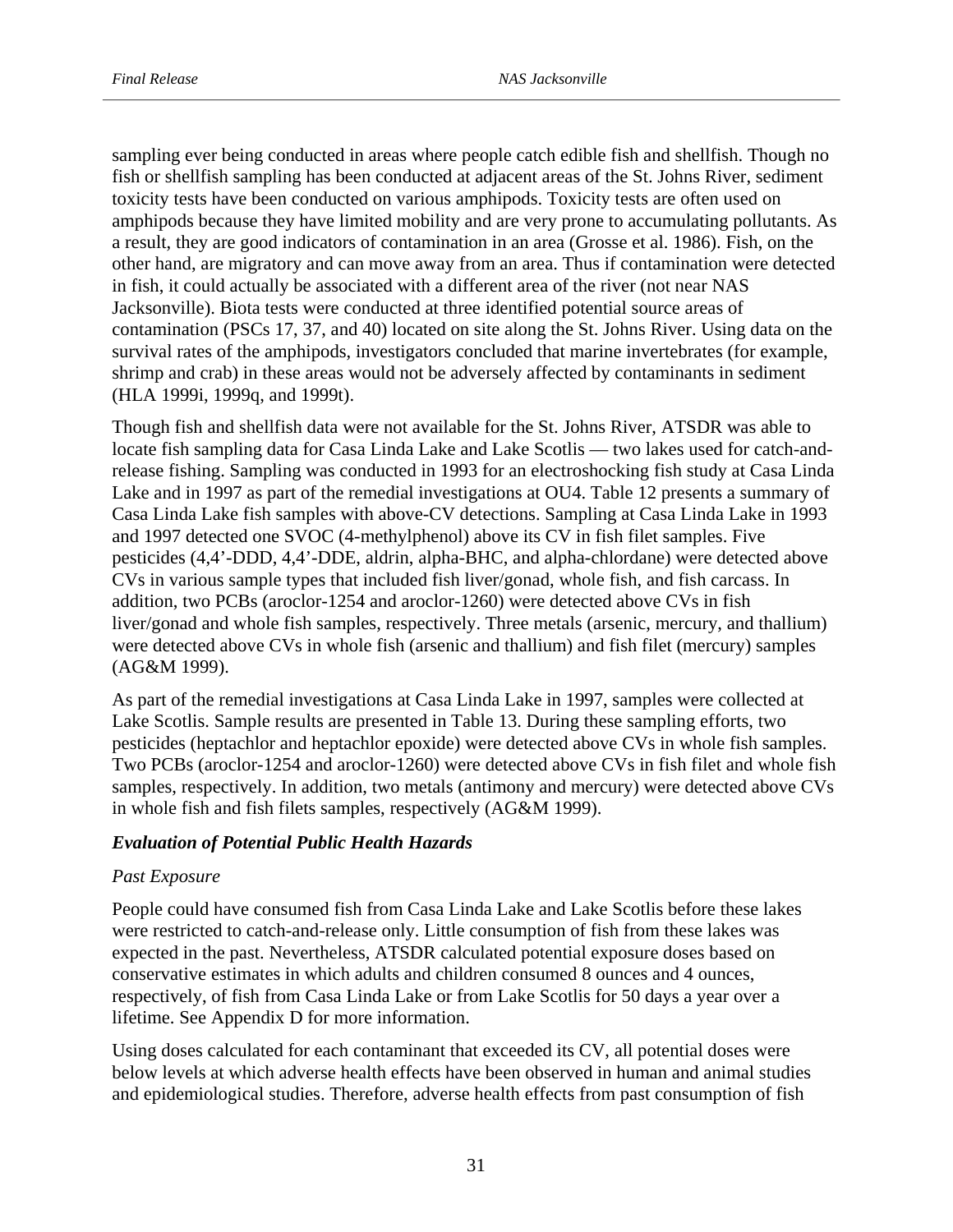sampling ever being conducted in areas where people catch edible fish and shellfish. Though no fish or shellfish sampling has been conducted at adjacent areas of the St. Johns River, sediment toxicity tests have been conducted on various amphipods. Toxicity tests are often used on amphipods because they have limited mobility and are very prone to accumulating pollutants. As a result, they are good indicators of contamination in an area (Grosse et al. 1986). Fish, on the other hand, are migratory and can move away from an area. Thus if contamination were detected in fish, it could actually be associated with a different area of the river (not near NAS Jacksonville). Biota tests were conducted at three identified potential source areas of contamination (PSCs 17, 37, and 40) located on site along the St. Johns River. Using data on the survival rates of the amphipods, investigators concluded that marine invertebrates (for example, shrimp and crab) in these areas would not be adversely affected by contaminants in sediment (HLA 1999i, 1999q, and 1999t).

Though fish and shellfish data were not available for the St. Johns River, ATSDR was able to locate fish sampling data for Casa Linda Lake and Lake Scotlis — two lakes used for catch-andrelease fishing. Sampling was conducted in 1993 for an electroshocking fish study at Casa Linda Lake and in 1997 as part of the remedial investigations at OU4. Table 12 presents a summary of Casa Linda Lake fish samples with above-CV detections. Sampling at Casa Linda Lake in 1993 and 1997 detected one SVOC (4-methylphenol) above its CV in fish filet samples. Five pesticides (4,4'-DDD, 4,4'-DDE, aldrin, alpha-BHC, and alpha-chlordane) were detected above CVs in various sample types that included fish liver/gonad, whole fish, and fish carcass. In addition, two PCBs (aroclor-1254 and aroclor-1260) were detected above CVs in fish liver/gonad and whole fish samples, respectively. Three metals (arsenic, mercury, and thallium) were detected above CVs in whole fish (arsenic and thallium) and fish filet (mercury) samples (AG&M 1999).

As part of the remedial investigations at Casa Linda Lake in 1997, samples were collected at Lake Scotlis. Sample results are presented in Table 13. During these sampling efforts, two pesticides (heptachlor and heptachlor epoxide) were detected above CVs in whole fish samples. Two PCBs (aroclor-1254 and aroclor-1260) were detected above CVs in fish filet and whole fish samples, respectively. In addition, two metals (antimony and mercury) were detected above CVs in whole fish and fish filets samples, respectively (AG&M 1999).

# *Evaluation of Potential Public Health Hazards*

# *Past Exposure*

People could have consumed fish from Casa Linda Lake and Lake Scotlis before these lakes were restricted to catch-and-release only. Little consumption of fish from these lakes was expected in the past. Nevertheless, ATSDR calculated potential exposure doses based on conservative estimates in which adults and children consumed 8 ounces and 4 ounces, respectively, of fish from Casa Linda Lake or from Lake Scotlis for 50 days a year over a lifetime. See Appendix D for more information.

Using doses calculated for each contaminant that exceeded its CV, all potential doses were below levels at which adverse health effects have been observed in human and animal studies and epidemiological studies. Therefore, adverse health effects from past consumption of fish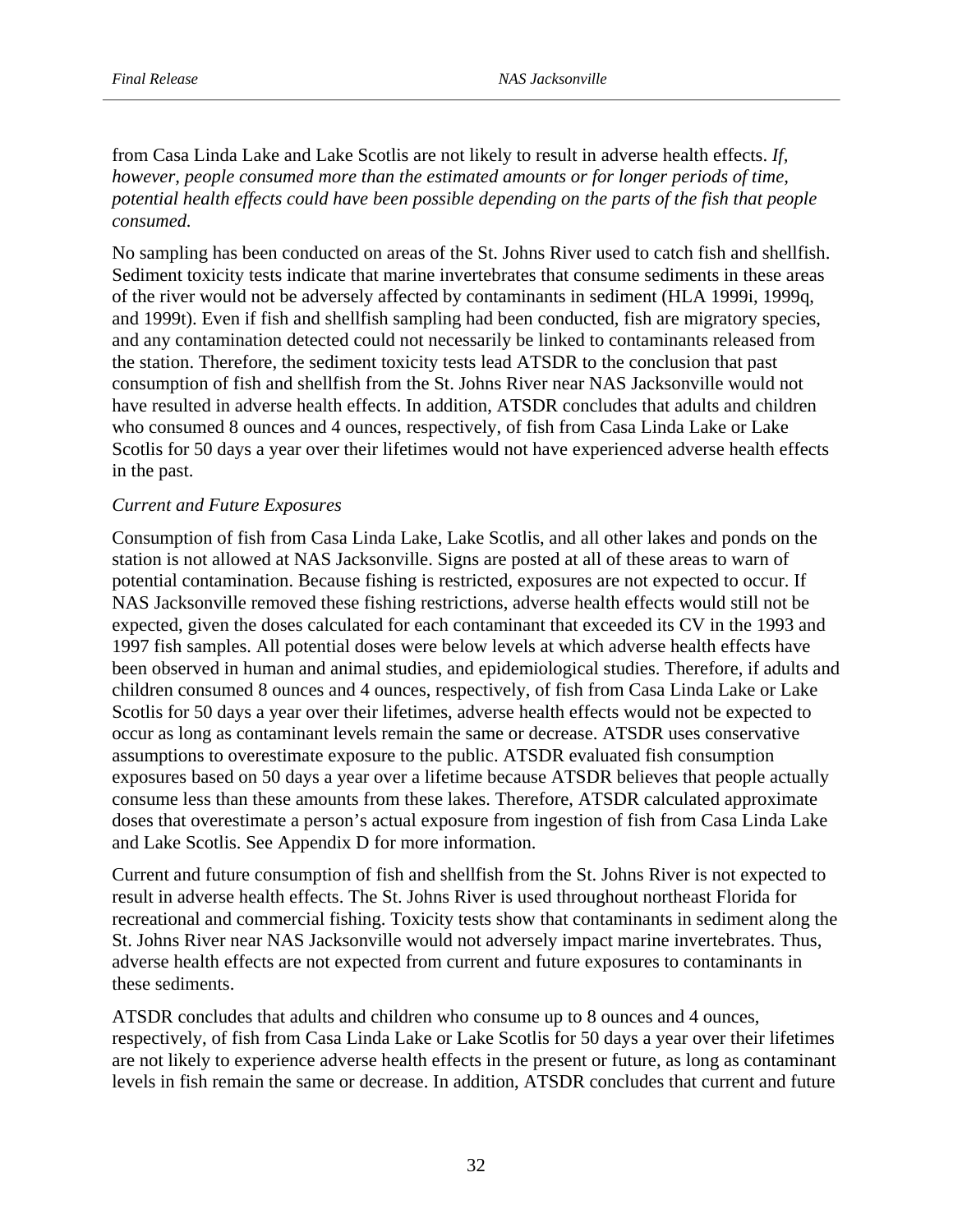from Casa Linda Lake and Lake Scotlis are not likely to result in adverse health effects. *If, however, people consumed more than the estimated amounts or for longer periods of time, potential health effects could have been possible depending on the parts of the fish that people consumed.* 

No sampling has been conducted on areas of the St. Johns River used to catch fish and shellfish. Sediment toxicity tests indicate that marine invertebrates that consume sediments in these areas of the river would not be adversely affected by contaminants in sediment (HLA 1999i, 1999q, and 1999t). Even if fish and shellfish sampling had been conducted, fish are migratory species, and any contamination detected could not necessarily be linked to contaminants released from the station. Therefore, the sediment toxicity tests lead ATSDR to the conclusion that past consumption of fish and shellfish from the St. Johns River near NAS Jacksonville would not have resulted in adverse health effects. In addition, ATSDR concludes that adults and children who consumed 8 ounces and 4 ounces, respectively, of fish from Casa Linda Lake or Lake Scotlis for 50 days a year over their lifetimes would not have experienced adverse health effects in the past.

## *Current and Future Exposures*

Consumption of fish from Casa Linda Lake, Lake Scotlis, and all other lakes and ponds on the station is not allowed at NAS Jacksonville. Signs are posted at all of these areas to warn of potential contamination. Because fishing is restricted, exposures are not expected to occur. If NAS Jacksonville removed these fishing restrictions, adverse health effects would still not be expected, given the doses calculated for each contaminant that exceeded its CV in the 1993 and 1997 fish samples. All potential doses were below levels at which adverse health effects have been observed in human and animal studies, and epidemiological studies. Therefore, if adults and children consumed 8 ounces and 4 ounces, respectively, of fish from Casa Linda Lake or Lake Scotlis for 50 days a year over their lifetimes, adverse health effects would not be expected to occur as long as contaminant levels remain the same or decrease. ATSDR uses conservative assumptions to overestimate exposure to the public. ATSDR evaluated fish consumption exposures based on 50 days a year over a lifetime because ATSDR believes that people actually consume less than these amounts from these lakes. Therefore, ATSDR calculated approximate doses that overestimate a person's actual exposure from ingestion of fish from Casa Linda Lake and Lake Scotlis. See Appendix D for more information.

Current and future consumption of fish and shellfish from the St. Johns River is not expected to result in adverse health effects. The St. Johns River is used throughout northeast Florida for recreational and commercial fishing. Toxicity tests show that contaminants in sediment along the St. Johns River near NAS Jacksonville would not adversely impact marine invertebrates. Thus, adverse health effects are not expected from current and future exposures to contaminants in these sediments.

ATSDR concludes that adults and children who consume up to 8 ounces and 4 ounces, respectively, of fish from Casa Linda Lake or Lake Scotlis for 50 days a year over their lifetimes are not likely to experience adverse health effects in the present or future, as long as contaminant levels in fish remain the same or decrease. In addition, ATSDR concludes that current and future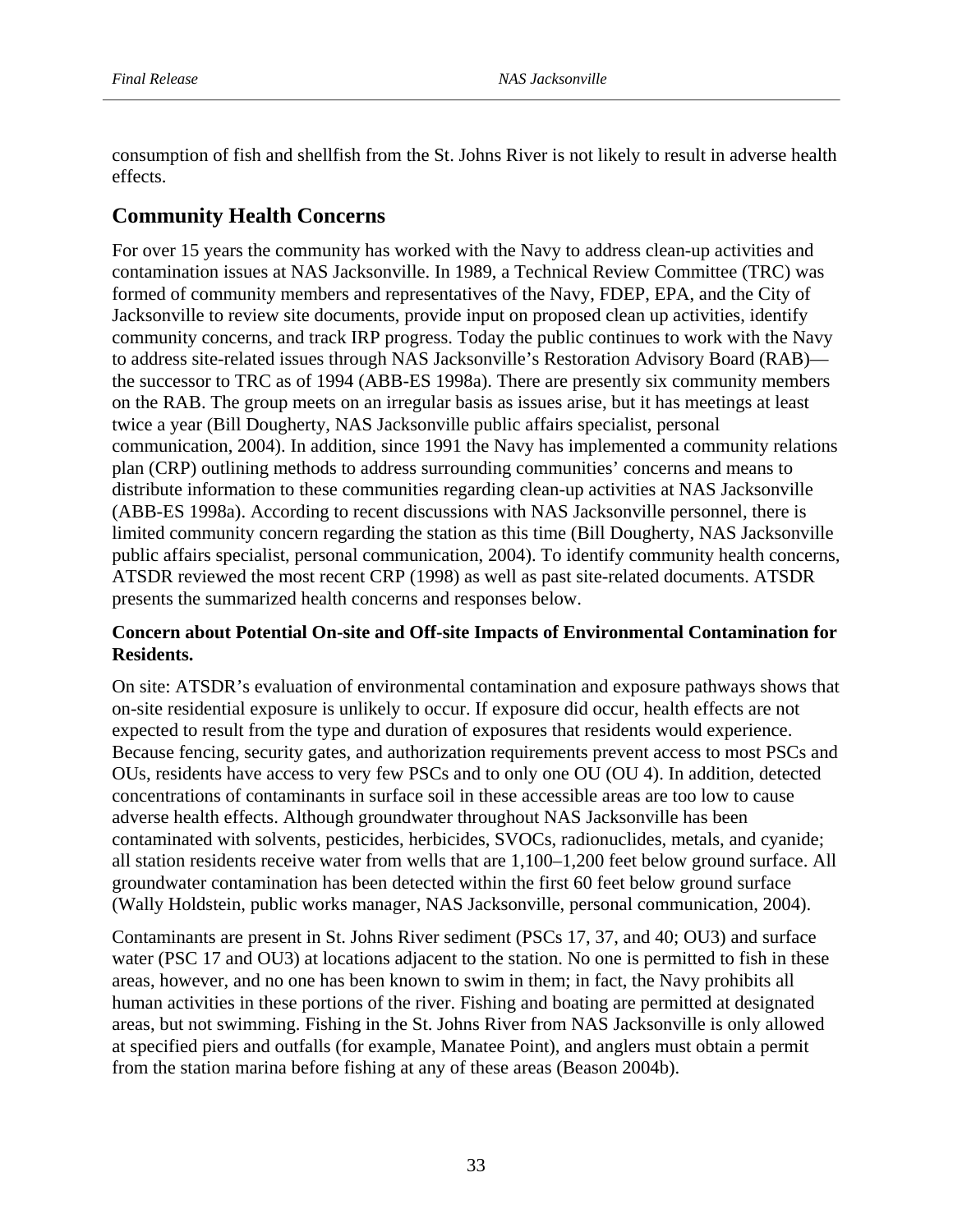consumption of fish and shellfish from the St. Johns River is not likely to result in adverse health effects.

# **Community Health Concerns**

For over 15 years the community has worked with the Navy to address clean-up activities and contamination issues at NAS Jacksonville. In 1989, a Technical Review Committee (TRC) was formed of community members and representatives of the Navy, FDEP, EPA, and the City of Jacksonville to review site documents, provide input on proposed clean up activities, identify community concerns, and track IRP progress. Today the public continues to work with the Navy to address site-related issues through NAS Jacksonville's Restoration Advisory Board (RAB) the successor to TRC as of 1994 (ABB-ES 1998a). There are presently six community members on the RAB. The group meets on an irregular basis as issues arise, but it has meetings at least twice a year (Bill Dougherty, NAS Jacksonville public affairs specialist, personal communication, 2004). In addition, since 1991 the Navy has implemented a community relations plan (CRP) outlining methods to address surrounding communities' concerns and means to distribute information to these communities regarding clean-up activities at NAS Jacksonville (ABB-ES 1998a). According to recent discussions with NAS Jacksonville personnel, there is limited community concern regarding the station as this time (Bill Dougherty, NAS Jacksonville public affairs specialist, personal communication, 2004). To identify community health concerns, ATSDR reviewed the most recent CRP (1998) as well as past site-related documents. ATSDR presents the summarized health concerns and responses below.

# **Concern about Potential On-site and Off-site Impacts of Environmental Contamination for Residents.**

On site: ATSDR's evaluation of environmental contamination and exposure pathways shows that on-site residential exposure is unlikely to occur. If exposure did occur, health effects are not expected to result from the type and duration of exposures that residents would experience. Because fencing, security gates, and authorization requirements prevent access to most PSCs and OUs, residents have access to very few PSCs and to only one OU (OU 4). In addition, detected concentrations of contaminants in surface soil in these accessible areas are too low to cause adverse health effects. Although groundwater throughout NAS Jacksonville has been contaminated with solvents, pesticides, herbicides, SVOCs, radionuclides, metals, and cyanide; all station residents receive water from wells that are 1,100–1,200 feet below ground surface. All groundwater contamination has been detected within the first 60 feet below ground surface (Wally Holdstein, public works manager, NAS Jacksonville, personal communication, 2004).

Contaminants are present in St. Johns River sediment (PSCs 17, 37, and 40; OU3) and surface water (PSC 17 and OU3) at locations adjacent to the station. No one is permitted to fish in these areas, however, and no one has been known to swim in them; in fact, the Navy prohibits all human activities in these portions of the river. Fishing and boating are permitted at designated areas, but not swimming. Fishing in the St. Johns River from NAS Jacksonville is only allowed at specified piers and outfalls (for example, Manatee Point), and anglers must obtain a permit from the station marina before fishing at any of these areas (Beason 2004b).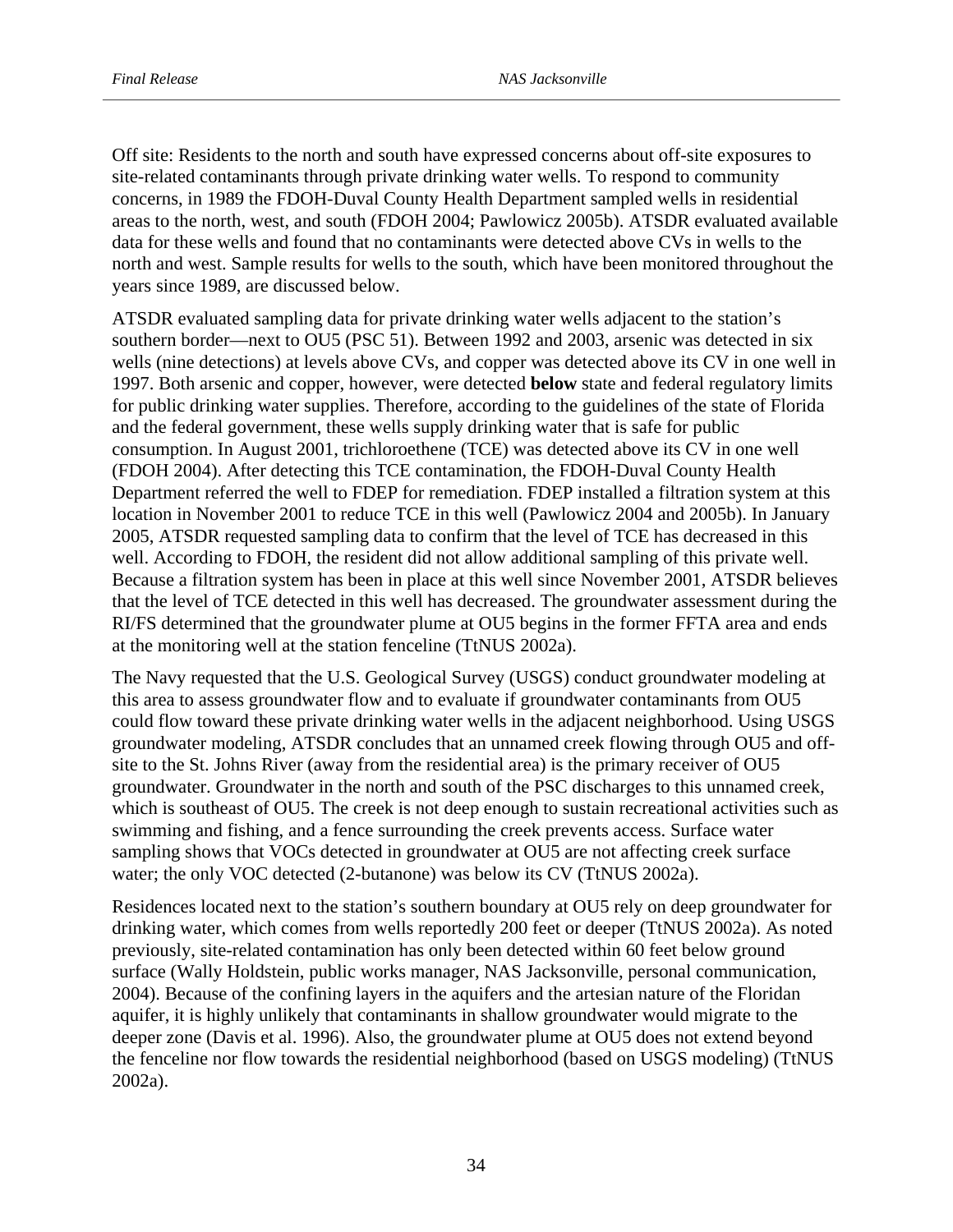Off site: Residents to the north and south have expressed concerns about off-site exposures to site-related contaminants through private drinking water wells. To respond to community concerns, in 1989 the FDOH-Duval County Health Department sampled wells in residential areas to the north, west, and south (FDOH 2004; Pawlowicz 2005b). ATSDR evaluated available data for these wells and found that no contaminants were detected above CVs in wells to the north and west. Sample results for wells to the south, which have been monitored throughout the years since 1989, are discussed below.

ATSDR evaluated sampling data for private drinking water wells adjacent to the station's southern border—next to OU5 (PSC 51). Between 1992 and 2003, arsenic was detected in six wells (nine detections) at levels above CVs, and copper was detected above its CV in one well in 1997. Both arsenic and copper, however, were detected **below** state and federal regulatory limits for public drinking water supplies. Therefore, according to the guidelines of the state of Florida and the federal government, these wells supply drinking water that is safe for public consumption. In August 2001, trichloroethene (TCE) was detected above its CV in one well (FDOH 2004). After detecting this TCE contamination, the FDOH-Duval County Health Department referred the well to FDEP for remediation. FDEP installed a filtration system at this location in November 2001 to reduce TCE in this well (Pawlowicz 2004 and 2005b). In January 2005, ATSDR requested sampling data to confirm that the level of TCE has decreased in this well. According to FDOH, the resident did not allow additional sampling of this private well. Because a filtration system has been in place at this well since November 2001, ATSDR believes that the level of TCE detected in this well has decreased. The groundwater assessment during the RI/FS determined that the groundwater plume at OU5 begins in the former FFTA area and ends at the monitoring well at the station fenceline (TtNUS 2002a).

The Navy requested that the U.S. Geological Survey (USGS) conduct groundwater modeling at this area to assess groundwater flow and to evaluate if groundwater contaminants from OU5 could flow toward these private drinking water wells in the adjacent neighborhood. Using USGS groundwater modeling, ATSDR concludes that an unnamed creek flowing through OU5 and offsite to the St. Johns River (away from the residential area) is the primary receiver of OU5 groundwater. Groundwater in the north and south of the PSC discharges to this unnamed creek, which is southeast of OU5. The creek is not deep enough to sustain recreational activities such as swimming and fishing, and a fence surrounding the creek prevents access. Surface water sampling shows that VOCs detected in groundwater at OU5 are not affecting creek surface water; the only VOC detected (2-butanone) was below its CV (TtNUS 2002a).

Residences located next to the station's southern boundary at OU5 rely on deep groundwater for drinking water, which comes from wells reportedly 200 feet or deeper (TtNUS 2002a). As noted previously, site-related contamination has only been detected within 60 feet below ground surface (Wally Holdstein, public works manager, NAS Jacksonville, personal communication, 2004). Because of the confining layers in the aquifers and the artesian nature of the Floridan aquifer, it is highly unlikely that contaminants in shallow groundwater would migrate to the deeper zone (Davis et al. 1996). Also, the groundwater plume at OU5 does not extend beyond the fenceline nor flow towards the residential neighborhood (based on USGS modeling) (TtNUS 2002a).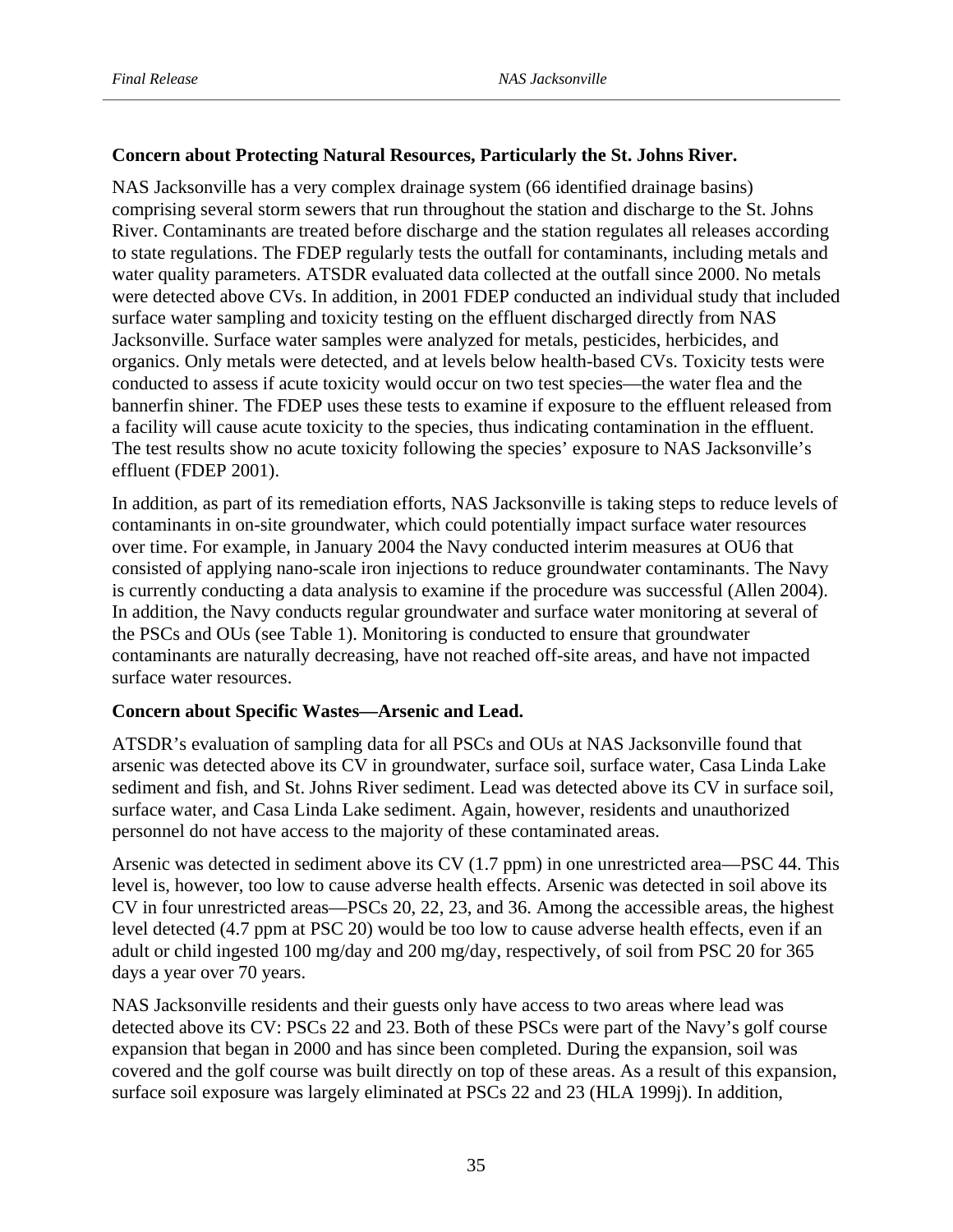# **Concern about Protecting Natural Resources, Particularly the St. Johns River.**

NAS Jacksonville has a very complex drainage system (66 identified drainage basins) comprising several storm sewers that run throughout the station and discharge to the St. Johns River. Contaminants are treated before discharge and the station regulates all releases according to state regulations. The FDEP regularly tests the outfall for contaminants, including metals and water quality parameters. ATSDR evaluated data collected at the outfall since 2000. No metals were detected above CVs. In addition, in 2001 FDEP conducted an individual study that included surface water sampling and toxicity testing on the effluent discharged directly from NAS Jacksonville. Surface water samples were analyzed for metals, pesticides, herbicides, and organics. Only metals were detected, and at levels below health-based CVs. Toxicity tests were conducted to assess if acute toxicity would occur on two test species—the water flea and the bannerfin shiner. The FDEP uses these tests to examine if exposure to the effluent released from a facility will cause acute toxicity to the species, thus indicating contamination in the effluent. The test results show no acute toxicity following the species' exposure to NAS Jacksonville's effluent (FDEP 2001).

In addition, as part of its remediation efforts, NAS Jacksonville is taking steps to reduce levels of contaminants in on-site groundwater, which could potentially impact surface water resources over time. For example, in January 2004 the Navy conducted interim measures at OU6 that consisted of applying nano-scale iron injections to reduce groundwater contaminants. The Navy is currently conducting a data analysis to examine if the procedure was successful (Allen 2004). In addition, the Navy conducts regular groundwater and surface water monitoring at several of the PSCs and OUs (see Table 1). Monitoring is conducted to ensure that groundwater contaminants are naturally decreasing, have not reached off-site areas, and have not impacted surface water resources.

# **Concern about Specific Wastes—Arsenic and Lead.**

ATSDR's evaluation of sampling data for all PSCs and OUs at NAS Jacksonville found that arsenic was detected above its CV in groundwater, surface soil, surface water, Casa Linda Lake sediment and fish, and St. Johns River sediment. Lead was detected above its CV in surface soil, surface water, and Casa Linda Lake sediment. Again, however, residents and unauthorized personnel do not have access to the majority of these contaminated areas.

Arsenic was detected in sediment above its CV (1.7 ppm) in one unrestricted area—PSC 44. This level is, however, too low to cause adverse health effects. Arsenic was detected in soil above its CV in four unrestricted areas—PSCs 20, 22, 23, and 36. Among the accessible areas, the highest level detected (4.7 ppm at PSC 20) would be too low to cause adverse health effects, even if an adult or child ingested 100 mg/day and 200 mg/day, respectively, of soil from PSC 20 for 365 days a year over 70 years.

NAS Jacksonville residents and their guests only have access to two areas where lead was detected above its CV: PSCs 22 and 23. Both of these PSCs were part of the Navy's golf course expansion that began in 2000 and has since been completed. During the expansion, soil was covered and the golf course was built directly on top of these areas. As a result of this expansion, surface soil exposure was largely eliminated at PSCs 22 and 23 (HLA 1999j). In addition,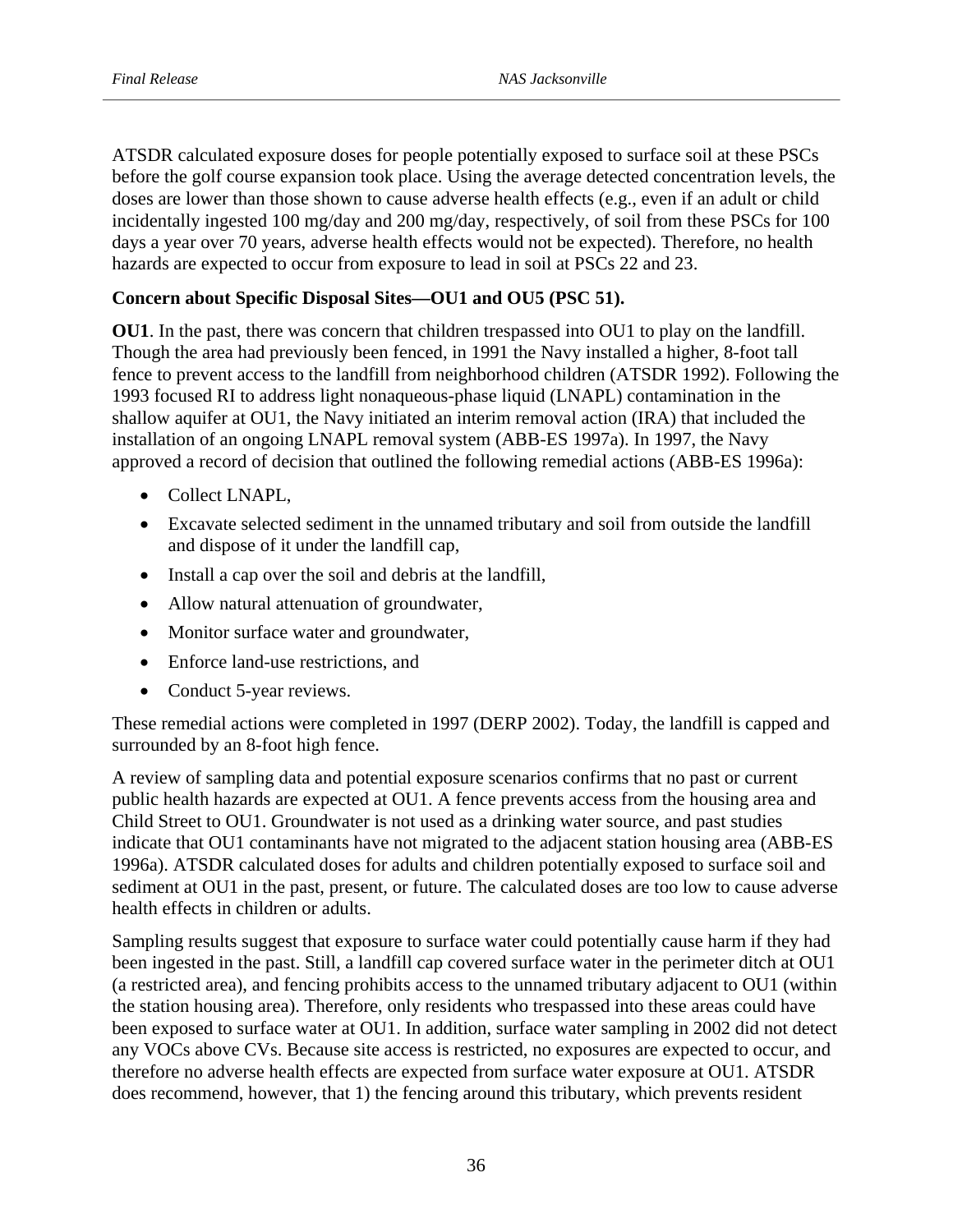ATSDR calculated exposure doses for people potentially exposed to surface soil at these PSCs before the golf course expansion took place. Using the average detected concentration levels, the doses are lower than those shown to cause adverse health effects (e.g., even if an adult or child incidentally ingested 100 mg/day and 200 mg/day, respectively, of soil from these PSCs for 100 days a year over 70 years, adverse health effects would not be expected). Therefore, no health hazards are expected to occur from exposure to lead in soil at PSCs 22 and 23.

# **Concern about Specific Disposal Sites—OU1 and OU5 (PSC 51).**

**OU1**. In the past, there was concern that children trespassed into OU1 to play on the landfill. Though the area had previously been fenced, in 1991 the Navy installed a higher, 8-foot tall fence to prevent access to the landfill from neighborhood children (ATSDR 1992). Following the 1993 focused RI to address light nonaqueous-phase liquid (LNAPL) contamination in the shallow aquifer at OU1, the Navy initiated an interim removal action (IRA) that included the installation of an ongoing LNAPL removal system (ABB-ES 1997a). In 1997, the Navy approved a record of decision that outlined the following remedial actions (ABB-ES 1996a):

- Collect LNAPL,
- Excavate selected sediment in the unnamed tributary and soil from outside the landfill and dispose of it under the landfill cap,
- Install a cap over the soil and debris at the landfill,
- Allow natural attenuation of groundwater,
- Monitor surface water and groundwater,
- Enforce land-use restrictions, and
- Conduct 5-year reviews.

These remedial actions were completed in 1997 (DERP 2002). Today, the landfill is capped and surrounded by an 8-foot high fence.

A review of sampling data and potential exposure scenarios confirms that no past or current public health hazards are expected at OU1. A fence prevents access from the housing area and Child Street to OU1. Groundwater is not used as a drinking water source, and past studies indicate that OU1 contaminants have not migrated to the adjacent station housing area (ABB-ES 1996a). ATSDR calculated doses for adults and children potentially exposed to surface soil and sediment at OU1 in the past, present, or future. The calculated doses are too low to cause adverse health effects in children or adults.

Sampling results suggest that exposure to surface water could potentially cause harm if they had been ingested in the past. Still, a landfill cap covered surface water in the perimeter ditch at OU1 (a restricted area), and fencing prohibits access to the unnamed tributary adjacent to OU1 (within the station housing area). Therefore, only residents who trespassed into these areas could have been exposed to surface water at OU1. In addition, surface water sampling in 2002 did not detect any VOCs above CVs. Because site access is restricted, no exposures are expected to occur, and therefore no adverse health effects are expected from surface water exposure at OU1. ATSDR does recommend, however, that 1) the fencing around this tributary, which prevents resident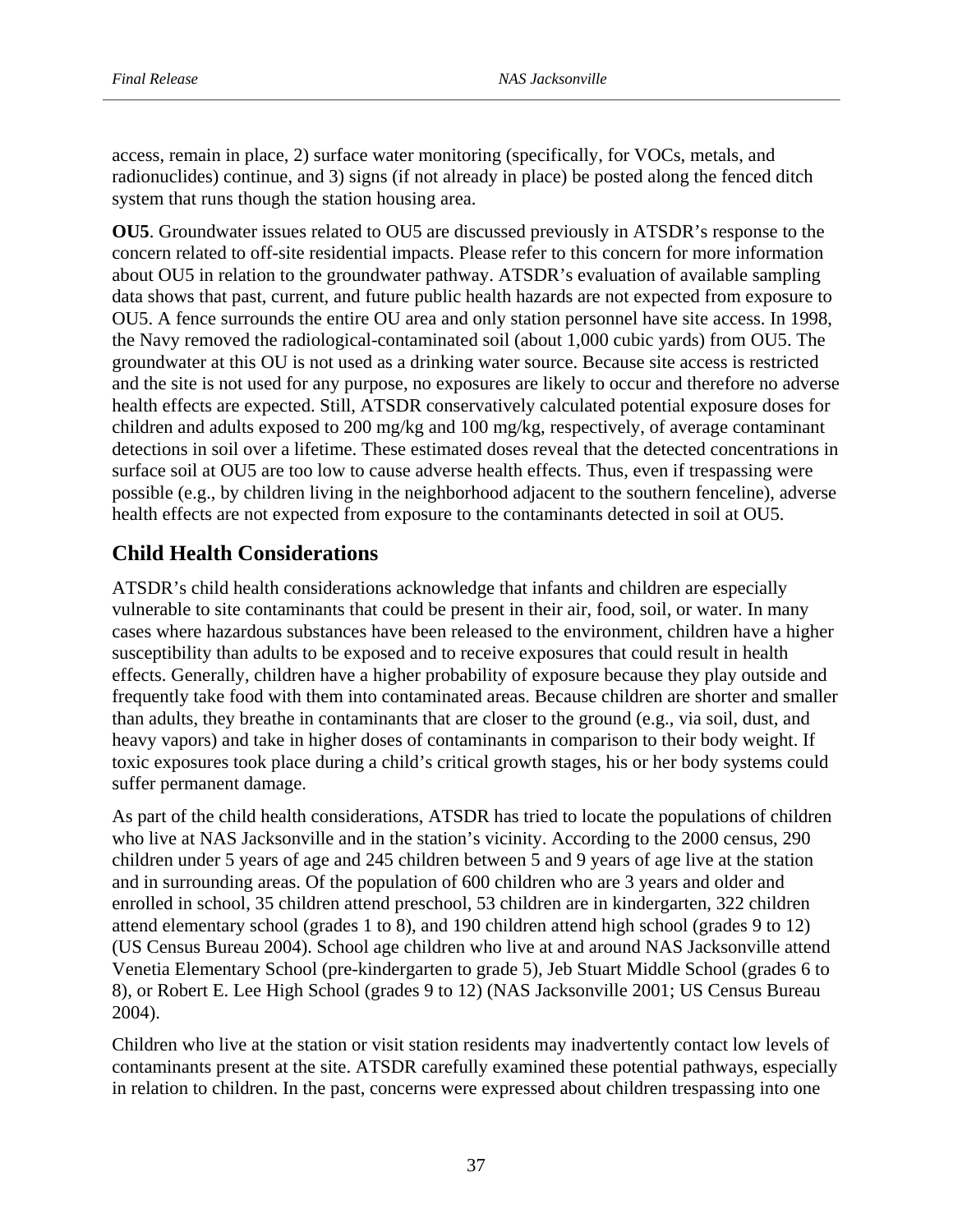access, remain in place, 2) surface water monitoring (specifically, for VOCs, metals, and radionuclides) continue, and 3) signs (if not already in place) be posted along the fenced ditch system that runs though the station housing area.

**OU5**. Groundwater issues related to OU5 are discussed previously in ATSDR's response to the concern related to off-site residential impacts. Please refer to this concern for more information about OU5 in relation to the groundwater pathway. ATSDR's evaluation of available sampling data shows that past, current, and future public health hazards are not expected from exposure to OU5. A fence surrounds the entire OU area and only station personnel have site access. In 1998, the Navy removed the radiological-contaminated soil (about 1,000 cubic yards) from OU5. The groundwater at this OU is not used as a drinking water source. Because site access is restricted and the site is not used for any purpose, no exposures are likely to occur and therefore no adverse health effects are expected. Still, ATSDR conservatively calculated potential exposure doses for children and adults exposed to 200 mg/kg and 100 mg/kg, respectively, of average contaminant detections in soil over a lifetime. These estimated doses reveal that the detected concentrations in surface soil at OU5 are too low to cause adverse health effects. Thus, even if trespassing were possible (e.g., by children living in the neighborhood adjacent to the southern fenceline), adverse health effects are not expected from exposure to the contaminants detected in soil at OU5.

# **Child Health Considerations**

ATSDR's child health considerations acknowledge that infants and children are especially vulnerable to site contaminants that could be present in their air, food, soil, or water. In many cases where hazardous substances have been released to the environment, children have a higher susceptibility than adults to be exposed and to receive exposures that could result in health effects. Generally, children have a higher probability of exposure because they play outside and frequently take food with them into contaminated areas. Because children are shorter and smaller than adults, they breathe in contaminants that are closer to the ground (e.g., via soil, dust, and heavy vapors) and take in higher doses of contaminants in comparison to their body weight. If toxic exposures took place during a child's critical growth stages, his or her body systems could suffer permanent damage.

As part of the child health considerations, ATSDR has tried to locate the populations of children who live at NAS Jacksonville and in the station's vicinity. According to the 2000 census, 290 children under 5 years of age and 245 children between 5 and 9 years of age live at the station and in surrounding areas. Of the population of 600 children who are 3 years and older and enrolled in school, 35 children attend preschool, 53 children are in kindergarten, 322 children attend elementary school (grades 1 to 8), and 190 children attend high school (grades 9 to 12) (US Census Bureau 2004). School age children who live at and around NAS Jacksonville attend Venetia Elementary School (pre-kindergarten to grade 5), Jeb Stuart Middle School (grades 6 to 8), or Robert E. Lee High School (grades 9 to 12) (NAS Jacksonville 2001; US Census Bureau 2004).

Children who live at the station or visit station residents may inadvertently contact low levels of contaminants present at the site. ATSDR carefully examined these potential pathways, especially in relation to children. In the past, concerns were expressed about children trespassing into one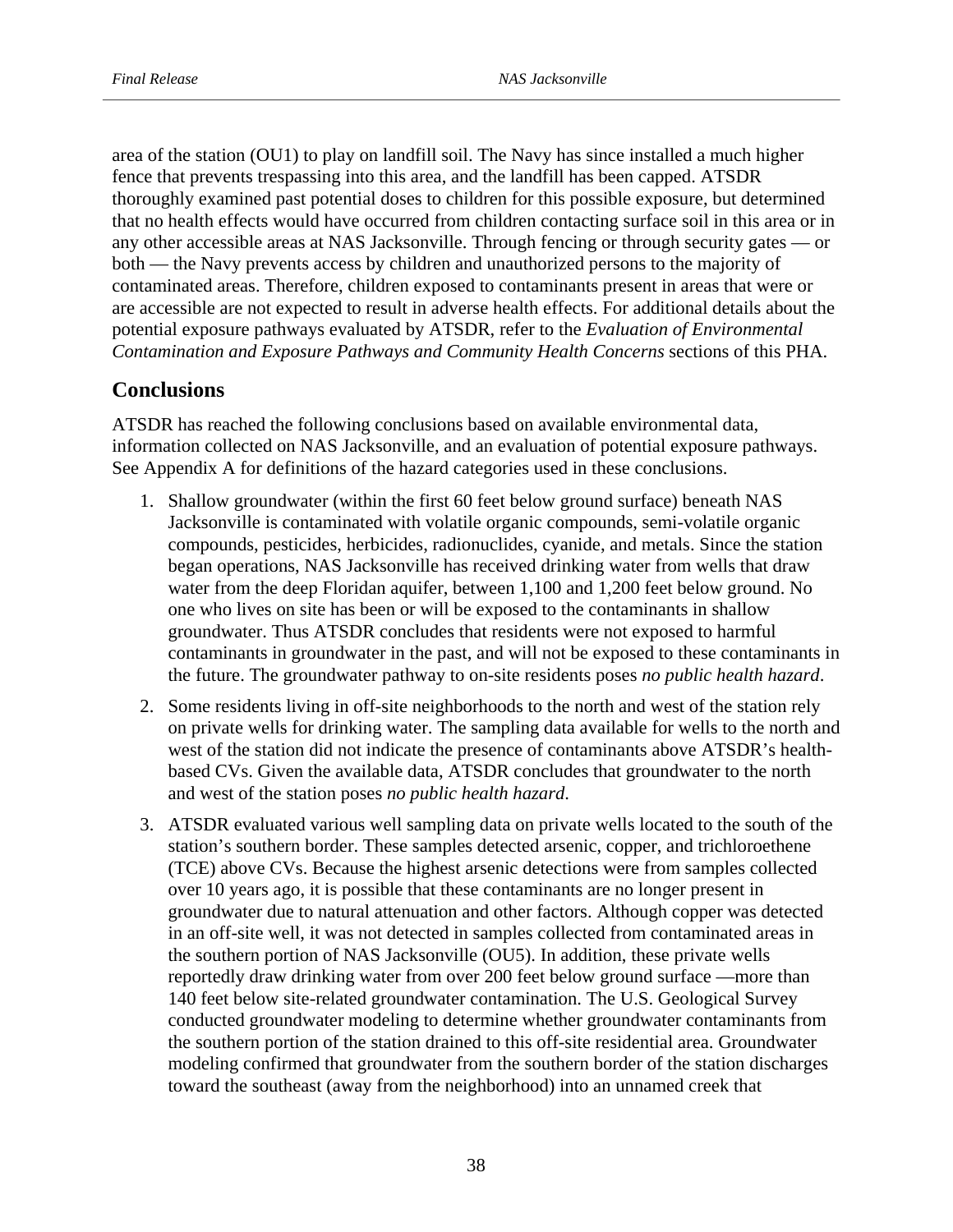area of the station (OU1) to play on landfill soil. The Navy has since installed a much higher fence that prevents trespassing into this area, and the landfill has been capped. ATSDR thoroughly examined past potential doses to children for this possible exposure, but determined that no health effects would have occurred from children contacting surface soil in this area or in any other accessible areas at NAS Jacksonville. Through fencing or through security gates — or both — the Navy prevents access by children and unauthorized persons to the majority of contaminated areas. Therefore, children exposed to contaminants present in areas that were or are accessible are not expected to result in adverse health effects. For additional details about the potential exposure pathways evaluated by ATSDR, refer to the *Evaluation of Environmental Contamination and Exposure Pathways and Community Health Concerns* sections of this PHA.

# **Conclusions**

ATSDR has reached the following conclusions based on available environmental data, information collected on NAS Jacksonville, and an evaluation of potential exposure pathways. See Appendix A for definitions of the hazard categories used in these conclusions.

- 1. Shallow groundwater (within the first 60 feet below ground surface) beneath NAS Jacksonville is contaminated with volatile organic compounds, semi-volatile organic compounds, pesticides, herbicides, radionuclides, cyanide, and metals. Since the station began operations, NAS Jacksonville has received drinking water from wells that draw water from the deep Floridan aquifer, between 1,100 and 1,200 feet below ground. No one who lives on site has been or will be exposed to the contaminants in shallow groundwater. Thus ATSDR concludes that residents were not exposed to harmful contaminants in groundwater in the past, and will not be exposed to these contaminants in the future. The groundwater pathway to on-site residents poses *no public health hazard*.
- 2. Some residents living in off-site neighborhoods to the north and west of the station rely on private wells for drinking water. The sampling data available for wells to the north and west of the station did not indicate the presence of contaminants above ATSDR's healthbased CVs. Given the available data, ATSDR concludes that groundwater to the north and west of the station poses *no public health hazard*.
- 3. ATSDR evaluated various well sampling data on private wells located to the south of the station's southern border. These samples detected arsenic, copper, and trichloroethene (TCE) above CVs. Because the highest arsenic detections were from samples collected over 10 years ago, it is possible that these contaminants are no longer present in groundwater due to natural attenuation and other factors. Although copper was detected in an off-site well, it was not detected in samples collected from contaminated areas in the southern portion of NAS Jacksonville (OU5). In addition, these private wells reportedly draw drinking water from over 200 feet below ground surface —more than 140 feet below site-related groundwater contamination. The U.S. Geological Survey conducted groundwater modeling to determine whether groundwater contaminants from the southern portion of the station drained to this off-site residential area. Groundwater modeling confirmed that groundwater from the southern border of the station discharges toward the southeast (away from the neighborhood) into an unnamed creek that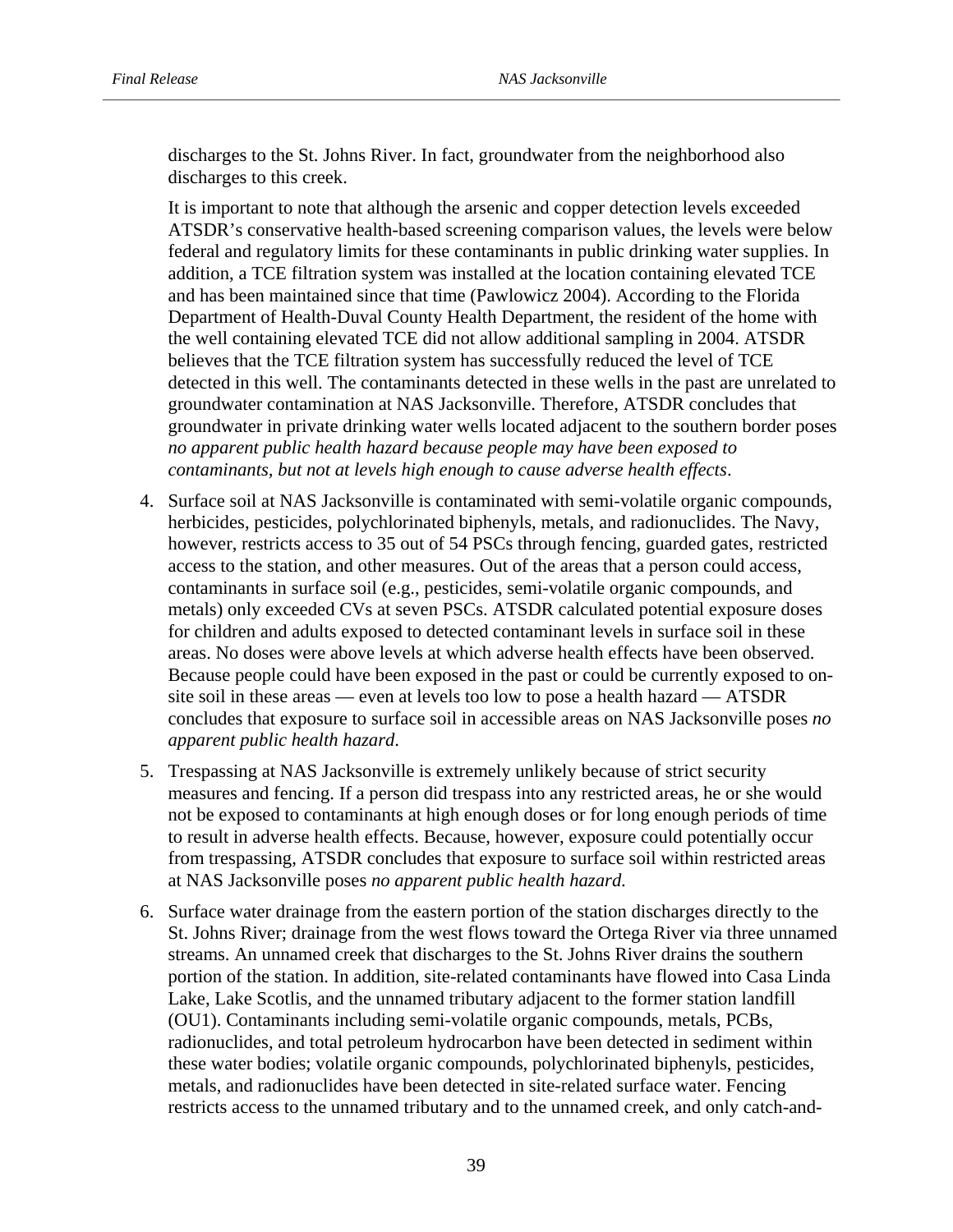discharges to the St. Johns River. In fact, groundwater from the neighborhood also discharges to this creek.

It is important to note that although the arsenic and copper detection levels exceeded ATSDR's conservative health-based screening comparison values, the levels were below federal and regulatory limits for these contaminants in public drinking water supplies. In addition, a TCE filtration system was installed at the location containing elevated TCE and has been maintained since that time (Pawlowicz 2004). According to the Florida Department of Health-Duval County Health Department, the resident of the home with the well containing elevated TCE did not allow additional sampling in 2004. ATSDR believes that the TCE filtration system has successfully reduced the level of TCE detected in this well. The contaminants detected in these wells in the past are unrelated to groundwater contamination at NAS Jacksonville. Therefore, ATSDR concludes that groundwater in private drinking water wells located adjacent to the southern border poses *no apparent public health hazard because people may have been exposed to contaminants, but not at levels high enough to cause adverse health effects*.

- 4. Surface soil at NAS Jacksonville is contaminated with semi-volatile organic compounds, herbicides, pesticides, polychlorinated biphenyls, metals, and radionuclides. The Navy, however, restricts access to 35 out of 54 PSCs through fencing, guarded gates, restricted access to the station, and other measures. Out of the areas that a person could access, contaminants in surface soil (e.g., pesticides, semi-volatile organic compounds, and metals) only exceeded CVs at seven PSCs. ATSDR calculated potential exposure doses for children and adults exposed to detected contaminant levels in surface soil in these areas. No doses were above levels at which adverse health effects have been observed. Because people could have been exposed in the past or could be currently exposed to onsite soil in these areas — even at levels too low to pose a health hazard — ATSDR concludes that exposure to surface soil in accessible areas on NAS Jacksonville poses *no apparent public health hazard*.
- 5. Trespassing at NAS Jacksonville is extremely unlikely because of strict security measures and fencing. If a person did trespass into any restricted areas, he or she would not be exposed to contaminants at high enough doses or for long enough periods of time to result in adverse health effects. Because, however, exposure could potentially occur from trespassing, ATSDR concludes that exposure to surface soil within restricted areas at NAS Jacksonville poses *no apparent public health hazard*.
- 6. Surface water drainage from the eastern portion of the station discharges directly to the St. Johns River; drainage from the west flows toward the Ortega River via three unnamed streams. An unnamed creek that discharges to the St. Johns River drains the southern portion of the station. In addition, site-related contaminants have flowed into Casa Linda Lake, Lake Scotlis, and the unnamed tributary adjacent to the former station landfill (OU1). Contaminants including semi-volatile organic compounds, metals, PCBs, radionuclides, and total petroleum hydrocarbon have been detected in sediment within these water bodies; volatile organic compounds, polychlorinated biphenyls, pesticides, metals, and radionuclides have been detected in site-related surface water. Fencing restricts access to the unnamed tributary and to the unnamed creek, and only catch-and-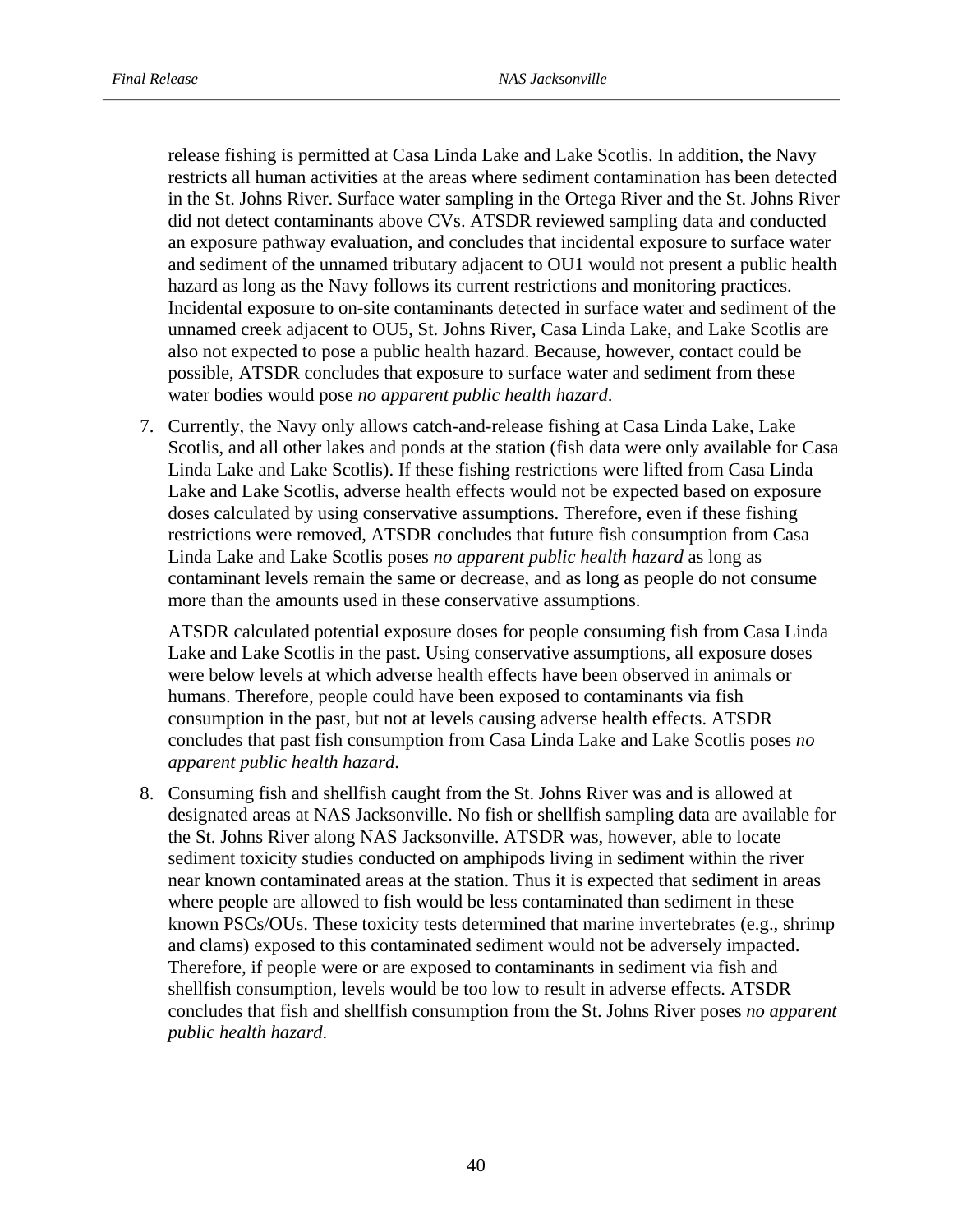release fishing is permitted at Casa Linda Lake and Lake Scotlis. In addition, the Navy restricts all human activities at the areas where sediment contamination has been detected in the St. Johns River. Surface water sampling in the Ortega River and the St. Johns River did not detect contaminants above CVs. ATSDR reviewed sampling data and conducted an exposure pathway evaluation, and concludes that incidental exposure to surface water and sediment of the unnamed tributary adjacent to OU1 would not present a public health hazard as long as the Navy follows its current restrictions and monitoring practices. Incidental exposure to on-site contaminants detected in surface water and sediment of the unnamed creek adjacent to OU5, St. Johns River, Casa Linda Lake, and Lake Scotlis are also not expected to pose a public health hazard. Because, however, contact could be possible, ATSDR concludes that exposure to surface water and sediment from these water bodies would pose *no apparent public health hazard*.

7. Currently, the Navy only allows catch-and-release fishing at Casa Linda Lake, Lake Scotlis, and all other lakes and ponds at the station (fish data were only available for Casa Linda Lake and Lake Scotlis). If these fishing restrictions were lifted from Casa Linda Lake and Lake Scotlis, adverse health effects would not be expected based on exposure doses calculated by using conservative assumptions. Therefore, even if these fishing restrictions were removed, ATSDR concludes that future fish consumption from Casa Linda Lake and Lake Scotlis poses *no apparent public health hazard* as long as contaminant levels remain the same or decrease, and as long as people do not consume more than the amounts used in these conservative assumptions.

ATSDR calculated potential exposure doses for people consuming fish from Casa Linda Lake and Lake Scotlis in the past. Using conservative assumptions, all exposure doses were below levels at which adverse health effects have been observed in animals or humans. Therefore, people could have been exposed to contaminants via fish consumption in the past, but not at levels causing adverse health effects. ATSDR concludes that past fish consumption from Casa Linda Lake and Lake Scotlis poses *no apparent public health hazard*.

8. Consuming fish and shellfish caught from the St. Johns River was and is allowed at designated areas at NAS Jacksonville. No fish or shellfish sampling data are available for the St. Johns River along NAS Jacksonville. ATSDR was, however, able to locate sediment toxicity studies conducted on amphipods living in sediment within the river near known contaminated areas at the station. Thus it is expected that sediment in areas where people are allowed to fish would be less contaminated than sediment in these known PSCs/OUs. These toxicity tests determined that marine invertebrates (e.g., shrimp and clams) exposed to this contaminated sediment would not be adversely impacted. Therefore, if people were or are exposed to contaminants in sediment via fish and shellfish consumption, levels would be too low to result in adverse effects. ATSDR concludes that fish and shellfish consumption from the St. Johns River poses *no apparent public health hazard*.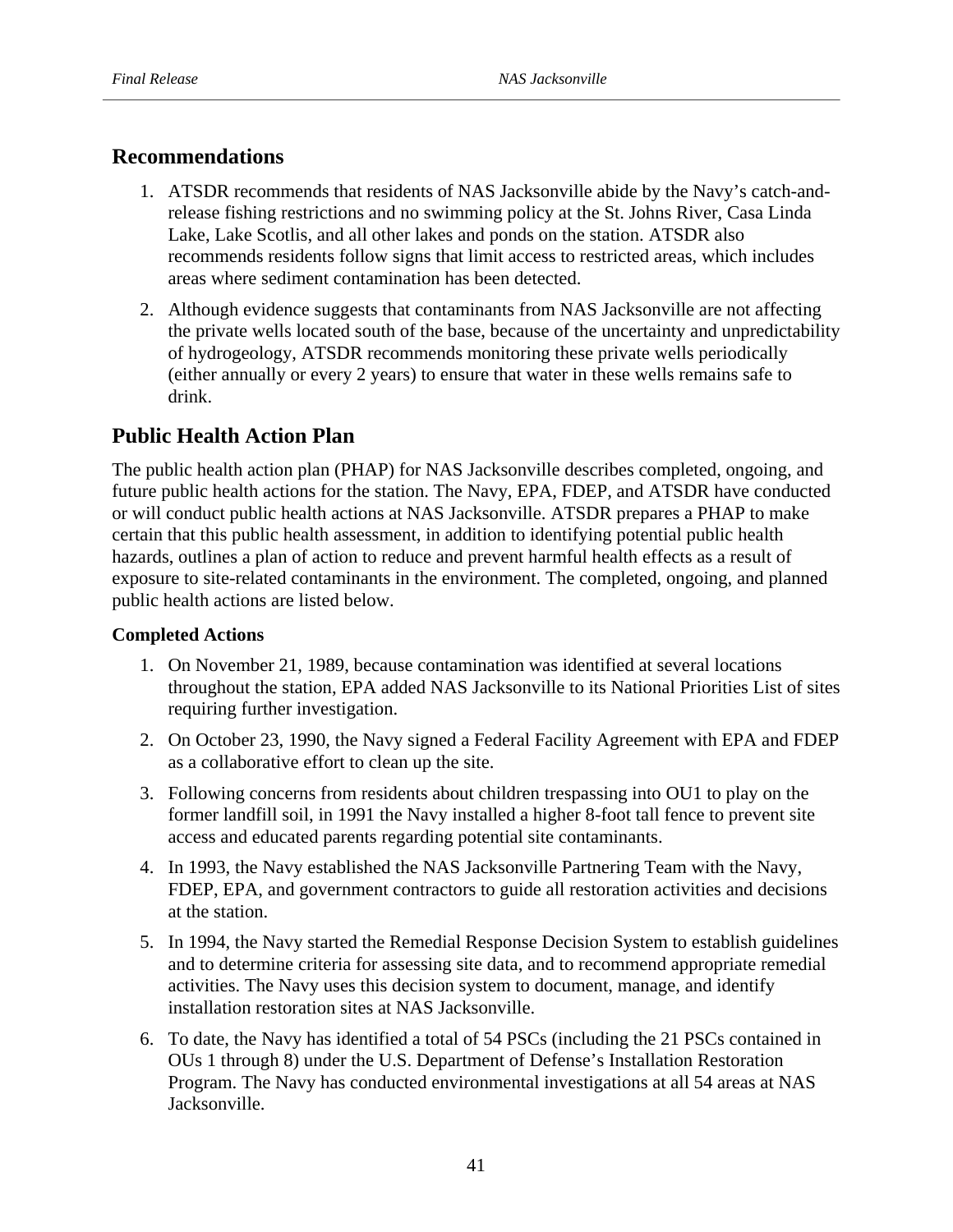# **Recommendations**

- 1. ATSDR recommends that residents of NAS Jacksonville abide by the Navy's catch-andrelease fishing restrictions and no swimming policy at the St. Johns River, Casa Linda Lake, Lake Scotlis, and all other lakes and ponds on the station. ATSDR also recommends residents follow signs that limit access to restricted areas, which includes areas where sediment contamination has been detected.
- 2. Although evidence suggests that contaminants from NAS Jacksonville are not affecting the private wells located south of the base, because of the uncertainty and unpredictability of hydrogeology, ATSDR recommends monitoring these private wells periodically (either annually or every 2 years) to ensure that water in these wells remains safe to drink.

# **Public Health Action Plan**

The public health action plan (PHAP) for NAS Jacksonville describes completed, ongoing, and future public health actions for the station. The Navy, EPA, FDEP, and ATSDR have conducted or will conduct public health actions at NAS Jacksonville. ATSDR prepares a PHAP to make certain that this public health assessment, in addition to identifying potential public health hazards, outlines a plan of action to reduce and prevent harmful health effects as a result of exposure to site-related contaminants in the environment. The completed, ongoing, and planned public health actions are listed below.

## **Completed Actions**

- 1. On November 21, 1989, because contamination was identified at several locations throughout the station, EPA added NAS Jacksonville to its National Priorities List of sites requiring further investigation.
- 2. On October 23, 1990, the Navy signed a Federal Facility Agreement with EPA and FDEP as a collaborative effort to clean up the site.
- 3. Following concerns from residents about children trespassing into OU1 to play on the former landfill soil, in 1991 the Navy installed a higher 8-foot tall fence to prevent site access and educated parents regarding potential site contaminants.
- 4. In 1993, the Navy established the NAS Jacksonville Partnering Team with the Navy, FDEP, EPA, and government contractors to guide all restoration activities and decisions at the station.
- 5. In 1994, the Navy started the Remedial Response Decision System to establish guidelines and to determine criteria for assessing site data, and to recommend appropriate remedial activities. The Navy uses this decision system to document, manage, and identify installation restoration sites at NAS Jacksonville.
- 6. To date, the Navy has identified a total of 54 PSCs (including the 21 PSCs contained in OUs 1 through 8) under the U.S. Department of Defense's Installation Restoration Program. The Navy has conducted environmental investigations at all 54 areas at NAS Jacksonville.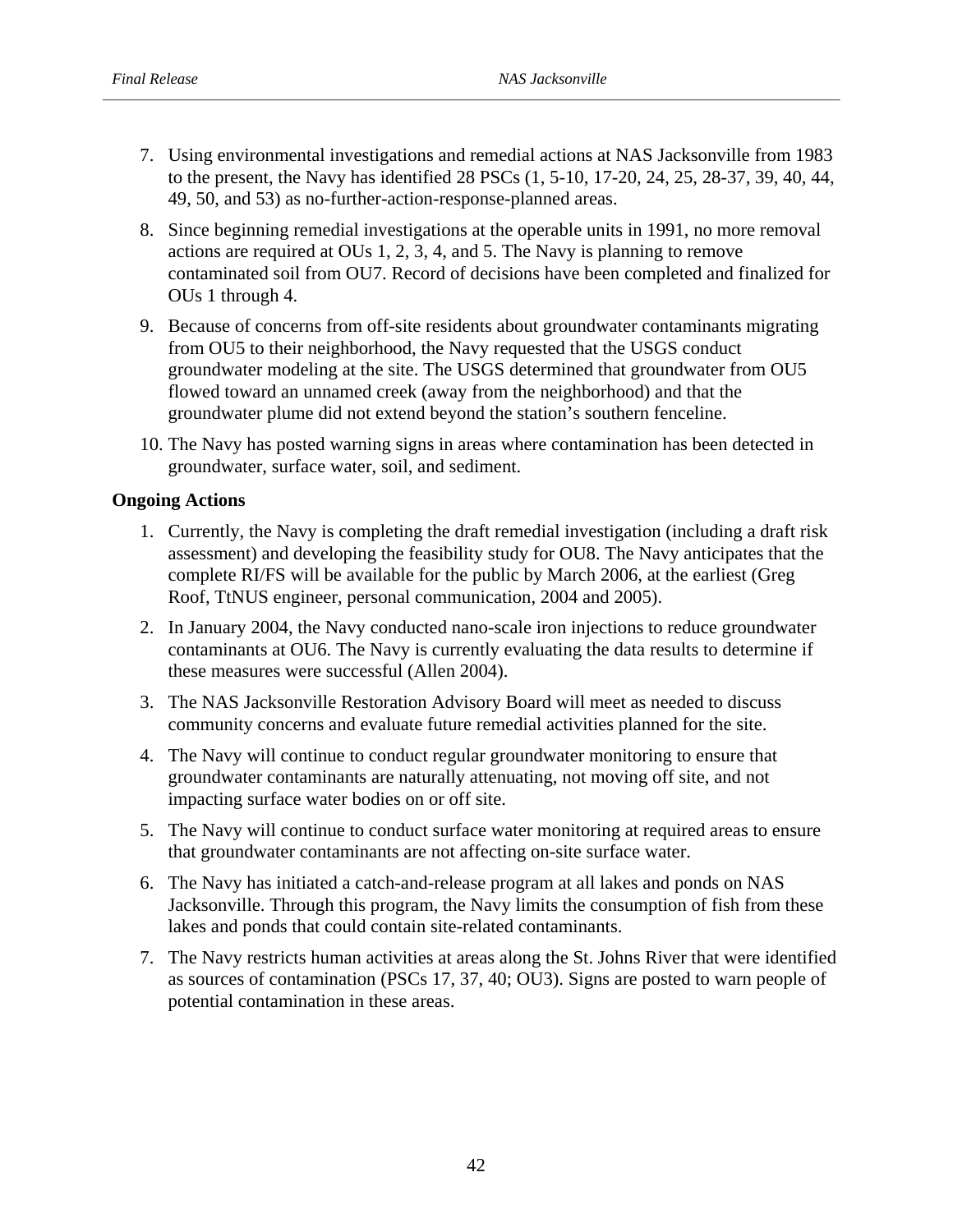- 7. Using environmental investigations and remedial actions at NAS Jacksonville from 1983 to the present, the Navy has identified 28 PSCs (1, 5-10, 17-20, 24, 25, 28-37, 39, 40, 44, 49, 50, and 53) as no-further-action-response-planned areas.
- 8. Since beginning remedial investigations at the operable units in 1991, no more removal actions are required at OUs 1, 2, 3, 4, and 5. The Navy is planning to remove contaminated soil from OU7. Record of decisions have been completed and finalized for OUs 1 through 4.
- 9. Because of concerns from off-site residents about groundwater contaminants migrating from OU5 to their neighborhood, the Navy requested that the USGS conduct groundwater modeling at the site. The USGS determined that groundwater from OU5 flowed toward an unnamed creek (away from the neighborhood) and that the groundwater plume did not extend beyond the station's southern fenceline.
- 10. The Navy has posted warning signs in areas where contamination has been detected in groundwater, surface water, soil, and sediment.

## **Ongoing Actions**

- 1. Currently, the Navy is completing the draft remedial investigation (including a draft risk assessment) and developing the feasibility study for OU8. The Navy anticipates that the complete RI/FS will be available for the public by March 2006, at the earliest (Greg Roof, TtNUS engineer, personal communication, 2004 and 2005).
- 2. In January 2004, the Navy conducted nano-scale iron injections to reduce groundwater contaminants at OU6. The Navy is currently evaluating the data results to determine if these measures were successful (Allen 2004).
- 3. The NAS Jacksonville Restoration Advisory Board will meet as needed to discuss community concerns and evaluate future remedial activities planned for the site.
- 4. The Navy will continue to conduct regular groundwater monitoring to ensure that groundwater contaminants are naturally attenuating, not moving off site, and not impacting surface water bodies on or off site.
- 5. The Navy will continue to conduct surface water monitoring at required areas to ensure that groundwater contaminants are not affecting on-site surface water.
- 6. The Navy has initiated a catch-and-release program at all lakes and ponds on NAS Jacksonville. Through this program, the Navy limits the consumption of fish from these lakes and ponds that could contain site-related contaminants.
- 7. The Navy restricts human activities at areas along the St. Johns River that were identified as sources of contamination (PSCs 17, 37, 40; OU3). Signs are posted to warn people of potential contamination in these areas.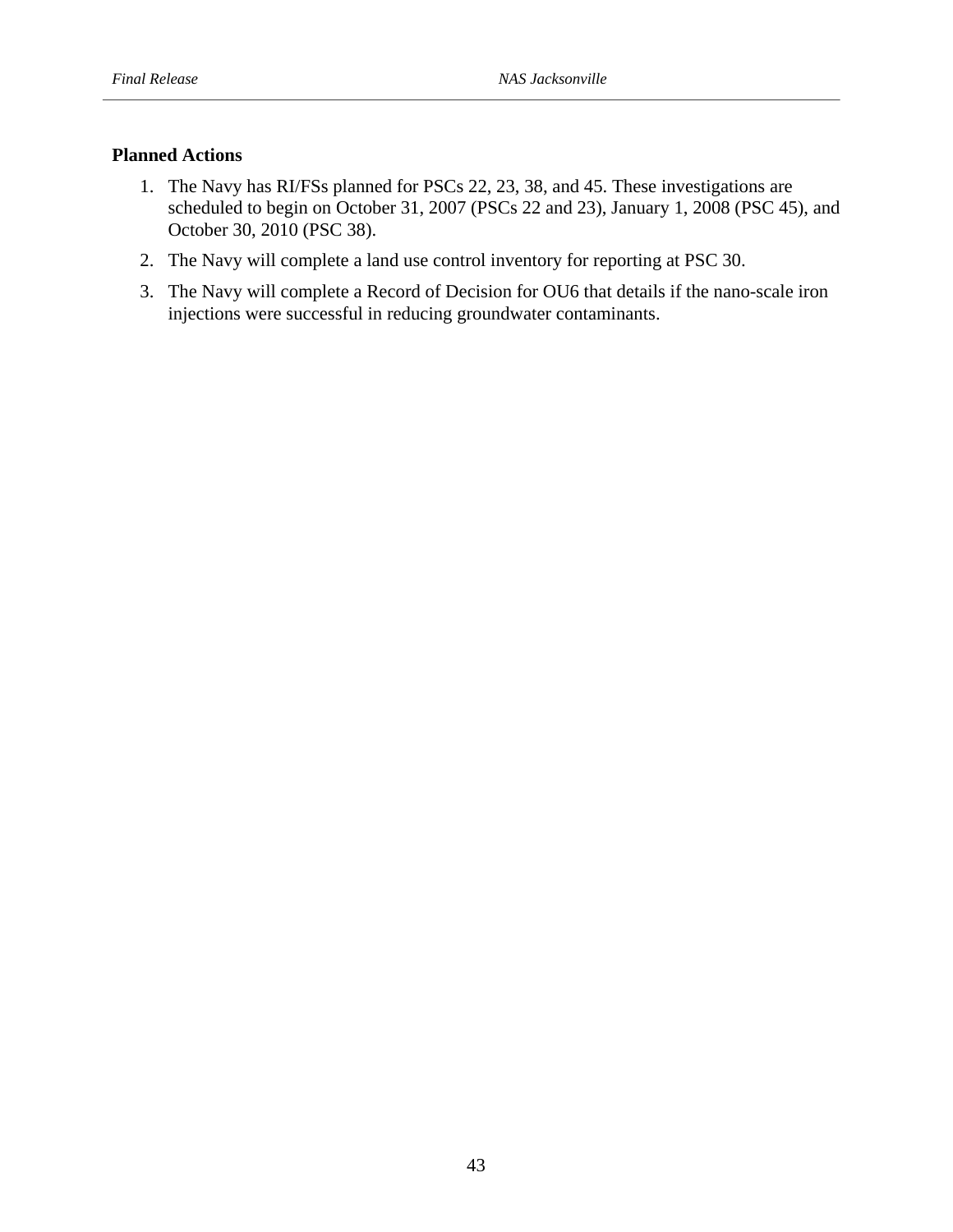# **Planned Actions**

- 1. The Navy has RI/FSs planned for PSCs 22, 23, 38, and 45. These investigations are scheduled to begin on October 31, 2007 (PSCs 22 and 23), January 1, 2008 (PSC 45), and October 30, 2010 (PSC 38).
- 2. The Navy will complete a land use control inventory for reporting at PSC 30.
- 3. The Navy will complete a Record of Decision for OU6 that details if the nano-scale iron injections were successful in reducing groundwater contaminants.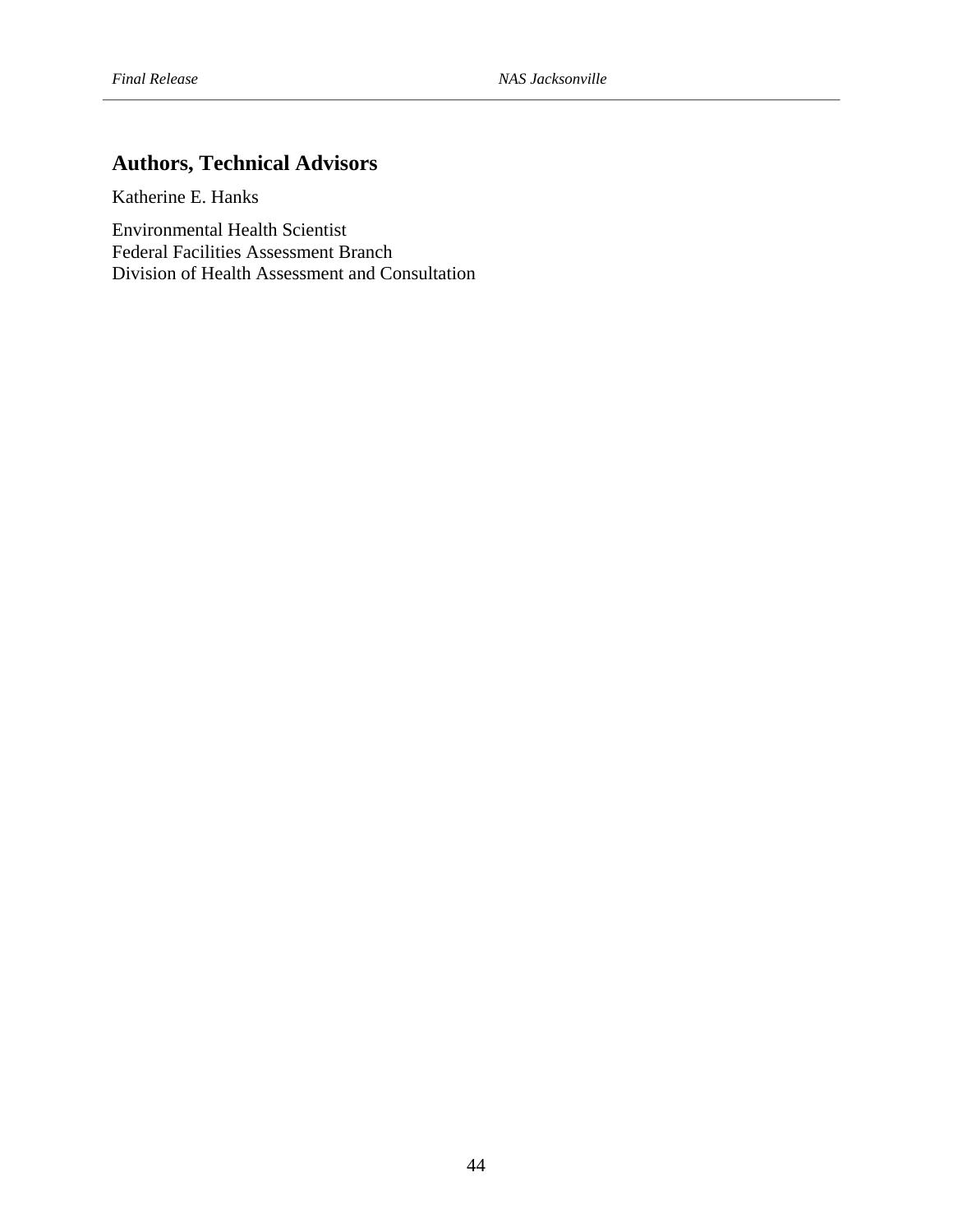# **Authors, Technical Advisors**

Katherine E. Hanks

Environmental Health Scientist Federal Facilities Assessment Branch Division of Health Assessment and Consultation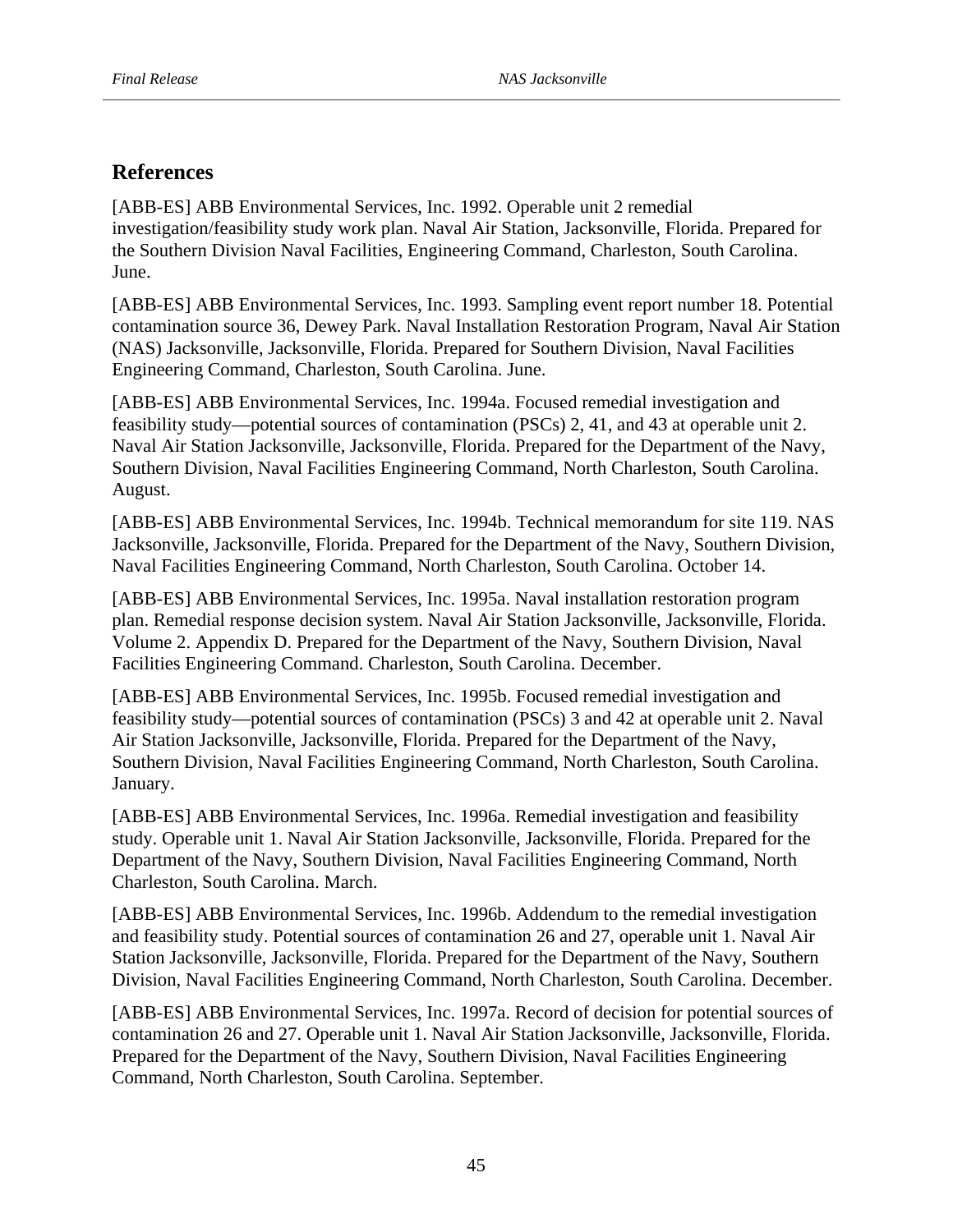# **References**

[ABB-ES] ABB Environmental Services, Inc. 1992. Operable unit 2 remedial investigation/feasibility study work plan. Naval Air Station, Jacksonville, Florida. Prepared for the Southern Division Naval Facilities, Engineering Command, Charleston, South Carolina. June.

[ABB-ES] ABB Environmental Services, Inc. 1993. Sampling event report number 18. Potential contamination source 36, Dewey Park. Naval Installation Restoration Program, Naval Air Station (NAS) Jacksonville, Jacksonville, Florida. Prepared for Southern Division, Naval Facilities Engineering Command, Charleston, South Carolina. June.

[ABB-ES] ABB Environmental Services, Inc. 1994a. Focused remedial investigation and feasibility study—potential sources of contamination (PSCs) 2, 41, and 43 at operable unit 2. Naval Air Station Jacksonville, Jacksonville, Florida. Prepared for the Department of the Navy, Southern Division, Naval Facilities Engineering Command, North Charleston, South Carolina. August.

[ABB-ES] ABB Environmental Services, Inc. 1994b. Technical memorandum for site 119. NAS Jacksonville, Jacksonville, Florida. Prepared for the Department of the Navy, Southern Division, Naval Facilities Engineering Command, North Charleston, South Carolina. October 14.

[ABB-ES] ABB Environmental Services, Inc. 1995a. Naval installation restoration program plan. Remedial response decision system. Naval Air Station Jacksonville, Jacksonville, Florida. Volume 2. Appendix D. Prepared for the Department of the Navy, Southern Division, Naval Facilities Engineering Command. Charleston, South Carolina. December.

[ABB-ES] ABB Environmental Services, Inc. 1995b. Focused remedial investigation and feasibility study—potential sources of contamination (PSCs) 3 and 42 at operable unit 2. Naval Air Station Jacksonville, Jacksonville, Florida. Prepared for the Department of the Navy, Southern Division, Naval Facilities Engineering Command, North Charleston, South Carolina. January.

[ABB-ES] ABB Environmental Services, Inc. 1996a. Remedial investigation and feasibility study. Operable unit 1. Naval Air Station Jacksonville, Jacksonville, Florida. Prepared for the Department of the Navy, Southern Division, Naval Facilities Engineering Command, North Charleston, South Carolina. March.

[ABB-ES] ABB Environmental Services, Inc. 1996b. Addendum to the remedial investigation and feasibility study. Potential sources of contamination 26 and 27, operable unit 1. Naval Air Station Jacksonville, Jacksonville, Florida. Prepared for the Department of the Navy, Southern Division, Naval Facilities Engineering Command, North Charleston, South Carolina. December.

[ABB-ES] ABB Environmental Services, Inc. 1997a. Record of decision for potential sources of contamination 26 and 27. Operable unit 1. Naval Air Station Jacksonville, Jacksonville, Florida. Prepared for the Department of the Navy, Southern Division, Naval Facilities Engineering Command, North Charleston, South Carolina. September.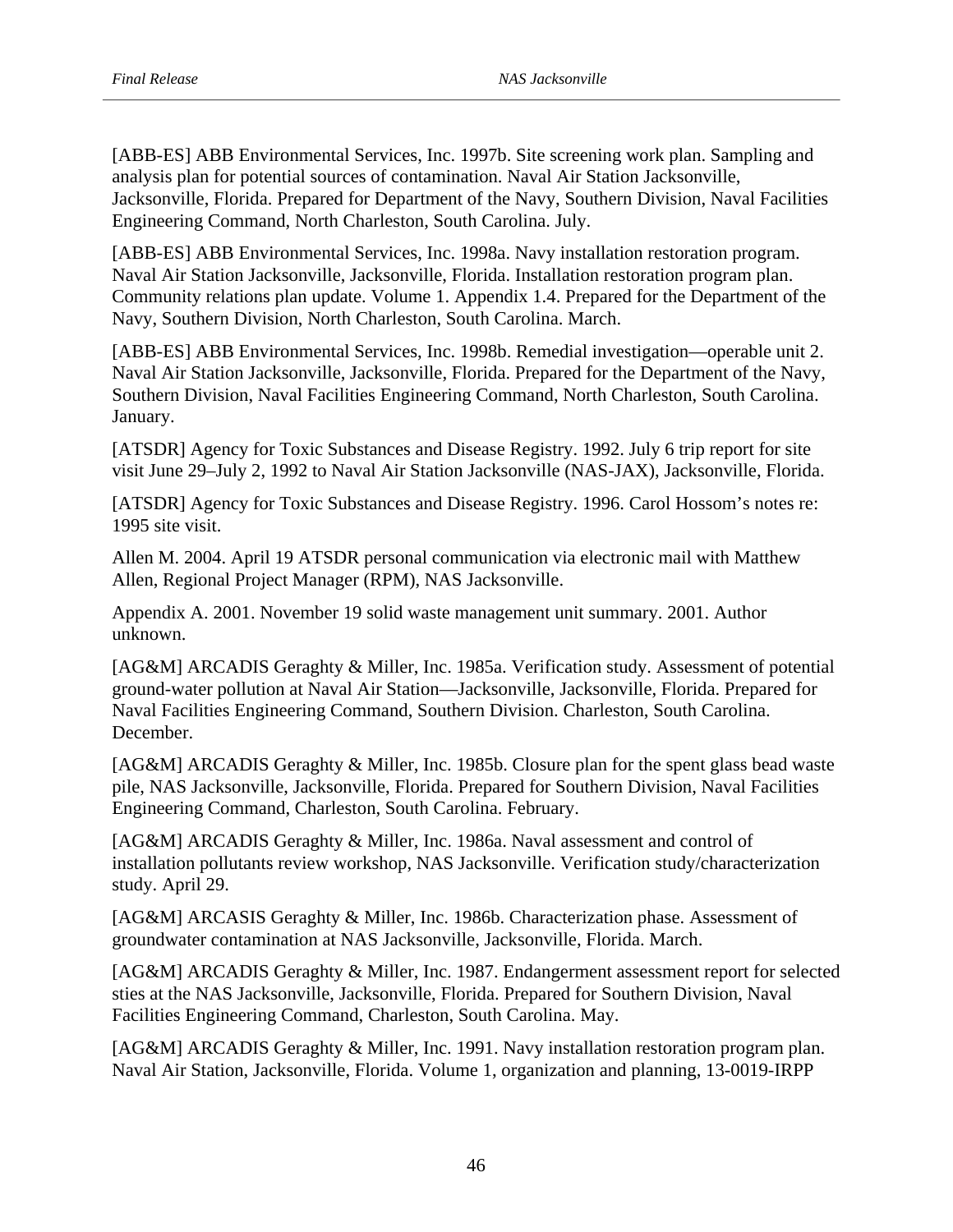[ABB-ES] ABB Environmental Services, Inc. 1997b. Site screening work plan. Sampling and analysis plan for potential sources of contamination. Naval Air Station Jacksonville, Jacksonville, Florida. Prepared for Department of the Navy, Southern Division, Naval Facilities Engineering Command, North Charleston, South Carolina. July.

[ABB-ES] ABB Environmental Services, Inc. 1998a. Navy installation restoration program. Naval Air Station Jacksonville, Jacksonville, Florida. Installation restoration program plan. Community relations plan update. Volume 1. Appendix 1.4. Prepared for the Department of the Navy, Southern Division, North Charleston, South Carolina. March.

[ABB-ES] ABB Environmental Services, Inc. 1998b. Remedial investigation—operable unit 2. Naval Air Station Jacksonville, Jacksonville, Florida. Prepared for the Department of the Navy, Southern Division, Naval Facilities Engineering Command, North Charleston, South Carolina. January.

[ATSDR] Agency for Toxic Substances and Disease Registry. 1992. July 6 trip report for site visit June 29–July 2, 1992 to Naval Air Station Jacksonville (NAS-JAX), Jacksonville, Florida.

[ATSDR] Agency for Toxic Substances and Disease Registry. 1996. Carol Hossom's notes re: 1995 site visit.

Allen M. 2004. April 19 ATSDR personal communication via electronic mail with Matthew Allen, Regional Project Manager (RPM), NAS Jacksonville.

Appendix A. 2001. November 19 solid waste management unit summary. 2001. Author unknown.

[AG&M] ARCADIS Geraghty & Miller, Inc. 1985a. Verification study. Assessment of potential ground-water pollution at Naval Air Station—Jacksonville, Jacksonville, Florida. Prepared for Naval Facilities Engineering Command, Southern Division. Charleston, South Carolina. December.

[AG&M] ARCADIS Geraghty & Miller, Inc. 1985b. Closure plan for the spent glass bead waste pile, NAS Jacksonville, Jacksonville, Florida. Prepared for Southern Division, Naval Facilities Engineering Command, Charleston, South Carolina. February.

[AG&M] ARCADIS Geraghty & Miller, Inc. 1986a. Naval assessment and control of installation pollutants review workshop, NAS Jacksonville. Verification study/characterization study. April 29.

[AG&M] ARCASIS Geraghty & Miller, Inc. 1986b. Characterization phase. Assessment of groundwater contamination at NAS Jacksonville, Jacksonville, Florida. March.

[AG&M] ARCADIS Geraghty & Miller, Inc. 1987. Endangerment assessment report for selected sties at the NAS Jacksonville, Jacksonville, Florida. Prepared for Southern Division, Naval Facilities Engineering Command, Charleston, South Carolina. May.

[AG&M] ARCADIS Geraghty & Miller, Inc. 1991. Navy installation restoration program plan. Naval Air Station, Jacksonville, Florida. Volume 1, organization and planning, 13-0019-IRPP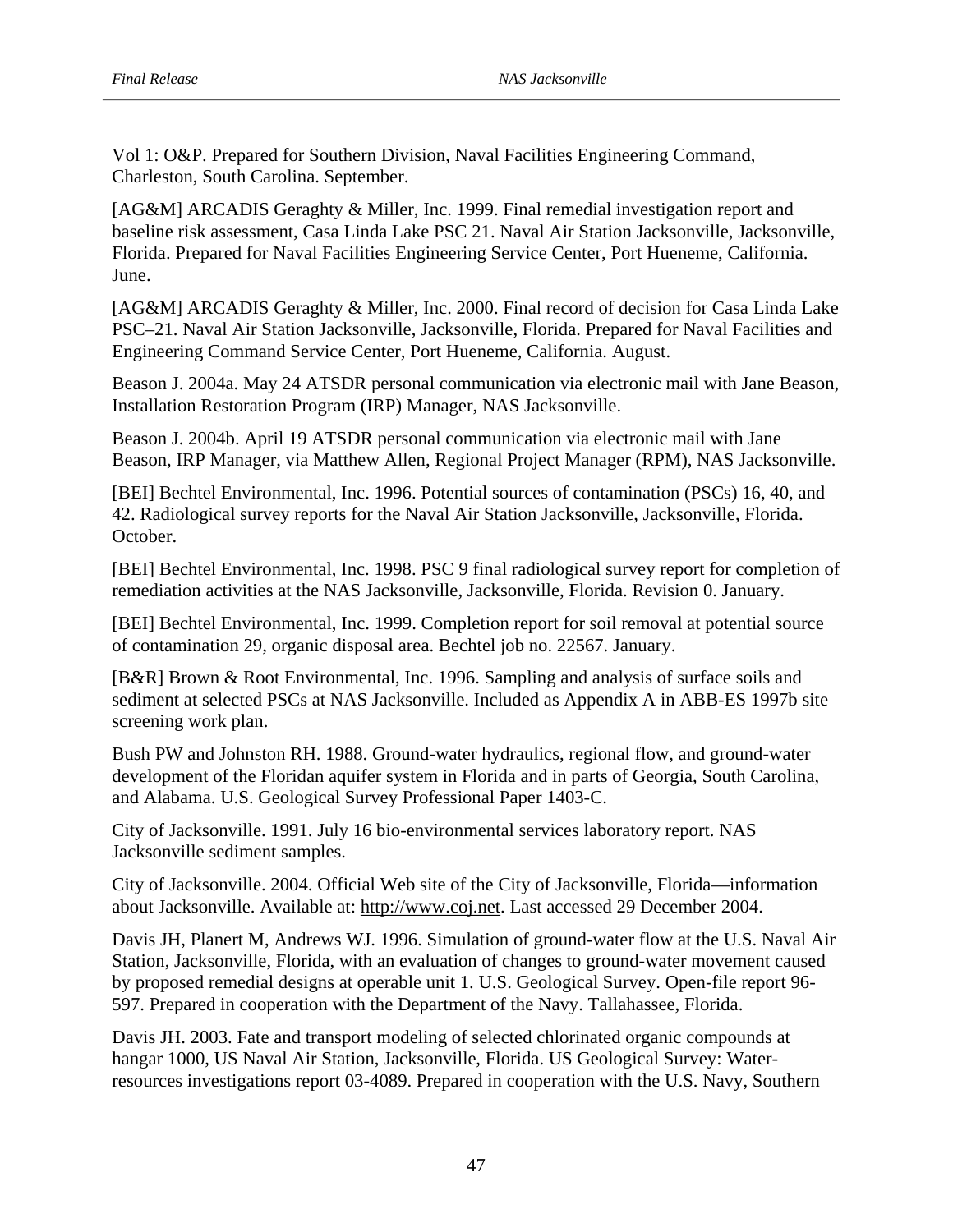Vol 1: O&P. Prepared for Southern Division, Naval Facilities Engineering Command, Charleston, South Carolina. September.

June. [AG&M] ARCADIS Geraghty & Miller, Inc. 1999. Final remedial investigation report and baseline risk assessment, Casa Linda Lake PSC 21. Naval Air Station Jacksonville, Jacksonville, Florida. Prepared for Naval Facilities Engineering Service Center, Port Hueneme, California.

[AG&M] ARCADIS Geraghty & Miller, Inc. 2000. Final record of decision for Casa Linda Lake PSC–21. Naval Air Station Jacksonville, Jacksonville, Florida. Prepared for Naval Facilities and Engineering Command Service Center, Port Hueneme, California. August.

Beason J. 2004a. May 24 ATSDR personal communication via electronic mail with Jane Beason, Installation Restoration Program (IRP) Manager, NAS Jacksonville.

Beason J. 2004b. April 19 ATSDR personal communication via electronic mail with Jane Beason, IRP Manager, via Matthew Allen, Regional Project Manager (RPM), NAS Jacksonville.

October. [BEI] Bechtel Environmental, Inc. 1996. Potential sources of contamination (PSCs) 16, 40, and 42. Radiological survey reports for the Naval Air Station Jacksonville, Jacksonville, Florida.

[BEI] Bechtel Environmental, Inc. 1998. PSC 9 final radiological survey report for completion of remediation activities at the NAS Jacksonville, Jacksonville, Florida. Revision 0. January.

[BEI] Bechtel Environmental, Inc. 1999. Completion report for soil removal at potential source of contamination 29, organic disposal area. Bechtel job no. 22567. January.

screening work plan. [B&R] Brown & Root Environmental, Inc. 1996. Sampling and analysis of surface soils and sediment at selected PSCs at NAS Jacksonville. Included as Appendix A in ABB-ES 1997b site

Bush PW and Johnston RH. 1988. Ground-water hydraulics, regional flow, and ground-water development of the Floridan aquifer system in Florida and in parts of Georgia, South Carolina, and Alabama. U.S. Geological Survey Professional Paper 1403-C.

City of Jacksonville. 1991. July 16 bio-environmental services laboratory report. NAS Jacksonville sediment samples.

City of Jacksonville. 2004. Official Web site of the City of Jacksonville, Florida—information about Jacksonville. Available at: http://www.coj.net. Last accessed 29 December 2004.

Davis JH, Planert M, Andrews WJ. 1996. Simulation of ground-water flow at the U.S. Naval Air Station, Jacksonville, Florida, with an evaluation of changes to ground-water movement caused by proposed remedial designs at operable unit 1. U.S. Geological Survey. Open-file report 96 597. Prepared in cooperation with the Department of the Navy. Tallahassee, Florida.

Davis JH. 2003. Fate and transport modeling of selected chlorinated organic compounds at hangar 1000, US Naval Air Station, Jacksonville, Florida. US Geological Survey: Waterresources investigations report 03-4089. Prepared in cooperation with the U.S. Navy, Southern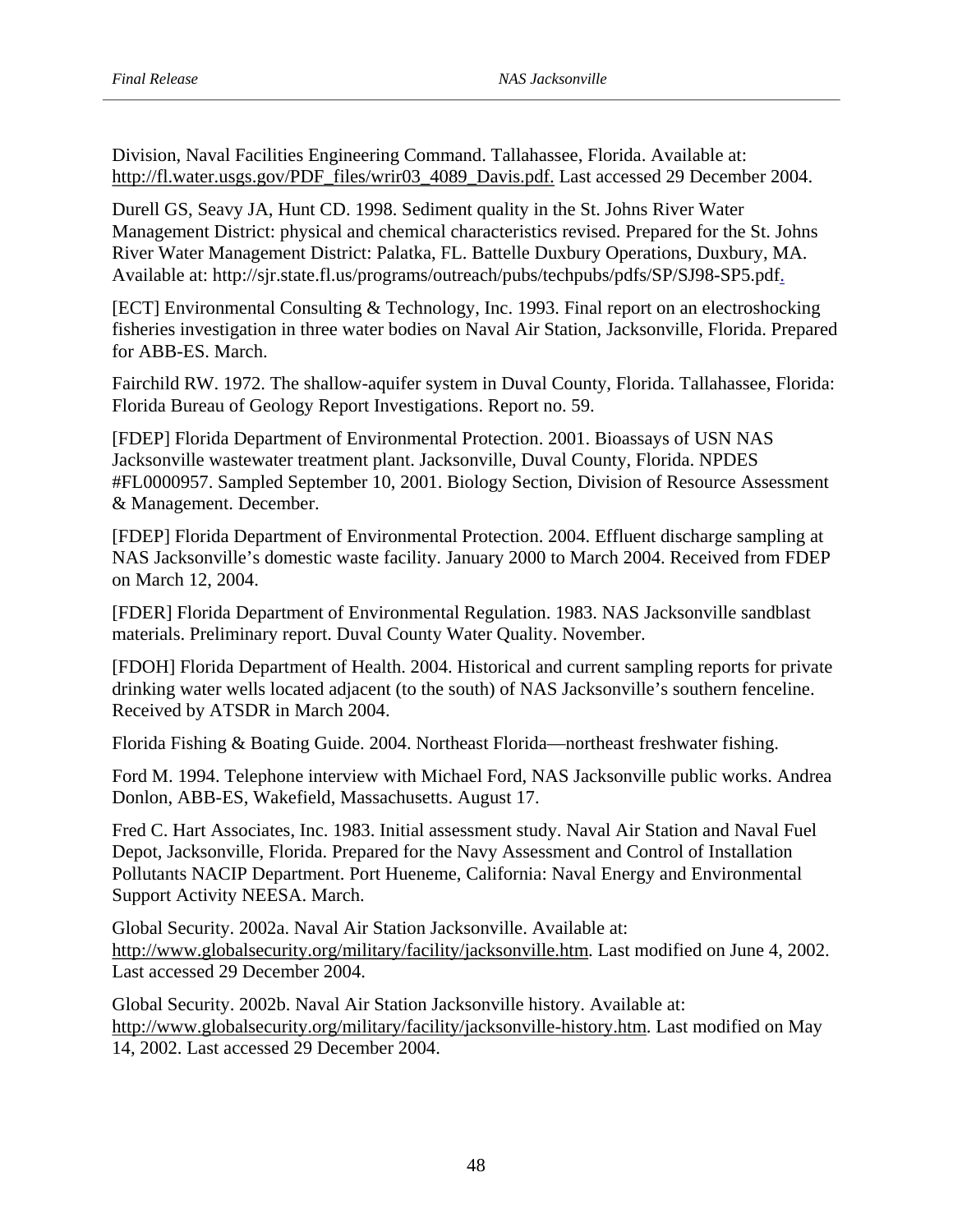Division, Naval Facilities Engineering Command. Tallahassee, Florida. Available at: http://fl.water.usgs.gov/PDF\_files/wrir03\_4089\_Davis.pdf. Last accessed 29 December 2004.

Durell GS, Seavy JA, Hunt CD. 1998. Sediment quality in the St. Johns River Water Management District: physical and chemical characteristics revised. Prepared for the St. Johns River Water Management District: Palatka, FL. Battelle Duxbury Operations, Duxbury, MA. Available at: http://sjr.state.fl.us/programs/outreach/pubs/techpubs/pdfs/SP/SJ98-SP5.pdf.

[ECT] Environmental Consulting & Technology, Inc. 1993. Final report on an electroshocking fisheries investigation in three water bodies on Naval Air Station, Jacksonville, Florida. Prepared for ABB-ES. March.

Fairchild RW. 1972. The shallow-aquifer system in Duval County, Florida. Tallahassee, Florida: Florida Bureau of Geology Report Investigations. Report no. 59.

[FDEP] Florida Department of Environmental Protection. 2001. Bioassays of USN NAS Jacksonville wastewater treatment plant. Jacksonville, Duval County, Florida. NPDES #FL0000957. Sampled September 10, 2001. Biology Section, Division of Resource Assessment & Management. December.

[FDEP] Florida Department of Environmental Protection. 2004. Effluent discharge sampling at NAS Jacksonville's domestic waste facility. January 2000 to March 2004. Received from FDEP on March 12, 2004.

[FDER] Florida Department of Environmental Regulation. 1983. NAS Jacksonville sandblast materials. Preliminary report. Duval County Water Quality. November.

[FDOH] Florida Department of Health. 2004. Historical and current sampling reports for private drinking water wells located adjacent (to the south) of NAS Jacksonville's southern fenceline. Received by ATSDR in March 2004.

Florida Fishing & Boating Guide. 2004. Northeast Florida—northeast freshwater fishing.

Ford M. 1994. Telephone interview with Michael Ford, NAS Jacksonville public works. Andrea Donlon, ABB-ES, Wakefield, Massachusetts. August 17.

Fred C. Hart Associates, Inc. 1983. Initial assessment study. Naval Air Station and Naval Fuel Depot, Jacksonville, Florida. Prepared for the Navy Assessment and Control of Installation Pollutants NACIP Department. Port Hueneme, California: Naval Energy and Environmental Support Activity NEESA. March.

Global Security. 2002a. Naval Air Station Jacksonville. Available at: Last accessed 29 December 2004. http://www.globalsecurity.org/military/facility/jacksonville.htm. Last modified on June 4, 2002.

Global Security. 2002b. Naval Air Station Jacksonville history. Available at: http://www.globalsecurity.org/military/facility/jacksonville-history.htm. Last modified on May 14, 2002. Last accessed 29 December 2004.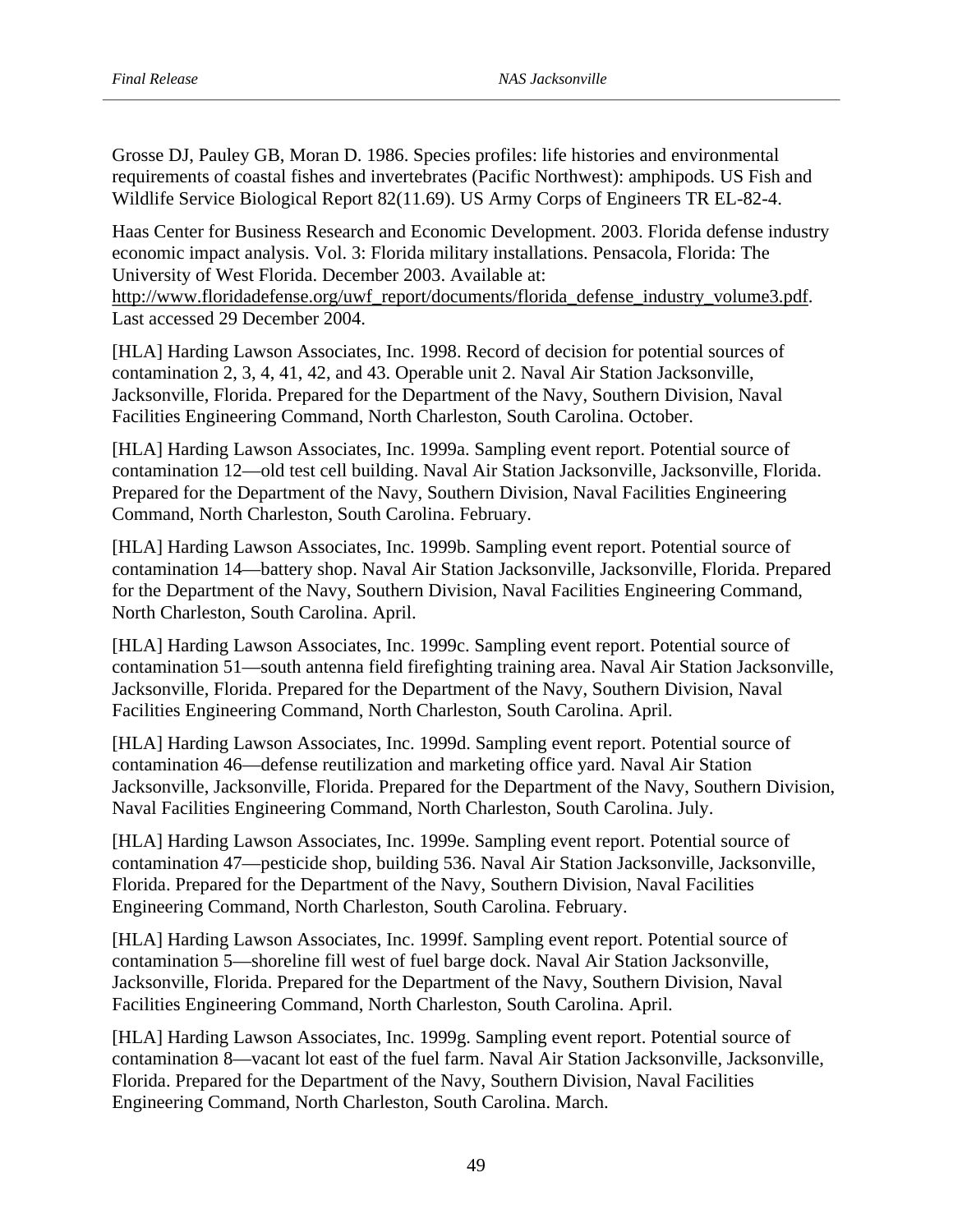Grosse DJ, Pauley GB, Moran D. 1986. Species profiles: life histories and environmental requirements of coastal fishes and invertebrates (Pacific Northwest): amphipods. US Fish and Wildlife Service Biological Report 82(11.69). US Army Corps of Engineers TR EL-82-4.

Haas Center for Business Research and Economic Development. 2003. Florida defense industry economic impact analysis. Vol. 3: Florida military installations. Pensacola, Florida: The University of West Florida. December 2003. Available at: http://www.floridadefense.org/uwf\_report/documents/florida\_defense\_industry\_volume3.pdf.

Last accessed 29 December 2004.

[HLA] Harding Lawson Associates, Inc. 1998. Record of decision for potential sources of contamination 2, 3, 4, 41, 42, and 43. Operable unit 2. Naval Air Station Jacksonville, Jacksonville, Florida. Prepared for the Department of the Navy, Southern Division, Naval Facilities Engineering Command, North Charleston, South Carolina. October.

[HLA] Harding Lawson Associates, Inc. 1999a. Sampling event report. Potential source of contamination 12—old test cell building. Naval Air Station Jacksonville, Jacksonville, Florida. Prepared for the Department of the Navy, Southern Division, Naval Facilities Engineering Command, North Charleston, South Carolina. February.

[HLA] Harding Lawson Associates, Inc. 1999b. Sampling event report. Potential source of contamination 14—battery shop. Naval Air Station Jacksonville, Jacksonville, Florida. Prepared for the Department of the Navy, Southern Division, Naval Facilities Engineering Command, North Charleston, South Carolina. April.

[HLA] Harding Lawson Associates, Inc. 1999c. Sampling event report. Potential source of contamination 51—south antenna field firefighting training area. Naval Air Station Jacksonville, Jacksonville, Florida. Prepared for the Department of the Navy, Southern Division, Naval Facilities Engineering Command, North Charleston, South Carolina. April.

[HLA] Harding Lawson Associates, Inc. 1999d. Sampling event report. Potential source of contamination 46—defense reutilization and marketing office yard. Naval Air Station Jacksonville, Jacksonville, Florida. Prepared for the Department of the Navy, Southern Division, Naval Facilities Engineering Command, North Charleston, South Carolina. July.

[HLA] Harding Lawson Associates, Inc. 1999e. Sampling event report. Potential source of contamination 47—pesticide shop, building 536. Naval Air Station Jacksonville, Jacksonville, Florida. Prepared for the Department of the Navy, Southern Division, Naval Facilities Engineering Command, North Charleston, South Carolina. February.

[HLA] Harding Lawson Associates, Inc. 1999f. Sampling event report. Potential source of contamination 5—shoreline fill west of fuel barge dock. Naval Air Station Jacksonville, Jacksonville, Florida. Prepared for the Department of the Navy, Southern Division, Naval Facilities Engineering Command, North Charleston, South Carolina. April.

[HLA] Harding Lawson Associates, Inc. 1999g. Sampling event report. Potential source of contamination 8—vacant lot east of the fuel farm. Naval Air Station Jacksonville, Jacksonville, Florida. Prepared for the Department of the Navy, Southern Division, Naval Facilities Engineering Command, North Charleston, South Carolina. March.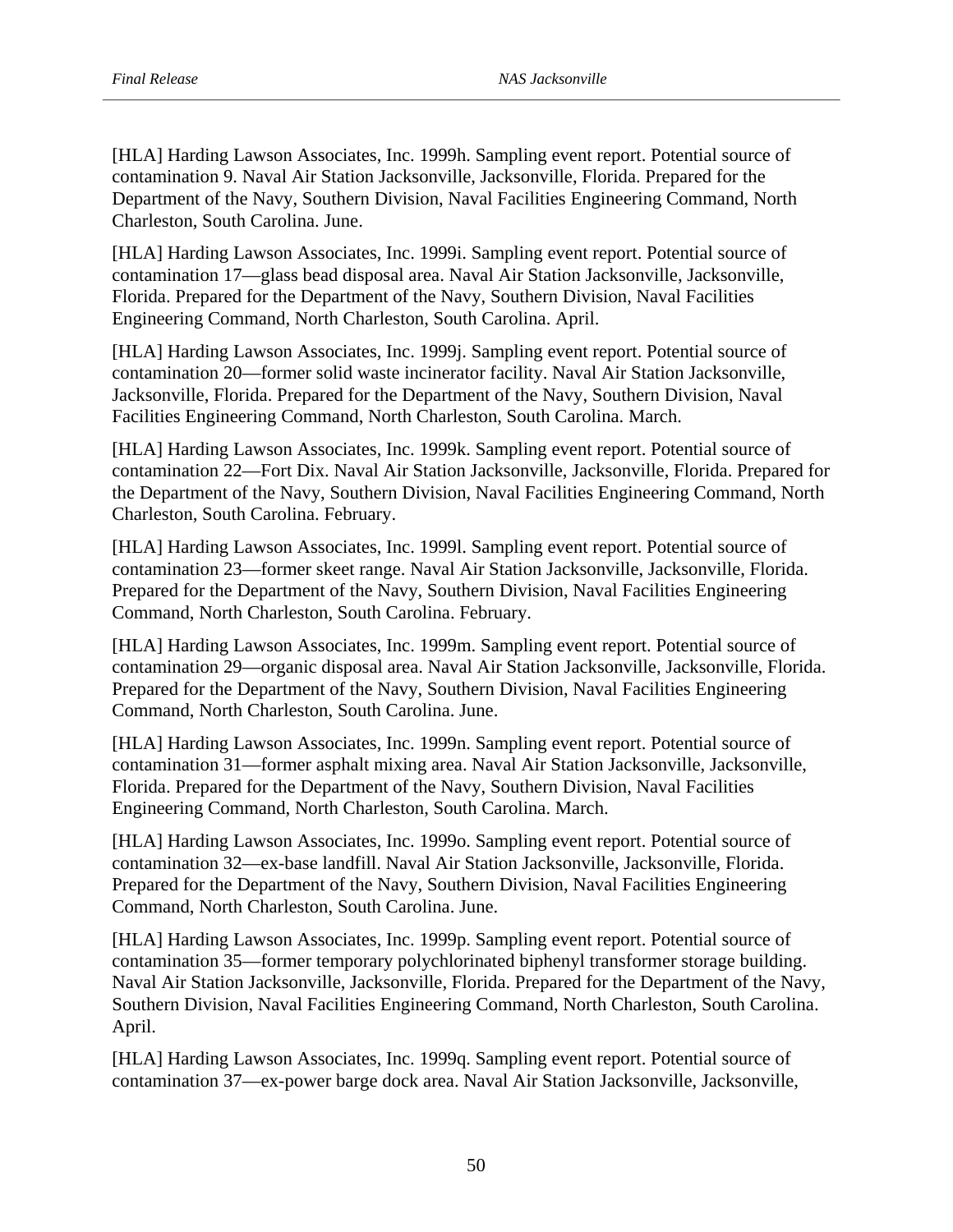[HLA] Harding Lawson Associates, Inc. 1999h. Sampling event report. Potential source of contamination 9. Naval Air Station Jacksonville, Jacksonville, Florida. Prepared for the Department of the Navy, Southern Division, Naval Facilities Engineering Command, North Charleston, South Carolina. June.

[HLA] Harding Lawson Associates, Inc. 1999i. Sampling event report. Potential source of contamination 17—glass bead disposal area. Naval Air Station Jacksonville, Jacksonville, Florida. Prepared for the Department of the Navy, Southern Division, Naval Facilities Engineering Command, North Charleston, South Carolina. April.

[HLA] Harding Lawson Associates, Inc. 1999j. Sampling event report. Potential source of contamination 20—former solid waste incinerator facility. Naval Air Station Jacksonville, Jacksonville, Florida. Prepared for the Department of the Navy, Southern Division, Naval Facilities Engineering Command, North Charleston, South Carolina. March.

[HLA] Harding Lawson Associates, Inc. 1999k. Sampling event report. Potential source of contamination 22—Fort Dix. Naval Air Station Jacksonville, Jacksonville, Florida. Prepared for the Department of the Navy, Southern Division, Naval Facilities Engineering Command, North Charleston, South Carolina. February.

[HLA] Harding Lawson Associates, Inc. 1999l. Sampling event report. Potential source of contamination 23—former skeet range. Naval Air Station Jacksonville, Jacksonville, Florida. Prepared for the Department of the Navy, Southern Division, Naval Facilities Engineering Command, North Charleston, South Carolina. February.

[HLA] Harding Lawson Associates, Inc. 1999m. Sampling event report. Potential source of contamination 29—organic disposal area. Naval Air Station Jacksonville, Jacksonville, Florida. Prepared for the Department of the Navy, Southern Division, Naval Facilities Engineering Command, North Charleston, South Carolina. June.

[HLA] Harding Lawson Associates, Inc. 1999n. Sampling event report. Potential source of contamination 31—former asphalt mixing area. Naval Air Station Jacksonville, Jacksonville, Florida. Prepared for the Department of the Navy, Southern Division, Naval Facilities Engineering Command, North Charleston, South Carolina. March.

[HLA] Harding Lawson Associates, Inc. 1999o. Sampling event report. Potential source of contamination 32—ex-base landfill. Naval Air Station Jacksonville, Jacksonville, Florida. Prepared for the Department of the Navy, Southern Division, Naval Facilities Engineering Command, North Charleston, South Carolina. June.

[HLA] Harding Lawson Associates, Inc. 1999p. Sampling event report. Potential source of contamination 35—former temporary polychlorinated biphenyl transformer storage building. Naval Air Station Jacksonville, Jacksonville, Florida. Prepared for the Department of the Navy, Southern Division, Naval Facilities Engineering Command, North Charleston, South Carolina. April.

[HLA] Harding Lawson Associates, Inc. 1999q. Sampling event report. Potential source of contamination 37—ex-power barge dock area. Naval Air Station Jacksonville, Jacksonville,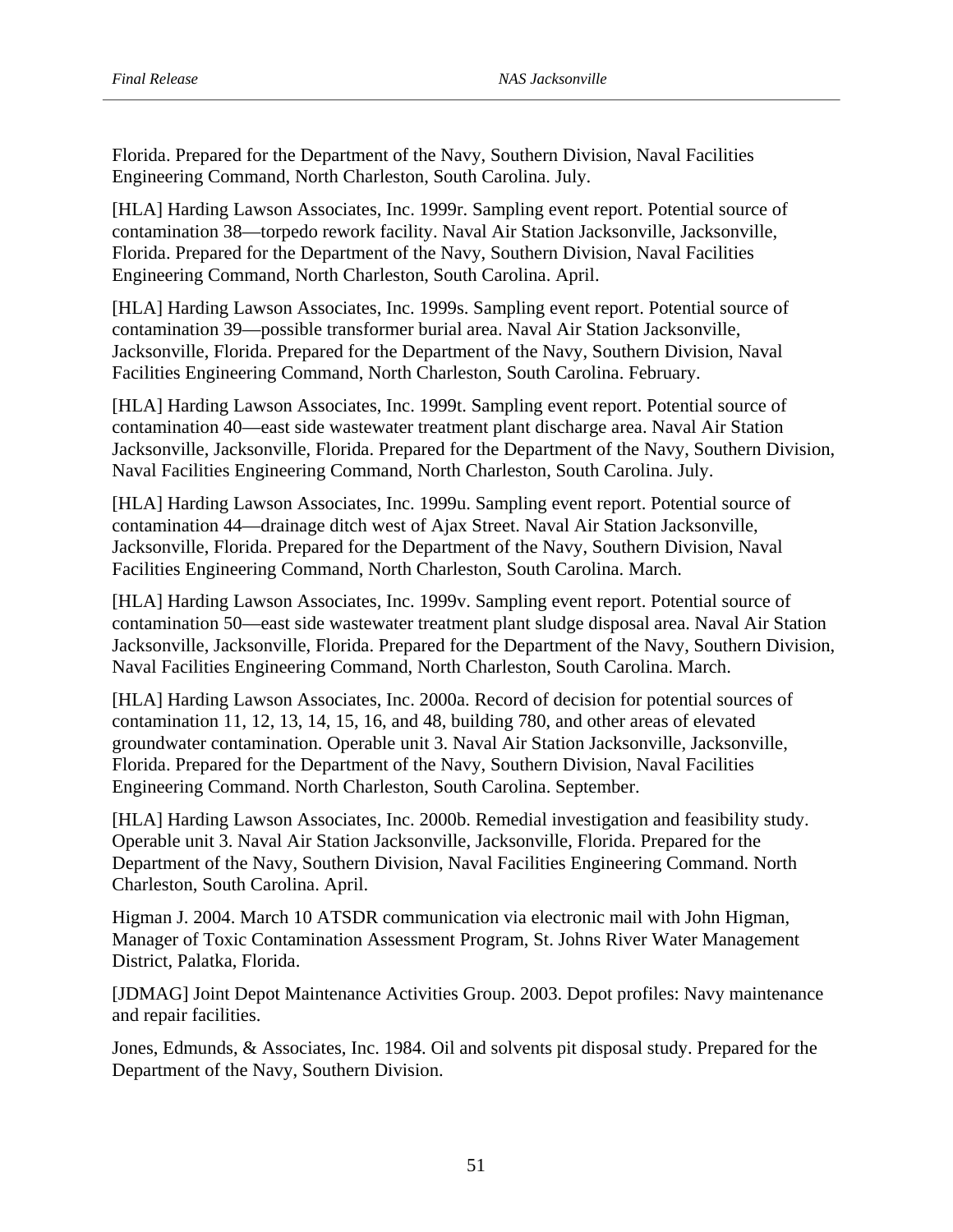Florida. Prepared for the Department of the Navy, Southern Division, Naval Facilities Engineering Command, North Charleston, South Carolina. July.

[HLA] Harding Lawson Associates, Inc. 1999r. Sampling event report. Potential source of contamination 38—torpedo rework facility. Naval Air Station Jacksonville, Jacksonville, Florida. Prepared for the Department of the Navy, Southern Division, Naval Facilities Engineering Command, North Charleston, South Carolina. April.

[HLA] Harding Lawson Associates, Inc. 1999s. Sampling event report. Potential source of contamination 39—possible transformer burial area. Naval Air Station Jacksonville, Jacksonville, Florida. Prepared for the Department of the Navy, Southern Division, Naval Facilities Engineering Command, North Charleston, South Carolina. February.

[HLA] Harding Lawson Associates, Inc. 1999t. Sampling event report. Potential source of contamination 40—east side wastewater treatment plant discharge area. Naval Air Station Jacksonville, Jacksonville, Florida. Prepared for the Department of the Navy, Southern Division, Naval Facilities Engineering Command, North Charleston, South Carolina. July.

[HLA] Harding Lawson Associates, Inc. 1999u. Sampling event report. Potential source of contamination 44—drainage ditch west of Ajax Street. Naval Air Station Jacksonville, Jacksonville, Florida. Prepared for the Department of the Navy, Southern Division, Naval Facilities Engineering Command, North Charleston, South Carolina. March.

[HLA] Harding Lawson Associates, Inc. 1999v. Sampling event report. Potential source of contamination 50—east side wastewater treatment plant sludge disposal area. Naval Air Station Jacksonville, Jacksonville, Florida. Prepared for the Department of the Navy, Southern Division, Naval Facilities Engineering Command, North Charleston, South Carolina. March.

[HLA] Harding Lawson Associates, Inc. 2000a. Record of decision for potential sources of contamination 11, 12, 13, 14, 15, 16, and 48, building 780, and other areas of elevated groundwater contamination. Operable unit 3. Naval Air Station Jacksonville, Jacksonville, Florida. Prepared for the Department of the Navy, Southern Division, Naval Facilities Engineering Command. North Charleston, South Carolina. September.

[HLA] Harding Lawson Associates, Inc. 2000b. Remedial investigation and feasibility study. Operable unit 3. Naval Air Station Jacksonville, Jacksonville, Florida. Prepared for the Department of the Navy, Southern Division, Naval Facilities Engineering Command. North Charleston, South Carolina. April.

Higman J. 2004. March 10 ATSDR communication via electronic mail with John Higman, Manager of Toxic Contamination Assessment Program, St. Johns River Water Management District, Palatka, Florida.

[JDMAG] Joint Depot Maintenance Activities Group. 2003. Depot profiles: Navy maintenance and repair facilities.

Jones, Edmunds, & Associates, Inc. 1984. Oil and solvents pit disposal study. Prepared for the Department of the Navy, Southern Division.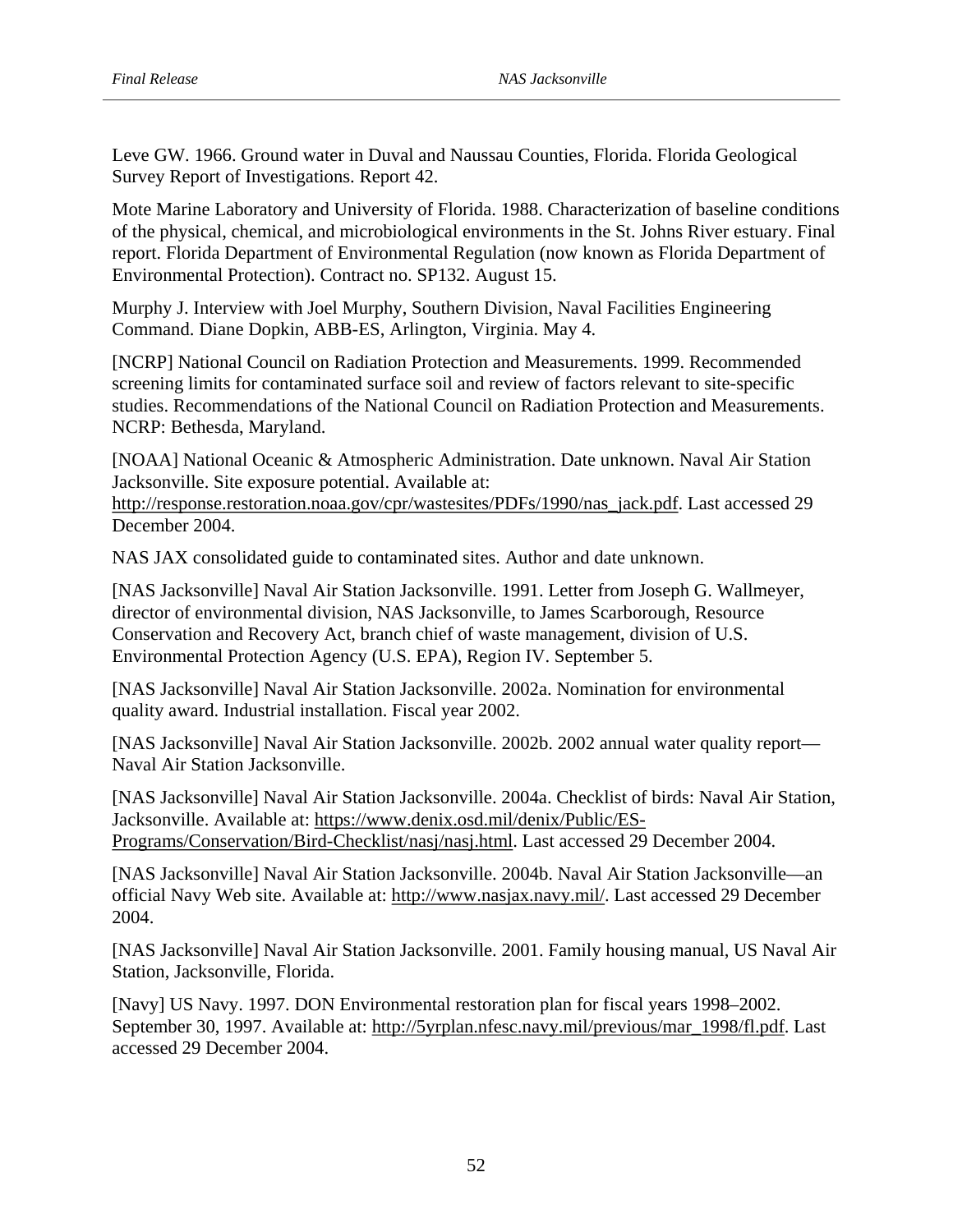Survey Report of Investigations. Report 42. Leve GW. 1966. Ground water in Duval and Naussau Counties, Florida. Florida Geological

Mote Marine Laboratory and University of Florida. 1988. Characterization of baseline conditions of the physical, chemical, and microbiological environments in the St. Johns River estuary. Final report. Florida Department of Environmental Regulation (now known as Florida Department of Environmental Protection). Contract no. SP132. August 15.

Murphy J. Interview with Joel Murphy, Southern Division, Naval Facilities Engineering Command. Diane Dopkin, ABB-ES, Arlington, Virginia. May 4.

NCRP: Bethesda, Maryland. [NCRP] National Council on Radiation Protection and Measurements. 1999. Recommended screening limits for contaminated surface soil and review of factors relevant to site-specific studies. Recommendations of the National Council on Radiation Protection and Measurements.

[NOAA] National Oceanic & Atmospheric Administration. Date unknown. Naval Air Station Jacksonville. Site exposure potential. Available at:

http://response.restoration.noaa.gov/cpr/wastesites/PDFs/1990/nas\_jack.pdf. Last accessed 29 December 2004.

NAS JAX consolidated guide to contaminated sites. Author and date unknown.

[NAS Jacksonville] Naval Air Station Jacksonville. 1991. Letter from Joseph G. Wallmeyer, director of environmental division, NAS Jacksonville, to James Scarborough, Resource Conservation and Recovery Act, branch chief of waste management, division of U.S. Environmental Protection Agency (U.S. EPA), Region IV. September 5.

[NAS Jacksonville] Naval Air Station Jacksonville. 2002a. Nomination for environmental quality award. Industrial installation. Fiscal year 2002.

Naval Air Station Jacksonville. [NAS Jacksonville] Naval Air Station Jacksonville. 2002b. 2002 annual water quality report—

Programs/Conservation/Bird-Checklist/nasj/nasj.html. Last accessed 29 December 2004. [NAS Jacksonville] Naval Air Station Jacksonville. 2004a. Checklist of birds: Naval Air Station, Jacksonville. Available at: https://www.denix.osd.mil/denix/Public/ES-

2004. [NAS Jacksonville] Naval Air Station Jacksonville. 2004b. Naval Air Station Jacksonville—an official Navy Web site. Available at: http://www.nasjax.navy.mil/. Last accessed 29 December

Station, Jacksonville, Florida. [NAS Jacksonville] Naval Air Station Jacksonville. 2001. Family housing manual, US Naval Air

[Navy] US Navy. 1997. DON Environmental restoration plan for fiscal years 1998–2002. September 30, 1997. Available at: http://5yrplan.nfesc.navy.mil/previous/mar\_1998/fl.pdf. Last accessed 29 December 2004.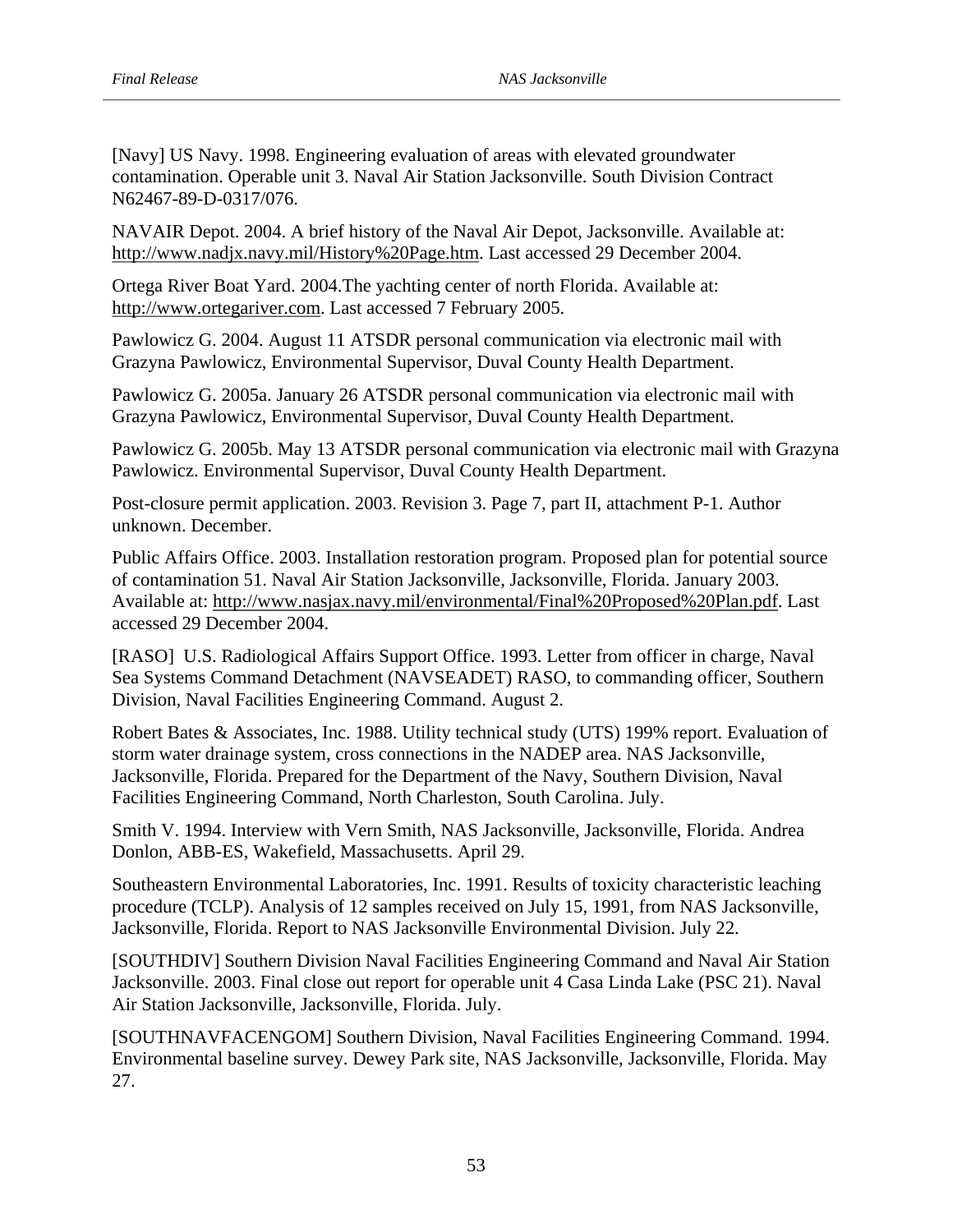N62467-89-D-0317/076. [Navy] US Navy. 1998. Engineering evaluation of areas with elevated groundwater contamination. Operable unit 3. Naval Air Station Jacksonville. South Division Contract

NAVAIR Depot. 2004. A brief history of the Naval Air Depot, Jacksonville. Available at: http://www.nadjx.navy.mil/History%20Page.htm. Last accessed 29 December 2004.

Ortega River Boat Yard. 2004.The yachting center of north Florida. Available at: http://www.ortegariver.com. Last accessed 7 February 2005.

Pawlowicz G. 2004. August 11 ATSDR personal communication via electronic mail with Grazyna Pawlowicz, Environmental Supervisor, Duval County Health Department.

Pawlowicz G. 2005a. January 26 ATSDR personal communication via electronic mail with Grazyna Pawlowicz, Environmental Supervisor, Duval County Health Department.

Pawlowicz G. 2005b. May 13 ATSDR personal communication via electronic mail with Grazyna Pawlowicz. Environmental Supervisor, Duval County Health Department.

Post-closure permit application. 2003. Revision 3. Page 7, part II, attachment P-1. Author unknown. December.

Public Affairs Office. 2003. Installation restoration program. Proposed plan for potential source of contamination 51. Naval Air Station Jacksonville, Jacksonville, Florida. January 2003. Available at: http://www.nasjax.navy.mil/environmental/Final%20Proposed%20Plan.pdf. Last accessed 29 December 2004.

[RASO] U.S. Radiological Affairs Support Office. 1993. Letter from officer in charge, Naval Sea Systems Command Detachment (NAVSEADET) RASO, to commanding officer, Southern Division, Naval Facilities Engineering Command. August 2.

Robert Bates & Associates, Inc. 1988. Utility technical study (UTS) 199% report. Evaluation of storm water drainage system, cross connections in the NADEP area. NAS Jacksonville, Jacksonville, Florida. Prepared for the Department of the Navy, Southern Division, Naval Facilities Engineering Command, North Charleston, South Carolina. July.

Smith V. 1994. Interview with Vern Smith, NAS Jacksonville, Jacksonville, Florida. Andrea Donlon, ABB-ES, Wakefield, Massachusetts. April 29.

Southeastern Environmental Laboratories, Inc. 1991. Results of toxicity characteristic leaching procedure (TCLP). Analysis of 12 samples received on July 15, 1991, from NAS Jacksonville, Jacksonville, Florida. Report to NAS Jacksonville Environmental Division. July 22.

[SOUTHDIV] Southern Division Naval Facilities Engineering Command and Naval Air Station Jacksonville. 2003. Final close out report for operable unit 4 Casa Linda Lake (PSC 21). Naval Air Station Jacksonville, Jacksonville, Florida. July.

[SOUTHNAVFACENGOM] Southern Division, Naval Facilities Engineering Command. 1994. Environmental baseline survey. Dewey Park site, NAS Jacksonville, Jacksonville, Florida. May 27.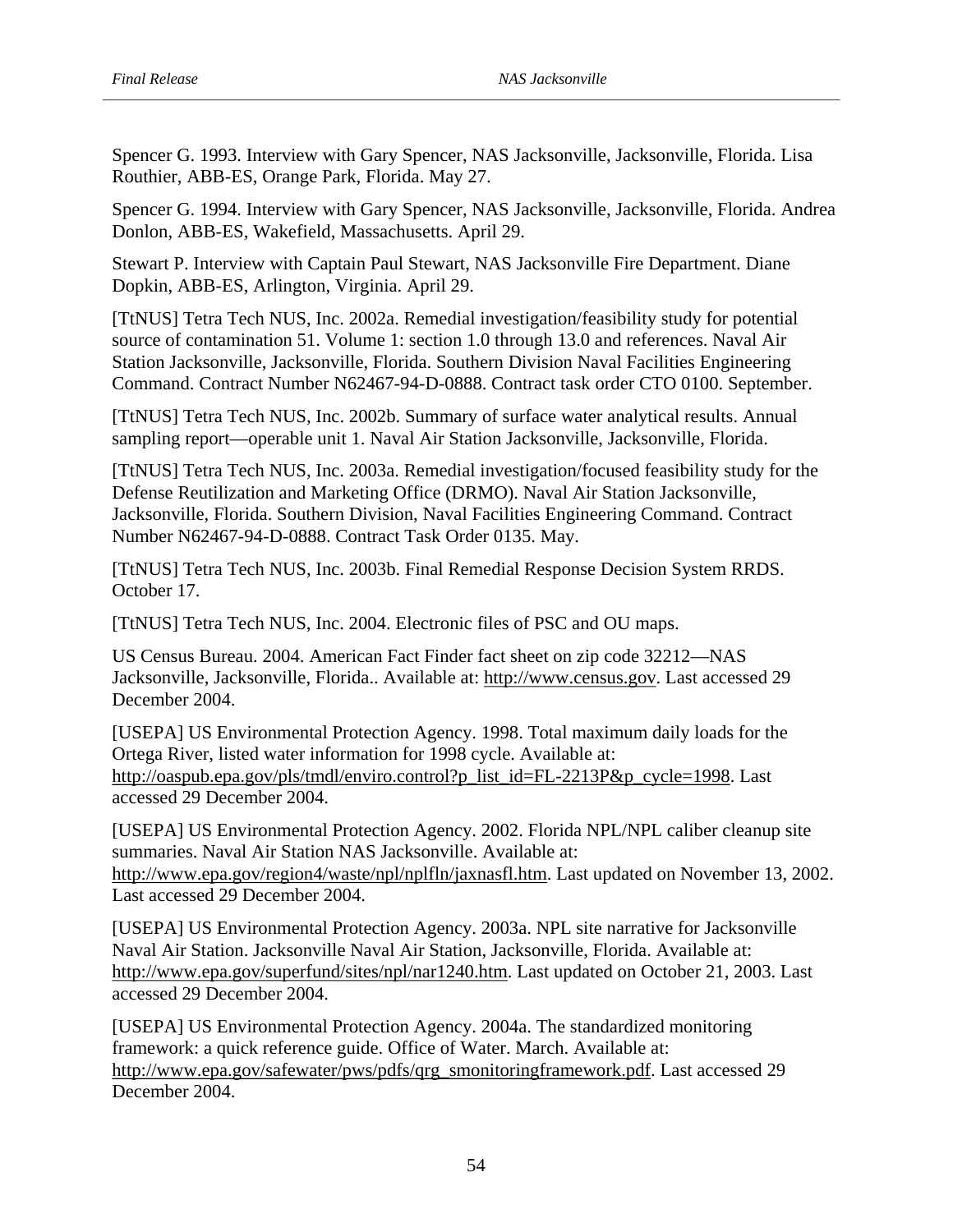Spencer G. 1993. Interview with Gary Spencer, NAS Jacksonville, Jacksonville, Florida. Lisa Routhier, ABB-ES, Orange Park, Florida. May 27.

Spencer G. 1994. Interview with Gary Spencer, NAS Jacksonville, Jacksonville, Florida. Andrea Donlon, ABB-ES, Wakefield, Massachusetts. April 29.

Dopkin, ABB-ES, Arlington, Virginia. April 29. Stewart P. Interview with Captain Paul Stewart, NAS Jacksonville Fire Department. Diane

[TtNUS] Tetra Tech NUS, Inc. 2002a. Remedial investigation/feasibility study for potential source of contamination 51. Volume 1: section 1.0 through 13.0 and references. Naval Air Station Jacksonville, Jacksonville, Florida. Southern Division Naval Facilities Engineering Command. Contract Number N62467-94-D-0888. Contract task order CTO 0100. September.

[TtNUS] Tetra Tech NUS, Inc. 2002b. Summary of surface water analytical results. Annual sampling report—operable unit 1. Naval Air Station Jacksonville, Jacksonville, Florida.

[TtNUS] Tetra Tech NUS, Inc. 2003a. Remedial investigation/focused feasibility study for the Defense Reutilization and Marketing Office (DRMO). Naval Air Station Jacksonville, Jacksonville, Florida. Southern Division, Naval Facilities Engineering Command. Contract Number N62467-94-D-0888. Contract Task Order 0135. May.

October 17. [TtNUS] Tetra Tech NUS, Inc. 2003b. Final Remedial Response Decision System RRDS.

[TtNUS] Tetra Tech NUS, Inc. 2004. Electronic files of PSC and OU maps.

US Census Bureau. 2004. American Fact Finder fact sheet on zip code 32212—NAS Jacksonville, Jacksonville, Florida.. Available at: http://www.census.gov. Last accessed 29 December 2004.

[USEPA] US Environmental Protection Agency. 1998. Total maximum daily loads for the Ortega River, listed water information for 1998 cycle. Available at: http://oaspub.epa.gov/pls/tmdl/enviro.control?p\_list\_id=FL-2213P&p\_cycle=1998. Last accessed 29 December 2004.

Last accessed 29 December 2004. [USEPA] US Environmental Protection Agency. 2002. Florida NPL/NPL caliber cleanup site summaries. Naval Air Station NAS Jacksonville. Available at: http://www.epa.gov/region4/waste/npl/nplfln/jaxnasfl.htm. Last updated on November 13, 2002.

[USEPA] US Environmental Protection Agency. 2003a. NPL site narrative for Jacksonville Naval Air Station. Jacksonville Naval Air Station, Jacksonville, Florida. Available at: http://www.epa.gov/superfund/sites/npl/nar1240.htm. Last updated on October 21, 2003. Last accessed 29 December 2004.

[USEPA] US Environmental Protection Agency. 2004a. The standardized monitoring framework: a quick reference guide. Office of Water. March. Available at: http://www.epa.gov/safewater/pws/pdfs/qrg\_smonitoringframework.pdf. Last accessed 29 December 2004.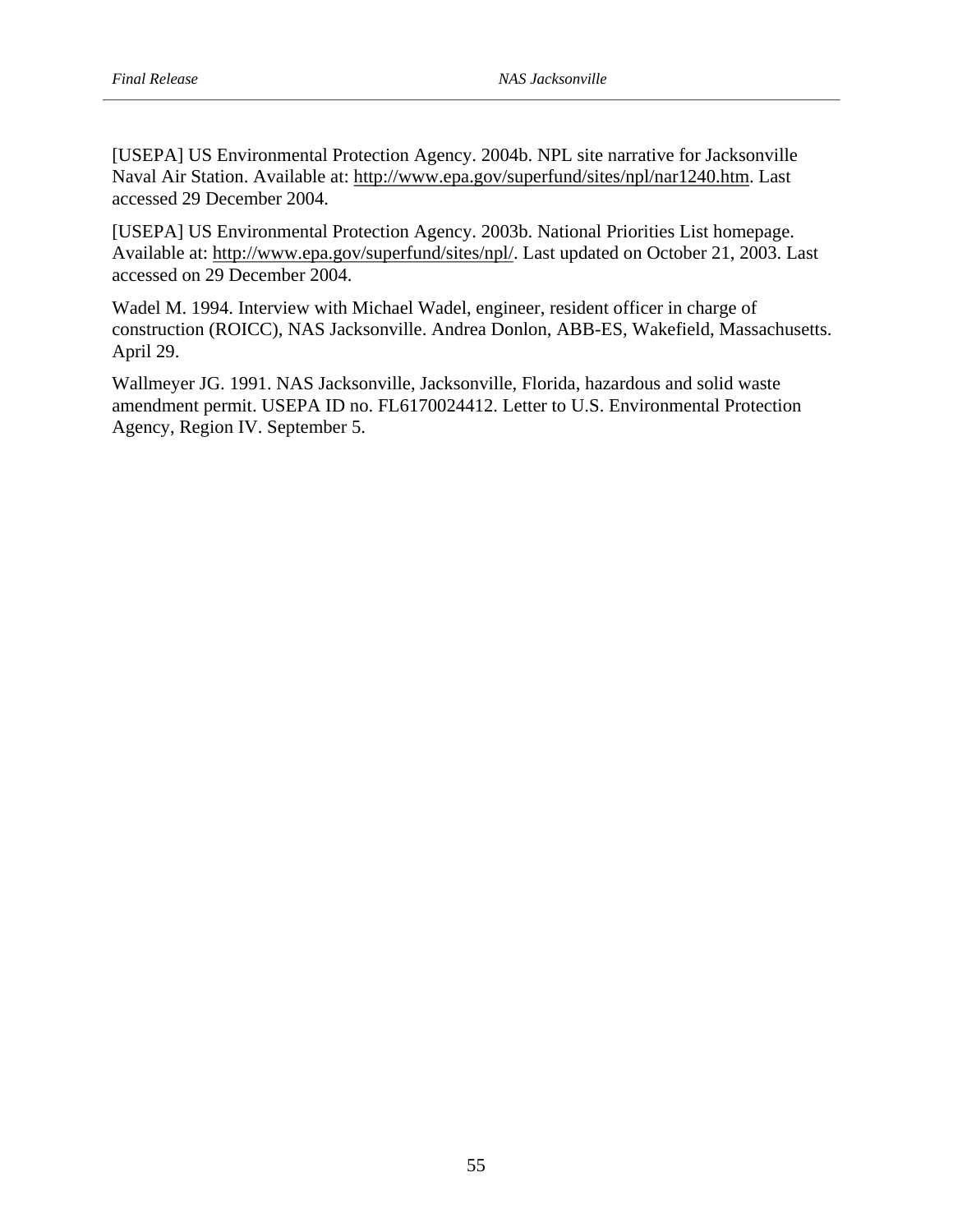[USEPA] US Environmental Protection Agency. 2004b. NPL site narrative for Jacksonville Naval Air Station. Available at: http://www.epa.gov/superfund/sites/npl/nar1240.htm. Last accessed 29 December 2004.

[USEPA] US Environmental Protection Agency. 2003b. National Priorities List homepage. Available at: http://www.epa.gov/superfund/sites/npl/. Last updated on October 21, 2003. Last accessed on 29 December 2004.

Wadel M. 1994. Interview with Michael Wadel, engineer, resident officer in charge of construction (ROICC), NAS Jacksonville. Andrea Donlon, ABB-ES, Wakefield, Massachusetts. April 29.

Wallmeyer JG. 1991. NAS Jacksonville, Jacksonville, Florida, hazardous and solid waste amendment permit. USEPA ID no. FL6170024412. Letter to U.S. Environmental Protection Agency, Region IV. September 5.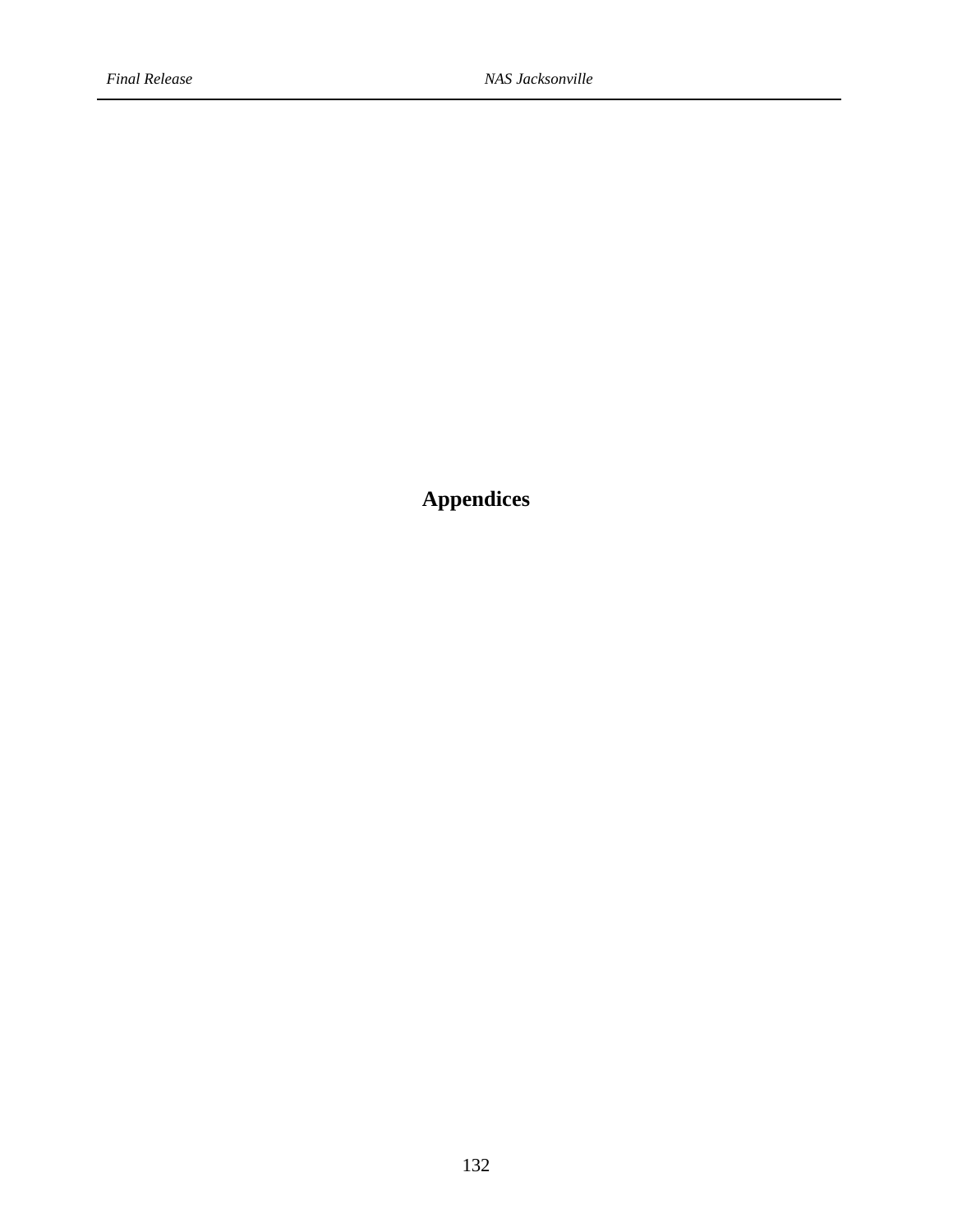**Appendices**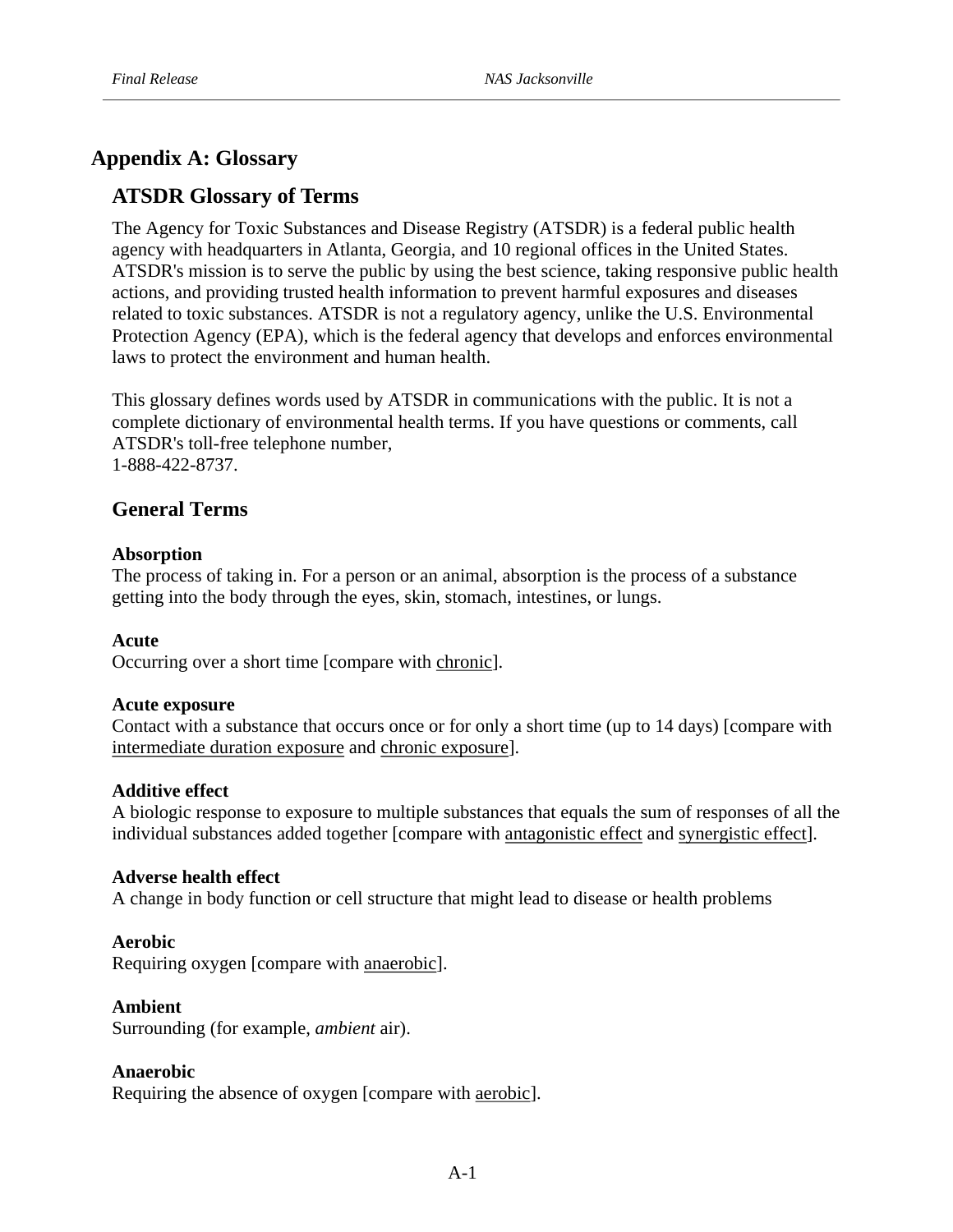# **Appendix A: Glossary**

# **ATSDR Glossary of Terms**

The Agency for Toxic Substances and Disease Registry (ATSDR) is a federal public health agency with headquarters in Atlanta, Georgia, and 10 regional offices in the United States. ATSDR's mission is to serve the public by using the best science, taking responsive public health actions, and providing trusted health information to prevent harmful exposures and diseases related to toxic substances. ATSDR is not a regulatory agency, unlike the U.S. Environmental Protection Agency (EPA), which is the federal agency that develops and enforces environmental laws to protect the environment and human health.

1-888-422-8737. This glossary defines words used by ATSDR in communications with the public. It is not a complete dictionary of environmental health terms. If you have questions or comments, call ATSDR's toll-free telephone number,

## **General Terms**

#### **Absorption**

The process of taking in. For a person or an animal, absorption is the process of a substance getting into the body through the eyes, skin, stomach, intestines, or lungs.

#### **Acute**

Occurring over a short time [compare with chronic].

#### **Acute exposure**

Contact with a substance that occurs once or for only a short time (up to 14 days) [compare with intermediate duration exposure and chronic exposure].

## **Additive effect**

A biologic response to exposure to multiple substances that equals the sum of responses of all the individual substances added together [compare with antagonistic effect and synergistic effect].

#### **Adverse health effect**

A change in body function or cell structure that might lead to disease or health problems

#### **Aerobic**

Requiring oxygen [compare with anaerobic].

#### **Ambient**

Surrounding (for example, *ambient* air).

#### **Anaerobic**

Requiring the absence of oxygen [compare with aerobic].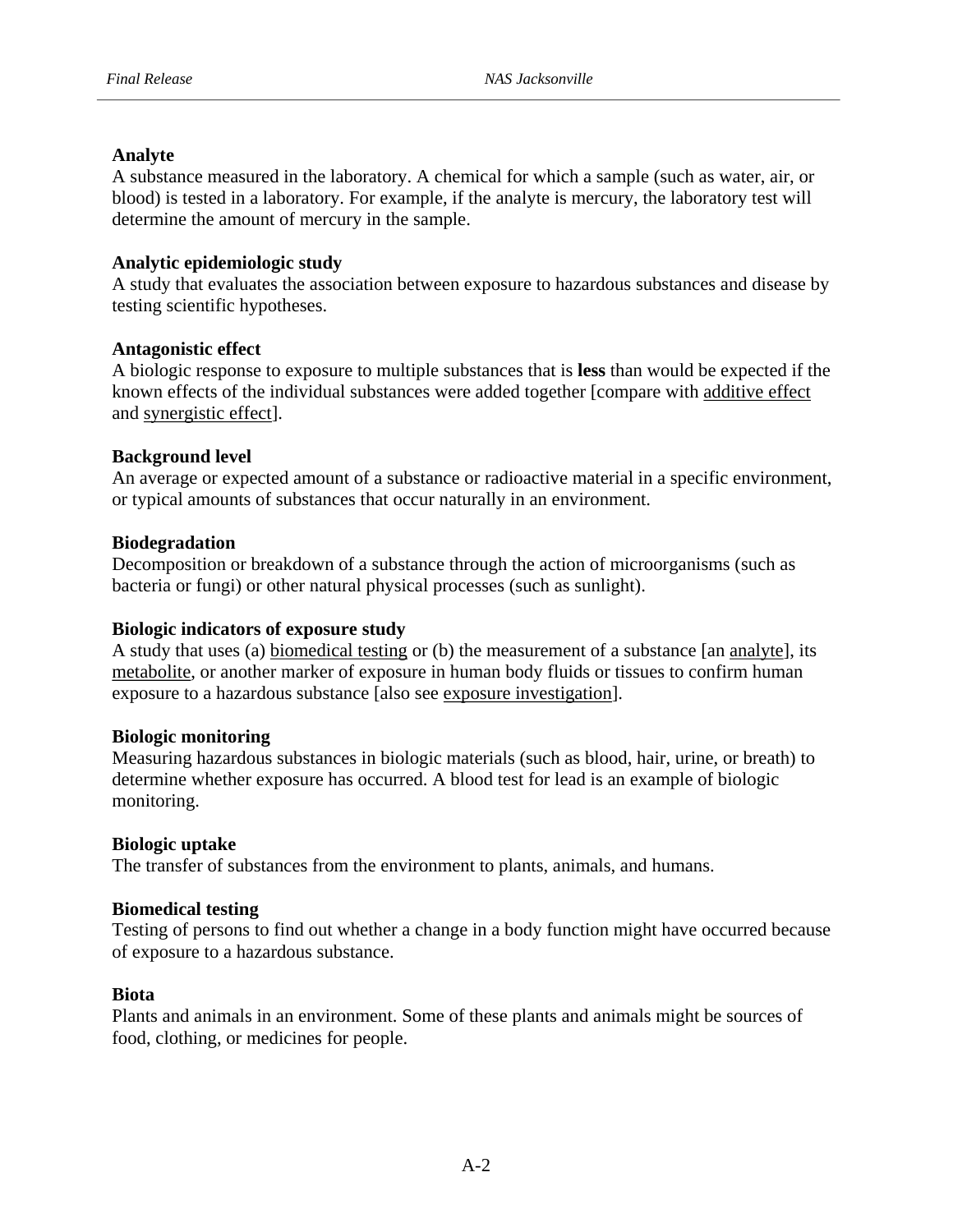## **Analyte**

A substance measured in the laboratory. A chemical for which a sample (such as water, air, or blood) is tested in a laboratory. For example, if the analyte is mercury, the laboratory test will determine the amount of mercury in the sample.

## **Analytic epidemiologic study**

testing scientific hypotheses. A study that evaluates the association between exposure to hazardous substances and disease by

## **Antagonistic effect**

A biologic response to exposure to multiple substances that is less than would be expected if the known effects of the individual substances were added together [compare with additive effect and synergistic effect].

## **Background level**

An average or expected amount of a substance or radioactive material in a specific environment, or typical amounts of substances that occur naturally in an environment.

## **Biodegradation**

Decomposition or breakdown of a substance through the action of microorganisms (such as bacteria or fungi) or other natural physical processes (such as sunlight).

## **Biologic indicators of exposure study**

A study that uses (a) biomedical testing or (b) the measurement of a substance [an analyte], its metabolite, or another marker of exposure in human body fluids or tissues to confirm human exposure to a hazardous substance [also see exposure investigation].

## **Biologic monitoring**

Measuring hazardous substances in biologic materials (such as blood, hair, urine, or breath) to determine whether exposure has occurred. A blood test for lead is an example of biologic monitoring.

## **Biologic uptake**

The transfer of substances from the environment to plants, animals, and humans.

## **Biomedical testing**

Testing of persons to find out whether a change in a body function might have occurred because of exposure to a hazardous substance.

## **Biota**

Plants and animals in an environment. Some of these plants and animals might be sources of food, clothing, or medicines for people.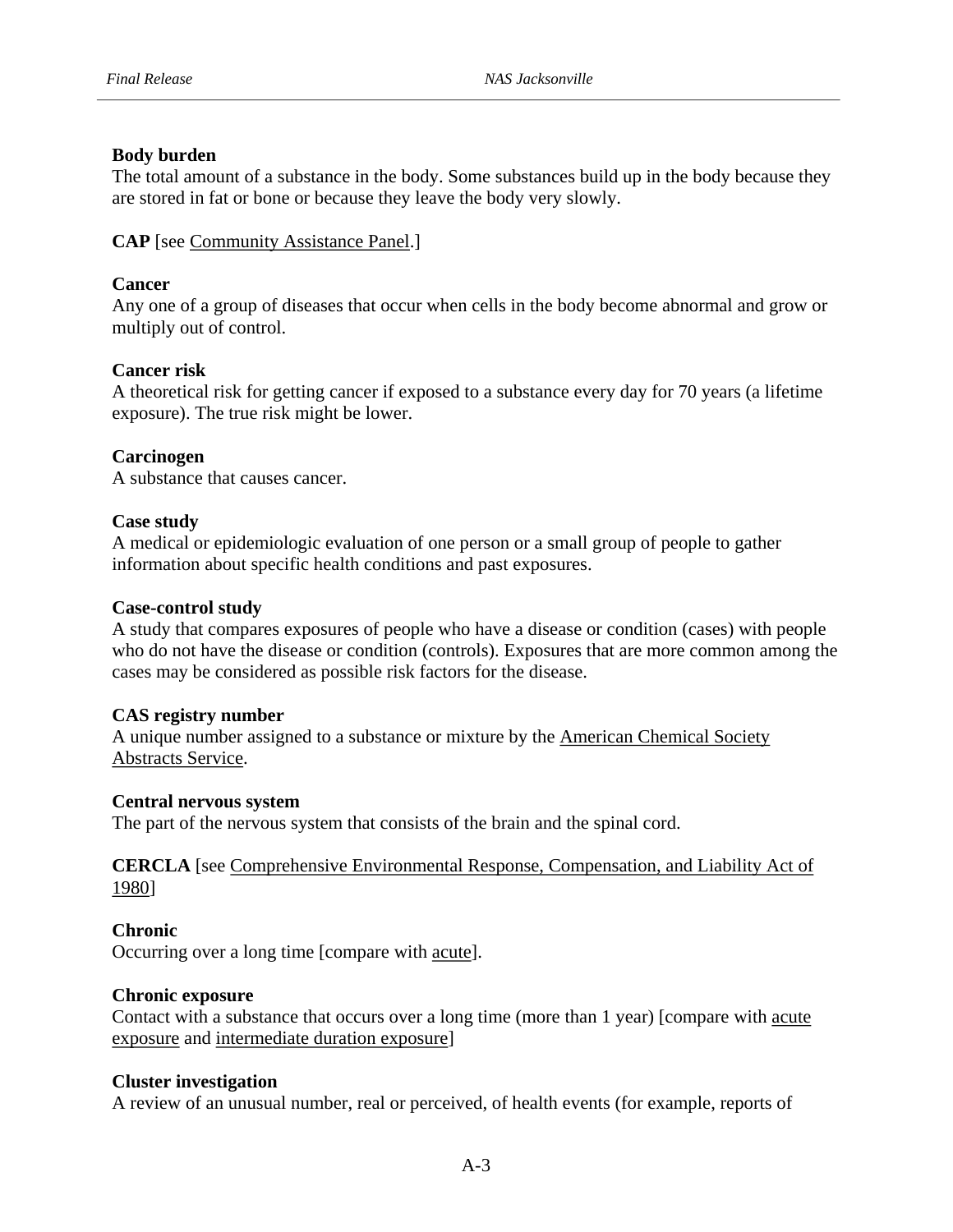## **Body burden**

The total amount of a substance in the body. Some substances build up in the body because they are stored in fat or bone or because they leave the body very slowly.

CAP [see Community Assistance Panel.]

## **Cancer**

Any one of a group of diseases that occur when cells in the body become abnormal and grow or multiply out of control.

## **Cancer risk**

A theoretical risk for getting cancer if exposed to a substance every day for 70 years (a lifetime exposure). The true risk might be lower.

## **Carcinogen**

A substance that causes cancer.

## **Case study**

A medical or epidemiologic evaluation of one person or a small group of people to gather information about specific health conditions and past exposures.

## **Case-control study**

A study that compares exposures of people who have a disease or condition (cases) with people who do not have the disease or condition (controls). Exposures that are more common among the cases may be considered as possible risk factors for the disease.

## **CAS registry number**

A unique number assigned to a substance or mixture by the American Chemical Society Abstracts Service.

## **Central nervous system**

The part of the nervous system that consists of the brain and the spinal cord.

**CERCLA** [see Comprehensive Environmental Response, Compensation, and Liability Act of 1980]

# **Chronic**

Occurring over a long time [compare with acute].

## **Chronic exposure**

exposure and intermediate duration exposure] Contact with a substance that occurs over a long time (more than 1 year) [compare with acute

## **Cluster investigation**

A review of an unusual number, real or perceived, of health events (for example, reports of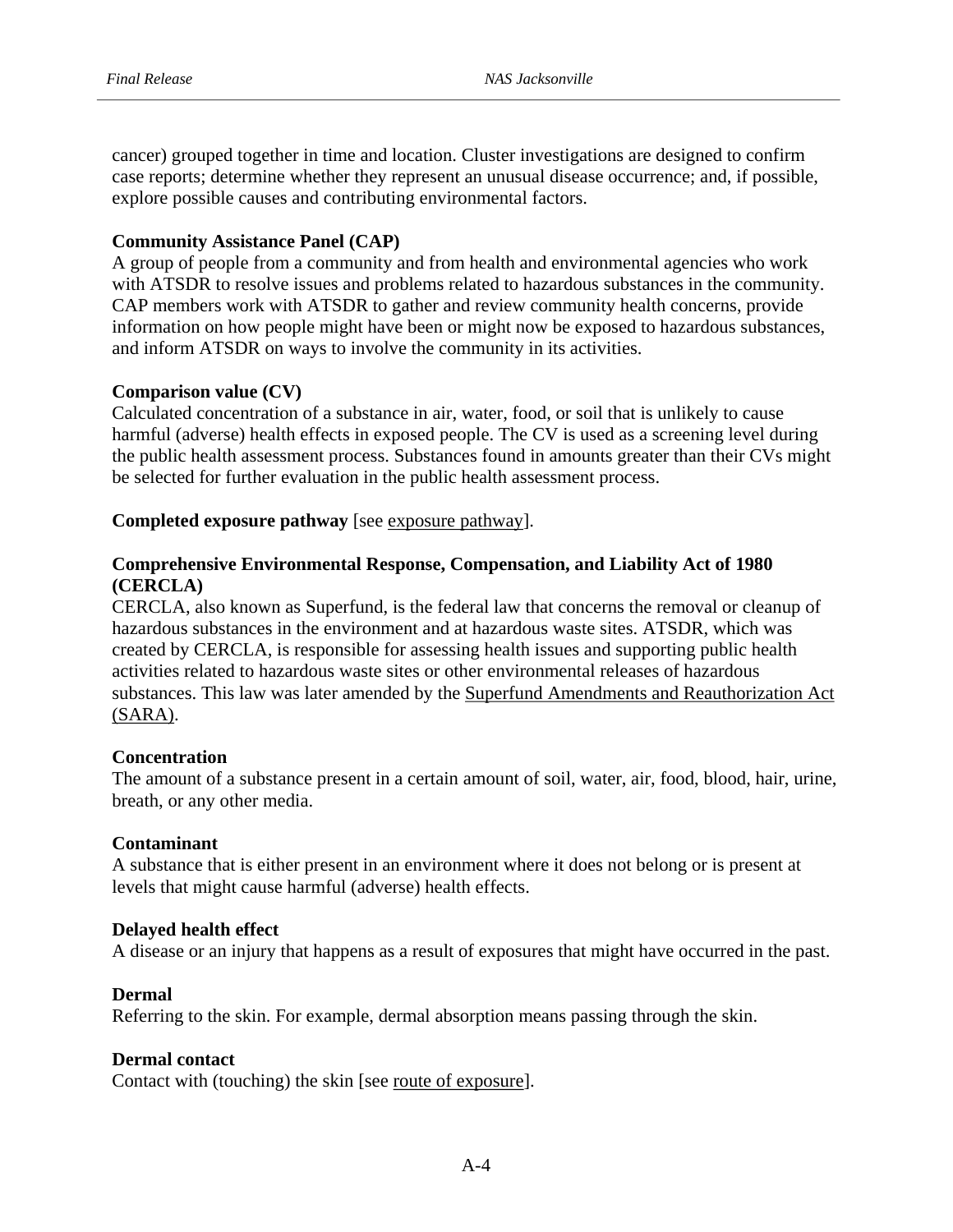cancer) grouped together in time and location. Cluster investigations are designed to confirm case reports; determine whether they represent an unusual disease occurrence; and, if possible, explore possible causes and contributing environmental factors.

## **Community Assistance Panel (CAP)**

A group of people from a community and from health and environmental agencies who work with ATSDR to resolve issues and problems related to hazardous substances in the community. CAP members work with ATSDR to gather and review community health concerns, provide information on how people might have been or might now be exposed to hazardous substances, and inform ATSDR on ways to involve the community in its activities.

## **Comparison value (CV)**

Calculated concentration of a substance in air, water, food, or soil that is unlikely to cause harmful (adverse) health effects in exposed people. The CV is used as a screening level during the public health assessment process. Substances found in amounts greater than their CVs might be selected for further evaluation in the public health assessment process.

## **Completed exposure pathway** [see exposure pathway].

## **(CERCLA) Comprehensive Environmental Response, Compensation, and Liability Act of 1980**

CERCLA, also known as Superfund, is the federal law that concerns the removal or cleanup of hazardous substances in the environment and at hazardous waste sites. ATSDR, which was created by CERCLA, is responsible for assessing health issues and supporting public health activities related to hazardous waste sites or other environmental releases of hazardous substances. This law was later amended by the Superfund Amendments and Reauthorization Act (SARA).

## **Concentration**

The amount of a substance present in a certain amount of soil, water, air, food, blood, hair, urine, breath, or any other media.

## **Contaminant**

A substance that is either present in an environment where it does not belong or is present at levels that might cause harmful (adverse) health effects.

#### **Delayed health effect**

A disease or an injury that happens as a result of exposures that might have occurred in the past.

#### **Dermal**

Referring to the skin. For example, dermal absorption means passing through the skin.

#### **Dermal contact**

Contact with (touching) the skin [see route of exposure].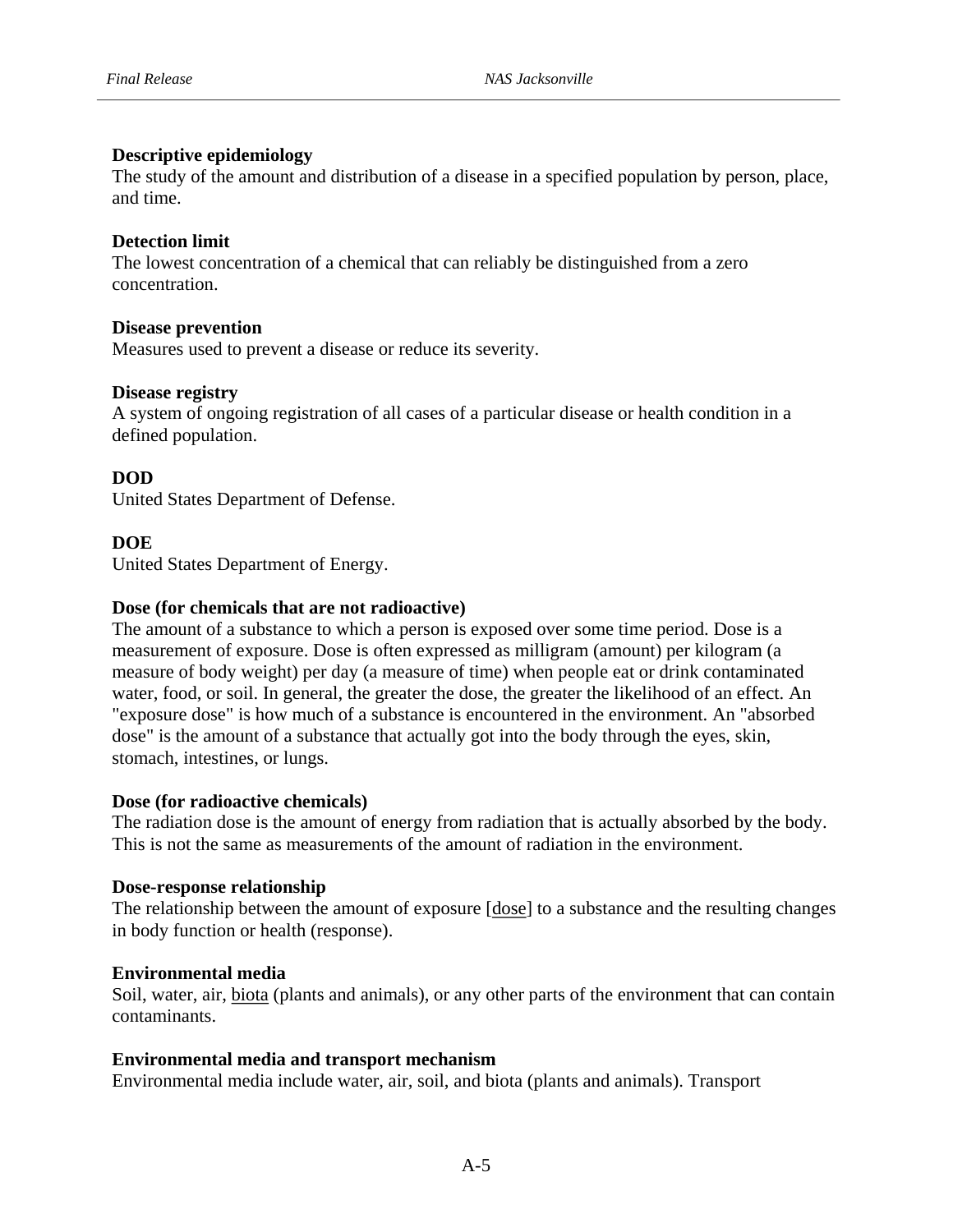#### **Descriptive epidemiology**

The study of the amount and distribution of a disease in a specified population by person, place, and time.

#### **Detection limit**

The lowest concentration of a chemical that can reliably be distinguished from a zero concentration.

#### **Disease prevention**

Measures used to prevent a disease or reduce its severity.

#### **Disease registry**

defined population. A system of ongoing registration of all cases of a particular disease or health condition in a

## **DOD**

United States Department of Defense.

#### **DOE**

United States Department of Energy.

#### **Dose (for chemicals that are not radioactive)**

The amount of a substance to which a person is exposed over some time period. Dose is a measurement of exposure. Dose is often expressed as milligram (amount) per kilogram (a measure of body weight) per day (a measure of time) when people eat or drink contaminated water, food, or soil. In general, the greater the dose, the greater the likelihood of an effect. An "exposure dose" is how much of a substance is encountered in the environment. An "absorbed dose" is the amount of a substance that actually got into the body through the eyes, skin, stomach, intestines, or lungs.

#### **Dose (for radioactive chemicals)**

The radiation dose is the amount of energy from radiation that is actually absorbed by the body. This is not the same as measurements of the amount of radiation in the environment.

#### **Dose-response relationship**

in body function or health (response). The relationship between the amount of exposure [dose] to a substance and the resulting changes

#### **Environmental media**

Soil, water, air, biota (plants and animals), or any other parts of the environment that can contain contaminants.

#### **Environmental media and transport mechanism**

Environmental media include water, air, soil, and biota (plants and animals). Transport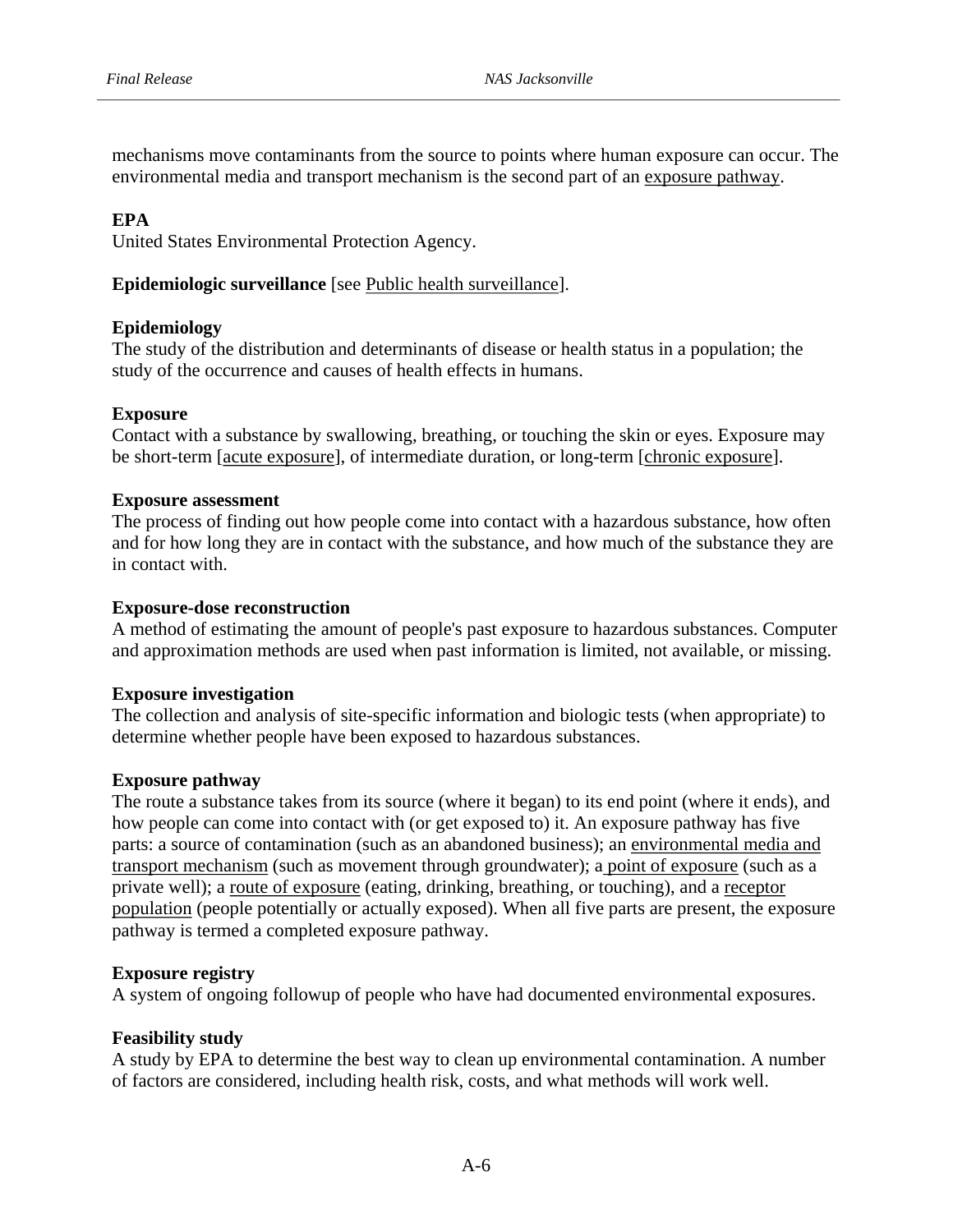mechanisms move contaminants from the source to points where human exposure can occur. The environmental media and transport mechanism is the second part of an exposure pathway.

#### **EPA**

United States Environmental Protection Agency.

#### Epidemiologic surveillance [see Public health surveillance].

#### **Epidemiology**

The study of the distribution and determinants of disease or health status in a population; the study of the occurrence and causes of health effects in humans.

#### **Exposure**

Contact with a substance by swallowing, breathing, or touching the skin or eyes. Exposure may be short-term [acute exposure], of intermediate duration, or long-term [chronic exposure].

#### **Exposure assessment**

The process of finding out how people come into contact with a hazardous substance, how often and for how long they are in contact with the substance, and how much of the substance they are in contact with.

#### **Exposure-dose reconstruction**

A method of estimating the amount of people's past exposure to hazardous substances. Computer and approximation methods are used when past information is limited, not available, or missing.

#### **Exposure investigation**

The collection and analysis of site-specific information and biologic tests (when appropriate) to determine whether people have been exposed to hazardous substances.

#### **Exposure pathway**

The route a substance takes from its source (where it began) to its end point (where it ends), and how people can come into contact with (or get exposed to) it. An exposure pathway has five parts: a source of contamination (such as an abandoned business); an environmental media and transport mechanism (such as movement through groundwater); a point of exposure (such as a private well); a route of exposure (eating, drinking, breathing, or touching), and a receptor population (people potentially or actually exposed). When all five parts are present, the exposure pathway is termed a completed exposure pathway.

#### **Exposure registry**

A system of ongoing followup of people who have had documented environmental exposures.

#### **Feasibility study**

A study by EPA to determine the best way to clean up environmental contamination. A number of factors are considered, including health risk, costs, and what methods will work well.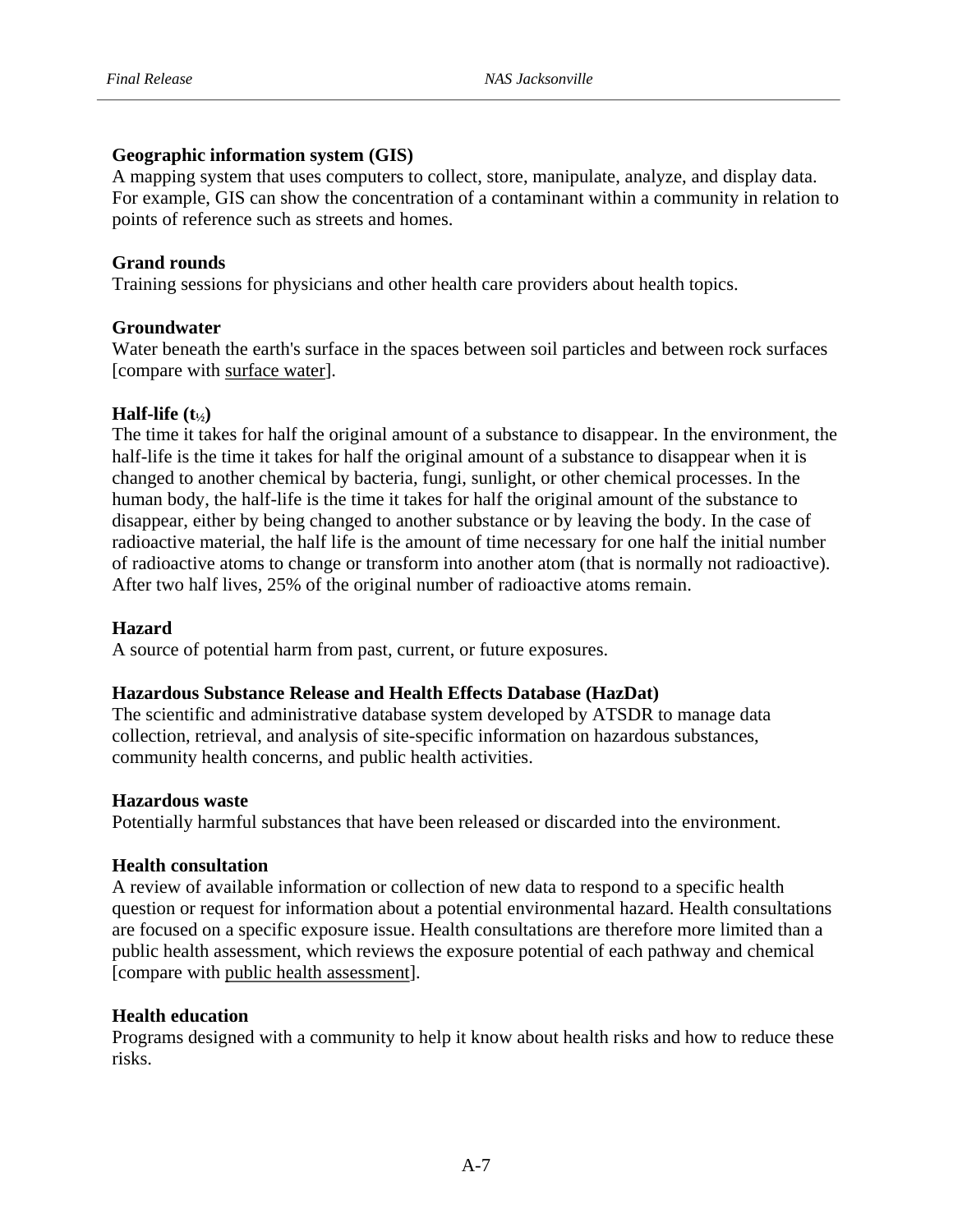# **Geographic information system (GIS)**

A mapping system that uses computers to collect, store, manipulate, analyze, and display data. For example, GIS can show the concentration of a contaminant within a community in relation to points of reference such as streets and homes.

#### **Grand rounds**

Training sessions for physicians and other health care providers about health topics.

## **Groundwater**

Water beneath the earth's surface in the spaces between soil particles and between rock surfaces [compare with surface water].

# $\textbf{Half-life} (\textbf{t}_{1/2})$

The time it takes for half the original amount of a substance to disappear. In the environment, the half-life is the time it takes for half the original amount of a substance to disappear when it is changed to another chemical by bacteria, fungi, sunlight, or other chemical processes. In the human body, the half-life is the time it takes for half the original amount of the substance to disappear, either by being changed to another substance or by leaving the body. In the case of radioactive material, the half life is the amount of time necessary for one half the initial number of radioactive atoms to change or transform into another atom (that is normally not radioactive). After two half lives, 25% of the original number of radioactive atoms remain.

#### **Hazard**

A source of potential harm from past, current, or future exposures.

#### **Hazardous Substance Release and Health Effects Database (HazDat)**

The scientific and administrative database system developed by ATSDR to manage data collection, retrieval, and analysis of site-specific information on hazardous substances, community health concerns, and public health activities.

#### **Hazardous waste**

Potentially harmful substances that have been released or discarded into the environment.

#### **Health consultation**

A review of available information or collection of new data to respond to a specific health question or request for information about a potential environmental hazard. Health consultations are focused on a specific exposure issue. Health consultations are therefore more limited than a public health assessment, which reviews the exposure potential of each pathway and chemical [compare with public health assessment].

#### **Health education**

risks. Programs designed with a community to help it know about health risks and how to reduce these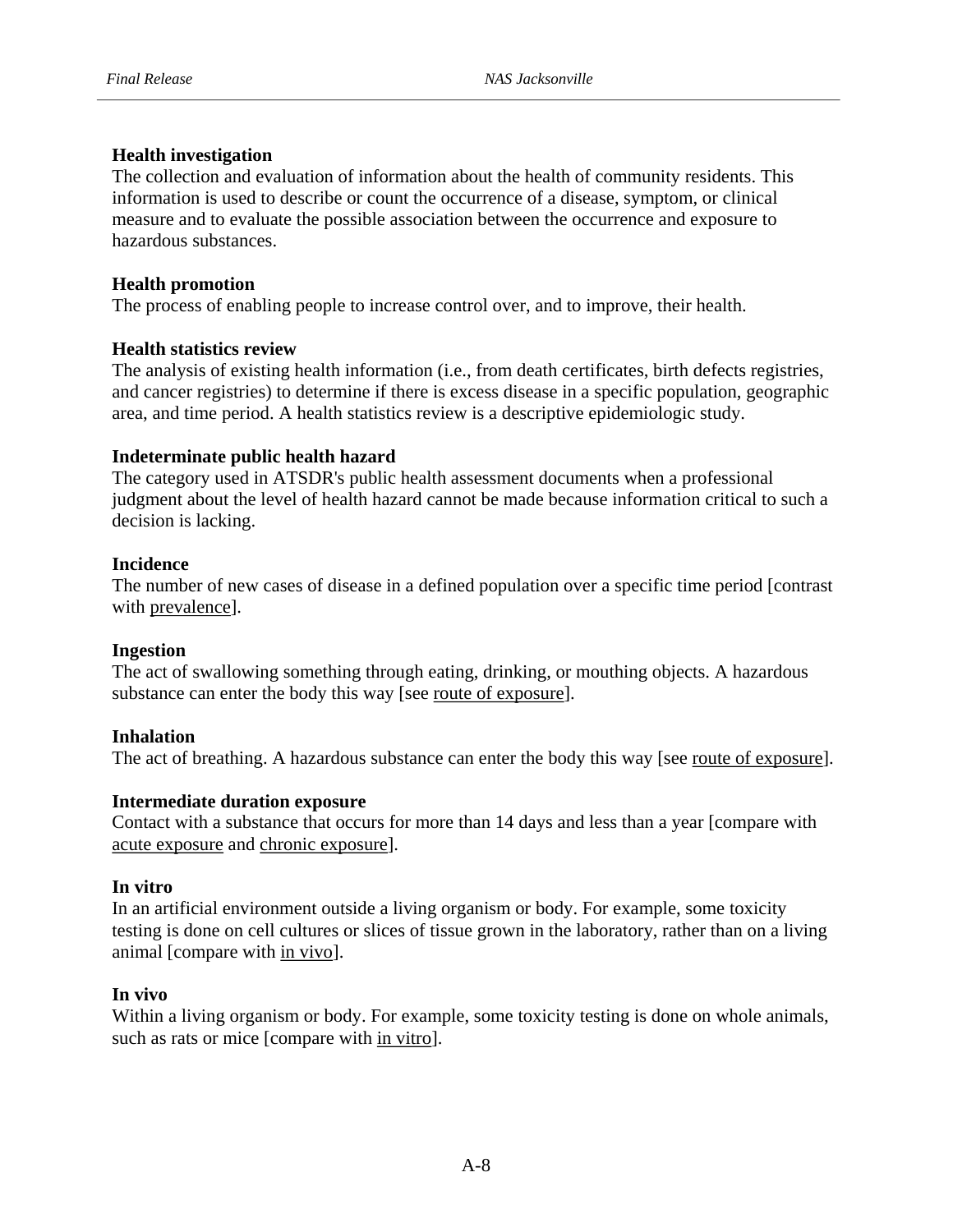# **Health investigation**

hazardous substances. The collection and evaluation of information about the health of community residents. This information is used to describe or count the occurrence of a disease, symptom, or clinical measure and to evaluate the possible association between the occurrence and exposure to

# **Health promotion**

The process of enabling people to increase control over, and to improve, their health.

# **Health statistics review**

The analysis of existing health information (i.e., from death certificates, birth defects registries, and cancer registries) to determine if there is excess disease in a specific population, geographic area, and time period. A health statistics review is a descriptive epidemiologic study.

# **Indeterminate public health hazard**

decision is lacking. The category used in ATSDR's public health assessment documents when a professional judgment about the level of health hazard cannot be made because information critical to such a

# **Incidence**

The number of new cases of disease in a defined population over a specific time period [contrast with prevalence].

# **Ingestion**

The act of swallowing something through eating, drinking, or mouthing objects. A hazardous substance can enter the body this way [see route of exposure].

# **Inhalation**

The act of breathing. A hazardous substance can enter the body this way [see route of exposure].

# **Intermediate duration exposure**

Contact with a substance that occurs for more than 14 days and less than a year [compare with acute exposure and chronic exposure].

# **In vitro**

In an artificial environment outside a living organism or body. For example, some toxicity testing is done on cell cultures or slices of tissue grown in the laboratory, rather than on a living animal [compare with in vivo].

# **In vivo**

Within a living organism or body. For example, some toxicity testing is done on whole animals, such as rats or mice [compare with in vitro].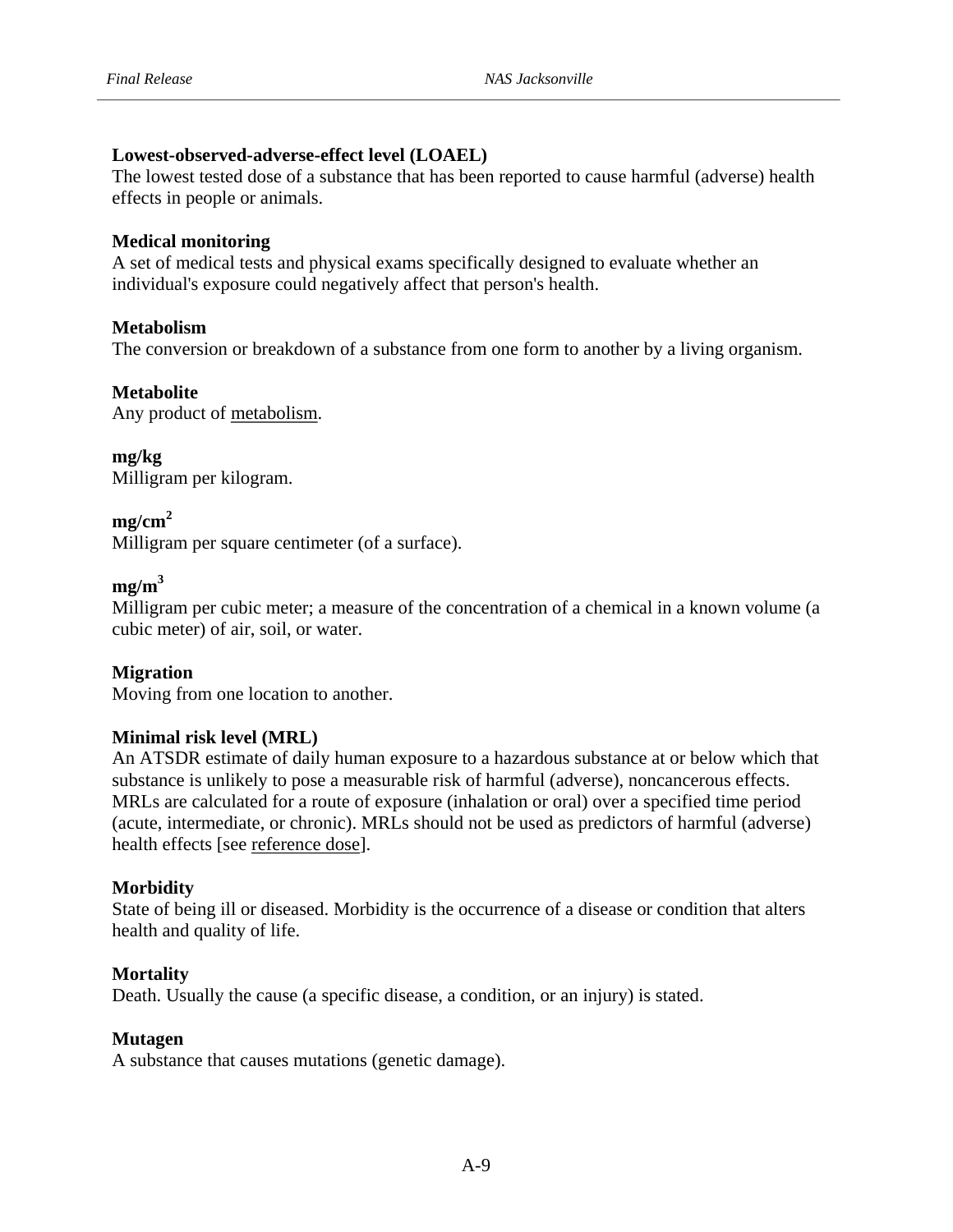# **Lowest-observed-adverse-effect level (LOAEL)**

effects in people or animals. The lowest tested dose of a substance that has been reported to cause harmful (adverse) health

# **Medical monitoring**

A set of medical tests and physical exams specifically designed to evaluate whether an individual's exposure could negatively affect that person's health.

# **Metabolism**

The conversion or breakdown of a substance from one form to another by a living organism.

# **Metabolite**

Any product of metabolism.

**mg/kg**  Milligram per kilogram.

# $mg/cm<sup>2</sup>$

Milligram per square centimeter (of a surface).

# $me/m<sup>3</sup>$

Milligram per cubic meter; a measure of the concentration of a chemical in a known volume (a cubic meter) of air, soil, or water.

# **Migration**

Moving from one location to another.

# **Minimal risk level (MRL)**

An ATSDR estimate of daily human exposure to a hazardous substance at or below which that substance is unlikely to pose a measurable risk of harmful (adverse), noncancerous effects. MRLs are calculated for a route of exposure (inhalation or oral) over a specified time period (acute, intermediate, or chronic). MRLs should not be used as predictors of harmful (adverse) health effects [see reference dose].

# **Morbidity**

State of being ill or diseased. Morbidity is the occurrence of a disease or condition that alters health and quality of life.

# **Mortality**

Death. Usually the cause (a specific disease, a condition, or an injury) is stated.

# **Mutagen**

A substance that causes mutations (genetic damage).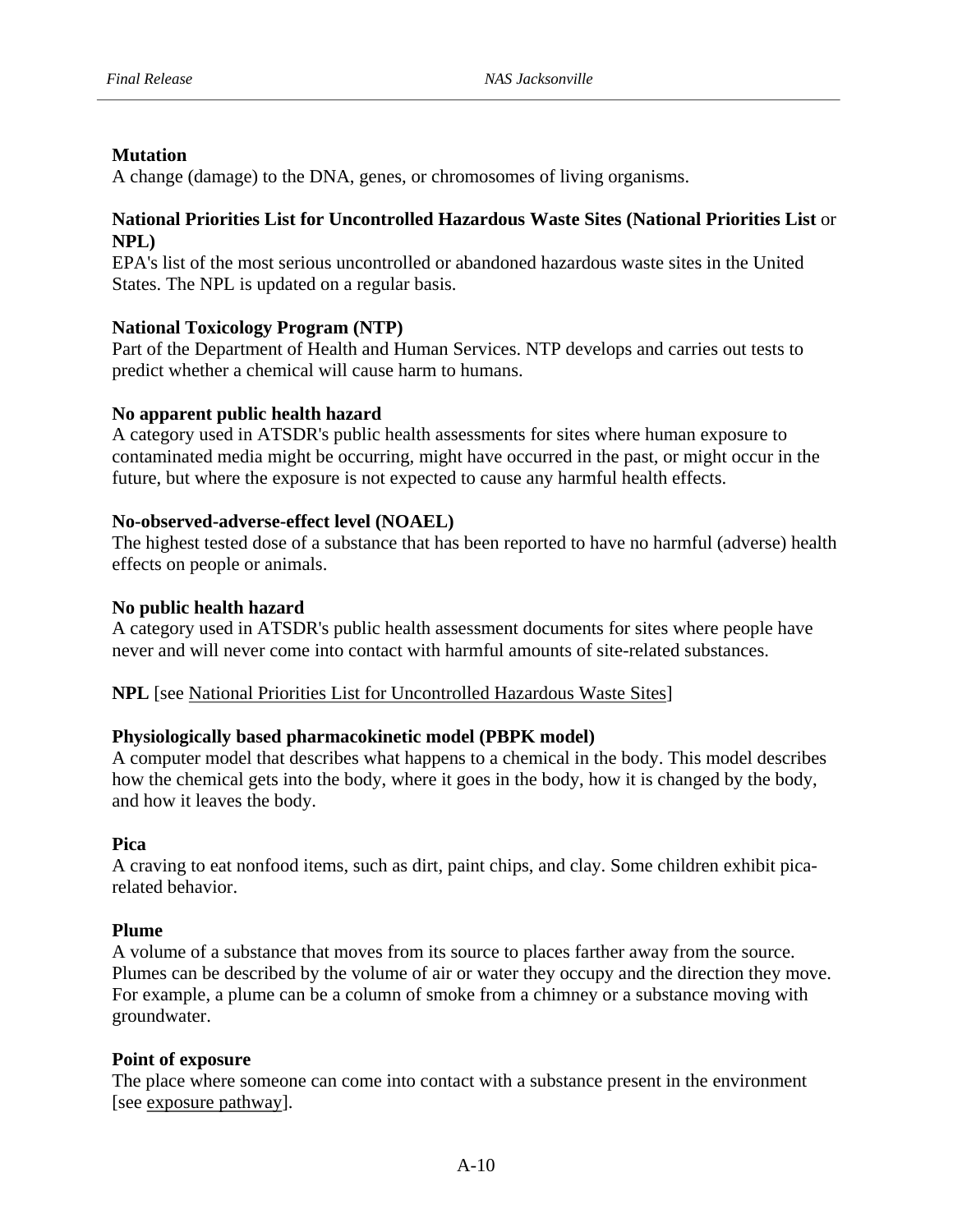# **Mutation**

A change (damage) to the DNA, genes, or chromosomes of living organisms.

# National Priorities List for Uncontrolled Hazardous Waste Sites (National Priorities List or **NPL)**

States. The NPL is updated on a regular basis. EPA's list of the most serious uncontrolled or abandoned hazardous waste sites in the United

# **National Toxicology Program (NTP)**

Part of the Department of Health and Human Services. NTP develops and carries out tests to predict whether a chemical will cause harm to humans.

# **No apparent public health hazard**

A category used in ATSDR's public health assessments for sites where human exposure to contaminated media might be occurring, might have occurred in the past, or might occur in the future, but where the exposure is not expected to cause any harmful health effects.

# **No-observed-adverse-effect level (NOAEL)**

effects on people or animals. The highest tested dose of a substance that has been reported to have no harmful (adverse) health

# **No public health hazard**

A category used in ATSDR's public health assessment documents for sites where people have never and will never come into contact with harmful amounts of site-related substances.

# NPL [see National Priorities List for Uncontrolled Hazardous Waste Sites]

# **Physiologically based pharmacokinetic model (PBPK model)**

and how it leaves the body. A computer model that describes what happens to a chemical in the body. This model describes how the chemical gets into the body, where it goes in the body, how it is changed by the body,

# **Pica**

related behavior. A craving to eat nonfood items, such as dirt, paint chips, and clay. Some children exhibit pica-

# **Plume**

groundwater. A volume of a substance that moves from its source to places farther away from the source. Plumes can be described by the volume of air or water they occupy and the direction they move. For example, a plume can be a column of smoke from a chimney or a substance moving with

# **Point of exposure**

The place where someone can come into contact with a substance present in the environment [see exposure pathway].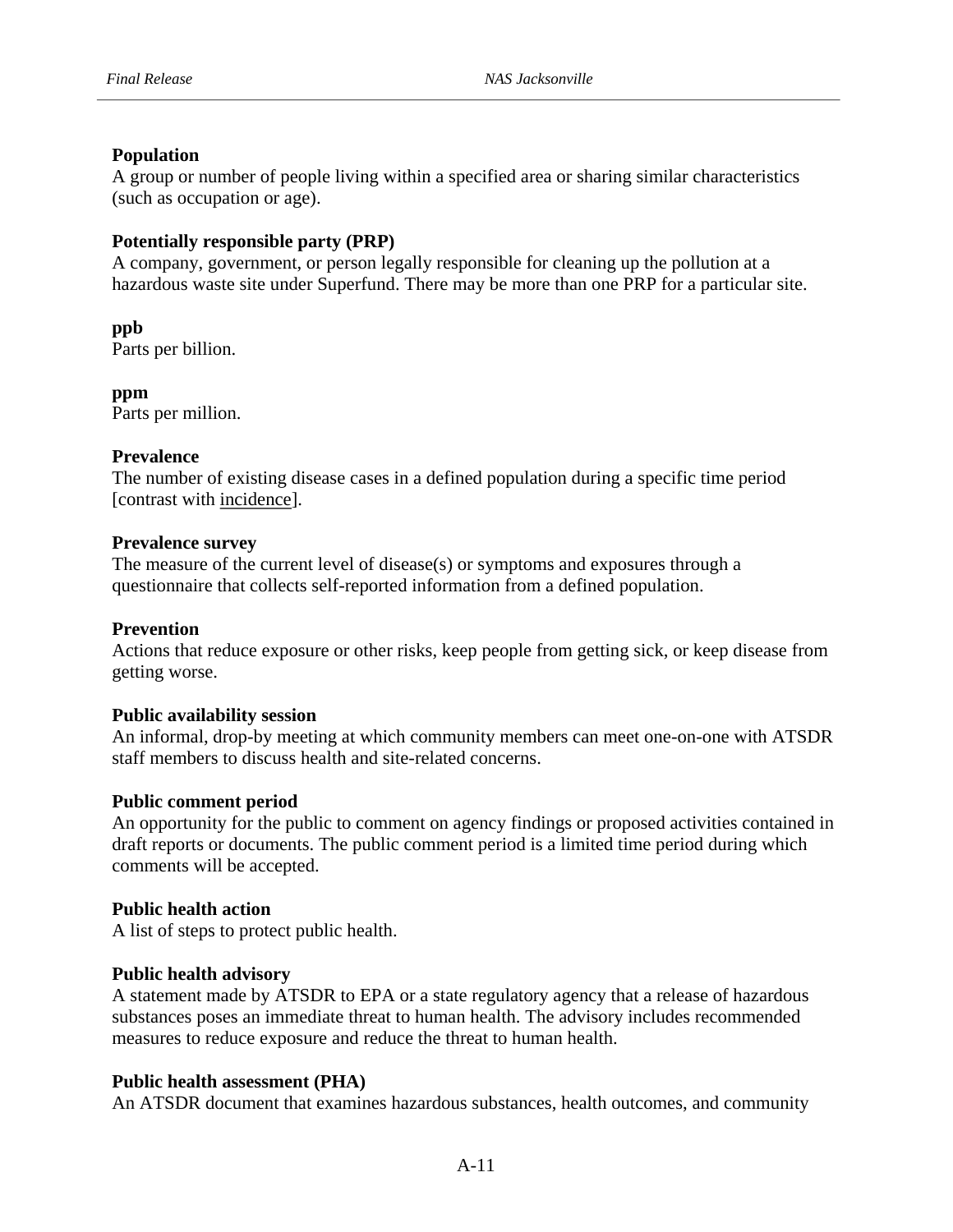# **Population**

(such as occupation or age). A group or number of people living within a specified area or sharing similar characteristics

# **Potentially responsible party (PRP)**

A company, government, or person legally responsible for cleaning up the pollution at a hazardous waste site under Superfund. There may be more than one PRP for a particular site.

**ppb**  Parts per billion.

**ppm**  Parts per million.

# **Prevalence**

The number of existing disease cases in a defined population during a specific time period [contrast with incidence].

## **Prevalence survey**

The measure of the current level of disease(s) or symptoms and exposures through a questionnaire that collects self-reported information from a defined population.

# **Prevention**

Actions that reduce exposure or other risks, keep people from getting sick, or keep disease from getting worse.

# **Public availability session**

An informal, drop-by meeting at which community members can meet one-on-one with ATSDR staff members to discuss health and site-related concerns.

#### **Public comment period**

An opportunity for the public to comment on agency findings or proposed activities contained in draft reports or documents. The public comment period is a limited time period during which comments will be accepted.

# **Public health action**

A list of steps to protect public health.

#### **Public health advisory**

A statement made by ATSDR to EPA or a state regulatory agency that a release of hazardous substances poses an immediate threat to human health. The advisory includes recommended measures to reduce exposure and reduce the threat to human health.

# **Public health assessment (PHA)**

An ATSDR document that examines hazardous substances, health outcomes, and community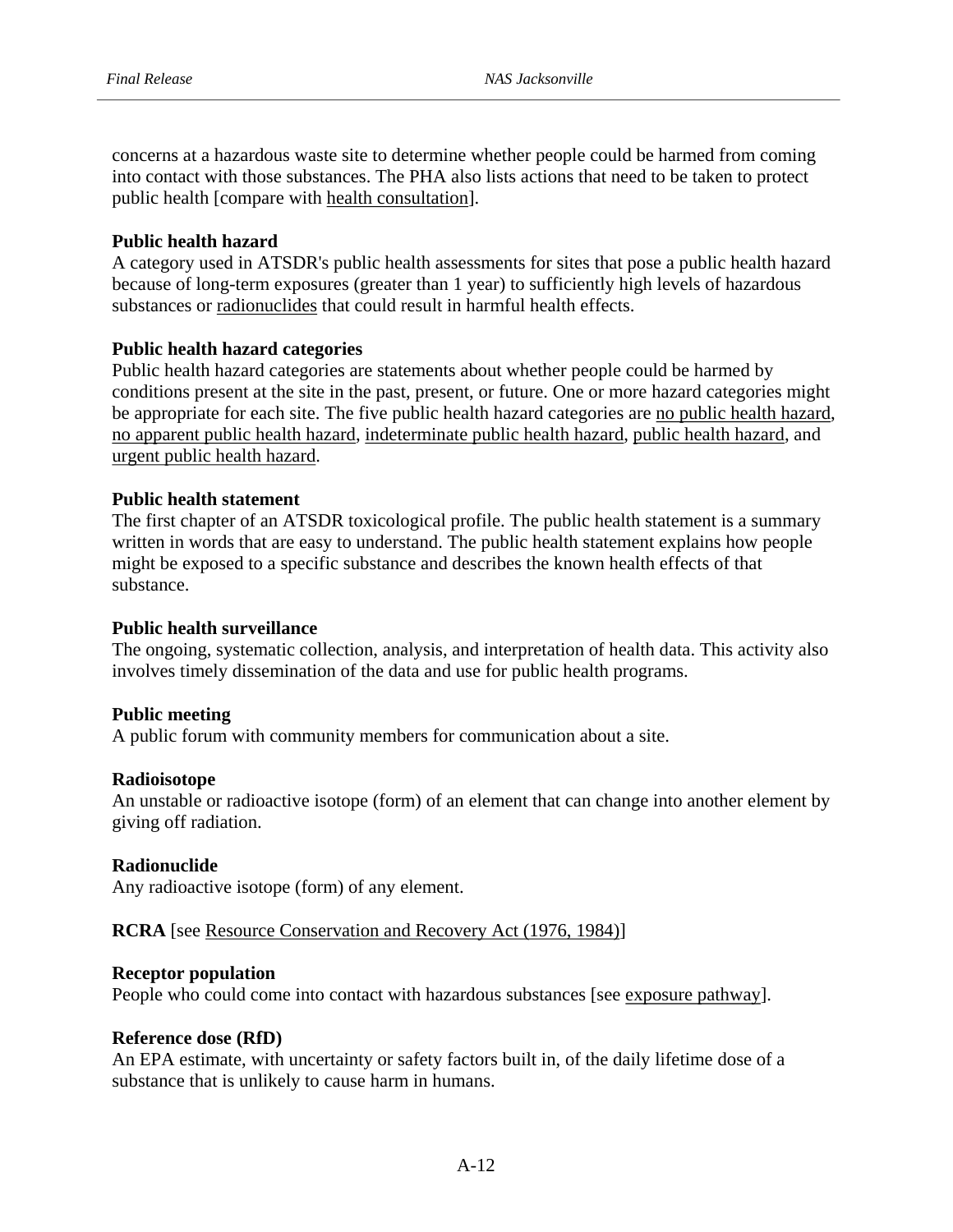public health [compare with health consultation]. concerns at a hazardous waste site to determine whether people could be harmed from coming into contact with those substances. The PHA also lists actions that need to be taken to protect

#### **Public health hazard**

A category used in ATSDR's public health assessments for sites that pose a public health hazard because of long-term exposures (greater than 1 year) to sufficiently high levels of hazardous substances or radionuclides that could result in harmful health effects.

## **Public health hazard categories**

Public health hazard categories are statements about whether people could be harmed by conditions present at the site in the past, present, or future. One or more hazard categories might be appropriate for each site. The five public health hazard categories are no public health hazard, no apparent public health hazard, indeterminate public health hazard, public health hazard, and urgent public health hazard.

## **Public health statement**

The first chapter of an ATSDR toxicological profile. The public health statement is a summary written in words that are easy to understand. The public health statement explains how people might be exposed to a specific substance and describes the known health effects of that substance.

#### **Public health surveillance**

The ongoing, systematic collection, analysis, and interpretation of health data. This activity also involves timely dissemination of the data and use for public health programs.

#### **Public meeting**

A public forum with community members for communication about a site.

#### **Radioisotope**

An unstable or radioactive isotope (form) of an element that can change into another element by giving off radiation.

#### **Radionuclide**

Any radioactive isotope (form) of any element.

#### **RCRA** [see Resource Conservation and Recovery Act (1976, 1984)]

#### **Receptor population**

People who could come into contact with hazardous substances [see exposure pathway].

#### **Reference dose (RfD)**

An EPA estimate, with uncertainty or safety factors built in, of the daily lifetime dose of a substance that is unlikely to cause harm in humans.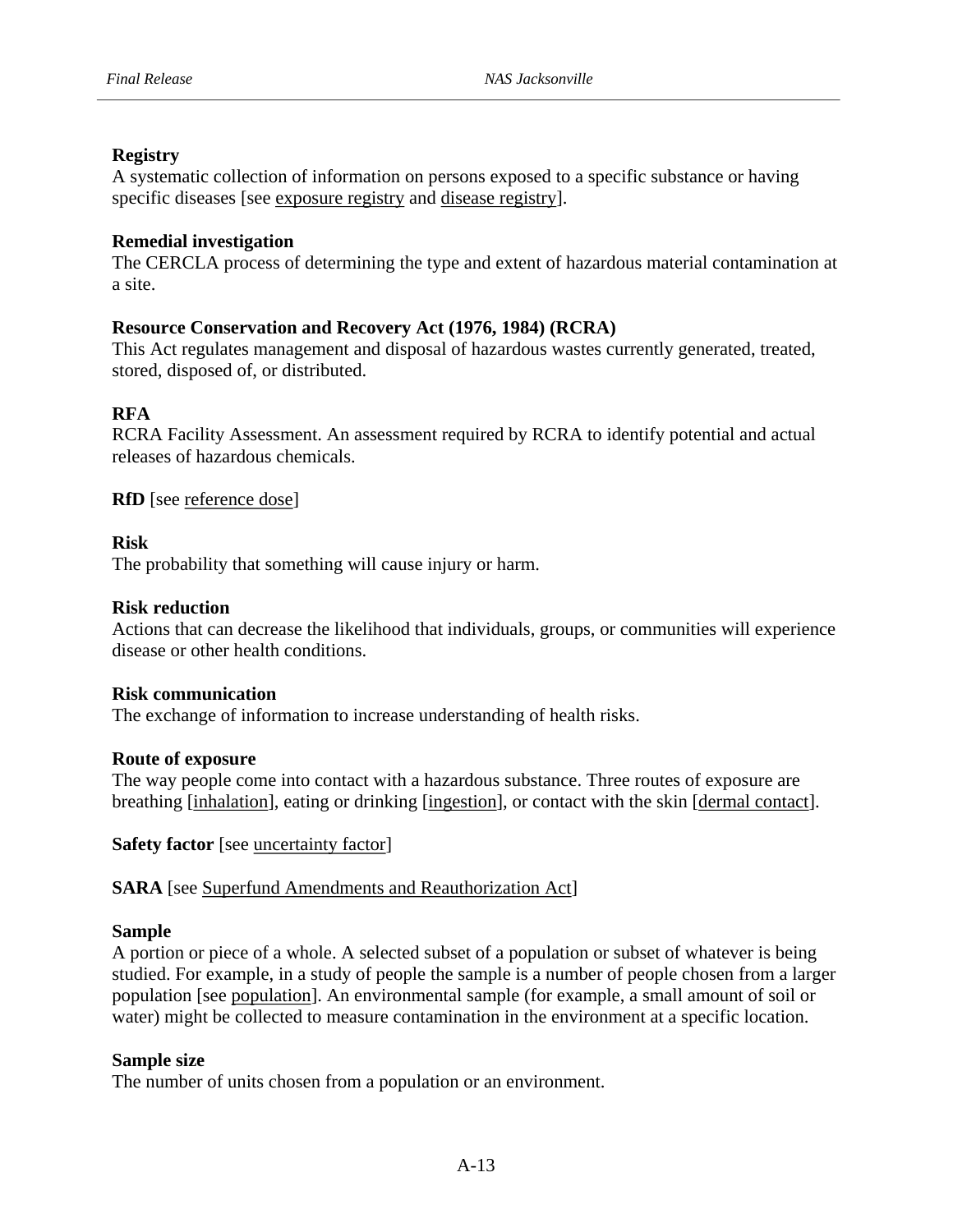# **Registry**

A systematic collection of information on persons exposed to a specific substance or having specific diseases [see exposure registry and disease registry].

# **Remedial investigation**

a site. The CERCLA process of determining the type and extent of hazardous material contamination at

# **Resource Conservation and Recovery Act (1976, 1984) (RCRA)**

stored, disposed of, or distributed. This Act regulates management and disposal of hazardous wastes currently generated, treated,

# **RFA**

RCRA Facility Assessment. An assessment required by RCRA to identify potential and actual releases of hazardous chemicals.

**RfD** [see reference dose]

## **Risk**

The probability that something will cause injury or harm.

## **Risk reduction**

disease or other health conditions. Actions that can decrease the likelihood that individuals, groups, or communities will experience

#### **Risk communication**

The exchange of information to increase understanding of health risks.

#### **Route of exposure**

The way people come into contact with a hazardous substance. Three routes of exposure are breathing [inhalation], eating or drinking [ingestion], or contact with the skin [dermal contact].

**Safety factor** [see <u>uncertainty factor</u>]

**SARA** [see Superfund Amendments and Reauthorization Act]

#### **Sample**

A portion or piece of a whole. A selected subset of a population or subset of whatever is being studied. For example, in a study of people the sample is a number of people chosen from a larger population [see population]. An environmental sample (for example, a small amount of soil or water) might be collected to measure contamination in the environment at a specific location.

#### **Sample size**

The number of units chosen from a population or an environment.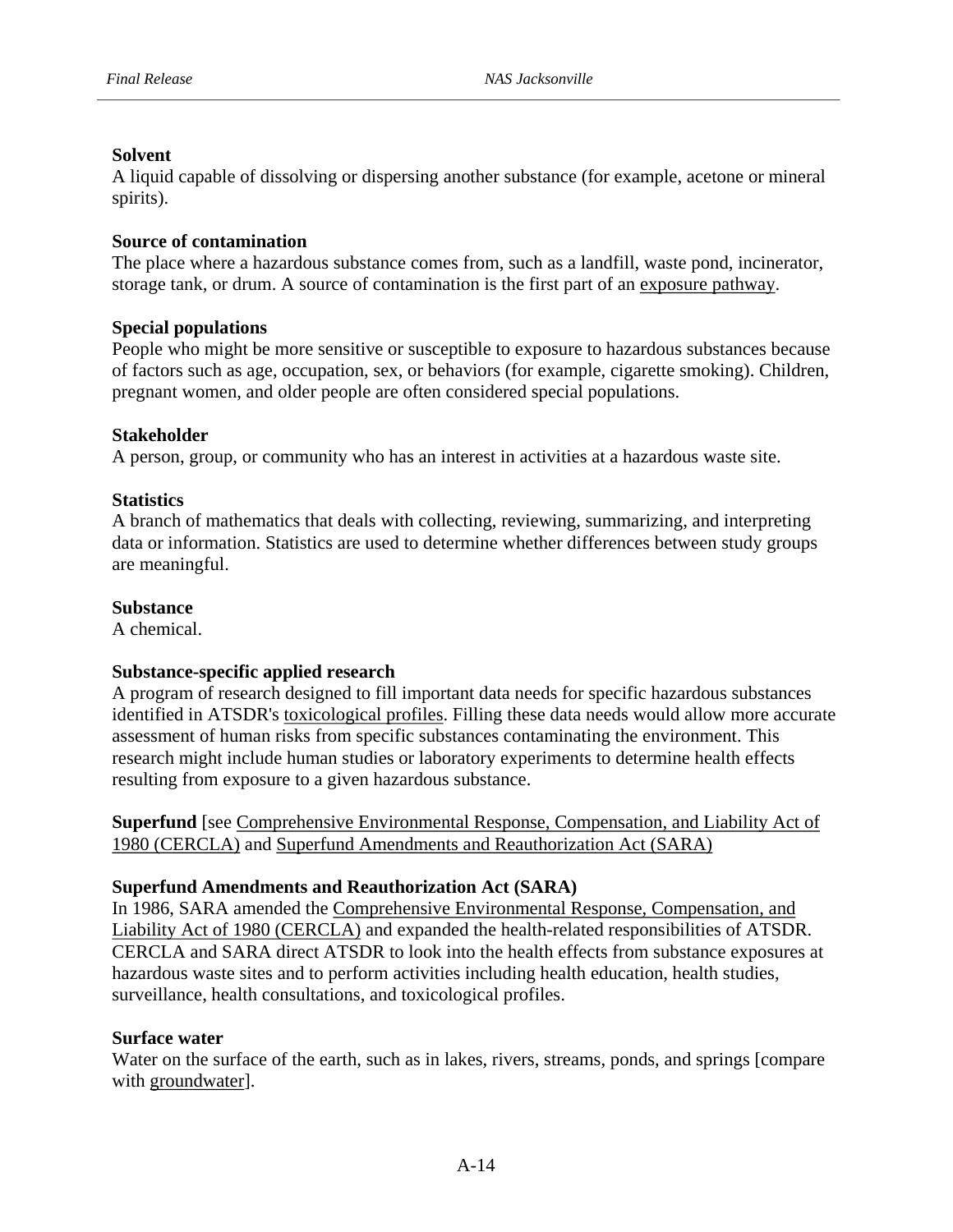# **Solvent**

spirits). A liquid capable of dissolving or dispersing another substance (for example, acetone or mineral

# **Source of contamination**

The place where a hazardous substance comes from, such as a landfill, waste pond, incinerator, storage tank, or drum. A source of contamination is the first part of an exposure pathway.

# **Special populations**

People who might be more sensitive or susceptible to exposure to hazardous substances because of factors such as age, occupation, sex, or behaviors (for example, cigarette smoking). Children, pregnant women, and older people are often considered special populations.

# **Stakeholder**

A person, group, or community who has an interest in activities at a hazardous waste site.

# **Statistics**

A branch of mathematics that deals with collecting, reviewing, summarizing, and interpreting data or information. Statistics are used to determine whether differences between study groups are meaningful.

# **Substance**

A chemical.

# **Substance-specific applied research**

A program of research designed to fill important data needs for specific hazardous substances identified in ATSDR's toxicological profiles. Filling these data needs would allow more accurate assessment of human risks from specific substances contaminating the environment. This research might include human studies or laboratory experiments to determine health effects resulting from exposure to a given hazardous substance.

**Superfund** [see Comprehensive Environmental Response, Compensation, and Liability Act of 1980 (CERCLA) and Superfund Amendments and Reauthorization Act (SARA)

# **Superfund Amendments and Reauthorization Act (SARA)**

In 1986, SARA amended the Comprehensive Environmental Response, Compensation, and Liability Act of 1980 (CERCLA) and expanded the health-related responsibilities of ATSDR. CERCLA and SARA direct ATSDR to look into the health effects from substance exposures at hazardous waste sites and to perform activities including health education, health studies, surveillance, health consultations, and toxicological profiles.

# **Surface water**

Water on the surface of the earth, such as in lakes, rivers, streams, ponds, and springs [compare with groundwater].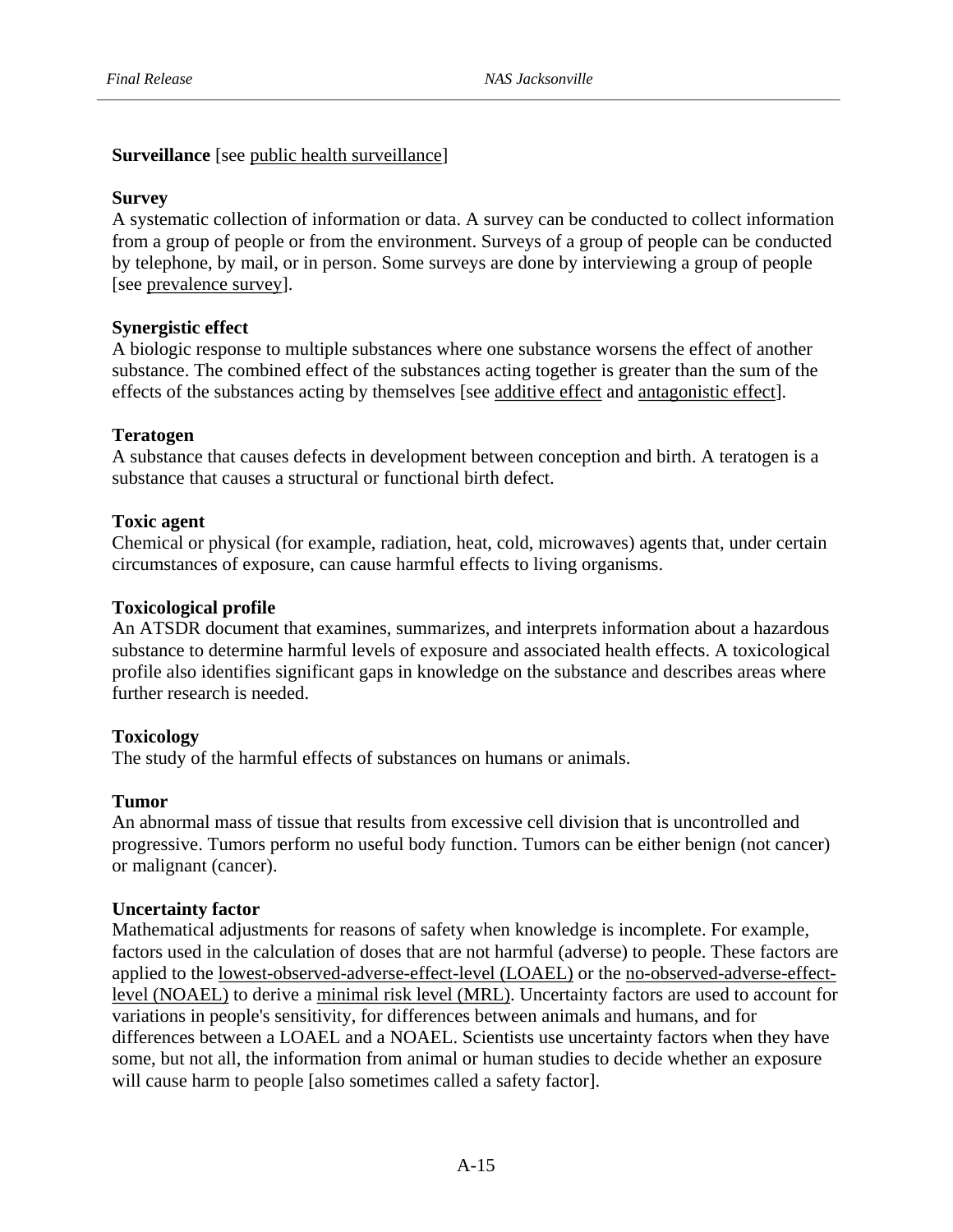**Surveillance** [see public health surveillance]

# **Survey**

A systematic collection of information or data. A survey can be conducted to collect information from a group of people or from the environment. Surveys of a group of people can be conducted by telephone, by mail, or in person. Some surveys are done by interviewing a group of people [see prevalence survey].

# **Synergistic effect**

A biologic response to multiple substances where one substance worsens the effect of another substance. The combined effect of the substances acting together is greater than the sum of the effects of the substances acting by themselves [see additive effect and antagonistic effect].

# **Teratogen**

A substance that causes defects in development between conception and birth. A teratogen is a substance that causes a structural or functional birth defect.

# **Toxic agent**

Chemical or physical (for example, radiation, heat, cold, microwaves) agents that, under certain circumstances of exposure, can cause harmful effects to living organisms.

# **Toxicological profile**

further research is needed. An ATSDR document that examines, summarizes, and interprets information about a hazardous substance to determine harmful levels of exposure and associated health effects. A toxicological profile also identifies significant gaps in knowledge on the substance and describes areas where

# **Toxicology**

The study of the harmful effects of substances on humans or animals.

# **Tumor**

An abnormal mass of tissue that results from excessive cell division that is uncontrolled and progressive. Tumors perform no useful body function. Tumors can be either benign (not cancer) or malignant (cancer).

# **Uncertainty factor**

Mathematical adjustments for reasons of safety when knowledge is incomplete. For example, factors used in the calculation of doses that are not harmful (adverse) to people. These factors are applied to the lowest-observed-adverse-effect-level (LOAEL) or the no-observed-adverse-effectlevel (NOAEL) to derive a minimal risk level (MRL). Uncertainty factors are used to account for variations in people's sensitivity, for differences between animals and humans, and for differences between a LOAEL and a NOAEL. Scientists use uncertainty factors when they have some, but not all, the information from animal or human studies to decide whether an exposure will cause harm to people [also sometimes called a safety factor].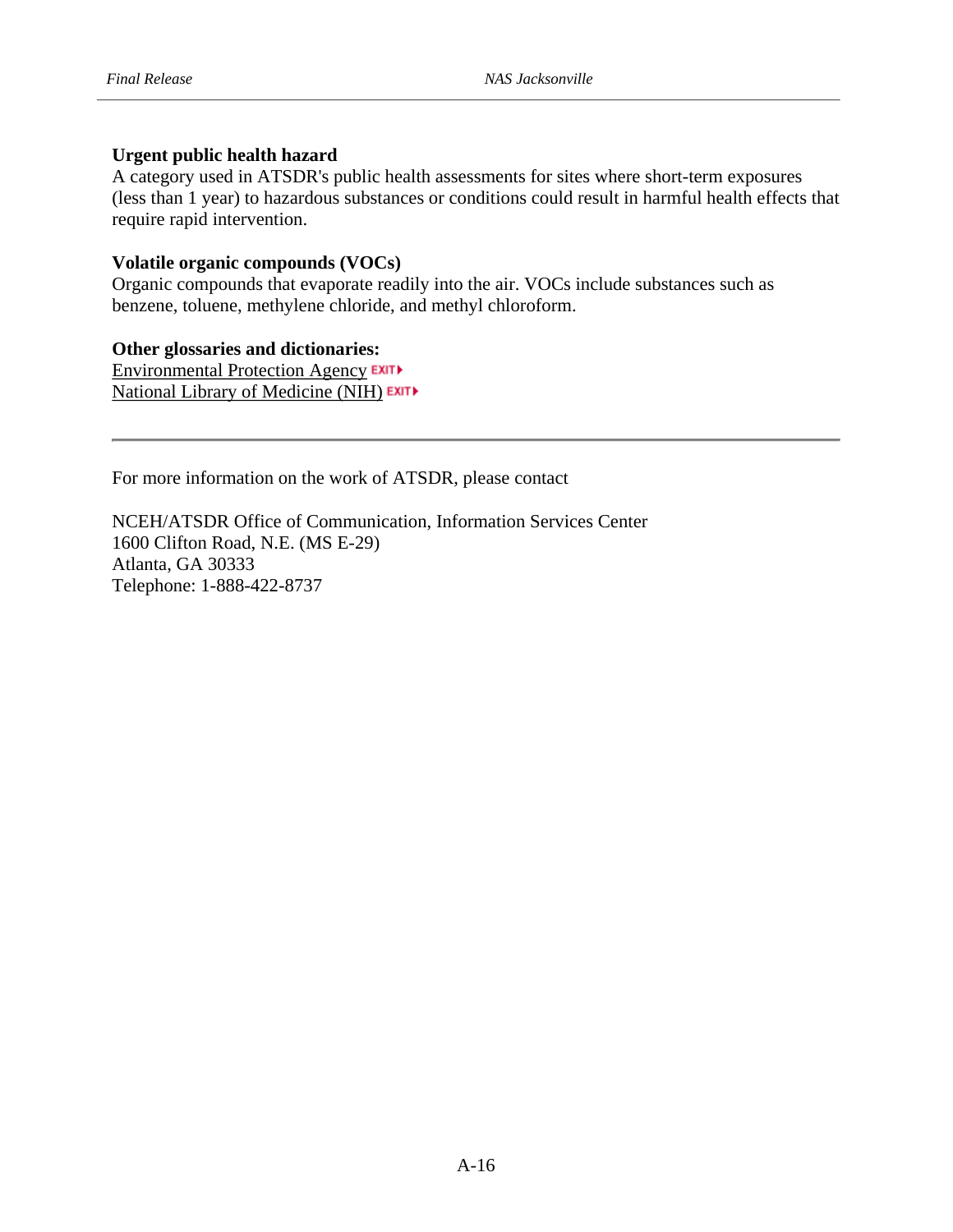## **Urgent public health hazard**

A category used in ATSDR's public health assessments for sites where short-term exposures (less than 1 year) to hazardous substances or conditions could result in harmful health effects that require rapid intervention.

#### **Volatile organic compounds (VOCs)**

Organic compounds that evaporate readily into the air. VOCs include substances such as benzene, toluene, methylene chloride, and methyl chloroform.

#### **Other glossaries and dictionaries:**

Environmental Protection Agency EXIT National Library of Medicine (NIH)

For more information on the work of ATSDR, please contact

NCEH/ATSDR Office of Communication, Information Services Center 1600 Clifton Road, N.E. (MS E-29) Atlanta, GA 30333 Telephone: 1-888-422-8737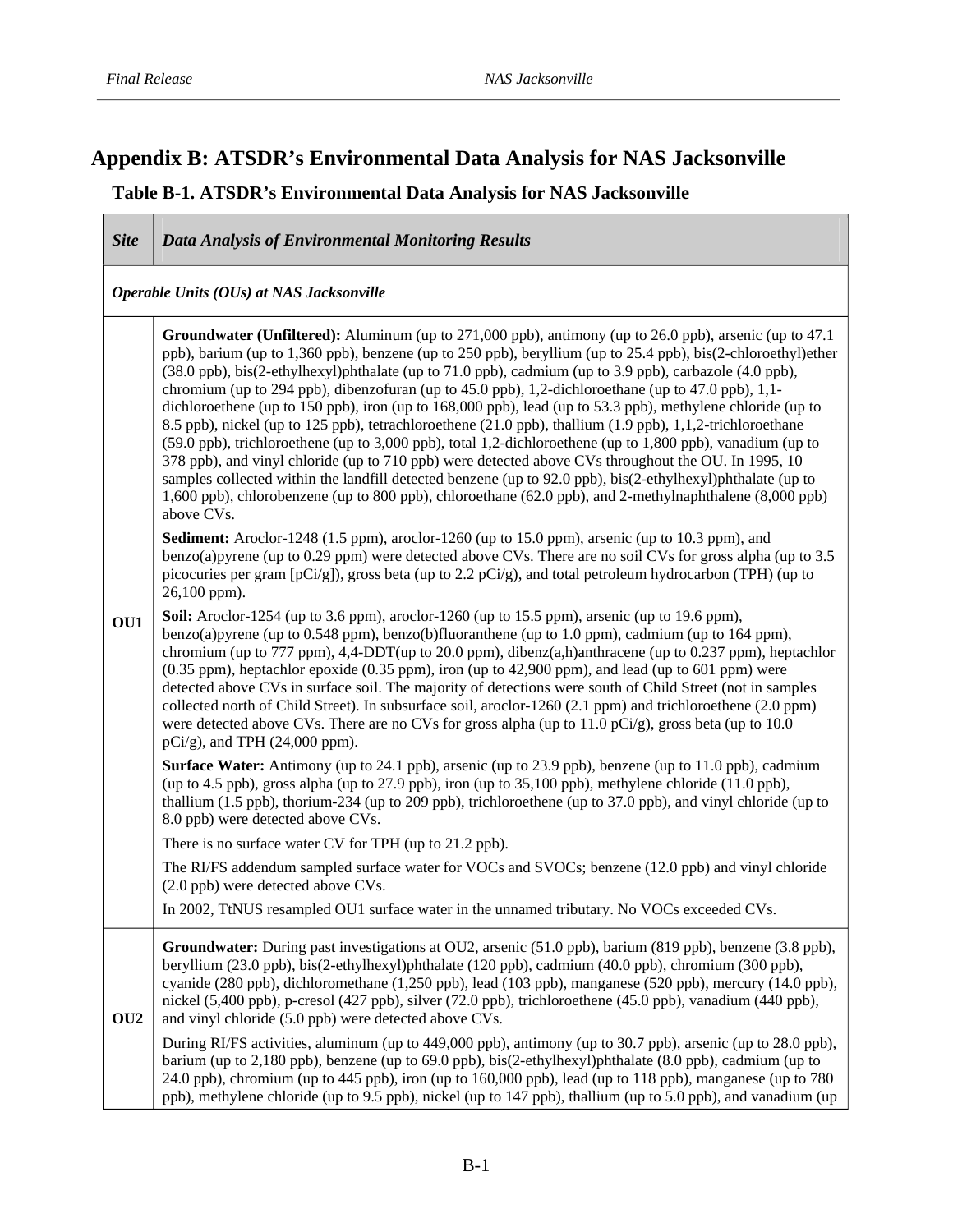$\mathcal{L}(\mathcal{L})$ 

# **Appendix B: ATSDR's Environmental Data Analysis for NAS Jacksonville**

# **Table B-1. ATSDR's Environmental Data Analysis for NAS Jacksonville**

| <b>Site</b>     | <b>Data Analysis of Environmental Monitoring Results</b>                                                                                                                                                                                                                                                                                                                                                                                                                                                                                                                                                                                                                                                                                                                                                                                                                                                                                                                                                                                                                                                                                                                                                                                                                                                                                                                                                                                                                                        |
|-----------------|-------------------------------------------------------------------------------------------------------------------------------------------------------------------------------------------------------------------------------------------------------------------------------------------------------------------------------------------------------------------------------------------------------------------------------------------------------------------------------------------------------------------------------------------------------------------------------------------------------------------------------------------------------------------------------------------------------------------------------------------------------------------------------------------------------------------------------------------------------------------------------------------------------------------------------------------------------------------------------------------------------------------------------------------------------------------------------------------------------------------------------------------------------------------------------------------------------------------------------------------------------------------------------------------------------------------------------------------------------------------------------------------------------------------------------------------------------------------------------------------------|
|                 | Operable Units (OUs) at NAS Jacksonville                                                                                                                                                                                                                                                                                                                                                                                                                                                                                                                                                                                                                                                                                                                                                                                                                                                                                                                                                                                                                                                                                                                                                                                                                                                                                                                                                                                                                                                        |
|                 | <b>Groundwater (Unfiltered):</b> Aluminum (up to 271,000 ppb), antimony (up to 26.0 ppb), arsenic (up to 47.1<br>ppb), barium (up to 1,360 ppb), benzene (up to 250 ppb), beryllium (up to 25.4 ppb), bis(2-chloroethyl) ether<br>(38.0 ppb), bis(2-ethylhexyl)phthalate (up to 71.0 ppb), cadmium (up to 3.9 ppb), carbazole (4.0 ppb),<br>chromium (up to 294 ppb), dibenzofuran (up to 45.0 ppb), 1,2-dichloroethane (up to 47.0 ppb), 1,1-<br>dichloroethene (up to 150 ppb), iron (up to 168,000 ppb), lead (up to 53.3 ppb), methylene chloride (up to<br>8.5 ppb), nickel (up to 125 ppb), tetrachloroethene (21.0 ppb), thallium (1.9 ppb), 1,1,2-trichloroethane<br>(59.0 ppb), trichloroethene (up to 3,000 ppb), total 1,2-dichloroethene (up to 1,800 ppb), vanadium (up to<br>378 ppb), and vinyl chloride (up to 710 ppb) were detected above CVs throughout the OU. In 1995, 10<br>samples collected within the landfill detected benzene (up to 92.0 ppb), bis(2-ethylhexyl)phthalate (up to<br>1,600 ppb), chlorobenzene (up to 800 ppb), chloroethane (62.0 ppb), and 2-methylnaphthalene (8,000 ppb)<br>above CVs.<br><b>Sediment:</b> Aroclor-1248 (1.5 ppm), aroclor-1260 (up to 15.0 ppm), arsenic (up to 10.3 ppm), and<br>benzo(a) pyrene (up to 0.29 ppm) were detected above CVs. There are no soil CVs for gross alpha (up to $3.5$<br>picocuries per gram $[pCi/g]$ , gross beta (up to 2.2 $pCi/g$ ), and total petroleum hydrocarbon (TPH) (up to<br>26,100 ppm). |
| OU1             | Soil: Aroclor-1254 (up to 3.6 ppm), aroclor-1260 (up to 15.5 ppm), arsenic (up to 19.6 ppm),<br>benzo(a)pyrene (up to 0.548 ppm), benzo(b)fluoranthene (up to 1.0 ppm), cadmium (up to 164 ppm),<br>chromium (up to 777 ppm), 4,4-DDT(up to 20.0 ppm), dibenz(a,h)anthracene (up to 0.237 ppm), heptachlor<br>$(0.35$ ppm), heptachlor epoxide $(0.35$ ppm), iron (up to $42,900$ ppm), and lead (up to $601$ ppm) were<br>detected above CVs in surface soil. The majority of detections were south of Child Street (not in samples<br>collected north of Child Street). In subsurface soil, aroclor-1260 (2.1 ppm) and trichloroethene (2.0 ppm)<br>were detected above CVs. There are no CVs for gross alpha (up to 11.0 pCi/g), gross beta (up to 10.0<br>$pCi/g$ ), and TPH (24,000 ppm).                                                                                                                                                                                                                                                                                                                                                                                                                                                                                                                                                                                                                                                                                                  |
|                 | Surface Water: Antimony (up to 24.1 ppb), arsenic (up to 23.9 ppb), benzene (up to 11.0 ppb), cadmium<br>(up to 4.5 ppb), gross alpha (up to 27.9 ppb), iron (up to 35,100 ppb), methylene chloride $(11.0 \text{ ppb})$ ,<br>thallium $(1.5$ ppb), thorium-234 (up to 209 ppb), trichloroethene (up to 37.0 ppb), and vinyl chloride (up to<br>8.0 ppb) were detected above CVs.                                                                                                                                                                                                                                                                                                                                                                                                                                                                                                                                                                                                                                                                                                                                                                                                                                                                                                                                                                                                                                                                                                               |
|                 | There is no surface water CV for TPH (up to 21.2 ppb).                                                                                                                                                                                                                                                                                                                                                                                                                                                                                                                                                                                                                                                                                                                                                                                                                                                                                                                                                                                                                                                                                                                                                                                                                                                                                                                                                                                                                                          |
|                 | The RI/FS addendum sampled surface water for VOCs and SVOCs; benzene (12.0 ppb) and vinyl chloride<br>(2.0 ppb) were detected above CVs.                                                                                                                                                                                                                                                                                                                                                                                                                                                                                                                                                                                                                                                                                                                                                                                                                                                                                                                                                                                                                                                                                                                                                                                                                                                                                                                                                        |
|                 | In 2002, TtNUS resampled OU1 surface water in the unnamed tributary. No VOCs exceeded CVs.                                                                                                                                                                                                                                                                                                                                                                                                                                                                                                                                                                                                                                                                                                                                                                                                                                                                                                                                                                                                                                                                                                                                                                                                                                                                                                                                                                                                      |
| OU <sub>2</sub> | Groundwater: During past investigations at OU2, arsenic (51.0 ppb), barium (819 ppb), benzene (3.8 ppb),<br>beryllium (23.0 ppb), bis(2-ethylhexyl)phthalate (120 ppb), cadmium (40.0 ppb), chromium (300 ppb),<br>cyanide (280 ppb), dichloromethane (1,250 ppb), lead (103 ppb), manganese (520 ppb), mercury (14.0 ppb),<br>nickel (5,400 ppb), p-cresol (427 ppb), silver (72.0 ppb), trichloroethene (45.0 ppb), vanadium (440 ppb),<br>and vinyl chloride (5.0 ppb) were detected above CVs.                                                                                                                                                                                                                                                                                                                                                                                                                                                                                                                                                                                                                                                                                                                                                                                                                                                                                                                                                                                              |
|                 | During RI/FS activities, aluminum (up to 449,000 ppb), antimony (up to 30.7 ppb), arsenic (up to 28.0 ppb),<br>barium (up to 2,180 ppb), benzene (up to 69.0 ppb), bis(2-ethylhexyl)phthalate (8.0 ppb), cadmium (up to<br>24.0 ppb), chromium (up to 445 ppb), iron (up to 160,000 ppb), lead (up to 118 ppb), manganese (up to 780<br>ppb), methylene chloride (up to 9.5 ppb), nickel (up to 147 ppb), thallium (up to 5.0 ppb), and vanadium (up                                                                                                                                                                                                                                                                                                                                                                                                                                                                                                                                                                                                                                                                                                                                                                                                                                                                                                                                                                                                                                            |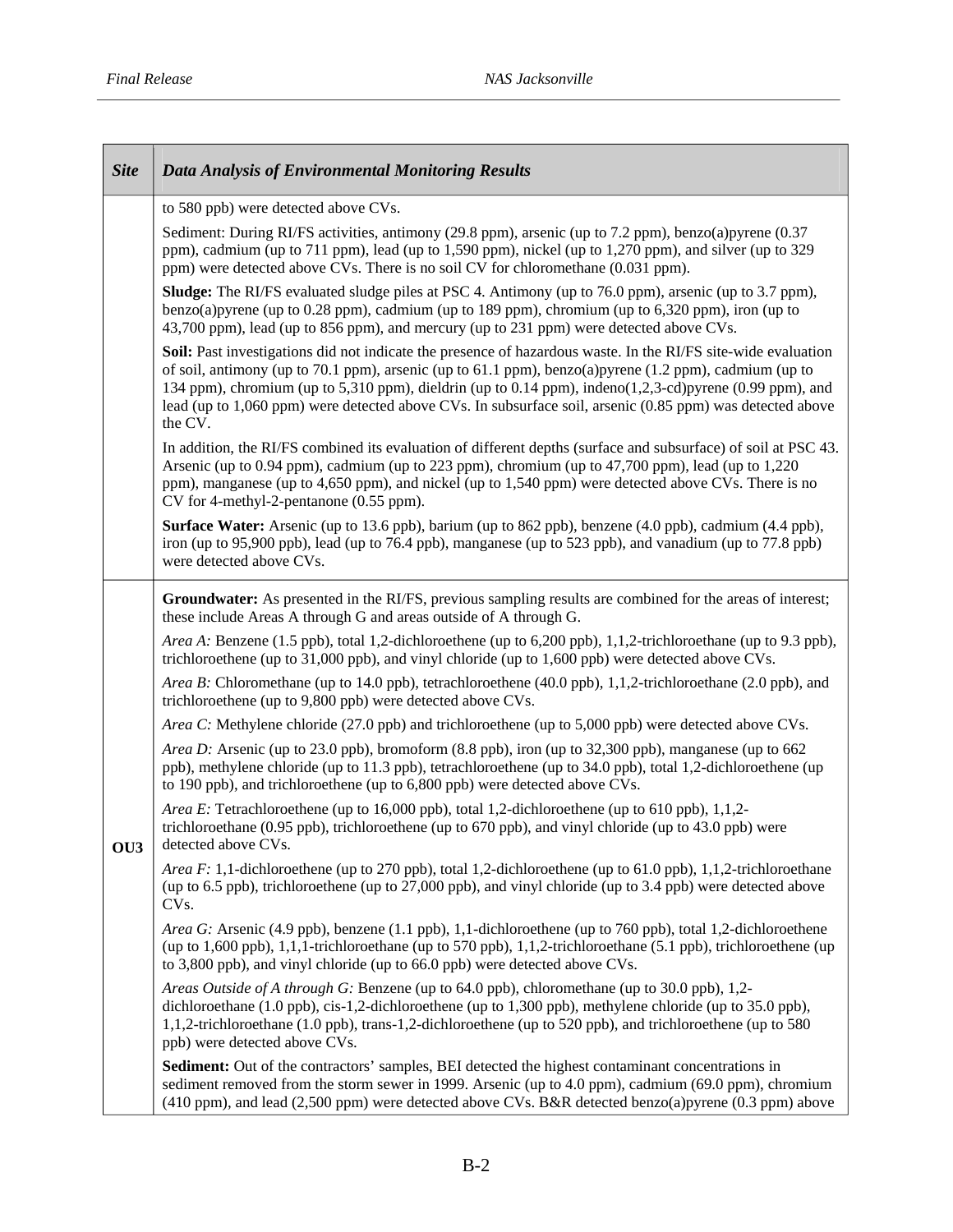$\top$ 

Г

| <b>Site</b>     | <b>Data Analysis of Environmental Monitoring Results</b>                                                                                                                                                                                                                                                                                                                                                                                                     |
|-----------------|--------------------------------------------------------------------------------------------------------------------------------------------------------------------------------------------------------------------------------------------------------------------------------------------------------------------------------------------------------------------------------------------------------------------------------------------------------------|
|                 | to 580 ppb) were detected above CVs.                                                                                                                                                                                                                                                                                                                                                                                                                         |
|                 | Sediment: During RI/FS activities, antimony (29.8 ppm), arsenic (up to 7.2 ppm), benzo(a)pyrene (0.37<br>ppm), cadmium (up to 711 ppm), lead (up to 1,590 ppm), nickel (up to 1,270 ppm), and silver (up to 329<br>ppm) were detected above CVs. There is no soil CV for chloromethane (0.031 ppm).                                                                                                                                                          |
|                 | <b>Sludge:</b> The RI/FS evaluated sludge piles at PSC 4. Antimony (up to 76.0 ppm), arsenic (up to 3.7 ppm),<br>benzo(a)pyrene (up to 0.28 ppm), cadmium (up to 189 ppm), chromium (up to $6,320$ ppm), iron (up to<br>43,700 ppm), lead (up to 856 ppm), and mercury (up to 231 ppm) were detected above CVs.                                                                                                                                              |
|                 | Soil: Past investigations did not indicate the presence of hazardous waste. In the RI/FS site-wide evaluation<br>of soil, antimony (up to 70.1 ppm), arsenic (up to 61.1 ppm), benzo(a)pyrene $(1.2$ ppm), cadmium (up to<br>134 ppm), chromium (up to 5,310 ppm), dieldrin (up to 0.14 ppm), indeno(1,2,3-cd)pyrene (0.99 ppm), and<br>lead (up to 1,060 ppm) were detected above CVs. In subsurface soil, arsenic (0.85 ppm) was detected above<br>the CV. |
|                 | In addition, the RI/FS combined its evaluation of different depths (surface and subsurface) of soil at PSC 43.<br>Arsenic (up to 0.94 ppm), cadmium (up to 223 ppm), chromium (up to 47,700 ppm), lead (up to 1,220<br>ppm), manganese (up to 4,650 ppm), and nickel (up to 1,540 ppm) were detected above CVs. There is no<br>CV for 4-methyl-2-pentanone (0.55 ppm).                                                                                       |
|                 | Surface Water: Arsenic (up to 13.6 ppb), barium (up to 862 ppb), benzene (4.0 ppb), cadmium (4.4 ppb),<br>iron (up to 95,900 ppb), lead (up to 76.4 ppb), manganese (up to 523 ppb), and vanadium (up to 77.8 ppb)<br>were detected above CVs.                                                                                                                                                                                                               |
|                 | <b>Groundwater:</b> As presented in the RI/FS, previous sampling results are combined for the areas of interest;<br>these include Areas A through G and areas outside of A through G.                                                                                                                                                                                                                                                                        |
|                 | Area A: Benzene (1.5 ppb), total 1,2-dichloroethene (up to 6,200 ppb), 1,1,2-trichloroethane (up to 9.3 ppb),<br>trichloroethene (up to 31,000 ppb), and vinyl chloride (up to 1,600 ppb) were detected above CVs.                                                                                                                                                                                                                                           |
|                 | <i>Area B:</i> Chloromethane (up to 14.0 ppb), tetrachloroethene (40.0 ppb), 1,1,2-trichloroethane (2.0 ppb), and<br>trichloroethene (up to 9,800 ppb) were detected above CVs.                                                                                                                                                                                                                                                                              |
|                 | Area C: Methylene chloride (27.0 ppb) and trichloroethene (up to 5,000 ppb) were detected above CVs.                                                                                                                                                                                                                                                                                                                                                         |
| OU <sub>3</sub> | Area D: Arsenic (up to 23.0 ppb), bromoform (8.8 ppb), iron (up to 32,300 ppb), manganese (up to 662<br>ppb), methylene chloride (up to 11.3 ppb), tetrachloroethene (up to 34.0 ppb), total 1,2-dichloroethene (up<br>to 190 ppb), and trichloroethene (up to 6,800 ppb) were detected above CVs.                                                                                                                                                           |
|                 | <i>Area E:</i> Tetrachloroethene (up to 16,000 ppb), total 1,2-dichloroethene (up to 610 ppb), 1,1,2-<br>trichloroethane $(0.95$ ppb), trichloroethene (up to $670$ ppb), and vinyl chloride (up to $43.0$ ppb) were<br>detected above CVs.                                                                                                                                                                                                                  |
|                 | <i>Area F</i> : 1,1-dichloroethene (up to 270 ppb), total 1,2-dichloroethene (up to 61.0 ppb), 1,1,2-trichloroethane<br>(up to 6.5 ppb), trichloroethene (up to 27,000 ppb), and vinyl chloride (up to 3.4 ppb) were detected above<br>CV <sub>s</sub> .                                                                                                                                                                                                     |
|                 | Area G: Arsenic (4.9 ppb), benzene (1.1 ppb), 1,1-dichloroethene (up to 760 ppb), total 1,2-dichloroethene<br>(up to $1,600$ ppb), $1,1,1$ -trichloroethane (up to 570 ppb), $1,1,2$ -trichloroethane (5.1 ppb), trichloroethene (up<br>to 3,800 ppb), and vinyl chloride (up to 66.0 ppb) were detected above CVs.                                                                                                                                          |
|                 | Areas Outside of A through G: Benzene (up to 64.0 ppb), chloromethane (up to 30.0 ppb), 1,2-<br>dichloroethane $(1.0 \text{ ppb})$ , cis-1,2-dichloroethene (up to 1,300 ppb), methylene chloride (up to 35.0 ppb),<br>1,1,2-trichloroethane (1.0 ppb), trans-1,2-dichloroethene (up to 520 ppb), and trichloroethene (up to 580<br>ppb) were detected above CVs.                                                                                            |
|                 | Sediment: Out of the contractors' samples, BEI detected the highest contaminant concentrations in<br>sediment removed from the storm sewer in 1999. Arsenic (up to 4.0 ppm), cadmium (69.0 ppm), chromium<br>(410 ppm), and lead (2,500 ppm) were detected above CVs. B&R detected benzo(a)pyrene (0.3 ppm) above                                                                                                                                            |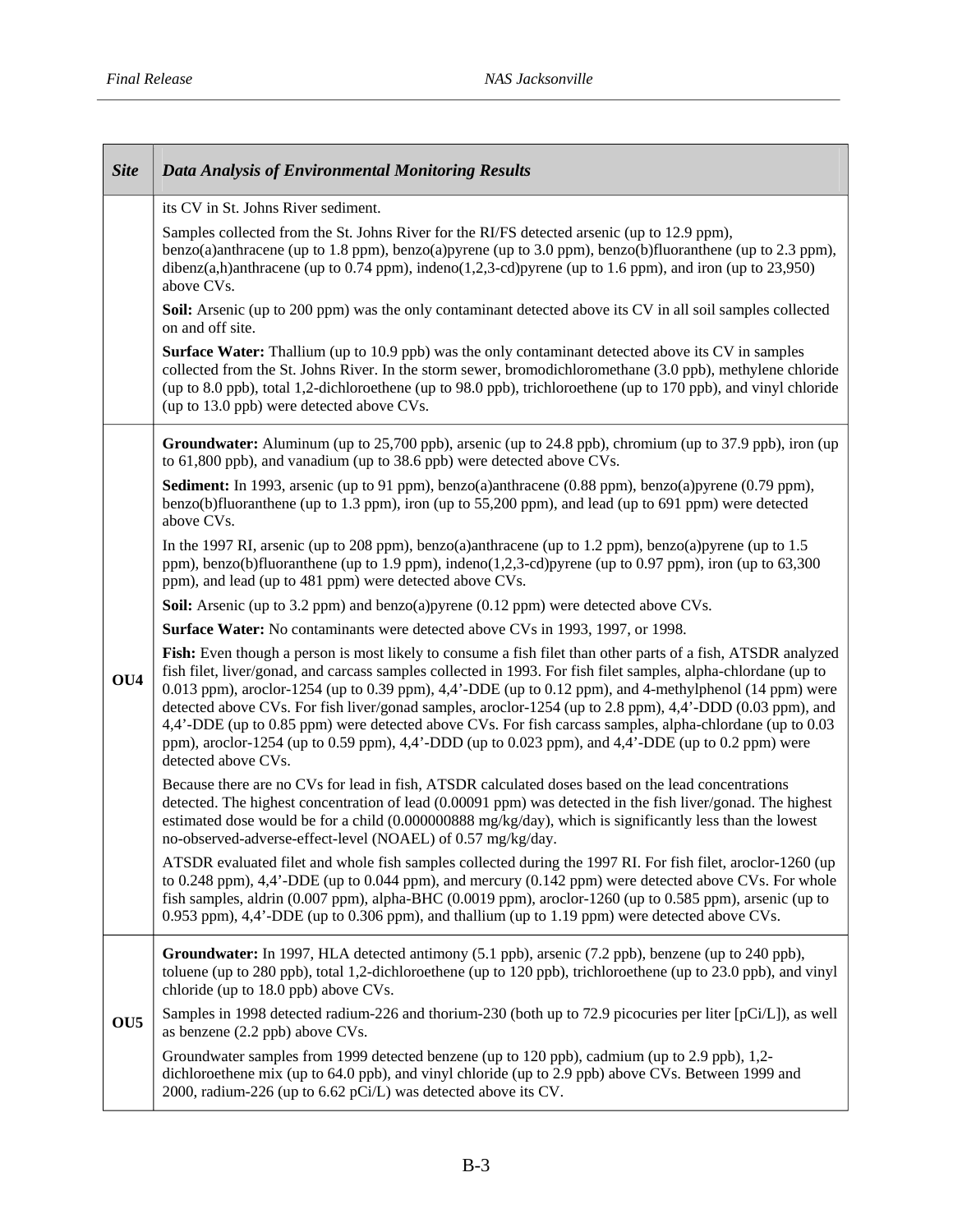$\Gamma$ 

| <b>Site</b>     | <b>Data Analysis of Environmental Monitoring Results</b>                                                                                                                                                                                                                                                                                                                                                                                                                                                                                                                                                                                                                                                     |
|-----------------|--------------------------------------------------------------------------------------------------------------------------------------------------------------------------------------------------------------------------------------------------------------------------------------------------------------------------------------------------------------------------------------------------------------------------------------------------------------------------------------------------------------------------------------------------------------------------------------------------------------------------------------------------------------------------------------------------------------|
|                 | its CV in St. Johns River sediment.                                                                                                                                                                                                                                                                                                                                                                                                                                                                                                                                                                                                                                                                          |
|                 | Samples collected from the St. Johns River for the RI/FS detected arsenic (up to 12.9 ppm),<br>benzo(a)anthracene (up to 1.8 ppm), benzo(a)pyrene (up to 3.0 ppm), benzo(b)fluoranthene (up to 2.3 ppm),<br>dibenz(a,h)anthracene (up to 0.74 ppm), indeno(1,2,3-cd)pyrene (up to 1.6 ppm), and iron (up to 23,950)<br>above CVs.                                                                                                                                                                                                                                                                                                                                                                            |
|                 | <b>Soil:</b> Arsenic (up to 200 ppm) was the only contaminant detected above its CV in all soil samples collected<br>on and off site.                                                                                                                                                                                                                                                                                                                                                                                                                                                                                                                                                                        |
|                 | <b>Surface Water:</b> Thallium (up to 10.9 ppb) was the only contaminant detected above its CV in samples<br>collected from the St. Johns River. In the storm sewer, bromodichloromethane (3.0 ppb), methylene chloride<br>(up to 8.0 ppb), total 1,2-dichloroethene (up to 98.0 ppb), trichloroethene (up to 170 ppb), and vinyl chloride<br>(up to 13.0 ppb) were detected above CVs.                                                                                                                                                                                                                                                                                                                      |
|                 | Groundwater: Aluminum (up to 25,700 ppb), arsenic (up to 24.8 ppb), chromium (up to 37.9 ppb), iron (up<br>to 61,800 ppb), and vanadium (up to 38.6 ppb) were detected above CVs.                                                                                                                                                                                                                                                                                                                                                                                                                                                                                                                            |
|                 | Sediment: In 1993, arsenic (up to 91 ppm), benzo(a)anthracene (0.88 ppm), benzo(a)pyrene (0.79 ppm),<br>benzo(b)fluoranthene (up to 1.3 ppm), iron (up to $55,200$ ppm), and lead (up to $691$ ppm) were detected<br>above CVs.                                                                                                                                                                                                                                                                                                                                                                                                                                                                              |
|                 | In the 1997 RI, arsenic (up to 208 ppm), benzo(a)anthracene (up to 1.2 ppm), benzo(a)pyrene (up to 1.5<br>ppm), benzo(b)fluoranthene (up to 1.9 ppm), indeno(1,2,3-cd)pyrene (up to 0.97 ppm), iron (up to 63,300<br>ppm), and lead (up to 481 ppm) were detected above CVs.                                                                                                                                                                                                                                                                                                                                                                                                                                 |
|                 | Soil: Arsenic (up to 3.2 ppm) and benzo(a)pyrene (0.12 ppm) were detected above CVs.                                                                                                                                                                                                                                                                                                                                                                                                                                                                                                                                                                                                                         |
|                 | Surface Water: No contaminants were detected above CVs in 1993, 1997, or 1998.                                                                                                                                                                                                                                                                                                                                                                                                                                                                                                                                                                                                                               |
| OU4             | Fish: Even though a person is most likely to consume a fish filet than other parts of a fish, ATSDR analyzed<br>fish filet, liver/gonad, and carcass samples collected in 1993. For fish filet samples, alpha-chlordane (up to<br>0.013 ppm), aroclor-1254 (up to 0.39 ppm), $4,4$ <sup>2</sup> -DDE (up to 0.12 ppm), and 4-methylphenol (14 ppm) were<br>detected above CVs. For fish liver/gonad samples, aroclor-1254 (up to 2.8 ppm), 4,4'-DDD (0.03 ppm), and<br>4,4'-DDE (up to 0.85 ppm) were detected above CVs. For fish carcass samples, alpha-chlordane (up to 0.03<br>ppm), aroclor-1254 (up to 0.59 ppm), 4,4'-DDD (up to 0.023 ppm), and 4,4'-DDE (up to 0.2 ppm) were<br>detected above CVs. |
|                 | Because there are no CVs for lead in fish, ATSDR calculated doses based on the lead concentrations<br>detected. The highest concentration of lead (0.00091 ppm) was detected in the fish liver/gonad. The highest<br>estimated dose would be for a child (0.000000888 mg/kg/day), which is significantly less than the lowest<br>no-observed-adverse-effect-level (NOAEL) of 0.57 mg/kg/day.                                                                                                                                                                                                                                                                                                                 |
|                 | ATSDR evaluated filet and whole fish samples collected during the 1997 RI. For fish filet, aroclor-1260 (up<br>to 0.248 ppm), 4,4'-DDE (up to 0.044 ppm), and mercury (0.142 ppm) were detected above CVs. For whole<br>fish samples, aldrin $(0.007$ ppm), alpha-BHC $(0.0019$ ppm), aroclor-1260 (up to 0.585 ppm), arsenic (up to<br>0.953 ppm), 4,4'-DDE (up to 0.306 ppm), and thallium (up to 1.19 ppm) were detected above CVs.                                                                                                                                                                                                                                                                       |
| OU <sub>5</sub> | Groundwater: In 1997, HLA detected antimony (5.1 ppb), arsenic (7.2 ppb), benzene (up to 240 ppb),<br>toluene (up to 280 ppb), total 1,2-dichloroethene (up to 120 ppb), trichloroethene (up to 23.0 ppb), and vinyl<br>chloride (up to 18.0 ppb) above CVs.                                                                                                                                                                                                                                                                                                                                                                                                                                                 |
|                 | Samples in 1998 detected radium-226 and thorium-230 (both up to 72.9 picocuries per liter [pCi/L]), as well<br>as benzene (2.2 ppb) above CVs.                                                                                                                                                                                                                                                                                                                                                                                                                                                                                                                                                               |
|                 | Groundwater samples from 1999 detected benzene (up to 120 ppb), cadmium (up to 2.9 ppb), 1,2-<br>dichloroethene mix (up to 64.0 ppb), and vinyl chloride (up to 2.9 ppb) above CVs. Between 1999 and<br>2000, radium-226 (up to 6.62 pCi/L) was detected above its CV.                                                                                                                                                                                                                                                                                                                                                                                                                                       |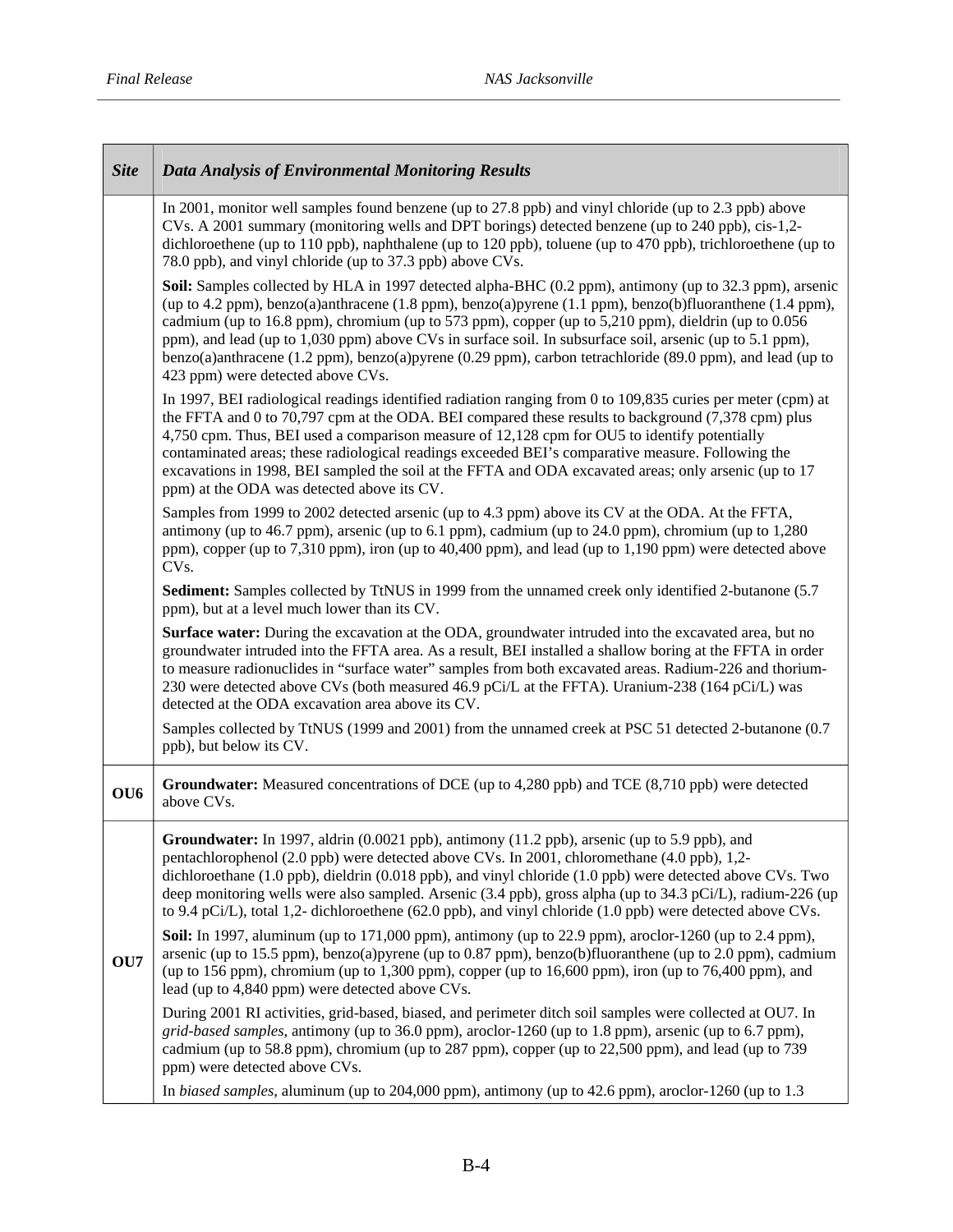| <b>Site</b>     | <b>Data Analysis of Environmental Monitoring Results</b>                                                                                                                                                                                                                                                                                                                                                                                                                                                                                                                                 |
|-----------------|------------------------------------------------------------------------------------------------------------------------------------------------------------------------------------------------------------------------------------------------------------------------------------------------------------------------------------------------------------------------------------------------------------------------------------------------------------------------------------------------------------------------------------------------------------------------------------------|
|                 | In 2001, monitor well samples found benzene (up to 27.8 ppb) and vinyl chloride (up to 2.3 ppb) above<br>CVs. A 2001 summary (monitoring wells and DPT borings) detected benzene (up to 240 ppb), cis-1,2-<br>dichloroethene (up to 110 ppb), naphthalene (up to 120 ppb), toluene (up to 470 ppb), trichloroethene (up to<br>78.0 ppb), and vinyl chloride (up to 37.3 ppb) above CVs.                                                                                                                                                                                                  |
|                 | Soil: Samples collected by HLA in 1997 detected alpha-BHC (0.2 ppm), antimony (up to 32.3 ppm), arsenic<br>(up to 4.2 ppm), benzo(a)anthracene (1.8 ppm), benzo(a)pyrene (1.1 ppm), benzo(b)fluoranthene (1.4 ppm),<br>cadmium (up to 16.8 ppm), chromium (up to 573 ppm), copper (up to 5,210 ppm), dieldrin (up to 0.056<br>ppm), and lead (up to 1,030 ppm) above CVs in surface soil. In subsurface soil, arsenic (up to 5.1 ppm),<br>benzo(a)anthracene (1.2 ppm), benzo(a)pyrene (0.29 ppm), carbon tetrachloride (89.0 ppm), and lead (up to<br>423 ppm) were detected above CVs. |
|                 | In 1997, BEI radiological readings identified radiation ranging from 0 to 109,835 curies per meter (cpm) at<br>the FFTA and 0 to 70,797 cpm at the ODA. BEI compared these results to background (7,378 cpm) plus<br>4,750 cpm. Thus, BEI used a comparison measure of 12,128 cpm for OU5 to identify potentially<br>contaminated areas; these radiological readings exceeded BEI's comparative measure. Following the<br>excavations in 1998, BEI sampled the soil at the FFTA and ODA excavated areas; only arsenic (up to 17<br>ppm) at the ODA was detected above its CV.            |
|                 | Samples from 1999 to 2002 detected arsenic (up to 4.3 ppm) above its CV at the ODA. At the FFTA,<br>antimony (up to 46.7 ppm), arsenic (up to 6.1 ppm), cadmium (up to 24.0 ppm), chromium (up to 1,280<br>ppm), copper (up to 7,310 ppm), iron (up to 40,400 ppm), and lead (up to 1,190 ppm) were detected above<br>CV <sub>s</sub> .                                                                                                                                                                                                                                                  |
|                 | Sediment: Samples collected by TtNUS in 1999 from the unnamed creek only identified 2-butanone (5.7)<br>ppm), but at a level much lower than its CV.                                                                                                                                                                                                                                                                                                                                                                                                                                     |
|                 | <b>Surface water:</b> During the excavation at the ODA, groundwater intruded into the excavated area, but no<br>groundwater intruded into the FFTA area. As a result, BEI installed a shallow boring at the FFTA in order<br>to measure radionuclides in "surface water" samples from both excavated areas. Radium-226 and thorium-<br>230 were detected above CVs (both measured 46.9 pCi/L at the FFTA). Uranium-238 (164 pCi/L) was<br>detected at the ODA excavation area above its CV.                                                                                              |
|                 | Samples collected by TtNUS (1999 and 2001) from the unnamed creek at PSC 51 detected 2-butanone (0.7<br>ppb), but below its CV.                                                                                                                                                                                                                                                                                                                                                                                                                                                          |
| OU <sub>6</sub> | Groundwater: Measured concentrations of DCE (up to 4,280 ppb) and TCE (8,710 ppb) were detected<br>above CVs.                                                                                                                                                                                                                                                                                                                                                                                                                                                                            |
|                 | Groundwater: In 1997, aldrin (0.0021 ppb), antimony (11.2 ppb), arsenic (up to 5.9 ppb), and<br>pentachlorophenol (2.0 ppb) were detected above CVs. In 2001, chloromethane (4.0 ppb), 1,2-<br>dichloroethane $(1.0 \text{ pb})$ , dieldrin $(0.018 \text{ pb})$ , and vinyl chloride $(1.0 \text{ pb})$ were detected above CVs. Two<br>deep monitoring wells were also sampled. Arsenic (3.4 ppb), gross alpha (up to 34.3 pCi/L), radium-226 (up<br>to 9.4 pCi/L), total 1,2- dichloroethene (62.0 ppb), and vinyl chloride (1.0 ppb) were detected above CVs.                        |
| OU7             | <b>Soil:</b> In 1997, aluminum (up to 171,000 ppm), antimony (up to 22.9 ppm), aroclor-1260 (up to 2.4 ppm),<br>arsenic (up to 15.5 ppm), benzo(a)pyrene (up to 0.87 ppm), benzo(b)fluoranthene (up to 2.0 ppm), cadmium<br>(up to 156 ppm), chromium (up to 1,300 ppm), copper (up to 16,600 ppm), iron (up to $76,400$ ppm), and<br>lead (up to 4,840 ppm) were detected above CVs.                                                                                                                                                                                                    |
|                 | During 2001 RI activities, grid-based, biased, and perimeter ditch soil samples were collected at OU7. In<br>grid-based samples, antimony (up to 36.0 ppm), aroclor-1260 (up to 1.8 ppm), arsenic (up to 6.7 ppm),<br>cadmium (up to 58.8 ppm), chromium (up to 287 ppm), copper (up to 22,500 ppm), and lead (up to 739<br>ppm) were detected above CVs.                                                                                                                                                                                                                                |
|                 | In biased samples, aluminum (up to 204,000 ppm), antimony (up to 42.6 ppm), aroclor-1260 (up to 1.3                                                                                                                                                                                                                                                                                                                                                                                                                                                                                      |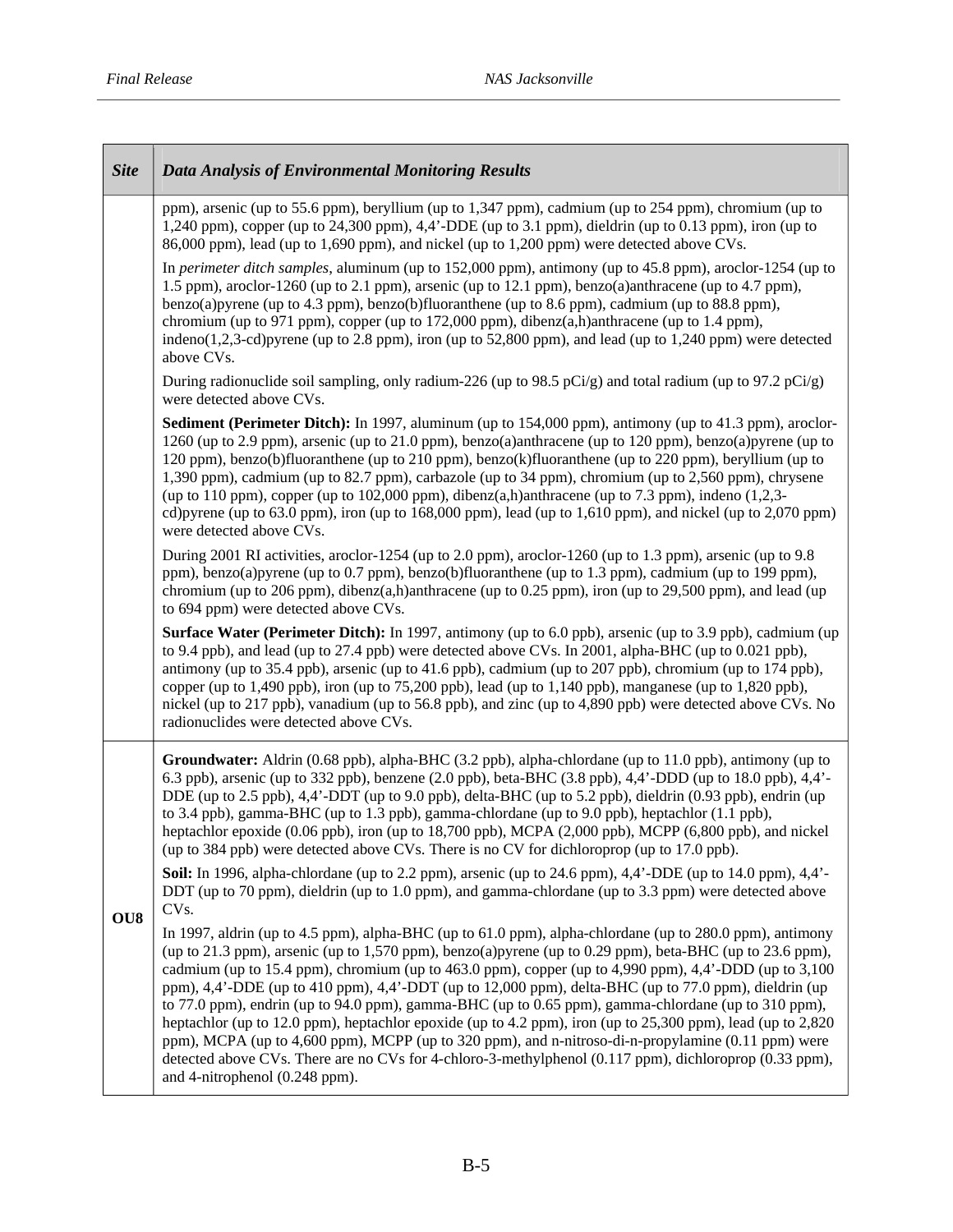<u> Tanzania de la pro</u>

| <b>Site</b> | <b>Data Analysis of Environmental Monitoring Results</b>                                                                                                                                                                                                                                                                                                                                                                                                                                                                                                                                                                                                                                                                                                                                                                                                                                                                                    |
|-------------|---------------------------------------------------------------------------------------------------------------------------------------------------------------------------------------------------------------------------------------------------------------------------------------------------------------------------------------------------------------------------------------------------------------------------------------------------------------------------------------------------------------------------------------------------------------------------------------------------------------------------------------------------------------------------------------------------------------------------------------------------------------------------------------------------------------------------------------------------------------------------------------------------------------------------------------------|
|             | ppm), arsenic (up to 55.6 ppm), beryllium (up to 1,347 ppm), cadmium (up to 254 ppm), chromium (up to<br>1,240 ppm), copper (up to $24,300$ ppm), $4,4$ <sup>2</sup> -DDE (up to $3.1$ ppm), dieldrin (up to $0.13$ ppm), iron (up to<br>86,000 ppm), lead (up to 1,690 ppm), and nickel (up to 1,200 ppm) were detected above CVs.                                                                                                                                                                                                                                                                                                                                                                                                                                                                                                                                                                                                         |
|             | In perimeter ditch samples, aluminum (up to 152,000 ppm), antimony (up to 45.8 ppm), aroclor-1254 (up to<br>1.5 ppm), aroclor-1260 (up to 2.1 ppm), arsenic (up to 12.1 ppm), benzo(a)anthracene (up to 4.7 ppm),<br>benzo(a)pyrene (up to 4.3 ppm), benzo(b)fluoranthene (up to 8.6 ppm), cadmium (up to 88.8 ppm),<br>chromium (up to 971 ppm), copper (up to 172,000 ppm), dibenz $(a,h)$ anthracene (up to 1.4 ppm),<br>indeno $(1,2,3$ -cd)pyrene (up to 2.8 ppm), iron (up to 52,800 ppm), and lead (up to 1,240 ppm) were detected<br>above CVs.                                                                                                                                                                                                                                                                                                                                                                                     |
|             | During radionuclide soil sampling, only radium-226 (up to 98.5 pCi/g) and total radium (up to 97.2 pCi/g)<br>were detected above CVs.                                                                                                                                                                                                                                                                                                                                                                                                                                                                                                                                                                                                                                                                                                                                                                                                       |
|             | Sediment (Perimeter Ditch): In 1997, aluminum (up to 154,000 ppm), antimony (up to 41.3 ppm), aroclor-<br>1260 (up to 2.9 ppm), arsenic (up to 21.0 ppm), benzo(a)anthracene (up to 120 ppm), benzo(a)pyrene (up to<br>120 ppm), benzo(b)fluoranthene (up to 210 ppm), benzo(k)fluoranthene (up to 220 ppm), beryllium (up to<br>1,390 ppm), cadmium (up to 82.7 ppm), carbazole (up to 34 ppm), chromium (up to 2,560 ppm), chrysene<br>(up to 110 ppm), copper (up to 102,000 ppm), dibenz $(a,h)$ anthracene (up to 7.3 ppm), indeno $(1,2,3-$<br>cd)pyrene (up to 63.0 ppm), iron (up to 168,000 ppm), lead (up to 1,610 ppm), and nickel (up to 2,070 ppm)<br>were detected above CVs.                                                                                                                                                                                                                                                 |
|             | During 2001 RI activities, aroclor-1254 (up to 2.0 ppm), aroclor-1260 (up to 1.3 ppm), arsenic (up to 9.8<br>ppm), benzo(a)pyrene (up to 0.7 ppm), benzo(b)fluoranthene (up to 1.3 ppm), cadmium (up to 199 ppm),<br>chromium (up to $206$ ppm), dibenz $(a,h)$ anthracene (up to $0.25$ ppm), iron (up to $29,500$ ppm), and lead (up<br>to 694 ppm) were detected above CVs.                                                                                                                                                                                                                                                                                                                                                                                                                                                                                                                                                              |
|             | Surface Water (Perimeter Ditch): In 1997, antimony (up to 6.0 ppb), arsenic (up to 3.9 ppb), cadmium (up<br>to 9.4 ppb), and lead (up to 27.4 ppb) were detected above CVs. In 2001, alpha-BHC (up to 0.021 ppb),<br>antimony (up to 35.4 ppb), arsenic (up to 41.6 ppb), cadmium (up to 207 ppb), chromium (up to 174 ppb),<br>copper (up to 1,490 ppb), iron (up to 75,200 ppb), lead (up to 1,140 ppb), manganese (up to 1,820 ppb),<br>nickel (up to 217 ppb), vanadium (up to 56.8 ppb), and zinc (up to 4,890 ppb) were detected above CVs. No<br>radionuclides were detected above CVs.                                                                                                                                                                                                                                                                                                                                              |
| OU8         | Groundwater: Aldrin (0.68 ppb), alpha-BHC (3.2 ppb), alpha-chlordane (up to 11.0 ppb), antimony (up to<br>6.3 ppb), arsenic (up to 332 ppb), benzene (2.0 ppb), beta-BHC (3.8 ppb), 4,4'-DDD (up to 18.0 ppb), 4,4'-<br>DDE (up to 2.5 ppb), 4,4'-DDT (up to 9.0 ppb), delta-BHC (up to 5.2 ppb), dieldrin (0.93 ppb), endrin (up<br>to 3.4 ppb), gamma-BHC (up to 1.3 ppb), gamma-chlordane (up to 9.0 ppb), heptachlor (1.1 ppb),<br>heptachlor epoxide (0.06 ppb), iron (up to 18,700 ppb), MCPA (2,000 ppb), MCPP (6,800 ppb), and nickel<br>(up to 384 ppb) were detected above CVs. There is no CV for dichloroprop (up to 17.0 ppb).                                                                                                                                                                                                                                                                                                 |
|             | <b>Soil:</b> In 1996, alpha-chlordane (up to 2.2 ppm), arsenic (up to 24.6 ppm), $4.4^{\circ}$ -DDE (up to 14.0 ppm), $4.4^{\circ}$ -<br>DDT (up to 70 ppm), dieldrin (up to 1.0 ppm), and gamma-chlordane (up to 3.3 ppm) were detected above<br>CV <sub>s</sub> .                                                                                                                                                                                                                                                                                                                                                                                                                                                                                                                                                                                                                                                                         |
|             | In 1997, aldrin (up to $4.5$ ppm), alpha-BHC (up to $61.0$ ppm), alpha-chlordane (up to $280.0$ ppm), antimony<br>(up to 21.3 ppm), arsenic (up to 1,570 ppm), benzo(a)pyrene (up to 0.29 ppm), beta-BHC (up to 23.6 ppm),<br>cadmium (up to $15.4$ ppm), chromium (up to $463.0$ ppm), copper (up to $4,990$ ppm), $4,4$ <sup>2</sup> -DDD (up to $3,100$<br>ppm), 4,4'-DDE (up to 410 ppm), 4,4'-DDT (up to 12,000 ppm), delta-BHC (up to 77.0 ppm), dieldrin (up<br>to 77.0 ppm), endrin (up to 94.0 ppm), gamma-BHC (up to 0.65 ppm), gamma-chlordane (up to 310 ppm),<br>heptachlor (up to 12.0 ppm), heptachlor epoxide (up to 4.2 ppm), iron (up to 25,300 ppm), lead (up to 2,820<br>ppm), MCPA (up to 4,600 ppm), MCPP (up to 320 ppm), and n-nitroso-di-n-propylamine (0.11 ppm) were<br>detected above CVs. There are no CVs for 4-chloro-3-methylphenol (0.117 ppm), dichloroprop (0.33 ppm),<br>and 4-nitrophenol (0.248 ppm). |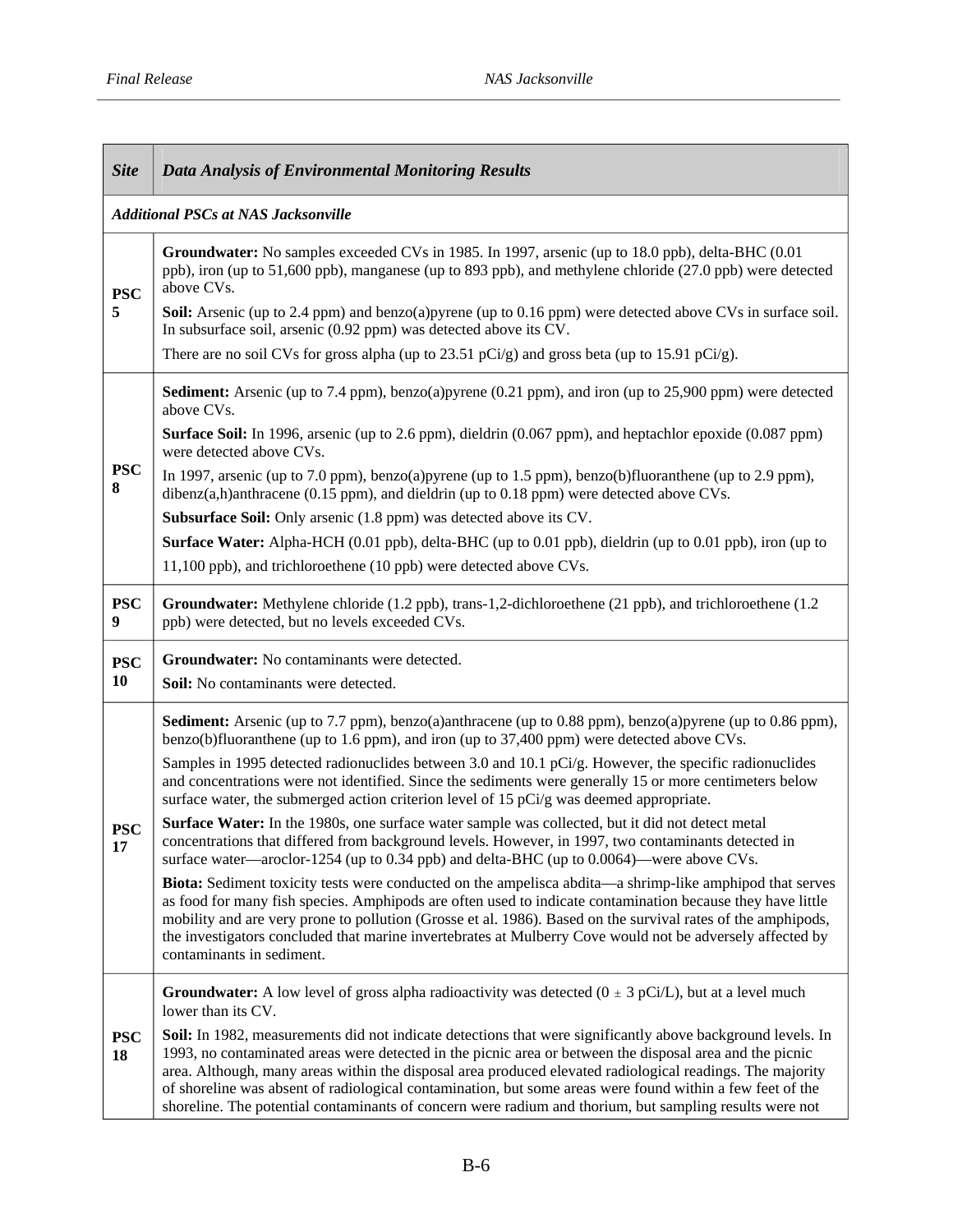$\overline{\phantom{a}}$ 

 $\mathbf{r}$ 

| <b>Site</b>      | <b>Data Analysis of Environmental Monitoring Results</b>                                                                                                                                                                                                                                                                                                                                                                                                                                                                                                     |
|------------------|--------------------------------------------------------------------------------------------------------------------------------------------------------------------------------------------------------------------------------------------------------------------------------------------------------------------------------------------------------------------------------------------------------------------------------------------------------------------------------------------------------------------------------------------------------------|
|                  | <b>Additional PSCs at NAS Jacksonville</b>                                                                                                                                                                                                                                                                                                                                                                                                                                                                                                                   |
| <b>PSC</b><br>5  | Groundwater: No samples exceeded CVs in 1985. In 1997, arsenic (up to 18.0 ppb), delta-BHC (0.01<br>ppb), iron (up to 51,600 ppb), manganese (up to 893 ppb), and methylene chloride (27.0 ppb) were detected<br>above CVs.                                                                                                                                                                                                                                                                                                                                  |
|                  | <b>Soil:</b> Arsenic (up to 2.4 ppm) and benzo(a)pyrene (up to 0.16 ppm) were detected above CVs in surface soil.<br>In subsurface soil, arsenic (0.92 ppm) was detected above its CV.                                                                                                                                                                                                                                                                                                                                                                       |
|                  | There are no soil CVs for gross alpha (up to 23.51 pCi/g) and gross beta (up to 15.91 pCi/g).                                                                                                                                                                                                                                                                                                                                                                                                                                                                |
|                  | <b>Sediment:</b> Arsenic (up to 7.4 ppm), benzo(a)pyrene (0.21 ppm), and iron (up to 25,900 ppm) were detected<br>above CVs.                                                                                                                                                                                                                                                                                                                                                                                                                                 |
|                  | <b>Surface Soil:</b> In 1996, arsenic (up to 2.6 ppm), dieldrin (0.067 ppm), and heptachlor epoxide (0.087 ppm)<br>were detected above CVs.                                                                                                                                                                                                                                                                                                                                                                                                                  |
| <b>PSC</b><br>8  | In 1997, arsenic (up to 7.0 ppm), benzo(a)pyrene (up to 1.5 ppm), benzo(b)fluoranthene (up to 2.9 ppm),<br>dibenz $(a,h)$ anthracene (0.15 ppm), and dieldrin (up to 0.18 ppm) were detected above CVs.                                                                                                                                                                                                                                                                                                                                                      |
|                  | <b>Subsurface Soil:</b> Only arsenic (1.8 ppm) was detected above its CV.                                                                                                                                                                                                                                                                                                                                                                                                                                                                                    |
|                  | <b>Surface Water:</b> Alpha-HCH (0.01 ppb), delta-BHC (up to 0.01 ppb), dieldrin (up to 0.01 ppb), iron (up to                                                                                                                                                                                                                                                                                                                                                                                                                                               |
|                  | 11,100 ppb), and trichloroethene (10 ppb) were detected above CVs.                                                                                                                                                                                                                                                                                                                                                                                                                                                                                           |
| <b>PSC</b><br>9  | Groundwater: Methylene chloride (1.2 ppb), trans-1,2-dichloroethene (21 ppb), and trichloroethene (1.2<br>ppb) were detected, but no levels exceeded CVs.                                                                                                                                                                                                                                                                                                                                                                                                    |
| <b>PSC</b>       | Groundwater: No contaminants were detected.                                                                                                                                                                                                                                                                                                                                                                                                                                                                                                                  |
| 10               | <b>Soil:</b> No contaminants were detected.                                                                                                                                                                                                                                                                                                                                                                                                                                                                                                                  |
|                  | <b>Sediment:</b> Arsenic (up to 7.7 ppm), benzo(a)anthracene (up to 0.88 ppm), benzo(a)pyrene (up to 0.86 ppm),<br>benzo(b)fluoranthene (up to 1.6 ppm), and iron (up to 37,400 ppm) were detected above CVs.                                                                                                                                                                                                                                                                                                                                                |
|                  | Samples in 1995 detected radionuclides between 3.0 and 10.1 pCi/g. However, the specific radionuclides<br>and concentrations were not identified. Since the sediments were generally 15 or more centimeters below<br>surface water, the submerged action criterion level of 15 $pCi/g$ was deemed appropriate.                                                                                                                                                                                                                                               |
| <b>PSC</b><br>17 | Surface Water: In the 1980s, one surface water sample was collected, but it did not detect metal<br>concentrations that differed from background levels. However, in 1997, two contaminants detected in<br>surface water—aroclor-1254 (up to 0.34 ppb) and delta-BHC (up to 0.0064)—were above CVs.                                                                                                                                                                                                                                                          |
|                  | Biota: Sediment toxicity tests were conducted on the ampelisca abdita—a shrimp-like amphipod that serves<br>as food for many fish species. Amphipods are often used to indicate contamination because they have little<br>mobility and are very prone to pollution (Grosse et al. 1986). Based on the survival rates of the amphipods,<br>the investigators concluded that marine invertebrates at Mulberry Cove would not be adversely affected by<br>contaminants in sediment.                                                                             |
| <b>PSC</b><br>18 | <b>Groundwater:</b> A low level of gross alpha radioactivity was detected $(0 \pm 3 \text{ pCi/L})$ , but at a level much<br>lower than its CV.                                                                                                                                                                                                                                                                                                                                                                                                              |
|                  | Soil: In 1982, measurements did not indicate detections that were significantly above background levels. In<br>1993, no contaminated areas were detected in the picnic area or between the disposal area and the picnic<br>area. Although, many areas within the disposal area produced elevated radiological readings. The majority<br>of shoreline was absent of radiological contamination, but some areas were found within a few feet of the<br>shoreline. The potential contaminants of concern were radium and thorium, but sampling results were not |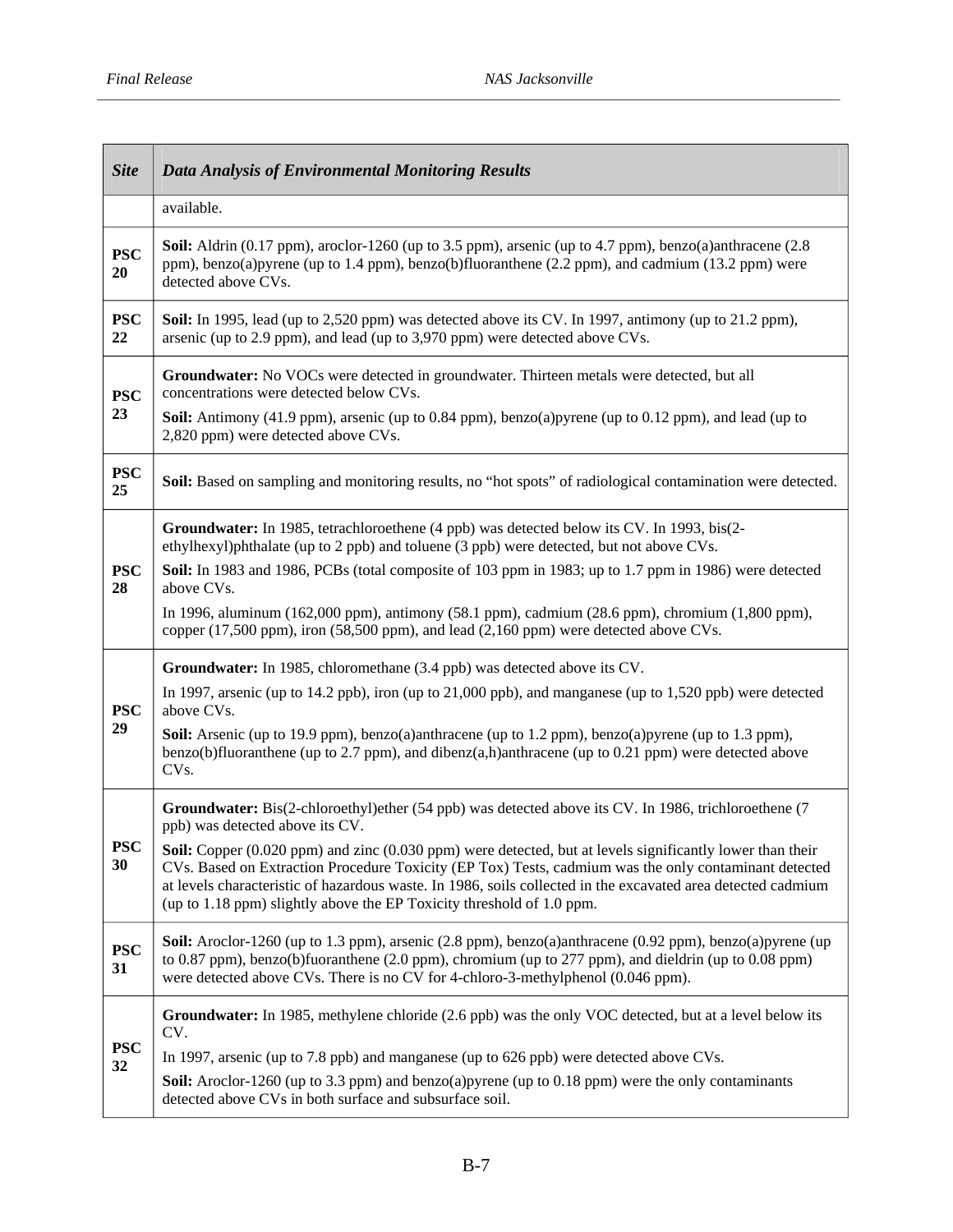| <b>Site</b>      | <b>Data Analysis of Environmental Monitoring Results</b>                                                                                                                                                                                                                                                                                                                                                    |
|------------------|-------------------------------------------------------------------------------------------------------------------------------------------------------------------------------------------------------------------------------------------------------------------------------------------------------------------------------------------------------------------------------------------------------------|
|                  | available.                                                                                                                                                                                                                                                                                                                                                                                                  |
| <b>PSC</b><br>20 | <b>Soil:</b> Aldrin (0.17 ppm), aroclor-1260 (up to 3.5 ppm), arsenic (up to 4.7 ppm), benzo(a)anthracene $(2.8$<br>ppm), benzo(a)pyrene (up to 1.4 ppm), benzo(b)fluoranthene (2.2 ppm), and cadmium (13.2 ppm) were<br>detected above CVs.                                                                                                                                                                |
| <b>PSC</b><br>22 | Soil: In 1995, lead (up to 2,520 ppm) was detected above its CV. In 1997, antimony (up to 21.2 ppm),<br>arsenic (up to 2.9 ppm), and lead (up to 3,970 ppm) were detected above CVs.                                                                                                                                                                                                                        |
| <b>PSC</b>       | Groundwater: No VOCs were detected in groundwater. Thirteen metals were detected, but all<br>concentrations were detected below CVs.                                                                                                                                                                                                                                                                        |
| 23               | Soil: Antimony (41.9 ppm), arsenic (up to 0.84 ppm), benzo(a)pyrene (up to 0.12 ppm), and lead (up to<br>2,820 ppm) were detected above CVs.                                                                                                                                                                                                                                                                |
| <b>PSC</b><br>25 | Soil: Based on sampling and monitoring results, no "hot spots" of radiological contamination were detected.                                                                                                                                                                                                                                                                                                 |
|                  | Groundwater: In 1985, tetrachloroethene (4 ppb) was detected below its CV. In 1993, bis(2-<br>ethylhexyl)phthalate (up to 2 ppb) and toluene (3 ppb) were detected, but not above CVs.                                                                                                                                                                                                                      |
| <b>PSC</b><br>28 | Soil: In 1983 and 1986, PCBs (total composite of 103 ppm in 1983; up to 1.7 ppm in 1986) were detected<br>above CVs.                                                                                                                                                                                                                                                                                        |
|                  | In 1996, aluminum (162,000 ppm), antimony (58.1 ppm), cadmium (28.6 ppm), chromium (1,800 ppm),<br>copper (17,500 ppm), iron (58,500 ppm), and lead (2,160 ppm) were detected above CVs.                                                                                                                                                                                                                    |
|                  | Groundwater: In 1985, chloromethane (3.4 ppb) was detected above its CV.                                                                                                                                                                                                                                                                                                                                    |
| <b>PSC</b>       | In 1997, arsenic (up to 14.2 ppb), iron (up to 21,000 ppb), and manganese (up to 1,520 ppb) were detected<br>above CVs.                                                                                                                                                                                                                                                                                     |
| 29               | Soil: Arsenic (up to 19.9 ppm), benzo(a)anthracene (up to 1.2 ppm), benzo(a)pyrene (up to 1.3 ppm),<br>benzo(b)fluoranthene (up to 2.7 ppm), and dibenz $(a,h)$ anthracene (up to 0.21 ppm) were detected above<br>CV <sub>s</sub> .                                                                                                                                                                        |
|                  | Groundwater: Bis(2-chloroethyl)ether (54 ppb) was detected above its CV. In 1986, trichloroethene (7<br>ppb) was detected above its CV.                                                                                                                                                                                                                                                                     |
| <b>PSC</b><br>30 | Soil: Copper (0.020 ppm) and zinc (0.030 ppm) were detected, but at levels significantly lower than their<br>CVs. Based on Extraction Procedure Toxicity (EP Tox) Tests, cadmium was the only contaminant detected<br>at levels characteristic of hazardous waste. In 1986, soils collected in the excavated area detected cadmium<br>(up to 1.18 ppm) slightly above the EP Toxicity threshold of 1.0 ppm. |
| <b>PSC</b><br>31 | Soil: Aroclor-1260 (up to 1.3 ppm), arsenic (2.8 ppm), benzo(a)anthracene (0.92 ppm), benzo(a)pyrene (up<br>to 0.87 ppm), benzo(b)fuoranthene (2.0 ppm), chromium (up to 277 ppm), and dieldrin (up to 0.08 ppm)<br>were detected above CVs. There is no CV for 4-chloro-3-methylphenol (0.046 ppm).                                                                                                        |
|                  | Groundwater: In 1985, methylene chloride (2.6 ppb) was the only VOC detected, but at a level below its<br>CV.                                                                                                                                                                                                                                                                                               |
| <b>PSC</b><br>32 | In 1997, arsenic (up to 7.8 ppb) and manganese (up to 626 ppb) were detected above CVs.                                                                                                                                                                                                                                                                                                                     |
|                  | <b>Soil:</b> Aroclor-1260 (up to 3.3 ppm) and benzo(a)pyrene (up to 0.18 ppm) were the only contaminants<br>detected above CVs in both surface and subsurface soil.                                                                                                                                                                                                                                         |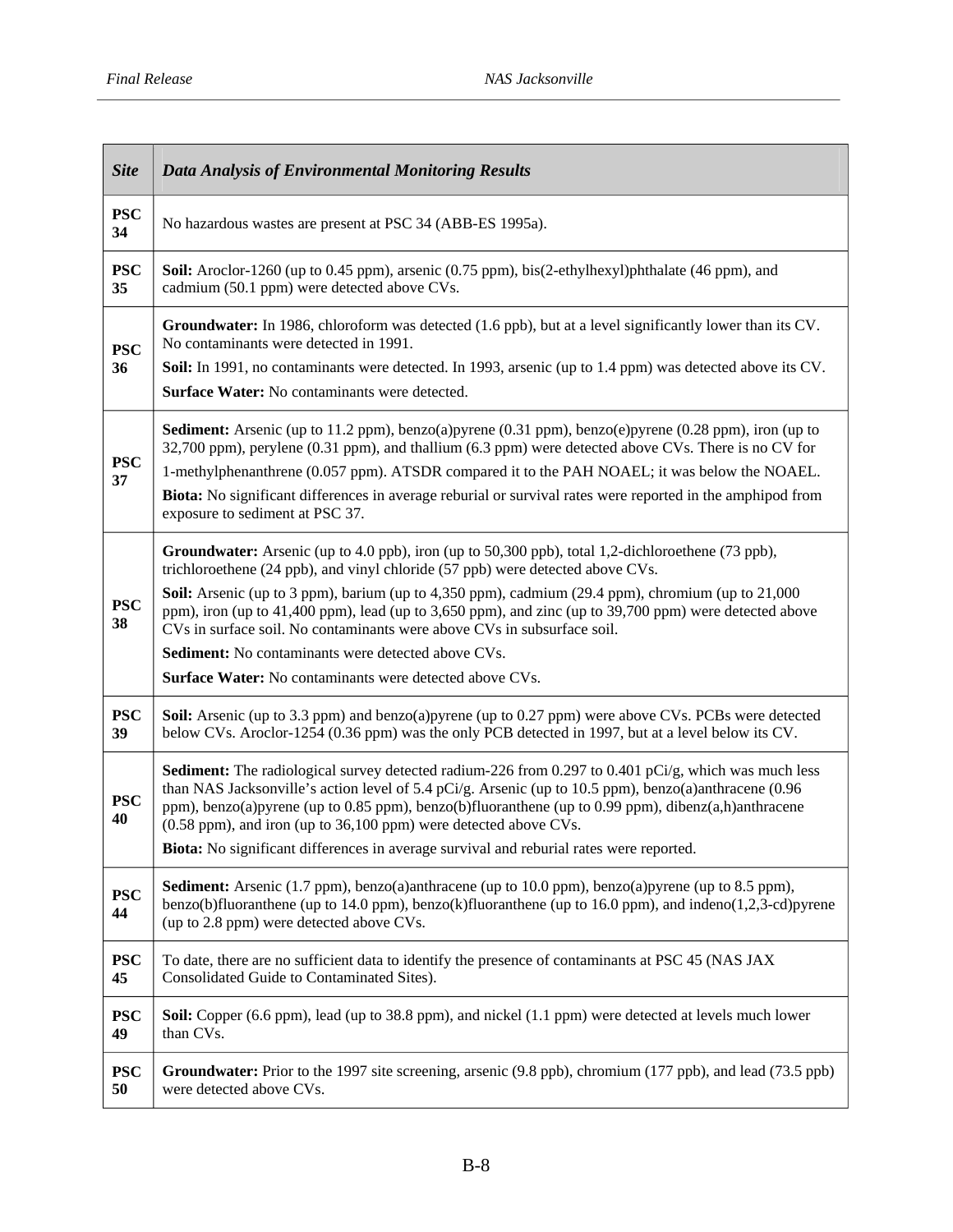| <b>Site</b>      | <b>Data Analysis of Environmental Monitoring Results</b>                                                                                                                                                                                                                                                                                                                                                                                                                                                                                                                                                            |
|------------------|---------------------------------------------------------------------------------------------------------------------------------------------------------------------------------------------------------------------------------------------------------------------------------------------------------------------------------------------------------------------------------------------------------------------------------------------------------------------------------------------------------------------------------------------------------------------------------------------------------------------|
| <b>PSC</b><br>34 | No hazardous wastes are present at PSC 34 (ABB-ES 1995a).                                                                                                                                                                                                                                                                                                                                                                                                                                                                                                                                                           |
| <b>PSC</b><br>35 | <b>Soil:</b> Aroclor-1260 (up to 0.45 ppm), arsenic (0.75 ppm), bis(2-ethylhexyl)phthalate (46 ppm), and<br>cadmium (50.1 ppm) were detected above CVs.                                                                                                                                                                                                                                                                                                                                                                                                                                                             |
| <b>PSC</b><br>36 | Groundwater: In 1986, chloroform was detected (1.6 ppb), but at a level significantly lower than its CV.<br>No contaminants were detected in 1991.<br>Soil: In 1991, no contaminants were detected. In 1993, arsenic (up to 1.4 ppm) was detected above its CV.<br><b>Surface Water:</b> No contaminants were detected.                                                                                                                                                                                                                                                                                             |
| <b>PSC</b><br>37 | <b>Sediment:</b> Arsenic (up to 11.2 ppm), benzo(a)pyrene (0.31 ppm), benzo(e)pyrene (0.28 ppm), iron (up to<br>32,700 ppm), perylene (0.31 ppm), and thallium (6.3 ppm) were detected above CVs. There is no CV for<br>1-methylphenanthrene (0.057 ppm). ATSDR compared it to the PAH NOAEL; it was below the NOAEL.<br><b>Biota:</b> No significant differences in average reburial or survival rates were reported in the amphipod from<br>exposure to sediment at PSC 37.                                                                                                                                       |
| <b>PSC</b><br>38 | <b>Groundwater:</b> Arsenic (up to 4.0 ppb), iron (up to 50,300 ppb), total 1,2-dichloroethene (73 ppb),<br>trichloroethene (24 ppb), and vinyl chloride (57 ppb) were detected above CVs.<br>Soil: Arsenic (up to 3 ppm), barium (up to 4,350 ppm), cadmium (29.4 ppm), chromium (up to 21,000<br>ppm), iron (up to 41,400 ppm), lead (up to 3,650 ppm), and zinc (up to 39,700 ppm) were detected above<br>CVs in surface soil. No contaminants were above CVs in subsurface soil.<br><b>Sediment:</b> No contaminants were detected above CVs.<br><b>Surface Water:</b> No contaminants were detected above CVs. |
| <b>PSC</b><br>39 | <b>Soil:</b> Arsenic (up to 3.3 ppm) and benzo(a)pyrene (up to 0.27 ppm) were above CVs. PCBs were detected<br>below CVs. Aroclor-1254 (0.36 ppm) was the only PCB detected in 1997, but at a level below its CV.                                                                                                                                                                                                                                                                                                                                                                                                   |
| <b>PSC</b><br>40 | <b>Sediment:</b> The radiological survey detected radium-226 from 0.297 to 0.401 pCi/g, which was much less<br>than NAS Jacksonville's action level of 5.4 pCi/g. Arsenic (up to 10.5 ppm), benzo(a)anthracene (0.96<br>ppm), benzo(a)pyrene (up to 0.85 ppm), benzo(b)fluoranthene (up to 0.99 ppm), dibenz(a,h)anthracene<br>(0.58 ppm), and iron (up to 36,100 ppm) were detected above CVs.<br>Biota: No significant differences in average survival and reburial rates were reported.                                                                                                                          |
| <b>PSC</b><br>44 | <b>Sediment:</b> Arsenic (1.7 ppm), benzo(a)anthracene (up to 10.0 ppm), benzo(a)pyrene (up to 8.5 ppm),<br>benzo(b)fluoranthene (up to $14.0$ ppm), benzo(k)fluoranthene (up to $16.0$ ppm), and indeno(1,2,3-cd)pyrene<br>(up to 2.8 ppm) were detected above CVs.                                                                                                                                                                                                                                                                                                                                                |
| <b>PSC</b><br>45 | To date, there are no sufficient data to identify the presence of contaminants at PSC 45 (NAS JAX<br>Consolidated Guide to Contaminated Sites).                                                                                                                                                                                                                                                                                                                                                                                                                                                                     |
| <b>PSC</b><br>49 | Soil: Copper (6.6 ppm), lead (up to 38.8 ppm), and nickel (1.1 ppm) were detected at levels much lower<br>than CVs.                                                                                                                                                                                                                                                                                                                                                                                                                                                                                                 |
| <b>PSC</b><br>50 | Groundwater: Prior to the 1997 site screening, arsenic (9.8 ppb), chromium (177 ppb), and lead (73.5 ppb)<br>were detected above CVs.                                                                                                                                                                                                                                                                                                                                                                                                                                                                               |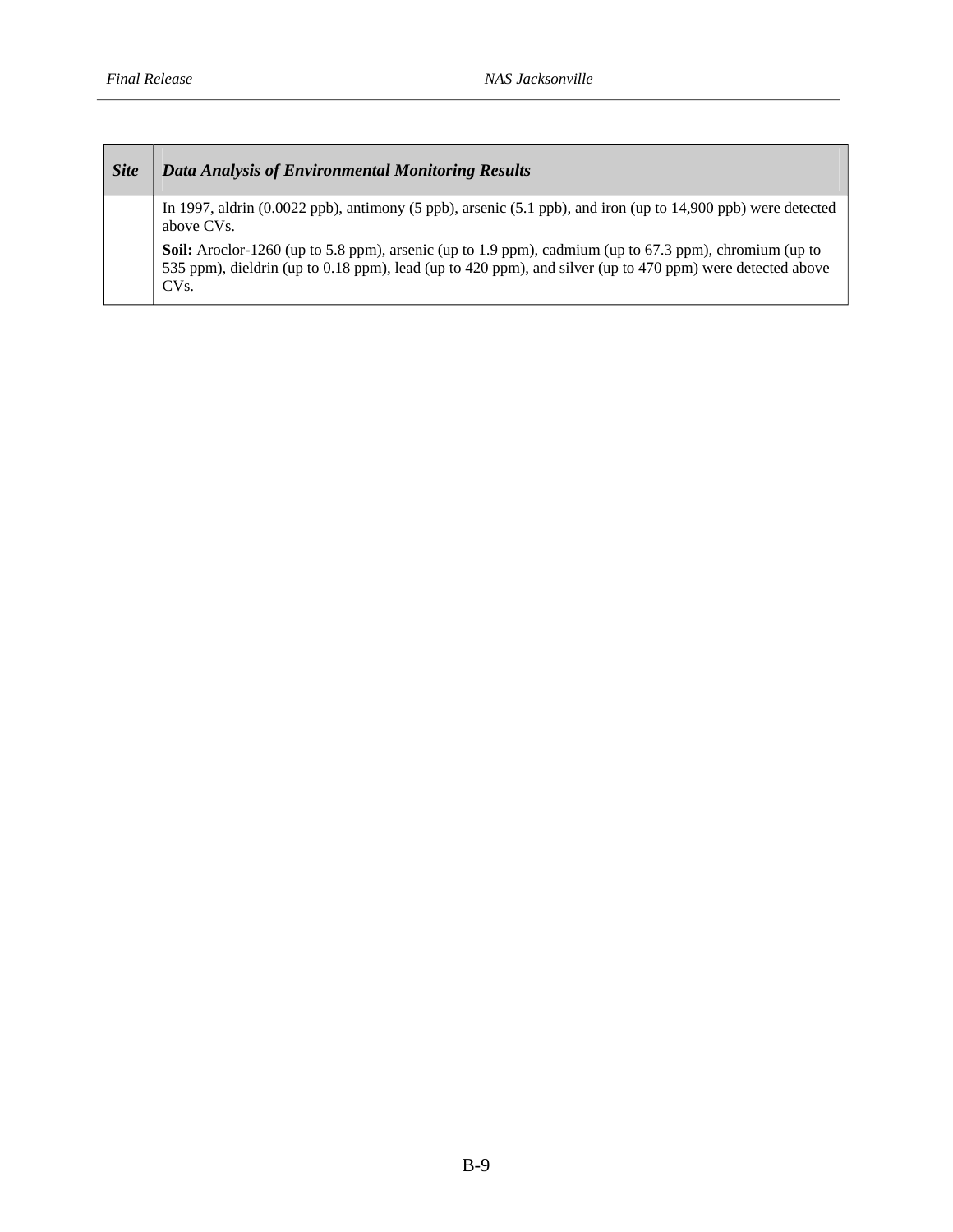| <b>Site</b> | Data Analysis of Environmental Monitoring Results                                                                                                                                                                                               |
|-------------|-------------------------------------------------------------------------------------------------------------------------------------------------------------------------------------------------------------------------------------------------|
|             | In 1997, aldrin $(0.0022 \text{ ppb})$ , antimony (5 ppb), arsenic (5.1 ppb), and iron (up to 14,900 ppb) were detected<br>above CVs.                                                                                                           |
|             | <b>Soil:</b> Aroclor-1260 (up to 5.8 ppm), arsenic (up to 1.9 ppm), cadmium (up to 67.3 ppm), chromium (up to<br>535 ppm), dieldrin (up to 0.18 ppm), lead (up to 420 ppm), and silver (up to 470 ppm) were detected above<br>CV <sub>s</sub> . |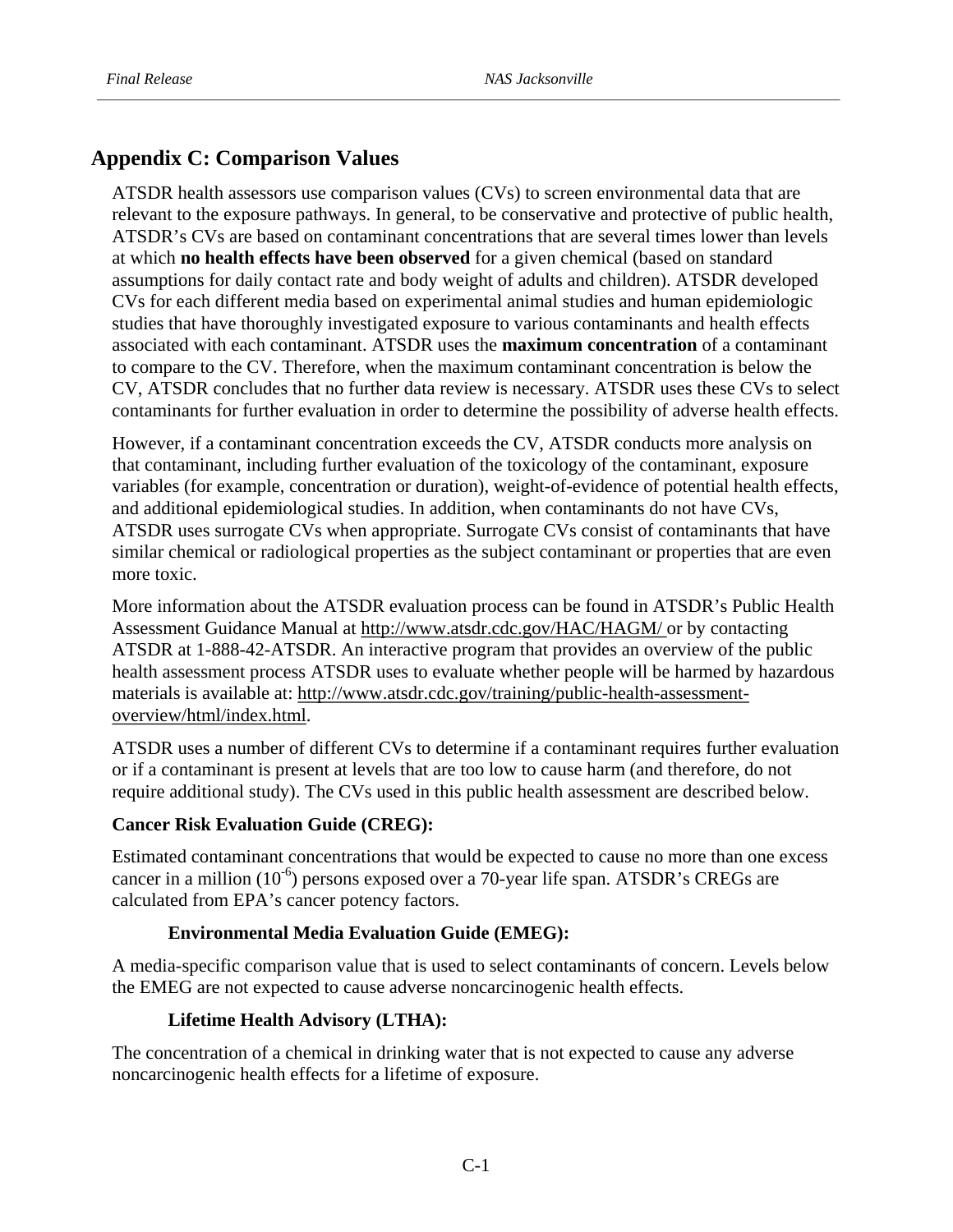# **Appendix C: Comparison Values**

ATSDR health assessors use comparison values (CVs) to screen environmental data that are relevant to the exposure pathways. In general, to be conservative and protective of public health, ATSDR's CVs are based on contaminant concentrations that are several times lower than levels at which **no health effects have been observed** for a given chemical (based on standard assumptions for daily contact rate and body weight of adults and children). ATSDR developed CVs for each different media based on experimental animal studies and human epidemiologic studies that have thoroughly investigated exposure to various contaminants and health effects associated with each contaminant. ATSDR uses the **maximum concentration** of a contaminant to compare to the CV. Therefore, when the maximum contaminant concentration is below the CV, ATSDR concludes that no further data review is necessary. ATSDR uses these CVs to select contaminants for further evaluation in order to determine the possibility of adverse health effects.

However, if a contaminant concentration exceeds the CV, ATSDR conducts more analysis on that contaminant, including further evaluation of the toxicology of the contaminant, exposure variables (for example, concentration or duration), weight-of-evidence of potential health effects, and additional epidemiological studies. In addition, when contaminants do not have CVs, ATSDR uses surrogate CVs when appropriate. Surrogate CVs consist of contaminants that have similar chemical or radiological properties as the subject contaminant or properties that are even more toxic.

More information about the ATSDR evaluation process can be found in ATSDR's Public Health Assessment Guidance Manual at http://www.atsdr.cdc.gov/HAC/HAGM/ or by contacting ATSDR at 1-888-42-ATSDR. An interactive program that provides an overview of the public health assessment process ATSDR uses to evaluate whether people will be harmed by hazardous materials is available at: http://www.atsdr.cdc.gov/training/public-health-assessmentoverview/html/index.html.

ATSDR uses a number of different CVs to determine if a contaminant requires further evaluation or if a contaminant is present at levels that are too low to cause harm (and therefore, do not require additional study). The CVs used in this public health assessment are described below.

# **Cancer Risk Evaluation Guide (CREG):**

Estimated contaminant concentrations that would be expected to cause no more than one excess cancer in a million  $(10^{-6})$  persons exposed over a 70-year life span. ATSDR's CREGs are calculated from EPA's cancer potency factors.

# **Environmental Media Evaluation Guide (EMEG):**

A media-specific comparison value that is used to select contaminants of concern. Levels below the EMEG are not expected to cause adverse noncarcinogenic health effects.

# **Lifetime Health Advisory (LTHA):**

The concentration of a chemical in drinking water that is not expected to cause any adverse noncarcinogenic health effects for a lifetime of exposure.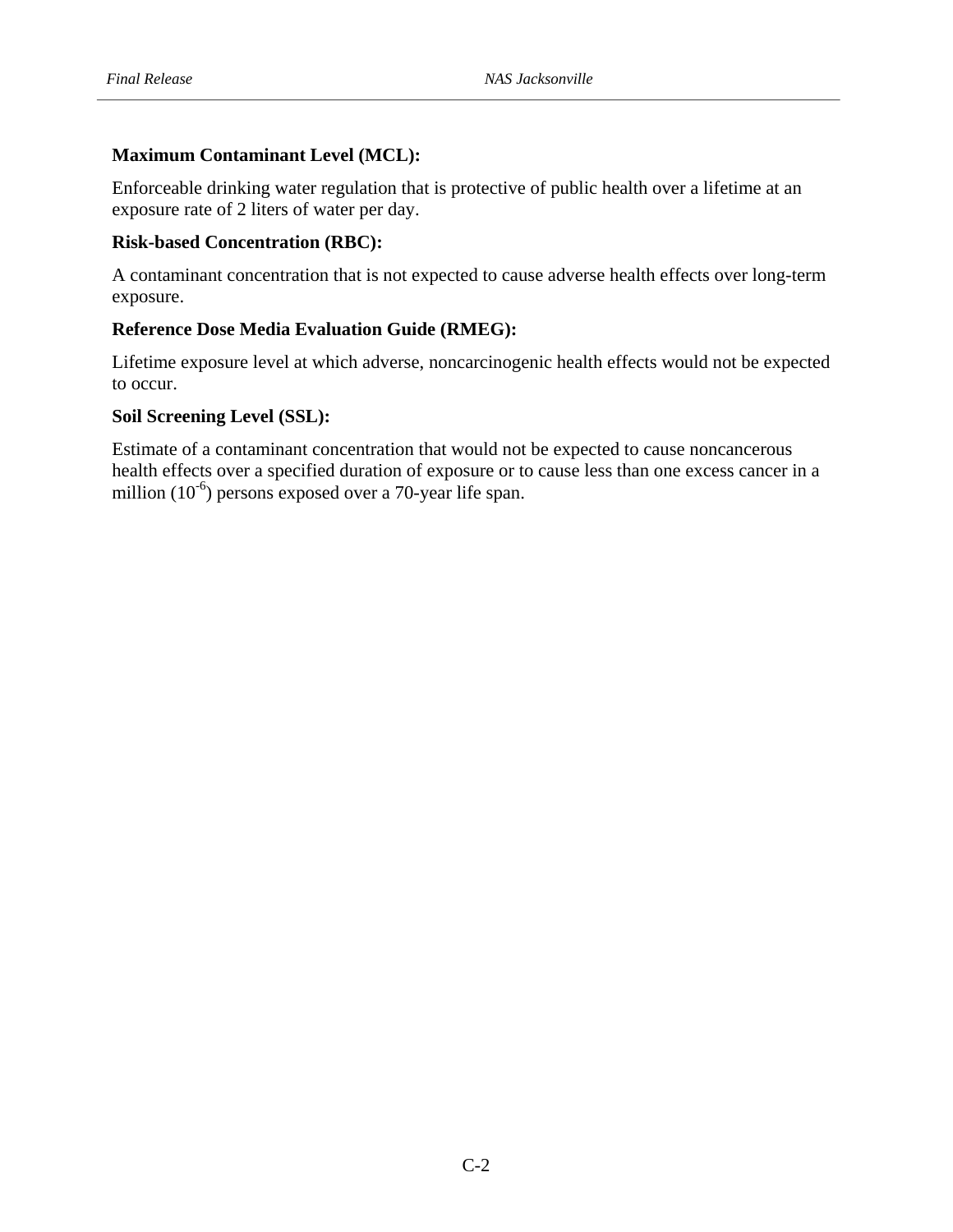# **Maximum Contaminant Level (MCL):**

Enforceable drinking water regulation that is protective of public health over a lifetime at an exposure rate of 2 liters of water per day.

# **Risk-based Concentration (RBC):**

A contaminant concentration that is not expected to cause adverse health effects over long-term exposure.

# **Reference Dose Media Evaluation Guide (RMEG):**

Lifetime exposure level at which adverse, noncarcinogenic health effects would not be expected to occur.

# **Soil Screening Level (SSL):**

Estimate of a contaminant concentration that would not be expected to cause noncancerous health effects over a specified duration of exposure or to cause less than one excess cancer in a million (10<sup>-6</sup>) persons exposed over a 70-year life span.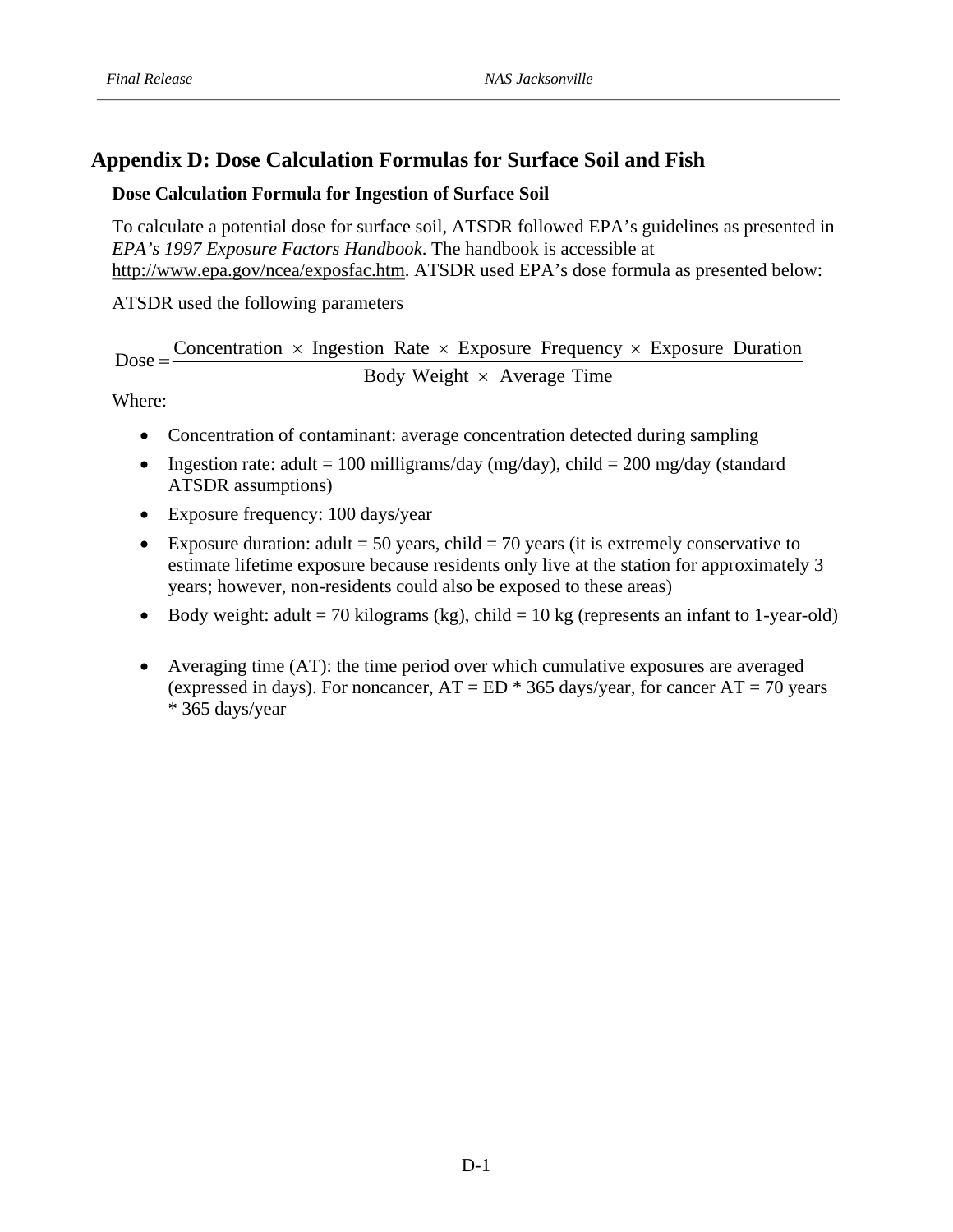# **Appendix D: Dose Calculation Formulas for Surface Soil and Fish**

# **Dose Calculation Formula for Ingestion of Surface Soil**

*EPA's 1997 Exposure Factors Handbook*  . The handbook is accessible at To calculate a potential dose for surface soil, ATSDR followed EPA's guidelines as presented in http://www.epa.gov/ncea/exposfac.htm. ATSDR used EPA's dose formula as presented below:

ATSDR used the following parameters

 $Dose = \frac{Concentration \times Ingestion Rate \times Exposure Frequency \times Exposure Duration}$ Body Weight  $\times$  Average Time

Where:

- Concentration of contaminant: average concentration detected during sampling
- Ingestion rate: adult = 100 milligrams/day (mg/day), child = 200 mg/day (standard ATSDR assumptions)
- Exposure frequency: 100 days/year
- Exposure duration: adult = 50 years, child = 70 years (it is extremely conservative to estimate lifetime exposure because residents only live at the station for approximately 3 years; however, non-residents could also be exposed to these areas)
- Body weight: adult = 70 kilograms (kg), child = 10 kg (represents an infant to 1-year-old)
- Averaging time (AT): the time period over which cumulative exposures are averaged (expressed in days). For noncancer,  $AT = ED * 365$  days/year, for cancer  $AT = 70$  years \* 365 days/year